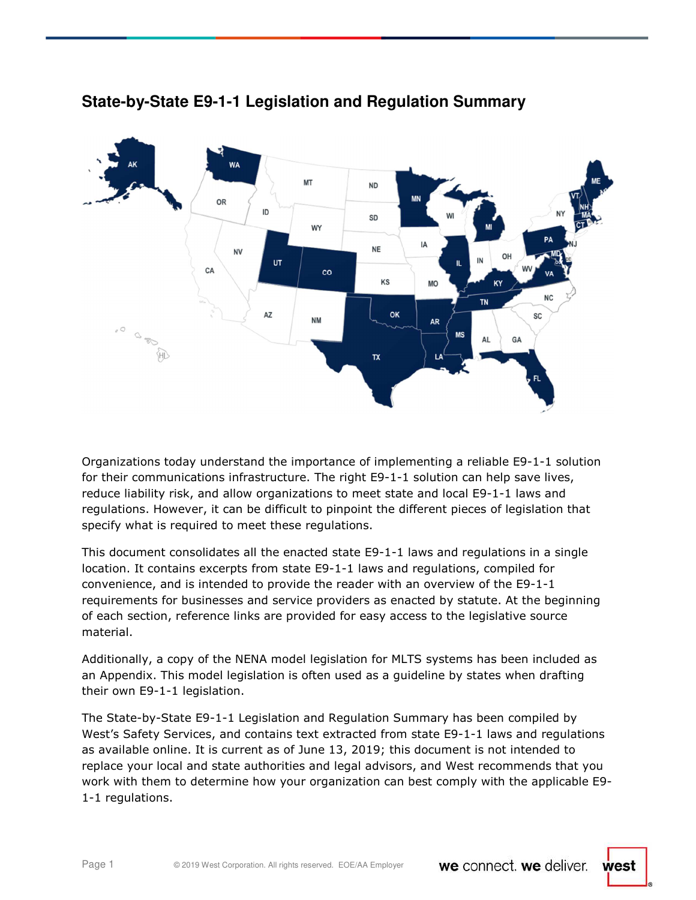

# **State-by-State E9-1-1 Legislation and Regulation Summary**

Organizations today understand the importance of implementing a reliable E9-1-1 solution for their communications infrastructure. The right E9-1-1 solution can help save lives, reduce liability risk, and allow organizations to meet state and local E9-1-1 laws and regulations. However, it can be difficult to pinpoint the different pieces of legislation that specify what is required to meet these regulations.

This document consolidates all the enacted state E9-1-1 laws and regulations in a single location. It contains excerpts from state E9-1-1 laws and regulations, compiled for convenience, and is intended to provide the reader with an overview of the E9-1-1 requirements for businesses and service providers as enacted by statute. At the beginning of each section, reference links are provided for easy access to the legislative source material.

Additionally, a copy of the NENA model legislation for MLTS systems has been included as an Appendix. This model legislation is often used as a guideline by states when drafting their own E9-1-1 legislation.

The State-by-State E9-1-1 Legislation and Regulation Summary has been compiled by West's Safety Services, and contains text extracted from state E9-1-1 laws and regulations as available online. It is current as of June 13, 2019; this document is not intended to replace your local and state authorities and legal advisors, and West recommends that you work with them to determine how your organization can best comply with the applicable E9- 1-1 regulations.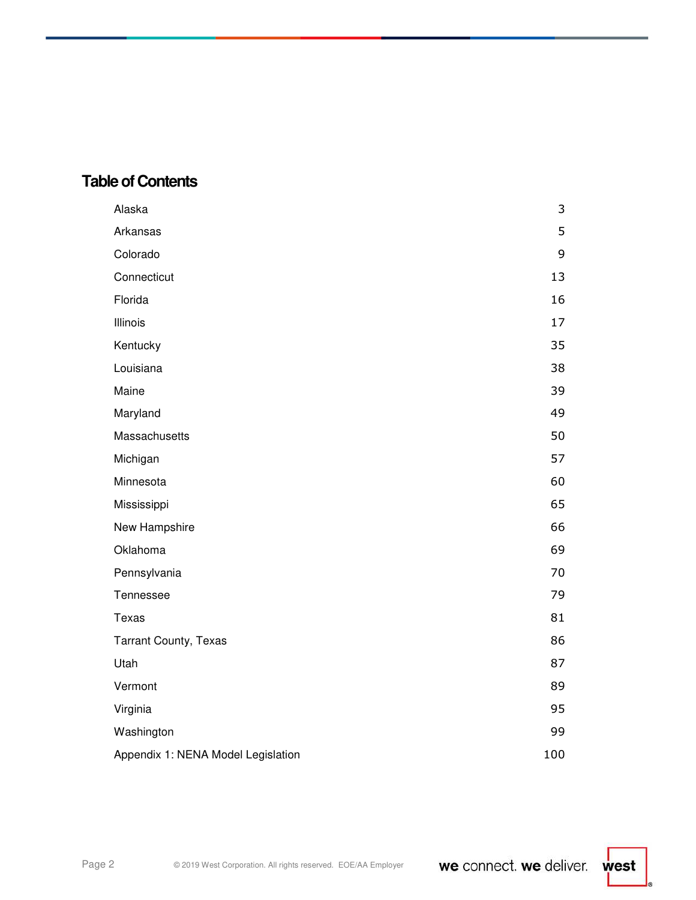# **Table of Contents**

| Alaska                             | 3   |
|------------------------------------|-----|
| Arkansas                           | 5   |
| Colorado                           | 9   |
| Connecticut                        | 13  |
| Florida                            | 16  |
| Illinois                           | 17  |
| Kentucky                           | 35  |
| Louisiana                          | 38  |
| Maine                              | 39  |
| Maryland                           | 49  |
| Massachusetts                      | 50  |
| Michigan                           | 57  |
| Minnesota                          | 60  |
| Mississippi                        | 65  |
| New Hampshire                      | 66  |
| Oklahoma                           | 69  |
| Pennsylvania                       | 70  |
| Tennessee                          | 79  |
| Texas                              | 81  |
| <b>Tarrant County, Texas</b>       | 86  |
| Utah                               | 87  |
| Vermont                            | 89  |
| Virginia                           | 95  |
| Washington                         | 99  |
| Appendix 1: NENA Model Legislation | 100 |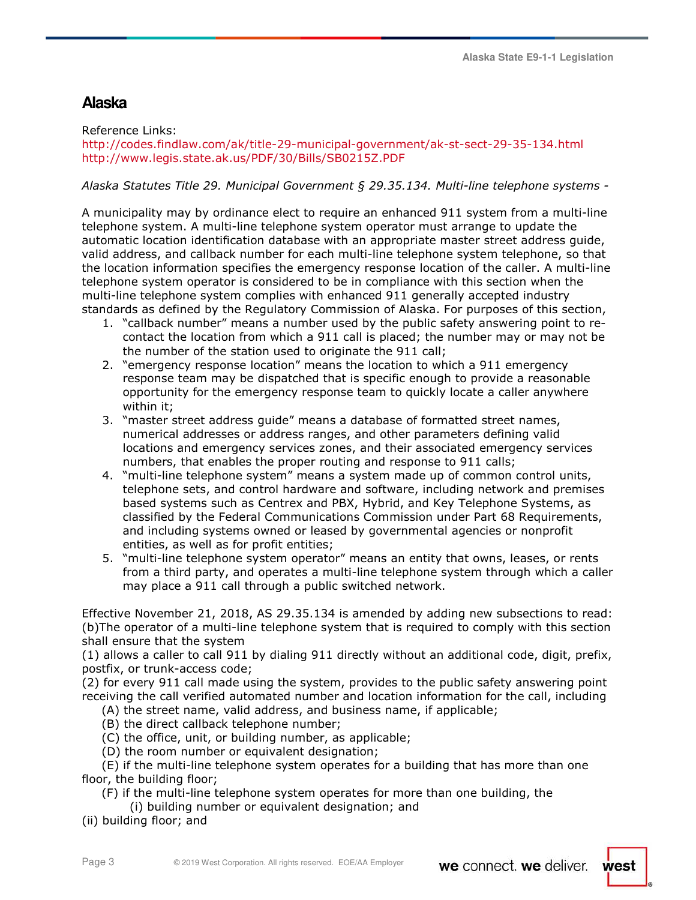# **Alaska**

Reference Links:

http://codes.findlaw.com/ak/title-29-municipal-government/ak-st-sect-29-35-134.html http://www.legis.state.ak.us/PDF/30/Bills/SB0215Z.PDF

## *Alaska Statutes Title 29. Municipal Government § 29.35.134. Multi-line telephone systems -*

A municipality may by ordinance elect to require an enhanced 911 system from a multi-line telephone system. A multi-line telephone system operator must arrange to update the automatic location identification database with an appropriate master street address guide, valid address, and callback number for each multi-line telephone system telephone, so that the location information specifies the emergency response location of the caller. A multi-line telephone system operator is considered to be in compliance with this section when the multi-line telephone system complies with enhanced 911 generally accepted industry standards as defined by the Regulatory Commission of Alaska. For purposes of this section,

- 1. "callback number" means a number used by the public safety answering point to recontact the location from which a 911 call is placed; the number may or may not be the number of the station used to originate the 911 call;
- 2. "emergency response location" means the location to which a 911 emergency response team may be dispatched that is specific enough to provide a reasonable opportunity for the emergency response team to quickly locate a caller anywhere within it;
- 3. "master street address guide" means a database of formatted street names, numerical addresses or address ranges, and other parameters defining valid locations and emergency services zones, and their associated emergency services numbers, that enables the proper routing and response to 911 calls;
- 4. "multi-line telephone system" means a system made up of common control units, telephone sets, and control hardware and software, including network and premises based systems such as Centrex and PBX, Hybrid, and Key Telephone Systems, as classified by the Federal Communications Commission under Part 68 Requirements, and including systems owned or leased by governmental agencies or nonprofit entities, as well as for profit entities;
- 5. "multi-line telephone system operator" means an entity that owns, leases, or rents from a third party, and operates a multi-line telephone system through which a caller may place a 911 call through a public switched network.

Effective November 21, 2018, AS 29.35.134 is amended by adding new subsections to read: (b)The operator of a multi-line telephone system that is required to comply with this section shall ensure that the system

(1) allows a caller to call 911 by dialing 911 directly without an additional code, digit, prefix, postfix, or trunk-access code;

(2) for every 911 call made using the system, provides to the public safety answering point receiving the call verified automated number and location information for the call, including

- (A) the street name, valid address, and business name, if applicable;
- (B) the direct callback telephone number;
- (C) the office, unit, or building number, as applicable;
- (D) the room number or equivalent designation;

 (E) if the multi-line telephone system operates for a building that has more than one floor, the building floor;

- (F) if the multi-line telephone system operates for more than one building, the
- (i) building number or equivalent designation; and
- (ii) building floor; and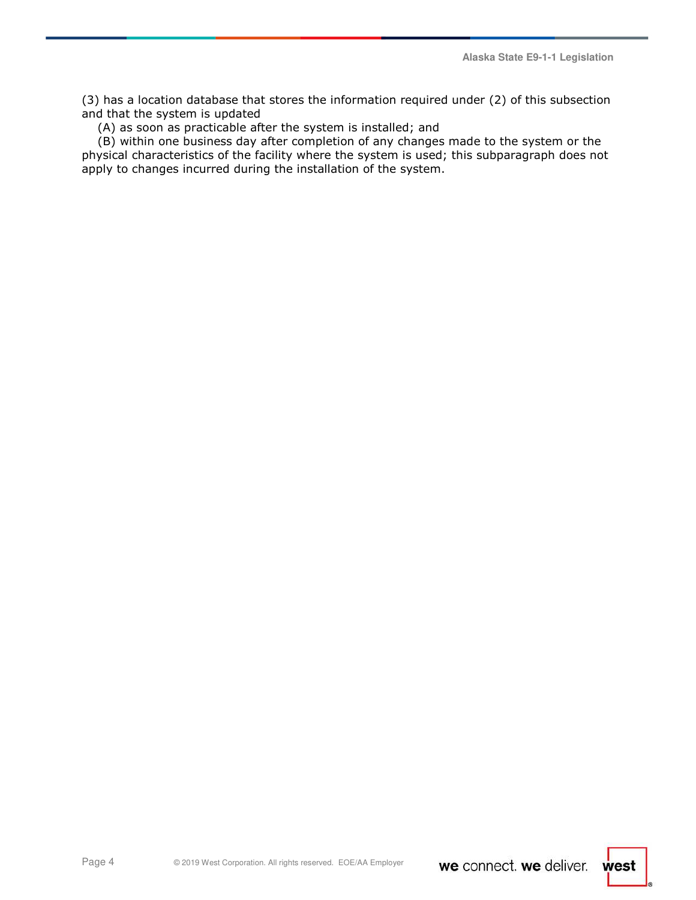(3) has a location database that stores the information required under (2) of this subsection and that the system is updated

(A) as soon as practicable after the system is installed; and

 (B) within one business day after completion of any changes made to the system or the physical characteristics of the facility where the system is used; this subparagraph does not apply to changes incurred during the installation of the system.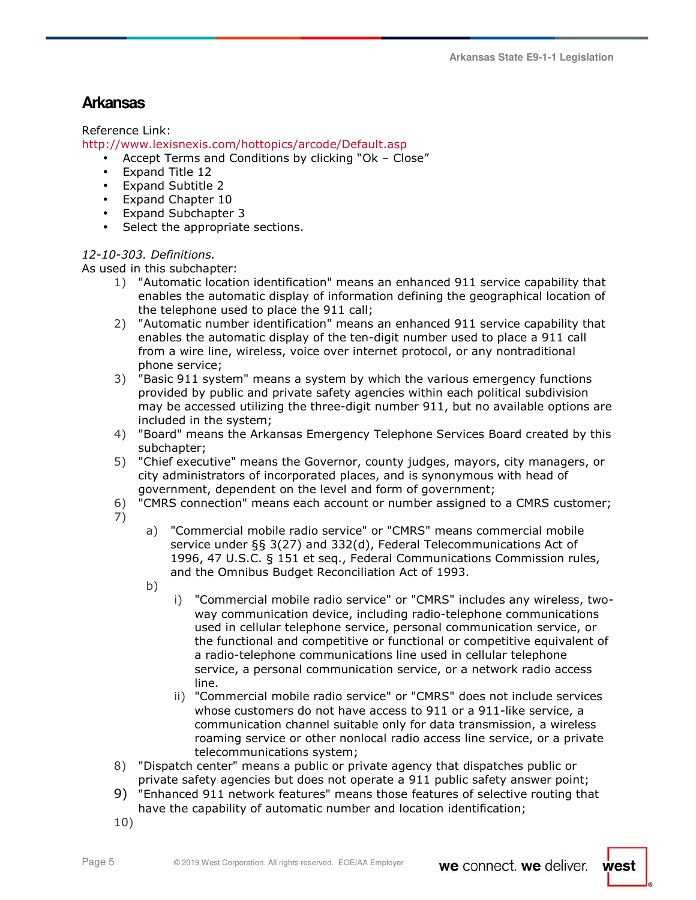# **Arkansas**

Reference Link:

http://www.lexisnexis.com/hottopics/arcode/Default.asp

- Accept Terms and Conditions by clicking "Ok Close"
- Expand Title 12
- Expand Subtitle 2
- Expand Chapter 10
- Expand Subchapter 3
- Select the appropriate sections.

## *12-10-303. Definitions.*

As used in this subchapter:

- 1) "Automatic location identification" means an enhanced 911 service capability that enables the automatic display of information defining the geographical location of the telephone used to place the 911 call;
- 2) "Automatic number identification" means an enhanced 911 service capability that enables the automatic display of the ten-digit number used to place a 911 call from a wire line, wireless, voice over internet protocol, or any nontraditional phone service;
- 3) "Basic 911 system" means a system by which the various emergency functions provided by public and private safety agencies within each political subdivision may be accessed utilizing the three-digit number 911, but no available options are included in the system;
- 4) "Board" means the Arkansas Emergency Telephone Services Board created by this subchapter;
- 5) "Chief executive" means the Governor, county judges, mayors, city managers, or city administrators of incorporated places, and is synonymous with head of government, dependent on the level and form of government;
- 6) "CMRS connection" means each account or number assigned to a CMRS customer;
- 7)
- a) "Commercial mobile radio service" or "CMRS" means commercial mobile service under §§ 3(27) and 332(d), Federal Telecommunications Act of 1996, 47 U.S.C. § 151 et seq., Federal Communications Commission rules, and the Omnibus Budget Reconciliation Act of 1993.
- b)
- i) "Commercial mobile radio service" or "CMRS" includes any wireless, twoway communication device, including radio-telephone communications used in cellular telephone service, personal communication service, or the functional and competitive or functional or competitive equivalent of a radio-telephone communications line used in cellular telephone service, a personal communication service, or a network radio access line.
- ii) "Commercial mobile radio service" or "CMRS" does not include services whose customers do not have access to 911 or a 911-like service, a communication channel suitable only for data transmission, a wireless roaming service or other nonlocal radio access line service, or a private telecommunications system;
- 8) "Dispatch center" means a public or private agency that dispatches public or private safety agencies but does not operate a 911 public safety answer point;
- 9) "Enhanced 911 network features" means those features of selective routing that have the capability of automatic number and location identification;
- 10)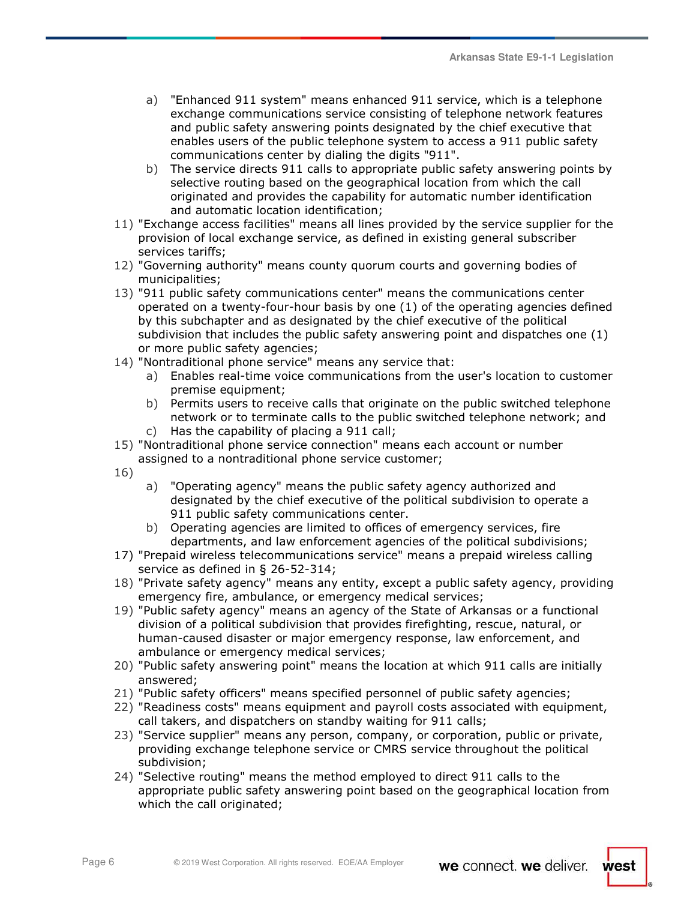- a) "Enhanced 911 system" means enhanced 911 service, which is a telephone exchange communications service consisting of telephone network features and public safety answering points designated by the chief executive that enables users of the public telephone system to access a 911 public safety communications center by dialing the digits "911".
- b) The service directs 911 calls to appropriate public safety answering points by selective routing based on the geographical location from which the call originated and provides the capability for automatic number identification and automatic location identification;
- 11) "Exchange access facilities" means all lines provided by the service supplier for the provision of local exchange service, as defined in existing general subscriber services tariffs;
- 12) "Governing authority" means county quorum courts and governing bodies of municipalities;
- 13) "911 public safety communications center" means the communications center operated on a twenty-four-hour basis by one (1) of the operating agencies defined by this subchapter and as designated by the chief executive of the political subdivision that includes the public safety answering point and dispatches one (1) or more public safety agencies;
- 14) "Nontraditional phone service" means any service that:
	- a) Enables real-time voice communications from the user's location to customer premise equipment;
	- b) Permits users to receive calls that originate on the public switched telephone network or to terminate calls to the public switched telephone network; and c) Has the capability of placing a 911 call;
- 15) "Nontraditional phone service connection" means each account or number assigned to a nontraditional phone service customer;

16)

- a) "Operating agency" means the public safety agency authorized and designated by the chief executive of the political subdivision to operate a 911 public safety communications center.
- b) Operating agencies are limited to offices of emergency services, fire departments, and law enforcement agencies of the political subdivisions;
- 17) "Prepaid wireless telecommunications service" means a prepaid wireless calling service as defined in § 26-52-314;
- 18) "Private safety agency" means any entity, except a public safety agency, providing emergency fire, ambulance, or emergency medical services;
- 19) "Public safety agency" means an agency of the State of Arkansas or a functional division of a political subdivision that provides firefighting, rescue, natural, or human-caused disaster or major emergency response, law enforcement, and ambulance or emergency medical services;
- 20) "Public safety answering point" means the location at which 911 calls are initially answered;
- 21) "Public safety officers" means specified personnel of public safety agencies;
- 22) "Readiness costs" means equipment and payroll costs associated with equipment, call takers, and dispatchers on standby waiting for 911 calls;
- 23) "Service supplier" means any person, company, or corporation, public or private, providing exchange telephone service or CMRS service throughout the political subdivision;
- 24) "Selective routing" means the method employed to direct 911 calls to the appropriate public safety answering point based on the geographical location from which the call originated;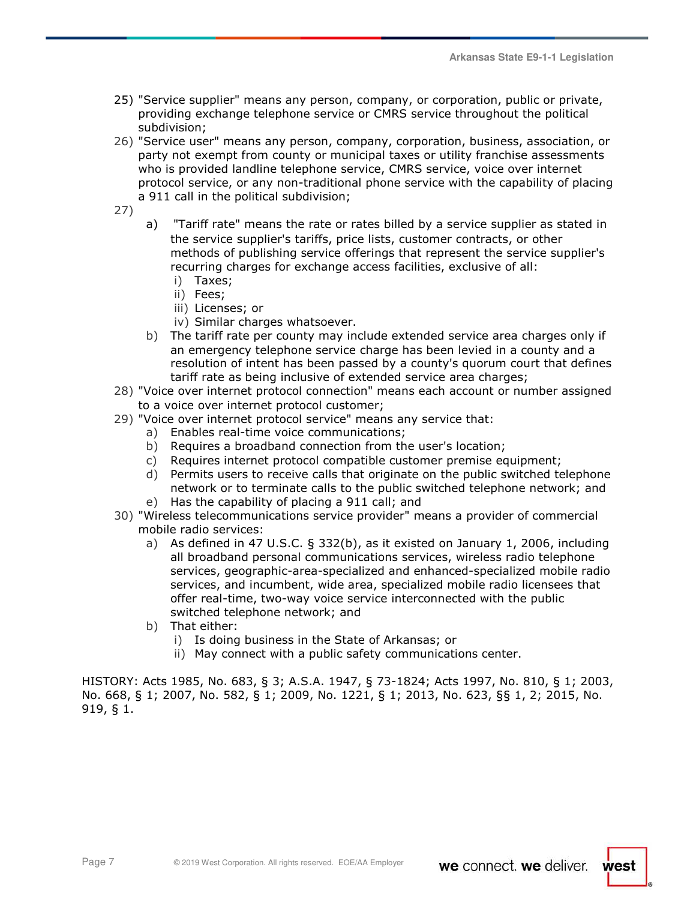- 25) "Service supplier" means any person, company, or corporation, public or private, providing exchange telephone service or CMRS service throughout the political subdivision;
- 26) "Service user" means any person, company, corporation, business, association, or party not exempt from county or municipal taxes or utility franchise assessments who is provided landline telephone service, CMRS service, voice over internet protocol service, or any non-traditional phone service with the capability of placing a 911 call in the political subdivision;
- 27)
- a) "Tariff rate" means the rate or rates billed by a service supplier as stated in the service supplier's tariffs, price lists, customer contracts, or other methods of publishing service offerings that represent the service supplier's recurring charges for exchange access facilities, exclusive of all:
	- i) Taxes;
	- ii) Fees;
	- iii) Licenses; or
	- iv) Similar charges whatsoever.
- b) The tariff rate per county may include extended service area charges only if an emergency telephone service charge has been levied in a county and a resolution of intent has been passed by a county's quorum court that defines tariff rate as being inclusive of extended service area charges;
- 28) "Voice over internet protocol connection" means each account or number assigned to a voice over internet protocol customer;
- 29) "Voice over internet protocol service" means any service that:
	- a) Enables real-time voice communications;
	- b) Requires a broadband connection from the user's location;
	- c) Requires internet protocol compatible customer premise equipment;
	- d) Permits users to receive calls that originate on the public switched telephone network or to terminate calls to the public switched telephone network; and
	- e) Has the capability of placing a 911 call; and
- 30) "Wireless telecommunications service provider" means a provider of commercial mobile radio services:
	- a) As defined in 47 U.S.C. § 332(b), as it existed on January 1, 2006, including all broadband personal communications services, wireless radio telephone services, geographic-area-specialized and enhanced-specialized mobile radio services, and incumbent, wide area, specialized mobile radio licensees that offer real-time, two-way voice service interconnected with the public switched telephone network; and
	- b) That either:
		- i) Is doing business in the State of Arkansas; or
		- ii) May connect with a public safety communications center.

HISTORY: Acts 1985, No. 683, § 3; A.S.A. 1947, § 73-1824; Acts 1997, No. 810, § 1; 2003, No. 668, § 1; 2007, No. 582, § 1; 2009, No. 1221, § 1; 2013, No. 623, §§ 1, 2; 2015, No. 919, § 1.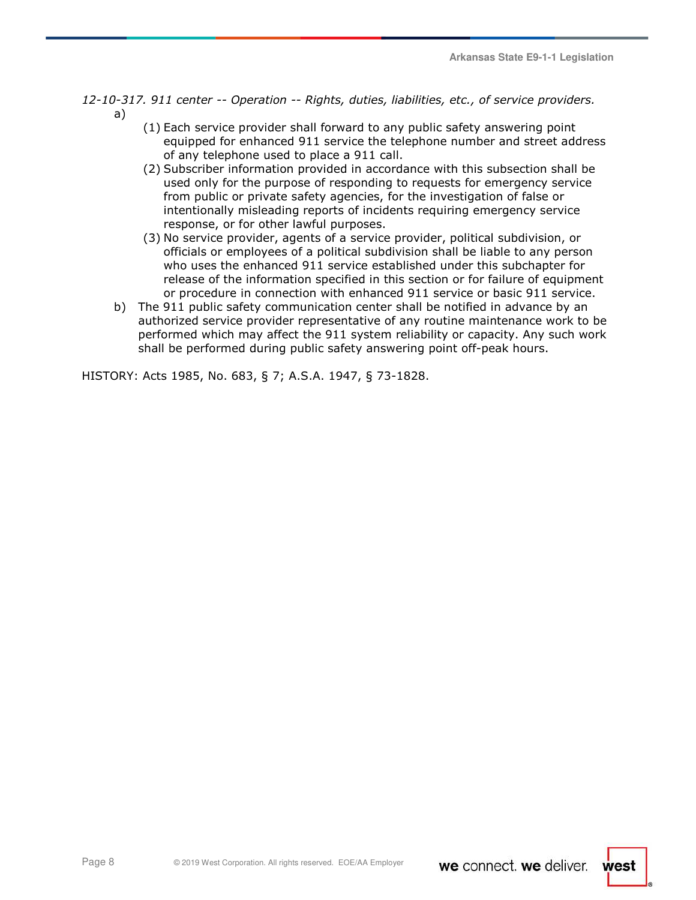- *12-10-317. 911 center -- Operation -- Rights, duties, liabilities, etc., of service providers.*  a)
	- (1) Each service provider shall forward to any public safety answering point equipped for enhanced 911 service the telephone number and street address of any telephone used to place a 911 call.
	- (2) Subscriber information provided in accordance with this subsection shall be used only for the purpose of responding to requests for emergency service from public or private safety agencies, for the investigation of false or intentionally misleading reports of incidents requiring emergency service response, or for other lawful purposes.
	- (3) No service provider, agents of a service provider, political subdivision, or officials or employees of a political subdivision shall be liable to any person who uses the enhanced 911 service established under this subchapter for release of the information specified in this section or for failure of equipment or procedure in connection with enhanced 911 service or basic 911 service.
	- b) The 911 public safety communication center shall be notified in advance by an authorized service provider representative of any routine maintenance work to be performed which may affect the 911 system reliability or capacity. Any such work shall be performed during public safety answering point off-peak hours.

HISTORY: Acts 1985, No. 683, § 7; A.S.A. 1947, § 73-1828.

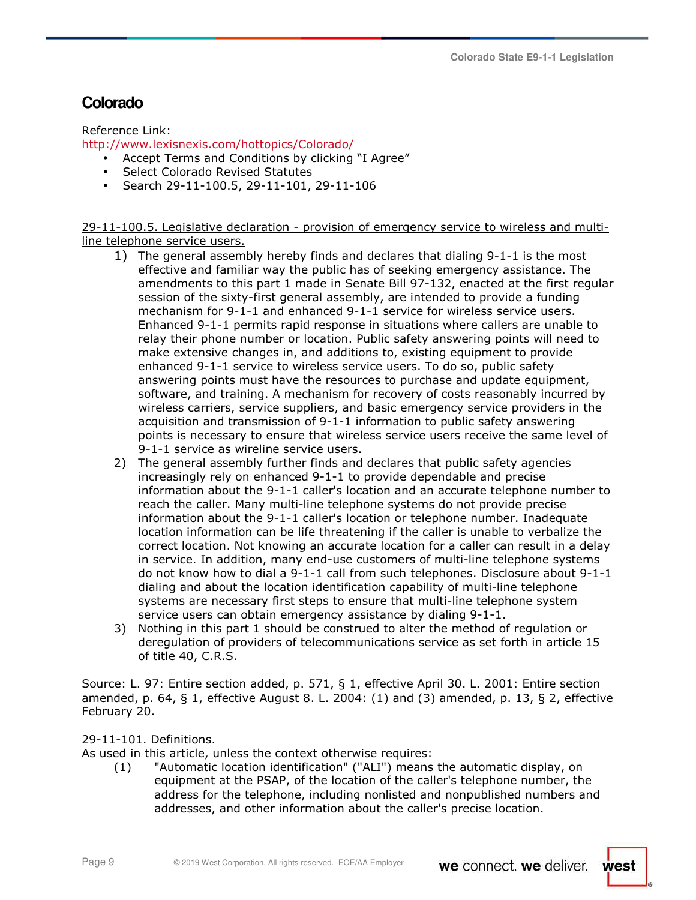# **Colorado**

Reference Link:

http://www.lexisnexis.com/hottopics/Colorado/

- Accept Terms and Conditions by clicking "I Agree"
- Select Colorado Revised Statutes
- Search 29-11-100.5, 29-11-101, 29-11-106

29-11-100.5. Legislative declaration - provision of emergency service to wireless and multiline telephone service users.

- 1) The general assembly hereby finds and declares that dialing 9-1-1 is the most effective and familiar way the public has of seeking emergency assistance. The amendments to this part 1 made in Senate Bill 97-132, enacted at the first regular session of the sixty-first general assembly, are intended to provide a funding mechanism for 9-1-1 and enhanced 9-1-1 service for wireless service users. Enhanced 9-1-1 permits rapid response in situations where callers are unable to relay their phone number or location. Public safety answering points will need to make extensive changes in, and additions to, existing equipment to provide enhanced 9-1-1 service to wireless service users. To do so, public safety answering points must have the resources to purchase and update equipment, software, and training. A mechanism for recovery of costs reasonably incurred by wireless carriers, service suppliers, and basic emergency service providers in the acquisition and transmission of 9-1-1 information to public safety answering points is necessary to ensure that wireless service users receive the same level of 9-1-1 service as wireline service users.
- 2) The general assembly further finds and declares that public safety agencies increasingly rely on enhanced 9-1-1 to provide dependable and precise information about the 9-1-1 caller's location and an accurate telephone number to reach the caller. Many multi-line telephone systems do not provide precise information about the 9-1-1 caller's location or telephone number. Inadequate location information can be life threatening if the caller is unable to verbalize the correct location. Not knowing an accurate location for a caller can result in a delay in service. In addition, many end-use customers of multi-line telephone systems do not know how to dial a 9-1-1 call from such telephones. Disclosure about 9-1-1 dialing and about the location identification capability of multi-line telephone systems are necessary first steps to ensure that multi-line telephone system service users can obtain emergency assistance by dialing 9-1-1.
- 3) Nothing in this part 1 should be construed to alter the method of regulation or deregulation of providers of telecommunications service as set forth in article 15 of title 40, C.R.S.

Source: L. 97: Entire section added, p. 571, § 1, effective April 30. L. 2001: Entire section amended, p. 64,  $\S$  1, effective August 8. L. 2004: (1) and (3) amended, p. 13,  $\S$  2, effective February 20.

### 29-11-101. Definitions.

As used in this article, unless the context otherwise requires:

(1) "Automatic location identification" ("ALI") means the automatic display, on equipment at the PSAP, of the location of the caller's telephone number, the address for the telephone, including nonlisted and nonpublished numbers and addresses, and other information about the caller's precise location.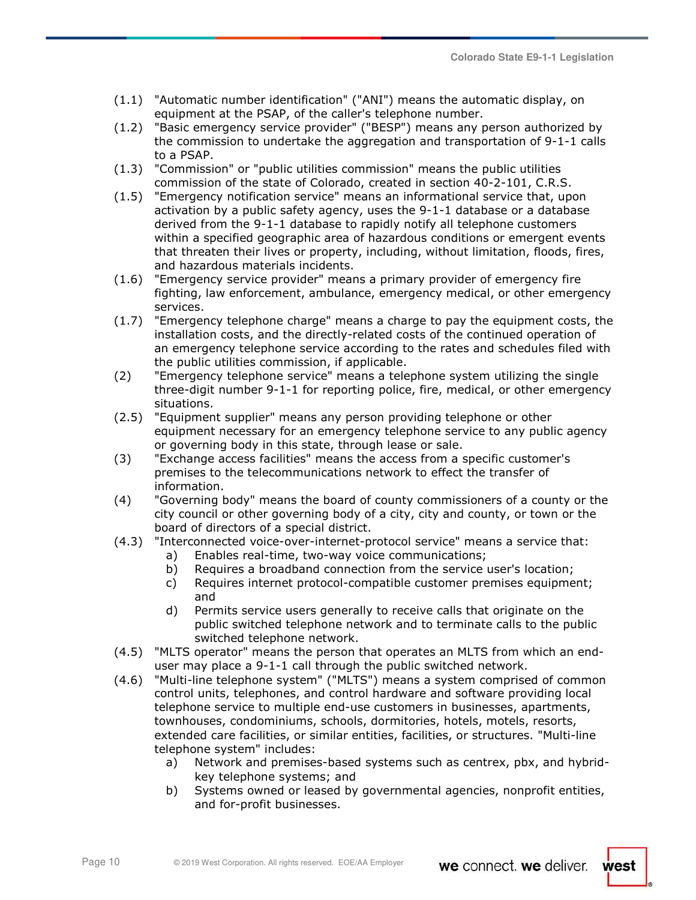- (1.1) "Automatic number identification" ("ANI") means the automatic display, on equipment at the PSAP, of the caller's telephone number.
- (1.2) "Basic emergency service provider" ("BESP") means any person authorized by the commission to undertake the aggregation and transportation of 9-1-1 calls to a PSAP.
- (1.3) "Commission" or "public utilities commission" means the public utilities commission of the state of Colorado, created in section 40-2-101, C.R.S.
- (1.5) "Emergency notification service" means an informational service that, upon activation by a public safety agency, uses the 9-1-1 database or a database derived from the 9-1-1 database to rapidly notify all telephone customers within a specified geographic area of hazardous conditions or emergent events that threaten their lives or property, including, without limitation, floods, fires, and hazardous materials incidents.
- (1.6) "Emergency service provider" means a primary provider of emergency fire fighting, law enforcement, ambulance, emergency medical, or other emergency services.
- (1.7) "Emergency telephone charge" means a charge to pay the equipment costs, the installation costs, and the directly-related costs of the continued operation of an emergency telephone service according to the rates and schedules filed with the public utilities commission, if applicable.
- (2) "Emergency telephone service" means a telephone system utilizing the single three-digit number 9-1-1 for reporting police, fire, medical, or other emergency situations.
- (2.5) "Equipment supplier" means any person providing telephone or other equipment necessary for an emergency telephone service to any public agency or governing body in this state, through lease or sale.
- (3) "Exchange access facilities" means the access from a specific customer's premises to the telecommunications network to effect the transfer of information.
- (4) "Governing body" means the board of county commissioners of a county or the city council or other governing body of a city, city and county, or town or the board of directors of a special district.
- (4.3) "Interconnected voice-over-internet-protocol service" means a service that:
	- a) Enables real-time, two-way voice communications;
		- b) Requires a broadband connection from the service user's location;
		- c) Requires internet protocol-compatible customer premises equipment; and
		- d) Permits service users generally to receive calls that originate on the public switched telephone network and to terminate calls to the public switched telephone network.
- (4.5) "MLTS operator" means the person that operates an MLTS from which an enduser may place a 9-1-1 call through the public switched network.
- (4.6) "Multi-line telephone system" ("MLTS") means a system comprised of common control units, telephones, and control hardware and software providing local telephone service to multiple end-use customers in businesses, apartments, townhouses, condominiums, schools, dormitories, hotels, motels, resorts, extended care facilities, or similar entities, facilities, or structures. "Multi-line telephone system" includes:
	- a) Network and premises-based systems such as centrex, pbx, and hybridkey telephone systems; and
	- b) Systems owned or leased by governmental agencies, nonprofit entities, and for-profit businesses.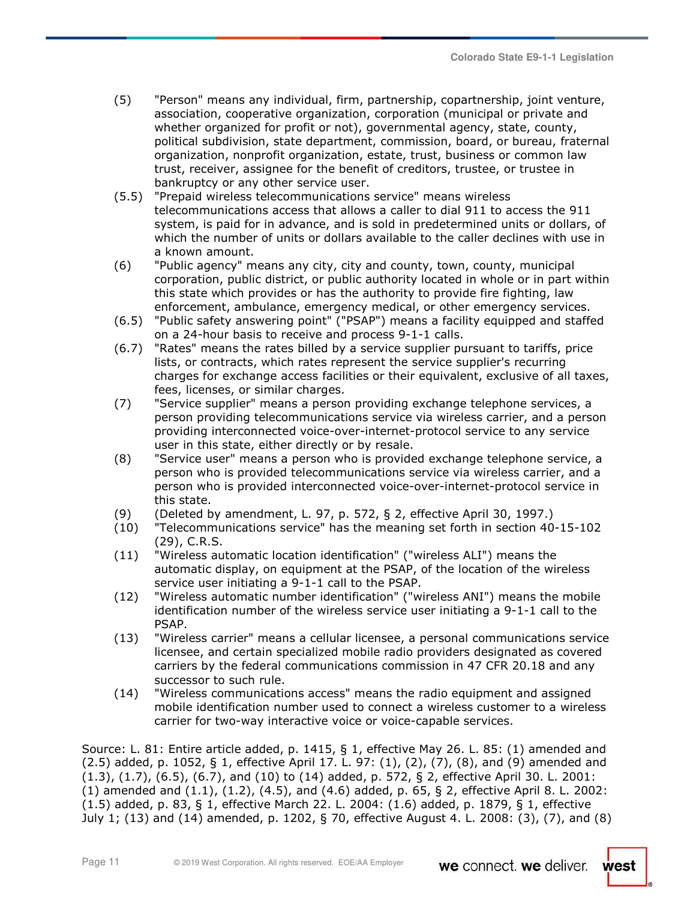- (5) "Person" means any individual, firm, partnership, copartnership, joint venture, association, cooperative organization, corporation (municipal or private and whether organized for profit or not), governmental agency, state, county, political subdivision, state department, commission, board, or bureau, fraternal organization, nonprofit organization, estate, trust, business or common law trust, receiver, assignee for the benefit of creditors, trustee, or trustee in bankruptcy or any other service user.
- (5.5) "Prepaid wireless telecommunications service" means wireless telecommunications access that allows a caller to dial 911 to access the 911 system, is paid for in advance, and is sold in predetermined units or dollars, of which the number of units or dollars available to the caller declines with use in a known amount.
- (6) "Public agency" means any city, city and county, town, county, municipal corporation, public district, or public authority located in whole or in part within this state which provides or has the authority to provide fire fighting, law enforcement, ambulance, emergency medical, or other emergency services.
- (6.5) "Public safety answering point" ("PSAP") means a facility equipped and staffed on a 24-hour basis to receive and process 9-1-1 calls.
- (6.7) "Rates" means the rates billed by a service supplier pursuant to tariffs, price lists, or contracts, which rates represent the service supplier's recurring charges for exchange access facilities or their equivalent, exclusive of all taxes, fees, licenses, or similar charges.
- (7) "Service supplier" means a person providing exchange telephone services, a person providing telecommunications service via wireless carrier, and a person providing interconnected voice-over-internet-protocol service to any service user in this state, either directly or by resale.
- (8) "Service user" means a person who is provided exchange telephone service, a person who is provided telecommunications service via wireless carrier, and a person who is provided interconnected voice-over-internet-protocol service in this state.
- (9) (Deleted by amendment, L. 97, p. 572, § 2, effective April 30, 1997.)
- (10) "Telecommunications service" has the meaning set forth in section 40-15-102 (29), C.R.S.
- (11) "Wireless automatic location identification" ("wireless ALI") means the automatic display, on equipment at the PSAP, of the location of the wireless service user initiating a 9-1-1 call to the PSAP.
- (12) "Wireless automatic number identification" ("wireless ANI") means the mobile identification number of the wireless service user initiating a 9-1-1 call to the PSAP.
- (13) "Wireless carrier" means a cellular licensee, a personal communications service licensee, and certain specialized mobile radio providers designated as covered carriers by the federal communications commission in 47 CFR 20.18 and any successor to such rule.
- (14) "Wireless communications access" means the radio equipment and assigned mobile identification number used to connect a wireless customer to a wireless carrier for two-way interactive voice or voice-capable services.

Source: L. 81: Entire article added, p. 1415, § 1, effective May 26. L. 85: (1) amended and (2.5) added, p. 1052, § 1, effective April 17. L. 97: (1), (2), (7), (8), and (9) amended and (1.3), (1.7), (6.5), (6.7), and (10) to (14) added, p. 572, § 2, effective April 30. L. 2001:  $(1)$  amended and  $(1.1)$ ,  $(1.2)$ ,  $(4.5)$ , and  $(4.6)$  added, p. 65, § 2, effective April 8. L. 2002: (1.5) added, p. 83, § 1, effective March 22. L. 2004: (1.6) added, p. 1879, § 1, effective July 1; (13) and (14) amended, p. 1202, § 70, effective August 4. L. 2008: (3), (7), and (8)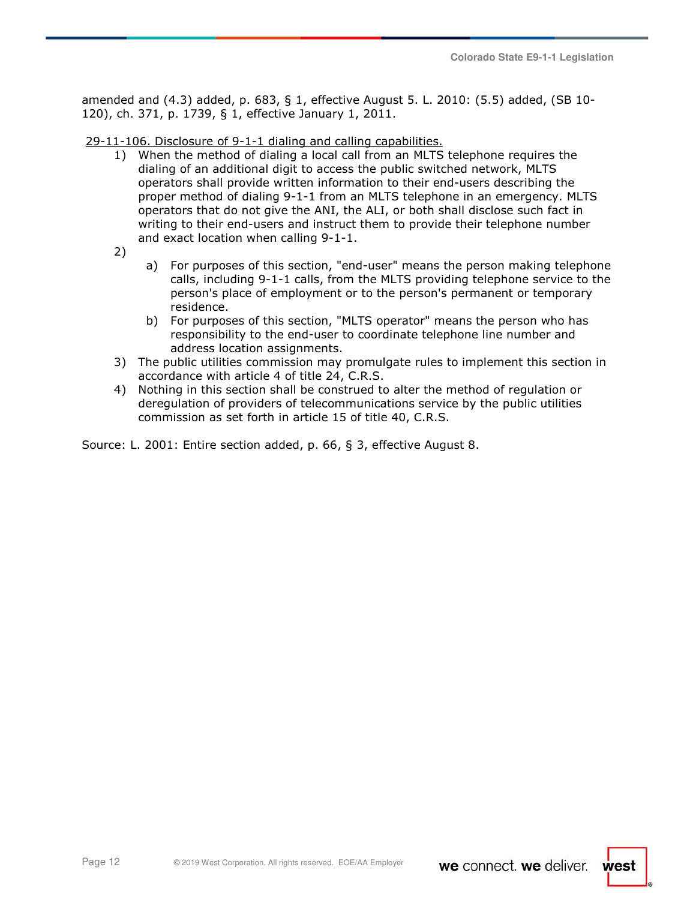amended and (4.3) added, p. 683, § 1, effective August 5. L. 2010: (5.5) added, (SB 10- 120), ch. 371, p. 1739, § 1, effective January 1, 2011.

29-11-106. Disclosure of 9-1-1 dialing and calling capabilities.

- 1) When the method of dialing a local call from an MLTS telephone requires the dialing of an additional digit to access the public switched network, MLTS operators shall provide written information to their end-users describing the proper method of dialing 9-1-1 from an MLTS telephone in an emergency. MLTS operators that do not give the ANI, the ALI, or both shall disclose such fact in writing to their end-users and instruct them to provide their telephone number and exact location when calling 9-1-1.
- 2)
- a) For purposes of this section, "end-user" means the person making telephone calls, including 9-1-1 calls, from the MLTS providing telephone service to the person's place of employment or to the person's permanent or temporary residence.
- b) For purposes of this section, "MLTS operator" means the person who has responsibility to the end-user to coordinate telephone line number and address location assignments.
- 3) The public utilities commission may promulgate rules to implement this section in accordance with article 4 of title 24, C.R.S.
- 4) Nothing in this section shall be construed to alter the method of regulation or deregulation of providers of telecommunications service by the public utilities commission as set forth in article 15 of title 40, C.R.S.

Source: L. 2001: Entire section added, p. 66, § 3, effective August 8.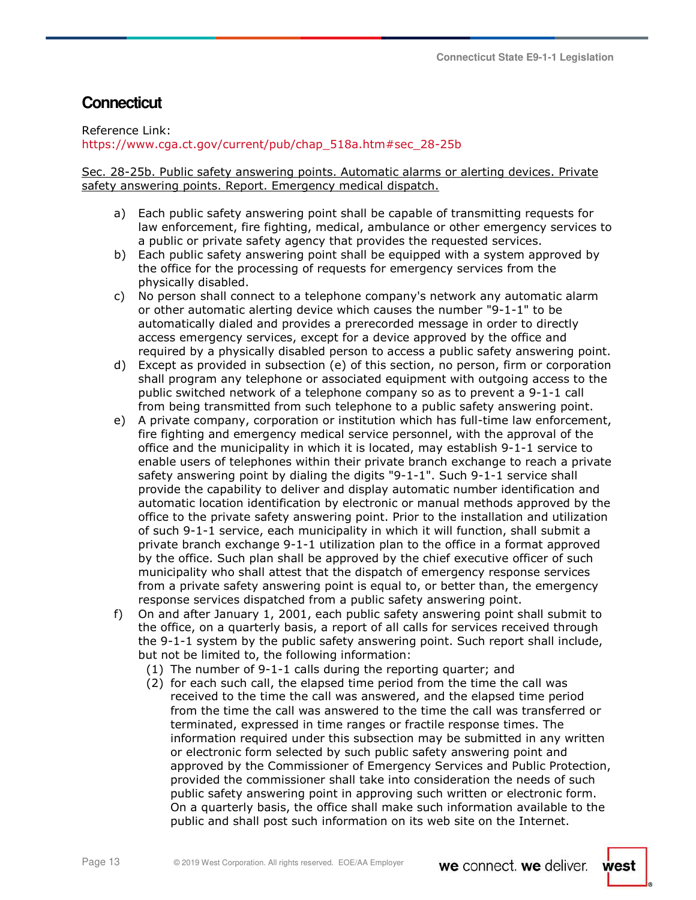# **Connecticut**

Reference Link: https://www.cga.ct.gov/current/pub/chap\_518a.htm#sec\_28-25b

Sec. 28-25b. Public safety answering points. Automatic alarms or alerting devices. Private safety answering points. Report. Emergency medical dispatch.

- a) Each public safety answering point shall be capable of transmitting requests for law enforcement, fire fighting, medical, ambulance or other emergency services to a public or private safety agency that provides the requested services.
- b) Each public safety answering point shall be equipped with a system approved by the office for the processing of requests for emergency services from the physically disabled.
- c) No person shall connect to a telephone company's network any automatic alarm or other automatic alerting device which causes the number "9-1-1" to be automatically dialed and provides a prerecorded message in order to directly access emergency services, except for a device approved by the office and required by a physically disabled person to access a public safety answering point.
- d) Except as provided in subsection (e) of this section, no person, firm or corporation shall program any telephone or associated equipment with outgoing access to the public switched network of a telephone company so as to prevent a 9-1-1 call from being transmitted from such telephone to a public safety answering point.
- e) A private company, corporation or institution which has full-time law enforcement, fire fighting and emergency medical service personnel, with the approval of the office and the municipality in which it is located, may establish 9-1-1 service to enable users of telephones within their private branch exchange to reach a private safety answering point by dialing the digits "9-1-1". Such 9-1-1 service shall provide the capability to deliver and display automatic number identification and automatic location identification by electronic or manual methods approved by the office to the private safety answering point. Prior to the installation and utilization of such 9-1-1 service, each municipality in which it will function, shall submit a private branch exchange 9-1-1 utilization plan to the office in a format approved by the office. Such plan shall be approved by the chief executive officer of such municipality who shall attest that the dispatch of emergency response services from a private safety answering point is equal to, or better than, the emergency response services dispatched from a public safety answering point.
- f) On and after January 1, 2001, each public safety answering point shall submit to the office, on a quarterly basis, a report of all calls for services received through the 9-1-1 system by the public safety answering point. Such report shall include, but not be limited to, the following information:
	- (1) The number of 9-1-1 calls during the reporting quarter; and
	- (2) for each such call, the elapsed time period from the time the call was received to the time the call was answered, and the elapsed time period from the time the call was answered to the time the call was transferred or terminated, expressed in time ranges or fractile response times. The information required under this subsection may be submitted in any written or electronic form selected by such public safety answering point and approved by the Commissioner of Emergency Services and Public Protection, provided the commissioner shall take into consideration the needs of such public safety answering point in approving such written or electronic form. On a quarterly basis, the office shall make such information available to the public and shall post such information on its web site on the Internet.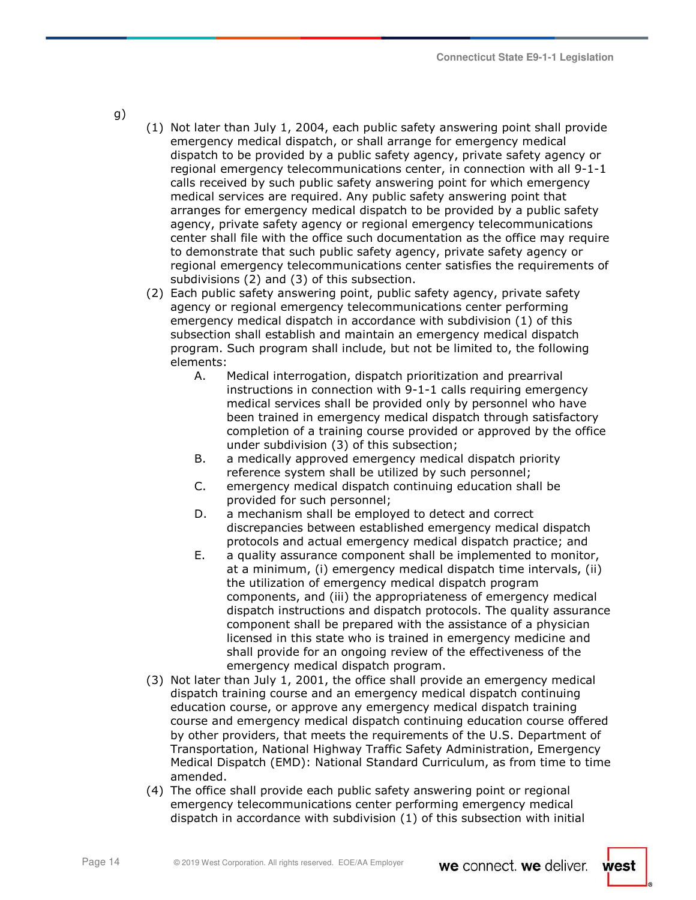g)

- (1) Not later than July 1, 2004, each public safety answering point shall provide emergency medical dispatch, or shall arrange for emergency medical dispatch to be provided by a public safety agency, private safety agency or regional emergency telecommunications center, in connection with all 9-1-1 calls received by such public safety answering point for which emergency medical services are required. Any public safety answering point that arranges for emergency medical dispatch to be provided by a public safety agency, private safety agency or regional emergency telecommunications center shall file with the office such documentation as the office may require to demonstrate that such public safety agency, private safety agency or regional emergency telecommunications center satisfies the requirements of subdivisions (2) and (3) of this subsection.
- (2) Each public safety answering point, public safety agency, private safety agency or regional emergency telecommunications center performing emergency medical dispatch in accordance with subdivision (1) of this subsection shall establish and maintain an emergency medical dispatch program. Such program shall include, but not be limited to, the following elements:
	- A. Medical interrogation, dispatch prioritization and prearrival instructions in connection with 9-1-1 calls requiring emergency medical services shall be provided only by personnel who have been trained in emergency medical dispatch through satisfactory completion of a training course provided or approved by the office under subdivision (3) of this subsection;
	- B. a medically approved emergency medical dispatch priority reference system shall be utilized by such personnel;
	- C. emergency medical dispatch continuing education shall be provided for such personnel;
	- D. a mechanism shall be employed to detect and correct discrepancies between established emergency medical dispatch protocols and actual emergency medical dispatch practice; and
	- E. a quality assurance component shall be implemented to monitor, at a minimum, (i) emergency medical dispatch time intervals, (ii) the utilization of emergency medical dispatch program components, and (iii) the appropriateness of emergency medical dispatch instructions and dispatch protocols. The quality assurance component shall be prepared with the assistance of a physician licensed in this state who is trained in emergency medicine and shall provide for an ongoing review of the effectiveness of the emergency medical dispatch program.
- (3) Not later than July 1, 2001, the office shall provide an emergency medical dispatch training course and an emergency medical dispatch continuing education course, or approve any emergency medical dispatch training course and emergency medical dispatch continuing education course offered by other providers, that meets the requirements of the U.S. Department of Transportation, National Highway Traffic Safety Administration, Emergency Medical Dispatch (EMD): National Standard Curriculum, as from time to time amended.
- (4) The office shall provide each public safety answering point or regional emergency telecommunications center performing emergency medical dispatch in accordance with subdivision (1) of this subsection with initial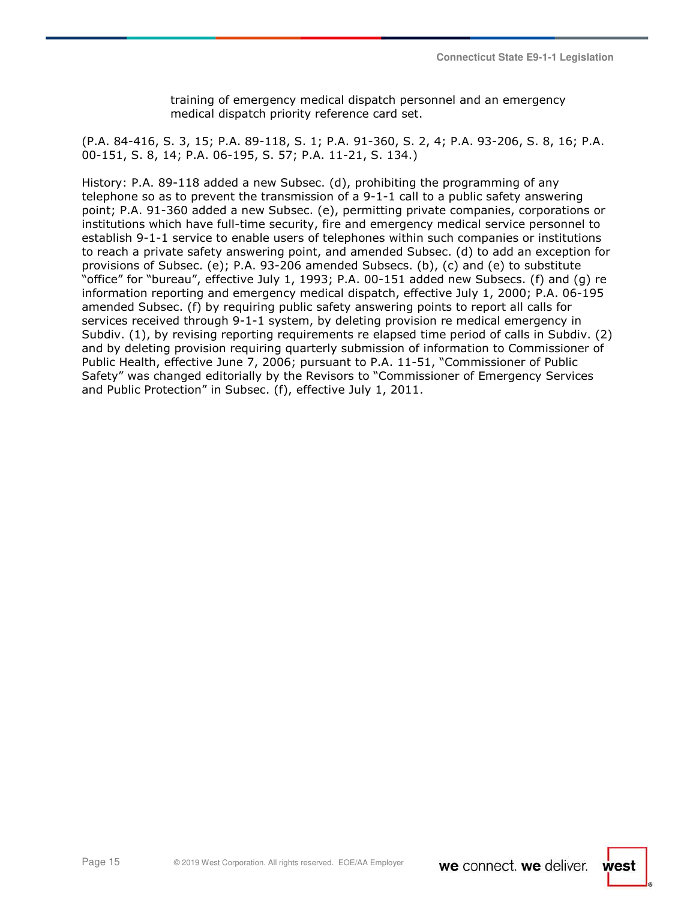training of emergency medical dispatch personnel and an emergency medical dispatch priority reference card set.

(P.A. 84-416, S. 3, 15; P.A. 89-118, S. 1; P.A. 91-360, S. 2, 4; P.A. 93-206, S. 8, 16; P.A. 00-151, S. 8, 14; P.A. 06-195, S. 57; P.A. 11-21, S. 134.)

History: P.A. 89-118 added a new Subsec. (d), prohibiting the programming of any telephone so as to prevent the transmission of a 9-1-1 call to a public safety answering point; P.A. 91-360 added a new Subsec. (e), permitting private companies, corporations or institutions which have full-time security, fire and emergency medical service personnel to establish 9-1-1 service to enable users of telephones within such companies or institutions to reach a private safety answering point, and amended Subsec. (d) to add an exception for provisions of Subsec. (e); P.A. 93-206 amended Subsecs. (b), (c) and (e) to substitute "office" for "bureau", effective July 1, 1993; P.A. 00-151 added new Subsecs. (f) and (g) re information reporting and emergency medical dispatch, effective July 1, 2000; P.A. 06-195 amended Subsec. (f) by requiring public safety answering points to report all calls for services received through 9-1-1 system, by deleting provision re medical emergency in Subdiv. (1), by revising reporting requirements re elapsed time period of calls in Subdiv. (2) and by deleting provision requiring quarterly submission of information to Commissioner of Public Health, effective June 7, 2006; pursuant to P.A. 11-51, "Commissioner of Public Safety" was changed editorially by the Revisors to "Commissioner of Emergency Services and Public Protection" in Subsec. (f), effective July 1, 2011.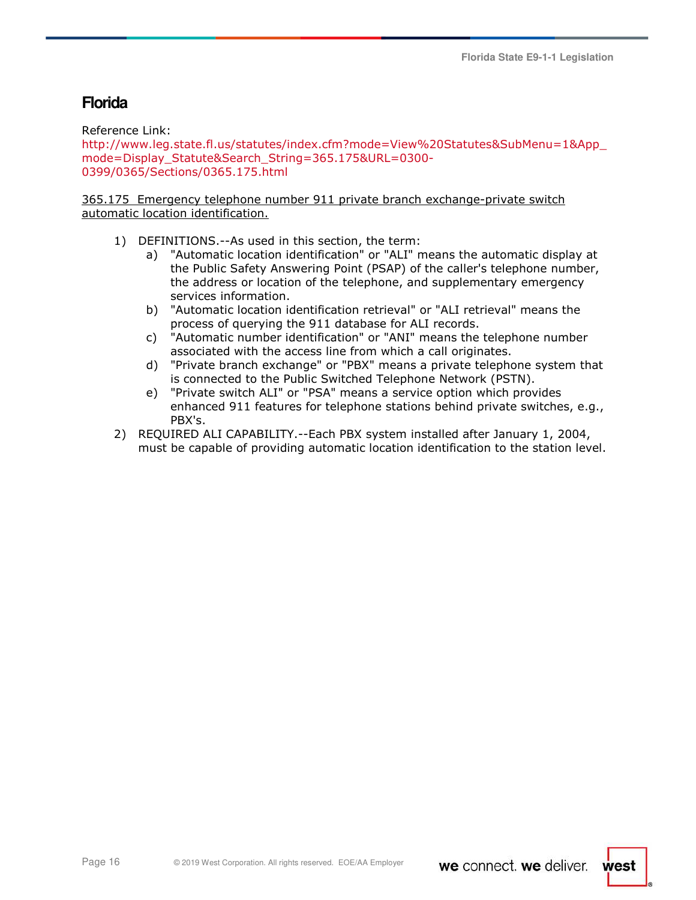# **Florida**

Reference Link:

http://www.leg.state.fl.us/statutes/index.cfm?mode=View%20Statutes&SubMenu=1&App\_ mode=Display\_Statute&Search\_String=365.175&URL=0300- 0399/0365/Sections/0365.175.html

### 365.175 Emergency telephone number 911 private branch exchange-private switch automatic location identification.

- 1) DEFINITIONS.--As used in this section, the term:
	- a) "Automatic location identification" or "ALI" means the automatic display at the Public Safety Answering Point (PSAP) of the caller's telephone number, the address or location of the telephone, and supplementary emergency services information.
	- b) "Automatic location identification retrieval" or "ALI retrieval" means the process of querying the 911 database for ALI records.
	- c) "Automatic number identification" or "ANI" means the telephone number associated with the access line from which a call originates.
	- d) "Private branch exchange" or "PBX" means a private telephone system that is connected to the Public Switched Telephone Network (PSTN).
	- e) "Private switch ALI" or "PSA" means a service option which provides enhanced 911 features for telephone stations behind private switches, e.g., PBX's.
- 2) REQUIRED ALI CAPABILITY.--Each PBX system installed after January 1, 2004, must be capable of providing automatic location identification to the station level.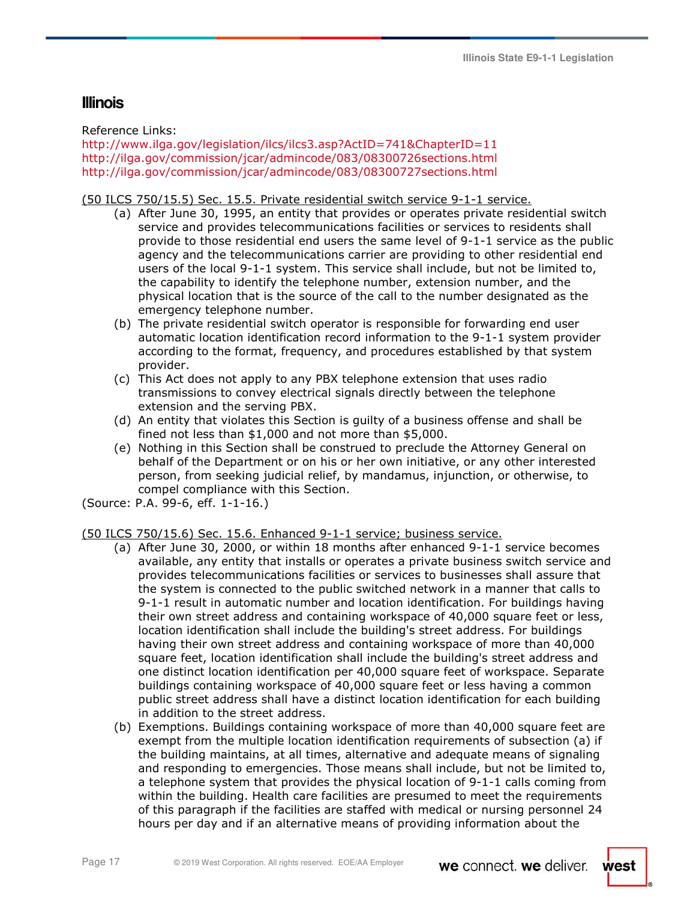## **Illinois**

Reference Links:

http://www.ilga.gov/legislation/ilcs/ilcs3.asp?ActID=741&ChapterID=11 http://ilga.gov/commission/jcar/admincode/083/08300726sections.html http://ilga.gov/commission/jcar/admincode/083/08300727sections.html

## (50 ILCS 750/15.5) Sec. 15.5. Private residential switch service 9-1-1 service.

- (a) After June 30, 1995, an entity that provides or operates private residential switch service and provides telecommunications facilities or services to residents shall provide to those residential end users the same level of 9-1-1 service as the public agency and the telecommunications carrier are providing to other residential end users of the local 9-1-1 system. This service shall include, but not be limited to, the capability to identify the telephone number, extension number, and the physical location that is the source of the call to the number designated as the emergency telephone number.
- (b) The private residential switch operator is responsible for forwarding end user automatic location identification record information to the 9-1-1 system provider according to the format, frequency, and procedures established by that system provider.
- (c) This Act does not apply to any PBX telephone extension that uses radio transmissions to convey electrical signals directly between the telephone extension and the serving PBX.
- (d) An entity that violates this Section is guilty of a business offense and shall be fined not less than \$1,000 and not more than \$5,000.
- (e) Nothing in this Section shall be construed to preclude the Attorney General on behalf of the Department or on his or her own initiative, or any other interested person, from seeking judicial relief, by mandamus, injunction, or otherwise, to compel compliance with this Section.

(Source: P.A. 99-6, eff. 1-1-16.)

## (50 ILCS 750/15.6) Sec. 15.6. Enhanced 9-1-1 service; business service.

- (a) After June 30, 2000, or within 18 months after enhanced 9-1-1 service becomes available, any entity that installs or operates a private business switch service and provides telecommunications facilities or services to businesses shall assure that the system is connected to the public switched network in a manner that calls to 9-1-1 result in automatic number and location identification. For buildings having their own street address and containing workspace of 40,000 square feet or less, location identification shall include the building's street address. For buildings having their own street address and containing workspace of more than 40,000 square feet, location identification shall include the building's street address and one distinct location identification per 40,000 square feet of workspace. Separate buildings containing workspace of 40,000 square feet or less having a common public street address shall have a distinct location identification for each building in addition to the street address.
- (b) Exemptions. Buildings containing workspace of more than 40,000 square feet are exempt from the multiple location identification requirements of subsection (a) if the building maintains, at all times, alternative and adequate means of signaling and responding to emergencies. Those means shall include, but not be limited to, a telephone system that provides the physical location of 9-1-1 calls coming from within the building. Health care facilities are presumed to meet the requirements of this paragraph if the facilities are staffed with medical or nursing personnel 24 hours per day and if an alternative means of providing information about the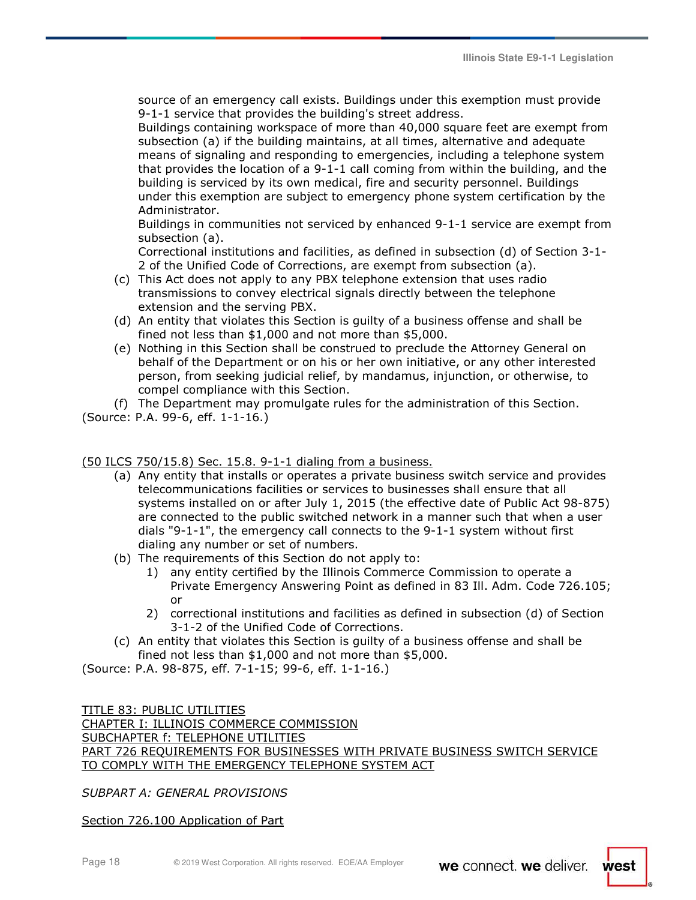source of an emergency call exists. Buildings under this exemption must provide 9-1-1 service that provides the building's street address.

Buildings containing workspace of more than 40,000 square feet are exempt from subsection (a) if the building maintains, at all times, alternative and adequate means of signaling and responding to emergencies, including a telephone system that provides the location of a 9-1-1 call coming from within the building, and the building is serviced by its own medical, fire and security personnel. Buildings under this exemption are subject to emergency phone system certification by the Administrator.

Buildings in communities not serviced by enhanced 9-1-1 service are exempt from subsection (a).

Correctional institutions and facilities, as defined in subsection (d) of Section 3-1- 2 of the Unified Code of Corrections, are exempt from subsection (a).

- (c) This Act does not apply to any PBX telephone extension that uses radio transmissions to convey electrical signals directly between the telephone extension and the serving PBX.
- (d) An entity that violates this Section is guilty of a business offense and shall be fined not less than \$1,000 and not more than \$5,000.
- (e) Nothing in this Section shall be construed to preclude the Attorney General on behalf of the Department or on his or her own initiative, or any other interested person, from seeking judicial relief, by mandamus, injunction, or otherwise, to compel compliance with this Section.
- (f) The Department may promulgate rules for the administration of this Section.
- (Source: P.A. 99-6, eff. 1-1-16.)

(50 ILCS 750/15.8) Sec. 15.8. 9-1-1 dialing from a business.

- (a) Any entity that installs or operates a private business switch service and provides telecommunications facilities or services to businesses shall ensure that all systems installed on or after July 1, 2015 (the effective date of Public Act 98-875) are connected to the public switched network in a manner such that when a user dials "9-1-1", the emergency call connects to the 9-1-1 system without first dialing any number or set of numbers.
- (b) The requirements of this Section do not apply to:
	- 1) any entity certified by the Illinois Commerce Commission to operate a Private Emergency Answering Point as defined in 83 Ill. Adm. Code 726.105; or
	- 2) correctional institutions and facilities as defined in subsection (d) of Section 3-1-2 of the Unified Code of Corrections.
- (c) An entity that violates this Section is guilty of a business offense and shall be fined not less than \$1,000 and not more than \$5,000.

(Source: P.A. 98-875, eff. 7-1-15; 99-6, eff. 1-1-16.)

TITLE 83: PUBLIC UTILITIES CHAPTER I: ILLINOIS COMMERCE COMMISSION SUBCHAPTER f: TELEPHONE UTILITIES PART 726 REQUIREMENTS FOR BUSINESSES WITH PRIVATE BUSINESS SWITCH SERVICE TO COMPLY WITH THE EMERGENCY TELEPHONE SYSTEM ACT

*SUBPART A: GENERAL PROVISIONS* 

Section 726.100 Application of Part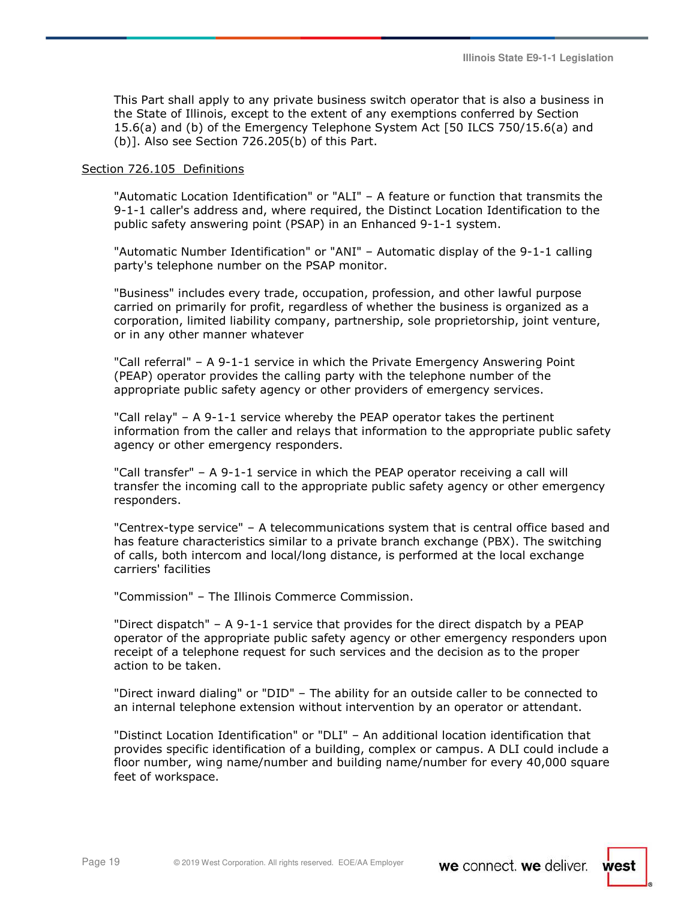This Part shall apply to any private business switch operator that is also a business in the State of Illinois, except to the extent of any exemptions conferred by Section 15.6(a) and (b) of the Emergency Telephone System Act [50 ILCS 750/15.6(a) and (b)]. Also see Section 726.205(b) of this Part.

#### Section 726.105 Definitions

"Automatic Location Identification" or "ALI" – A feature or function that transmits the 9-1-1 caller's address and, where required, the Distinct Location Identification to the public safety answering point (PSAP) in an Enhanced 9-1-1 system.

"Automatic Number Identification" or "ANI" – Automatic display of the 9-1-1 calling party's telephone number on the PSAP monitor.

"Business" includes every trade, occupation, profession, and other lawful purpose carried on primarily for profit, regardless of whether the business is organized as a corporation, limited liability company, partnership, sole proprietorship, joint venture, or in any other manner whatever

"Call referral" – A 9-1-1 service in which the Private Emergency Answering Point (PEAP) operator provides the calling party with the telephone number of the appropriate public safety agency or other providers of emergency services.

"Call relay" – A 9-1-1 service whereby the PEAP operator takes the pertinent information from the caller and relays that information to the appropriate public safety agency or other emergency responders.

"Call transfer" – A 9-1-1 service in which the PEAP operator receiving a call will transfer the incoming call to the appropriate public safety agency or other emergency responders.

"Centrex-type service" – A telecommunications system that is central office based and has feature characteristics similar to a private branch exchange (PBX). The switching of calls, both intercom and local/long distance, is performed at the local exchange carriers' facilities

"Commission" – The Illinois Commerce Commission.

"Direct dispatch" – A 9-1-1 service that provides for the direct dispatch by a PEAP operator of the appropriate public safety agency or other emergency responders upon receipt of a telephone request for such services and the decision as to the proper action to be taken.

"Direct inward dialing" or "DID" – The ability for an outside caller to be connected to an internal telephone extension without intervention by an operator or attendant.

"Distinct Location Identification" or "DLI" – An additional location identification that provides specific identification of a building, complex or campus. A DLI could include a floor number, wing name/number and building name/number for every 40,000 square feet of workspace.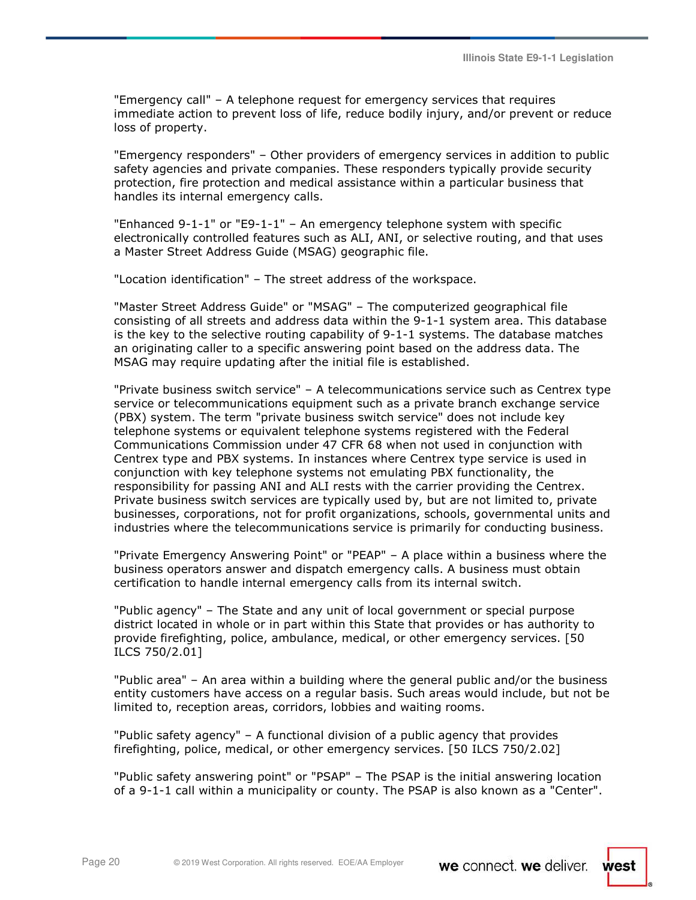"Emergency call" – A telephone request for emergency services that requires immediate action to prevent loss of life, reduce bodily injury, and/or prevent or reduce loss of property.

"Emergency responders" – Other providers of emergency services in addition to public safety agencies and private companies. These responders typically provide security protection, fire protection and medical assistance within a particular business that handles its internal emergency calls.

"Enhanced 9-1-1" or "E9-1-1" – An emergency telephone system with specific electronically controlled features such as ALI, ANI, or selective routing, and that uses a Master Street Address Guide (MSAG) geographic file.

"Location identification" – The street address of the workspace.

"Master Street Address Guide" or "MSAG" – The computerized geographical file consisting of all streets and address data within the 9-1-1 system area. This database is the key to the selective routing capability of 9-1-1 systems. The database matches an originating caller to a specific answering point based on the address data. The MSAG may require updating after the initial file is established.

"Private business switch service" – A telecommunications service such as Centrex type service or telecommunications equipment such as a private branch exchange service (PBX) system. The term "private business switch service" does not include key telephone systems or equivalent telephone systems registered with the Federal Communications Commission under 47 CFR 68 when not used in conjunction with Centrex type and PBX systems. In instances where Centrex type service is used in conjunction with key telephone systems not emulating PBX functionality, the responsibility for passing ANI and ALI rests with the carrier providing the Centrex. Private business switch services are typically used by, but are not limited to, private businesses, corporations, not for profit organizations, schools, governmental units and industries where the telecommunications service is primarily for conducting business.

"Private Emergency Answering Point" or "PEAP" – A place within a business where the business operators answer and dispatch emergency calls. A business must obtain certification to handle internal emergency calls from its internal switch.

"Public agency" – The State and any unit of local government or special purpose district located in whole or in part within this State that provides or has authority to provide firefighting, police, ambulance, medical, or other emergency services. [50 ILCS 750/2.01]

"Public area" – An area within a building where the general public and/or the business entity customers have access on a regular basis. Such areas would include, but not be limited to, reception areas, corridors, lobbies and waiting rooms.

"Public safety agency" – A functional division of a public agency that provides firefighting, police, medical, or other emergency services. [50 ILCS 750/2.02]

"Public safety answering point" or "PSAP" – The PSAP is the initial answering location of a 9-1-1 call within a municipality or county. The PSAP is also known as a "Center".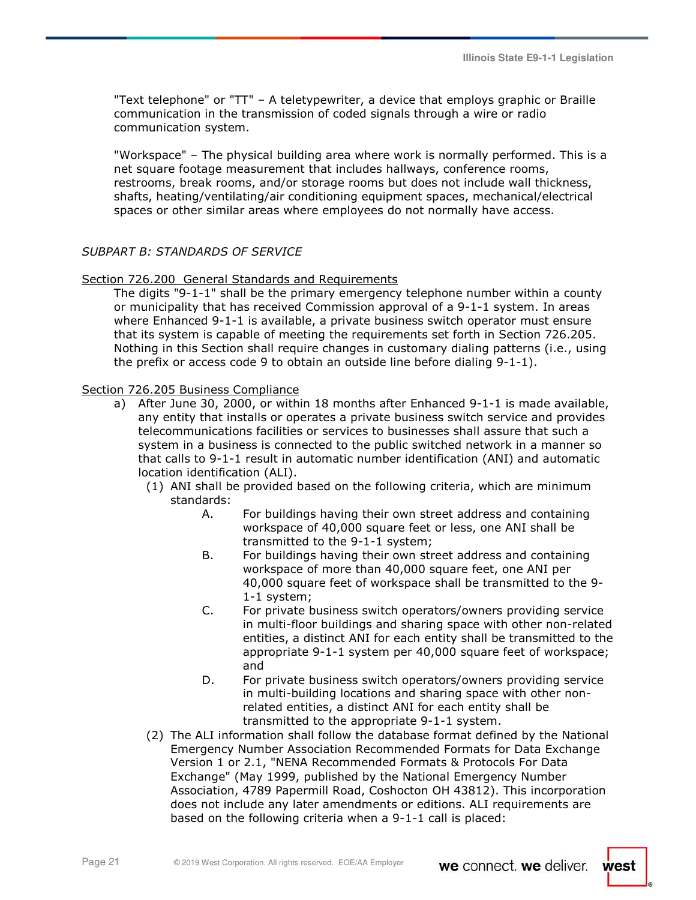"Text telephone" or "TT" – A teletypewriter, a device that employs graphic or Braille communication in the transmission of coded signals through a wire or radio communication system.

"Workspace" – The physical building area where work is normally performed. This is a net square footage measurement that includes hallways, conference rooms, restrooms, break rooms, and/or storage rooms but does not include wall thickness, shafts, heating/ventilating/air conditioning equipment spaces, mechanical/electrical spaces or other similar areas where employees do not normally have access.

## *SUBPART B: STANDARDS OF SERVICE*

#### Section 726.200 General Standards and Requirements

The digits "9-1-1" shall be the primary emergency telephone number within a county or municipality that has received Commission approval of a 9-1-1 system. In areas where Enhanced 9-1-1 is available, a private business switch operator must ensure that its system is capable of meeting the requirements set forth in Section 726.205. Nothing in this Section shall require changes in customary dialing patterns (i.e., using the prefix or access code 9 to obtain an outside line before dialing 9-1-1).

### Section 726.205 Business Compliance

- a) After June 30, 2000, or within 18 months after Enhanced 9-1-1 is made available, any entity that installs or operates a private business switch service and provides telecommunications facilities or services to businesses shall assure that such a system in a business is connected to the public switched network in a manner so that calls to 9-1-1 result in automatic number identification (ANI) and automatic location identification (ALI).
	- (1) ANI shall be provided based on the following criteria, which are minimum standards:
		- A. For buildings having their own street address and containing workspace of 40,000 square feet or less, one ANI shall be transmitted to the 9-1-1 system;
		- B. For buildings having their own street address and containing workspace of more than 40,000 square feet, one ANI per 40,000 square feet of workspace shall be transmitted to the 9- 1-1 system;
		- C. For private business switch operators/owners providing service in multi-floor buildings and sharing space with other non-related entities, a distinct ANI for each entity shall be transmitted to the appropriate 9-1-1 system per 40,000 square feet of workspace; and
		- D. For private business switch operators/owners providing service in multi-building locations and sharing space with other nonrelated entities, a distinct ANI for each entity shall be transmitted to the appropriate 9-1-1 system.
	- (2) The ALI information shall follow the database format defined by the National Emergency Number Association Recommended Formats for Data Exchange Version 1 or 2.1, "NENA Recommended Formats & Protocols For Data Exchange" (May 1999, published by the National Emergency Number Association, 4789 Papermill Road, Coshocton OH 43812). This incorporation does not include any later amendments or editions. ALI requirements are based on the following criteria when a 9-1-1 call is placed: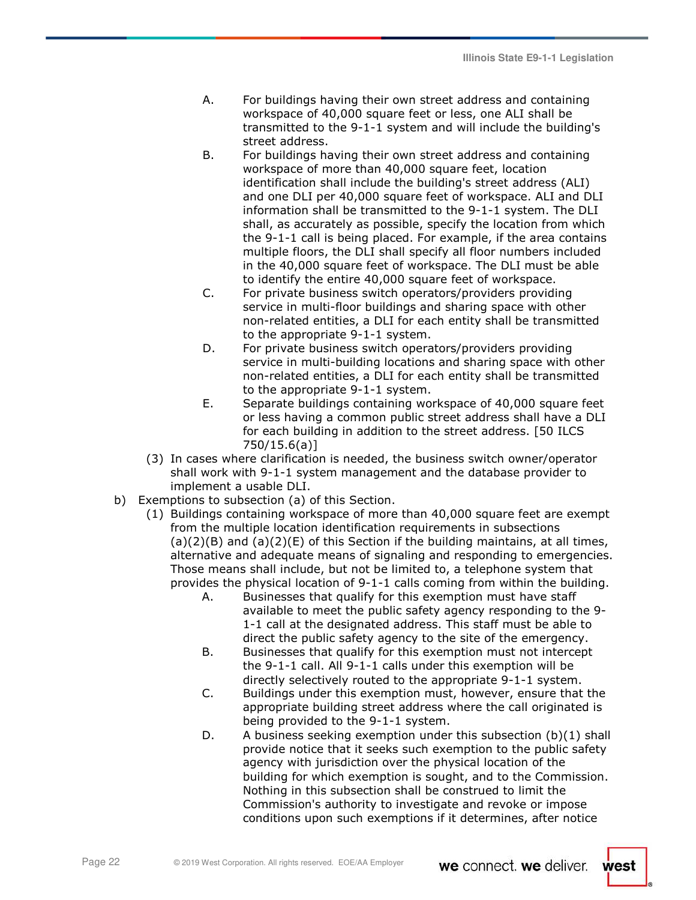- A. For buildings having their own street address and containing workspace of 40,000 square feet or less, one ALI shall be transmitted to the 9-1-1 system and will include the building's street address.
- B. For buildings having their own street address and containing workspace of more than 40,000 square feet, location identification shall include the building's street address (ALI) and one DLI per 40,000 square feet of workspace. ALI and DLI information shall be transmitted to the 9-1-1 system. The DLI shall, as accurately as possible, specify the location from which the 9-1-1 call is being placed. For example, if the area contains multiple floors, the DLI shall specify all floor numbers included in the 40,000 square feet of workspace. The DLI must be able to identify the entire 40,000 square feet of workspace.
- C. For private business switch operators/providers providing service in multi-floor buildings and sharing space with other non-related entities, a DLI for each entity shall be transmitted to the appropriate 9-1-1 system.
- D. For private business switch operators/providers providing service in multi-building locations and sharing space with other non-related entities, a DLI for each entity shall be transmitted to the appropriate 9-1-1 system.
- E. Separate buildings containing workspace of 40,000 square feet or less having a common public street address shall have a DLI for each building in addition to the street address. [50 ILCS 750/15.6(a)]
- (3) In cases where clarification is needed, the business switch owner/operator shall work with 9-1-1 system management and the database provider to implement a usable DLI.
- b) Exemptions to subsection (a) of this Section.
	- (1) Buildings containing workspace of more than 40,000 square feet are exempt from the multiple location identification requirements in subsections  $(a)(2)(B)$  and  $(a)(2)(E)$  of this Section if the building maintains, at all times, alternative and adequate means of signaling and responding to emergencies. Those means shall include, but not be limited to, a telephone system that provides the physical location of 9-1-1 calls coming from within the building.
		- A. Businesses that qualify for this exemption must have staff available to meet the public safety agency responding to the 9- 1-1 call at the designated address. This staff must be able to direct the public safety agency to the site of the emergency.
		- B. Businesses that qualify for this exemption must not intercept the 9-1-1 call. All 9-1-1 calls under this exemption will be directly selectively routed to the appropriate 9-1-1 system.
		- C. Buildings under this exemption must, however, ensure that the appropriate building street address where the call originated is being provided to the 9-1-1 system.
		- D. A business seeking exemption under this subsection (b)(1) shall provide notice that it seeks such exemption to the public safety agency with jurisdiction over the physical location of the building for which exemption is sought, and to the Commission. Nothing in this subsection shall be construed to limit the Commission's authority to investigate and revoke or impose conditions upon such exemptions if it determines, after notice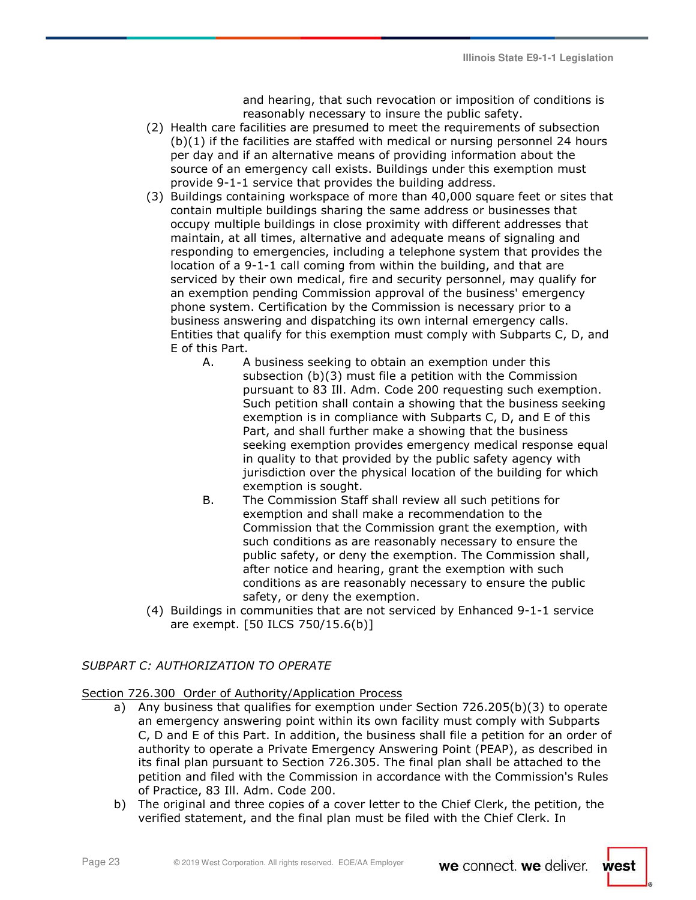and hearing, that such revocation or imposition of conditions is reasonably necessary to insure the public safety.

- (2) Health care facilities are presumed to meet the requirements of subsection (b)(1) if the facilities are staffed with medical or nursing personnel 24 hours per day and if an alternative means of providing information about the source of an emergency call exists. Buildings under this exemption must provide 9-1-1 service that provides the building address.
- (3) Buildings containing workspace of more than 40,000 square feet or sites that contain multiple buildings sharing the same address or businesses that occupy multiple buildings in close proximity with different addresses that maintain, at all times, alternative and adequate means of signaling and responding to emergencies, including a telephone system that provides the location of a 9-1-1 call coming from within the building, and that are serviced by their own medical, fire and security personnel, may qualify for an exemption pending Commission approval of the business' emergency phone system. Certification by the Commission is necessary prior to a business answering and dispatching its own internal emergency calls. Entities that qualify for this exemption must comply with Subparts C, D, and E of this Part.
	- A. A business seeking to obtain an exemption under this subsection (b)(3) must file a petition with the Commission pursuant to 83 Ill. Adm. Code 200 requesting such exemption. Such petition shall contain a showing that the business seeking exemption is in compliance with Subparts C, D, and E of this Part, and shall further make a showing that the business seeking exemption provides emergency medical response equal in quality to that provided by the public safety agency with jurisdiction over the physical location of the building for which exemption is sought.
	- B. The Commission Staff shall review all such petitions for exemption and shall make a recommendation to the Commission that the Commission grant the exemption, with such conditions as are reasonably necessary to ensure the public safety, or deny the exemption. The Commission shall, after notice and hearing, grant the exemption with such conditions as are reasonably necessary to ensure the public safety, or deny the exemption.
- (4) Buildings in communities that are not serviced by Enhanced 9-1-1 service are exempt. [50 ILCS 750/15.6(b)]

## *SUBPART C: AUTHORIZATION TO OPERATE*

### Section 726.300 Order of Authority/Application Process

- a) Any business that qualifies for exemption under Section 726.205(b)(3) to operate an emergency answering point within its own facility must comply with Subparts C, D and E of this Part. In addition, the business shall file a petition for an order of authority to operate a Private Emergency Answering Point (PEAP), as described in its final plan pursuant to Section 726.305. The final plan shall be attached to the petition and filed with the Commission in accordance with the Commission's Rules of Practice, 83 Ill. Adm. Code 200.
- b) The original and three copies of a cover letter to the Chief Clerk, the petition, the verified statement, and the final plan must be filed with the Chief Clerk. In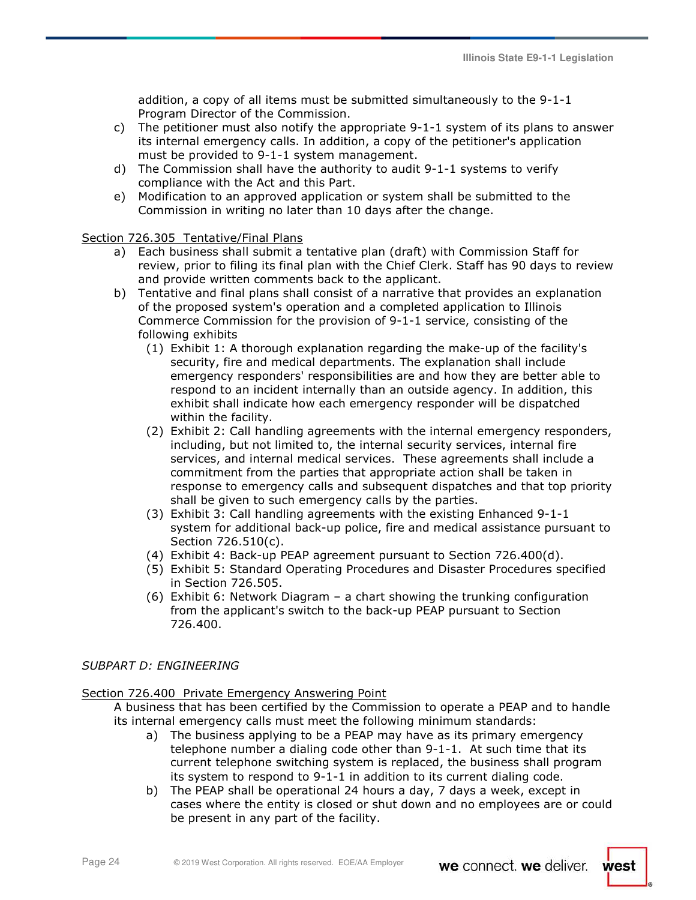addition, a copy of all items must be submitted simultaneously to the 9-1-1 Program Director of the Commission.

- c) The petitioner must also notify the appropriate 9-1-1 system of its plans to answer its internal emergency calls. In addition, a copy of the petitioner's application must be provided to 9-1-1 system management.
- d) The Commission shall have the authority to audit 9-1-1 systems to verify compliance with the Act and this Part.
- e) Modification to an approved application or system shall be submitted to the Commission in writing no later than 10 days after the change.

### Section 726.305 Tentative/Final Plans

- a) Each business shall submit a tentative plan (draft) with Commission Staff for review, prior to filing its final plan with the Chief Clerk. Staff has 90 days to review and provide written comments back to the applicant.
- b) Tentative and final plans shall consist of a narrative that provides an explanation of the proposed system's operation and a completed application to Illinois Commerce Commission for the provision of 9-1-1 service, consisting of the following exhibits
	- (1) Exhibit 1: A thorough explanation regarding the make-up of the facility's security, fire and medical departments. The explanation shall include emergency responders' responsibilities are and how they are better able to respond to an incident internally than an outside agency. In addition, this exhibit shall indicate how each emergency responder will be dispatched within the facility.
	- (2) Exhibit 2: Call handling agreements with the internal emergency responders, including, but not limited to, the internal security services, internal fire services, and internal medical services. These agreements shall include a commitment from the parties that appropriate action shall be taken in response to emergency calls and subsequent dispatches and that top priority shall be given to such emergency calls by the parties.
	- (3) Exhibit 3: Call handling agreements with the existing Enhanced 9-1-1 system for additional back-up police, fire and medical assistance pursuant to Section 726.510(c).
	- (4) Exhibit 4: Back-up PEAP agreement pursuant to Section 726.400(d).
	- (5) Exhibit 5: Standard Operating Procedures and Disaster Procedures specified in Section 726.505.
	- (6) Exhibit 6: Network Diagram a chart showing the trunking configuration from the applicant's switch to the back-up PEAP pursuant to Section 726.400.

### *SUBPART D: ENGINEERING*

### Section 726.400 Private Emergency Answering Point

- A business that has been certified by the Commission to operate a PEAP and to handle its internal emergency calls must meet the following minimum standards:
	- a) The business applying to be a PEAP may have as its primary emergency telephone number a dialing code other than 9-1-1. At such time that its current telephone switching system is replaced, the business shall program its system to respond to 9-1-1 in addition to its current dialing code.
	- b) The PEAP shall be operational 24 hours a day, 7 days a week, except in cases where the entity is closed or shut down and no employees are or could be present in any part of the facility.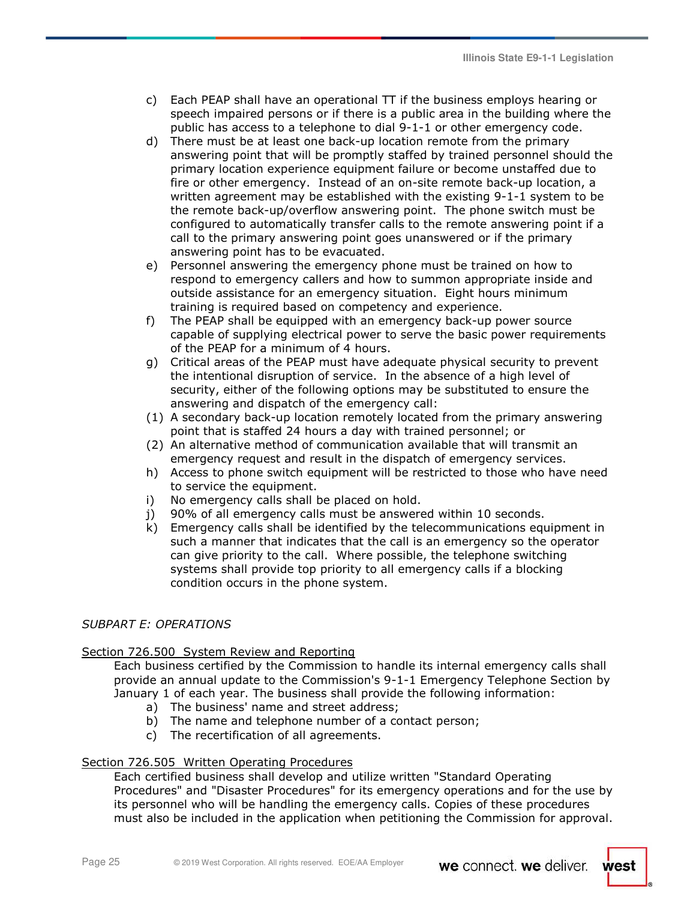- c) Each PEAP shall have an operational TT if the business employs hearing or speech impaired persons or if there is a public area in the building where the public has access to a telephone to dial 9-1-1 or other emergency code.
- d) There must be at least one back-up location remote from the primary answering point that will be promptly staffed by trained personnel should the primary location experience equipment failure or become unstaffed due to fire or other emergency. Instead of an on-site remote back-up location, a written agreement may be established with the existing 9-1-1 system to be the remote back-up/overflow answering point. The phone switch must be configured to automatically transfer calls to the remote answering point if a call to the primary answering point goes unanswered or if the primary answering point has to be evacuated.
- e) Personnel answering the emergency phone must be trained on how to respond to emergency callers and how to summon appropriate inside and outside assistance for an emergency situation. Eight hours minimum training is required based on competency and experience.
- f) The PEAP shall be equipped with an emergency back-up power source capable of supplying electrical power to serve the basic power requirements of the PEAP for a minimum of 4 hours.
- g) Critical areas of the PEAP must have adequate physical security to prevent the intentional disruption of service. In the absence of a high level of security, either of the following options may be substituted to ensure the answering and dispatch of the emergency call:
- (1) A secondary back-up location remotely located from the primary answering point that is staffed 24 hours a day with trained personnel; or
- (2) An alternative method of communication available that will transmit an emergency request and result in the dispatch of emergency services.
- h) Access to phone switch equipment will be restricted to those who have need to service the equipment.
- i) No emergency calls shall be placed on hold.
- j) 90% of all emergency calls must be answered within 10 seconds.
- k) Emergency calls shall be identified by the telecommunications equipment in such a manner that indicates that the call is an emergency so the operator can give priority to the call. Where possible, the telephone switching systems shall provide top priority to all emergency calls if a blocking condition occurs in the phone system.

## *SUBPART E: OPERATIONS*

### Section 726.500 System Review and Reporting

Each business certified by the Commission to handle its internal emergency calls shall provide an annual update to the Commission's 9-1-1 Emergency Telephone Section by January 1 of each year. The business shall provide the following information:

- a) The business' name and street address;
- b) The name and telephone number of a contact person;
- c) The recertification of all agreements.

## Section 726.505 Written Operating Procedures

Each certified business shall develop and utilize written "Standard Operating Procedures" and "Disaster Procedures" for its emergency operations and for the use by its personnel who will be handling the emergency calls. Copies of these procedures must also be included in the application when petitioning the Commission for approval.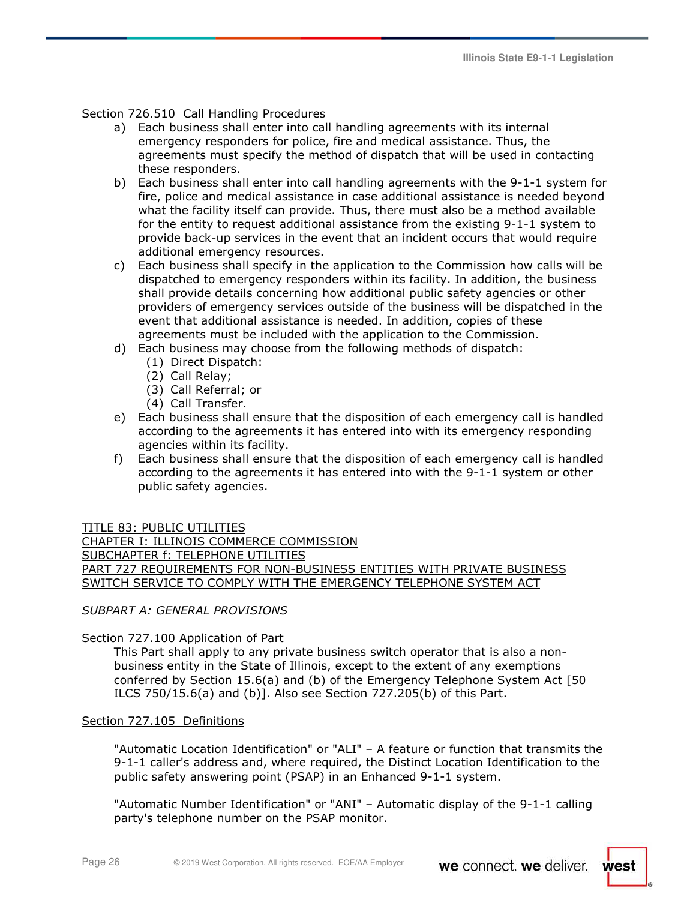## Section 726.510 Call Handling Procedures

- a) Each business shall enter into call handling agreements with its internal emergency responders for police, fire and medical assistance. Thus, the agreements must specify the method of dispatch that will be used in contacting these responders.
- b) Each business shall enter into call handling agreements with the 9-1-1 system for fire, police and medical assistance in case additional assistance is needed beyond what the facility itself can provide. Thus, there must also be a method available for the entity to request additional assistance from the existing 9-1-1 system to provide back-up services in the event that an incident occurs that would require additional emergency resources.
- c) Each business shall specify in the application to the Commission how calls will be dispatched to emergency responders within its facility. In addition, the business shall provide details concerning how additional public safety agencies or other providers of emergency services outside of the business will be dispatched in the event that additional assistance is needed. In addition, copies of these agreements must be included with the application to the Commission.
- d) Each business may choose from the following methods of dispatch:
	- (1) Direct Dispatch:
	- (2) Call Relay;
	- (3) Call Referral; or
	- (4) Call Transfer.
- e) Each business shall ensure that the disposition of each emergency call is handled according to the agreements it has entered into with its emergency responding agencies within its facility.
- f) Each business shall ensure that the disposition of each emergency call is handled according to the agreements it has entered into with the 9-1-1 system or other public safety agencies.

### TITLE 83: PUBLIC UTILITIES

CHAPTER I: ILLINOIS COMMERCE COMMISSION SUBCHAPTER f: TELEPHONE UTILITIES PART 727 REQUIREMENTS FOR NON-BUSINESS ENTITIES WITH PRIVATE BUSINESS SWITCH SERVICE TO COMPLY WITH THE EMERGENCY TELEPHONE SYSTEM ACT

*SUBPART A: GENERAL PROVISIONS* 

### Section 727.100 Application of Part

This Part shall apply to any private business switch operator that is also a nonbusiness entity in the State of Illinois, except to the extent of any exemptions conferred by Section 15.6(a) and (b) of the Emergency Telephone System Act [50 ILCS 750/15.6(a) and (b)]. Also see Section 727.205(b) of this Part.

### Section 727.105 Definitions

"Automatic Location Identification" or "ALI" – A feature or function that transmits the 9-1-1 caller's address and, where required, the Distinct Location Identification to the public safety answering point (PSAP) in an Enhanced 9-1-1 system.

"Automatic Number Identification" or "ANI" – Automatic display of the 9-1-1 calling party's telephone number on the PSAP monitor.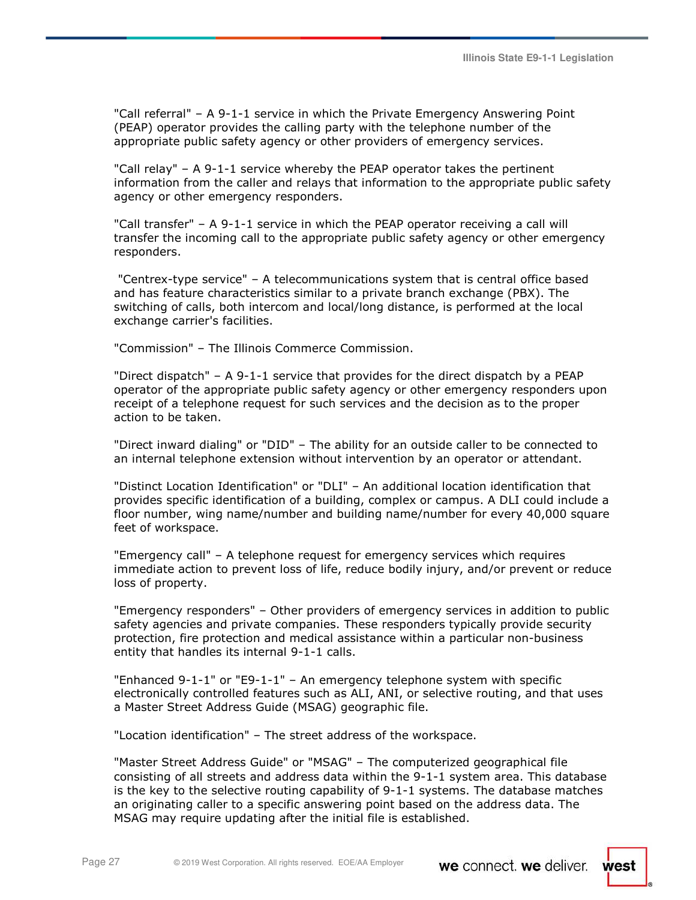"Call referral" – A 9-1-1 service in which the Private Emergency Answering Point (PEAP) operator provides the calling party with the telephone number of the appropriate public safety agency or other providers of emergency services.

"Call relay" – A 9-1-1 service whereby the PEAP operator takes the pertinent information from the caller and relays that information to the appropriate public safety agency or other emergency responders.

"Call transfer" – A 9-1-1 service in which the PEAP operator receiving a call will transfer the incoming call to the appropriate public safety agency or other emergency responders.

 "Centrex-type service" – A telecommunications system that is central office based and has feature characteristics similar to a private branch exchange (PBX). The switching of calls, both intercom and local/long distance, is performed at the local exchange carrier's facilities.

"Commission" – The Illinois Commerce Commission.

"Direct dispatch" – A 9-1-1 service that provides for the direct dispatch by a PEAP operator of the appropriate public safety agency or other emergency responders upon receipt of a telephone request for such services and the decision as to the proper action to be taken.

"Direct inward dialing" or "DID" – The ability for an outside caller to be connected to an internal telephone extension without intervention by an operator or attendant.

"Distinct Location Identification" or "DLI" – An additional location identification that provides specific identification of a building, complex or campus. A DLI could include a floor number, wing name/number and building name/number for every 40,000 square feet of workspace.

"Emergency call" – A telephone request for emergency services which requires immediate action to prevent loss of life, reduce bodily injury, and/or prevent or reduce loss of property.

"Emergency responders" – Other providers of emergency services in addition to public safety agencies and private companies. These responders typically provide security protection, fire protection and medical assistance within a particular non-business entity that handles its internal 9-1-1 calls.

"Enhanced 9-1-1" or "E9-1-1" – An emergency telephone system with specific electronically controlled features such as ALI, ANI, or selective routing, and that uses a Master Street Address Guide (MSAG) geographic file.

"Location identification" – The street address of the workspace.

"Master Street Address Guide" or "MSAG" – The computerized geographical file consisting of all streets and address data within the 9-1-1 system area. This database is the key to the selective routing capability of 9-1-1 systems. The database matches an originating caller to a specific answering point based on the address data. The MSAG may require updating after the initial file is established.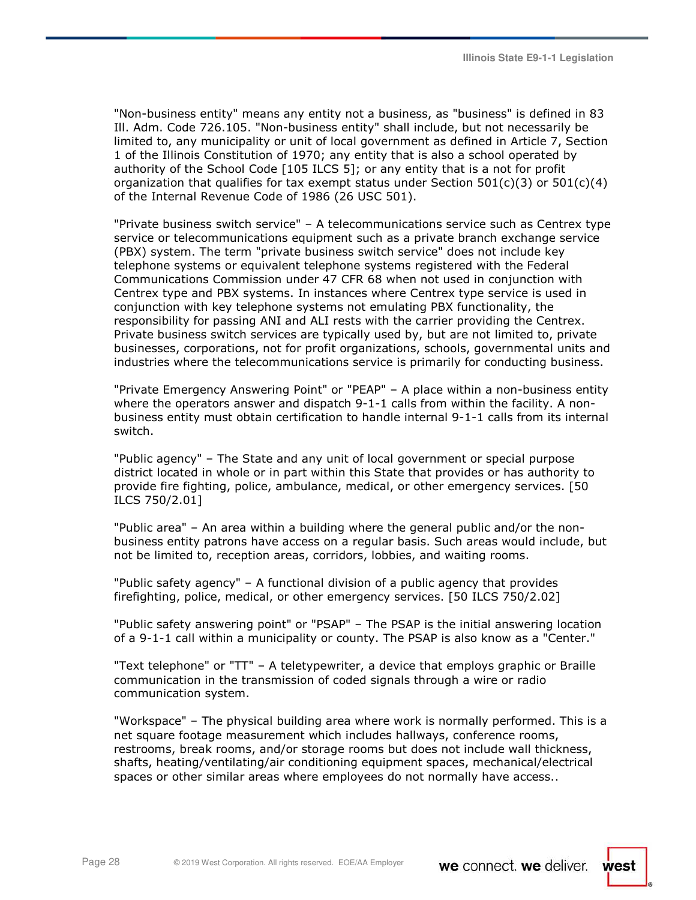"Non-business entity" means any entity not a business, as "business" is defined in 83 Ill. Adm. Code 726.105. "Non-business entity" shall include, but not necessarily be limited to, any municipality or unit of local government as defined in Article 7, Section 1 of the Illinois Constitution of 1970; any entity that is also a school operated by authority of the School Code [105 ILCS 5]; or any entity that is a not for profit organization that qualifies for tax exempt status under Section  $501(c)(3)$  or  $501(c)(4)$ of the Internal Revenue Code of 1986 (26 USC 501).

"Private business switch service" – A telecommunications service such as Centrex type service or telecommunications equipment such as a private branch exchange service (PBX) system. The term "private business switch service" does not include key telephone systems or equivalent telephone systems registered with the Federal Communications Commission under 47 CFR 68 when not used in conjunction with Centrex type and PBX systems. In instances where Centrex type service is used in conjunction with key telephone systems not emulating PBX functionality, the responsibility for passing ANI and ALI rests with the carrier providing the Centrex. Private business switch services are typically used by, but are not limited to, private businesses, corporations, not for profit organizations, schools, governmental units and industries where the telecommunications service is primarily for conducting business.

"Private Emergency Answering Point" or "PEAP" – A place within a non-business entity where the operators answer and dispatch 9-1-1 calls from within the facility. A nonbusiness entity must obtain certification to handle internal 9-1-1 calls from its internal switch.

"Public agency" – The State and any unit of local government or special purpose district located in whole or in part within this State that provides or has authority to provide fire fighting, police, ambulance, medical, or other emergency services. [50 ILCS 750/2.01]

"Public area" – An area within a building where the general public and/or the nonbusiness entity patrons have access on a regular basis. Such areas would include, but not be limited to, reception areas, corridors, lobbies, and waiting rooms.

"Public safety agency" – A functional division of a public agency that provides firefighting, police, medical, or other emergency services. [50 ILCS 750/2.02]

"Public safety answering point" or "PSAP" – The PSAP is the initial answering location of a 9-1-1 call within a municipality or county. The PSAP is also know as a "Center."

"Text telephone" or "TT" – A teletypewriter, a device that employs graphic or Braille communication in the transmission of coded signals through a wire or radio communication system.

"Workspace" – The physical building area where work is normally performed. This is a net square footage measurement which includes hallways, conference rooms, restrooms, break rooms, and/or storage rooms but does not include wall thickness, shafts, heating/ventilating/air conditioning equipment spaces, mechanical/electrical spaces or other similar areas where employees do not normally have access..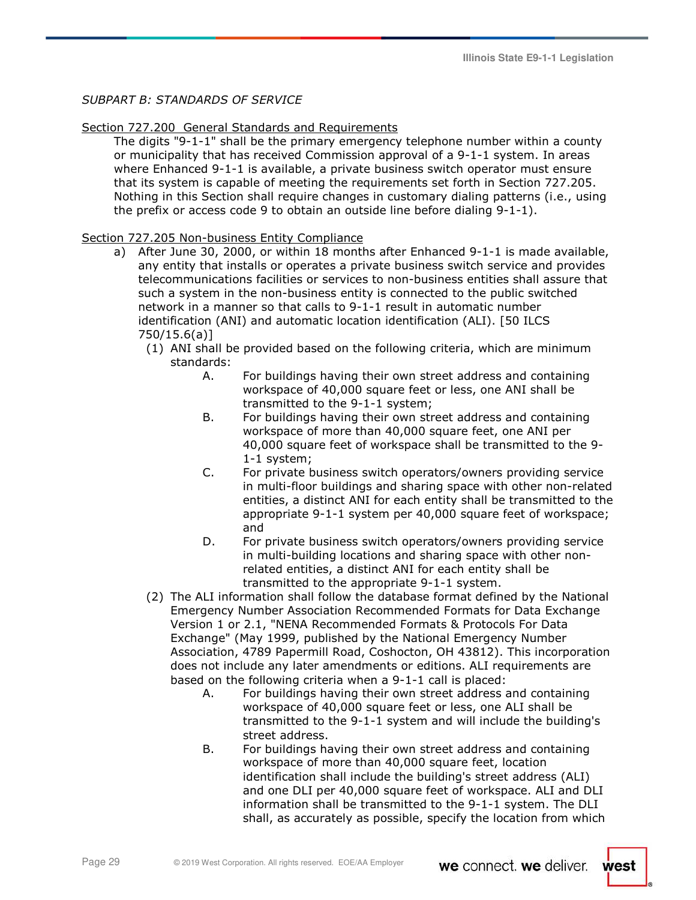## *SUBPART B: STANDARDS OF SERVICE*

## Section 727.200 General Standards and Requirements

The digits "9-1-1" shall be the primary emergency telephone number within a county or municipality that has received Commission approval of a 9-1-1 system. In areas where Enhanced 9-1-1 is available, a private business switch operator must ensure that its system is capable of meeting the requirements set forth in Section 727.205. Nothing in this Section shall require changes in customary dialing patterns (i.e., using the prefix or access code 9 to obtain an outside line before dialing 9-1-1).

## Section 727.205 Non-business Entity Compliance

- a) After June 30, 2000, or within 18 months after Enhanced 9-1-1 is made available, any entity that installs or operates a private business switch service and provides telecommunications facilities or services to non-business entities shall assure that such a system in the non-business entity is connected to the public switched network in a manner so that calls to 9-1-1 result in automatic number identification (ANI) and automatic location identification (ALI). [50 ILCS 750/15.6(a)]
	- (1) ANI shall be provided based on the following criteria, which are minimum standards:
		- A. For buildings having their own street address and containing workspace of 40,000 square feet or less, one ANI shall be transmitted to the 9-1-1 system;
		- B. For buildings having their own street address and containing workspace of more than 40,000 square feet, one ANI per 40,000 square feet of workspace shall be transmitted to the 9- 1-1 system;
		- C. For private business switch operators/owners providing service in multi-floor buildings and sharing space with other non-related entities, a distinct ANI for each entity shall be transmitted to the appropriate 9-1-1 system per 40,000 square feet of workspace; and
		- D. For private business switch operators/owners providing service in multi-building locations and sharing space with other nonrelated entities, a distinct ANI for each entity shall be transmitted to the appropriate 9-1-1 system.
	- (2) The ALI information shall follow the database format defined by the National Emergency Number Association Recommended Formats for Data Exchange Version 1 or 2.1, "NENA Recommended Formats & Protocols For Data Exchange" (May 1999, published by the National Emergency Number Association, 4789 Papermill Road, Coshocton, OH 43812). This incorporation does not include any later amendments or editions. ALI requirements are based on the following criteria when a 9-1-1 call is placed:
		- A. For buildings having their own street address and containing workspace of 40,000 square feet or less, one ALI shall be transmitted to the 9-1-1 system and will include the building's street address.
		- B. For buildings having their own street address and containing workspace of more than 40,000 square feet, location identification shall include the building's street address (ALI) and one DLI per 40,000 square feet of workspace. ALI and DLI information shall be transmitted to the 9-1-1 system. The DLI shall, as accurately as possible, specify the location from which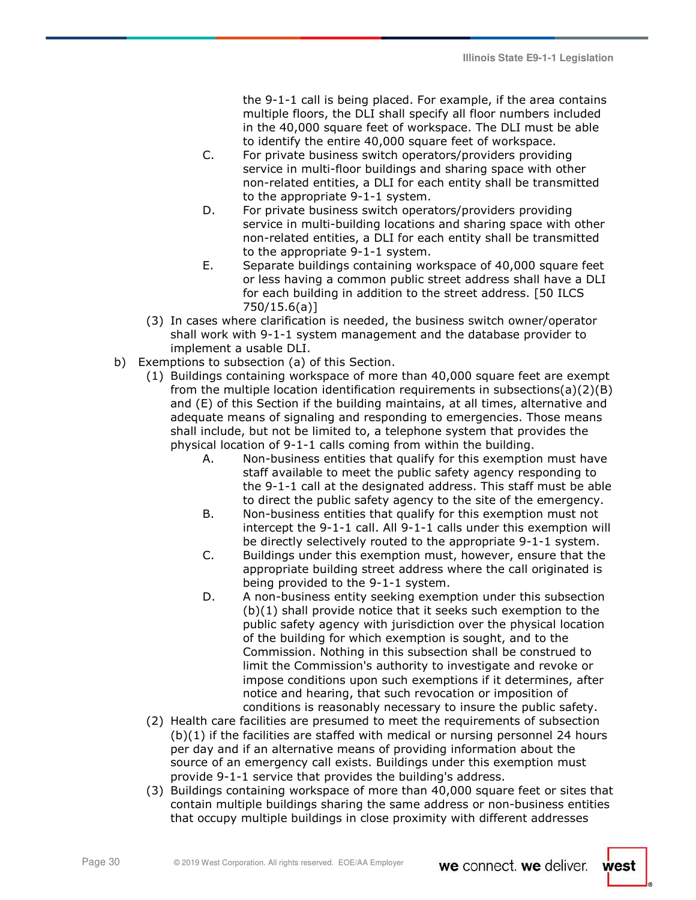the 9-1-1 call is being placed. For example, if the area contains multiple floors, the DLI shall specify all floor numbers included in the 40,000 square feet of workspace. The DLI must be able to identify the entire 40,000 square feet of workspace.

- C. For private business switch operators/providers providing service in multi-floor buildings and sharing space with other non-related entities, a DLI for each entity shall be transmitted to the appropriate 9-1-1 system.
- D. For private business switch operators/providers providing service in multi-building locations and sharing space with other non-related entities, a DLI for each entity shall be transmitted to the appropriate 9-1-1 system.
- E. Separate buildings containing workspace of 40,000 square feet or less having a common public street address shall have a DLI for each building in addition to the street address. [50 ILCS 750/15.6(a)]
- (3) In cases where clarification is needed, the business switch owner/operator shall work with 9-1-1 system management and the database provider to implement a usable DLI.
- b) Exemptions to subsection (a) of this Section.
	- (1) Buildings containing workspace of more than 40,000 square feet are exempt from the multiple location identification requirements in subsections(a)(2)(B) and (E) of this Section if the building maintains, at all times, alternative and adequate means of signaling and responding to emergencies. Those means shall include, but not be limited to, a telephone system that provides the physical location of 9-1-1 calls coming from within the building.
		- A. Non-business entities that qualify for this exemption must have staff available to meet the public safety agency responding to the 9-1-1 call at the designated address. This staff must be able to direct the public safety agency to the site of the emergency.
		- B. Non-business entities that qualify for this exemption must not intercept the 9-1-1 call. All 9-1-1 calls under this exemption will be directly selectively routed to the appropriate 9-1-1 system.
		- C. Buildings under this exemption must, however, ensure that the appropriate building street address where the call originated is being provided to the 9-1-1 system.
		- D. A non-business entity seeking exemption under this subsection (b)(1) shall provide notice that it seeks such exemption to the public safety agency with jurisdiction over the physical location of the building for which exemption is sought, and to the Commission. Nothing in this subsection shall be construed to limit the Commission's authority to investigate and revoke or impose conditions upon such exemptions if it determines, after notice and hearing, that such revocation or imposition of conditions is reasonably necessary to insure the public safety.
	- (2) Health care facilities are presumed to meet the requirements of subsection (b)(1) if the facilities are staffed with medical or nursing personnel 24 hours per day and if an alternative means of providing information about the source of an emergency call exists. Buildings under this exemption must provide 9-1-1 service that provides the building's address.
	- (3) Buildings containing workspace of more than 40,000 square feet or sites that contain multiple buildings sharing the same address or non-business entities that occupy multiple buildings in close proximity with different addresses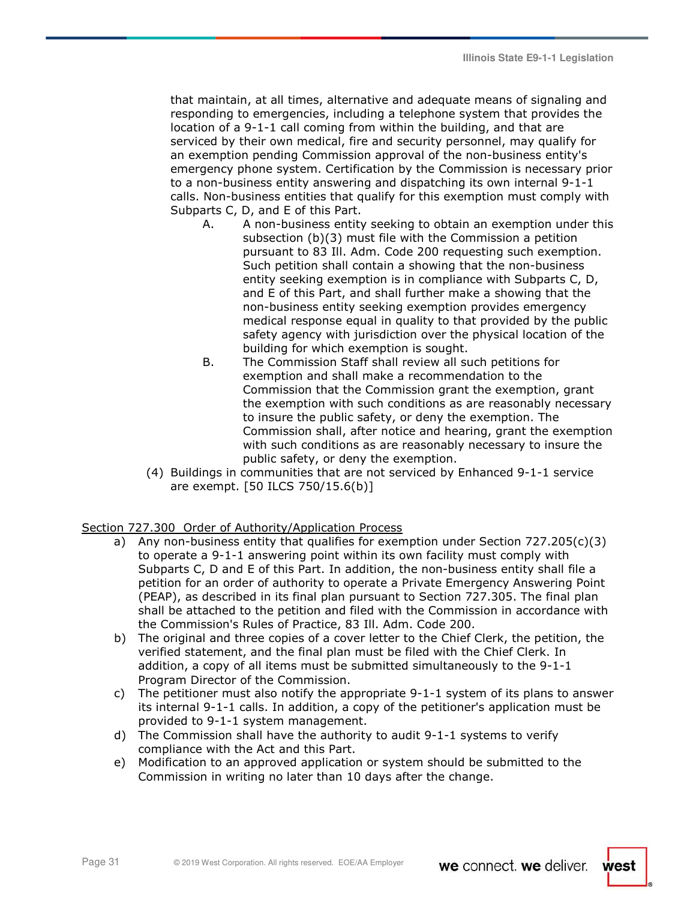that maintain, at all times, alternative and adequate means of signaling and responding to emergencies, including a telephone system that provides the location of a 9-1-1 call coming from within the building, and that are serviced by their own medical, fire and security personnel, may qualify for an exemption pending Commission approval of the non-business entity's emergency phone system. Certification by the Commission is necessary prior to a non-business entity answering and dispatching its own internal 9-1-1 calls. Non-business entities that qualify for this exemption must comply with Subparts C, D, and E of this Part.

- A. A non-business entity seeking to obtain an exemption under this subsection (b)(3) must file with the Commission a petition pursuant to 83 Ill. Adm. Code 200 requesting such exemption. Such petition shall contain a showing that the non-business entity seeking exemption is in compliance with Subparts C, D, and E of this Part, and shall further make a showing that the non-business entity seeking exemption provides emergency medical response equal in quality to that provided by the public safety agency with jurisdiction over the physical location of the building for which exemption is sought.
- B. The Commission Staff shall review all such petitions for exemption and shall make a recommendation to the Commission that the Commission grant the exemption, grant the exemption with such conditions as are reasonably necessary to insure the public safety, or deny the exemption. The Commission shall, after notice and hearing, grant the exemption with such conditions as are reasonably necessary to insure the public safety, or deny the exemption.
- (4) Buildings in communities that are not serviced by Enhanced 9-1-1 service are exempt. [50 ILCS 750/15.6(b)]

## Section 727.300 Order of Authority/Application Process

- a) Any non-business entity that qualifies for exemption under Section 727.205(c)(3) to operate a 9-1-1 answering point within its own facility must comply with Subparts C, D and E of this Part. In addition, the non-business entity shall file a petition for an order of authority to operate a Private Emergency Answering Point (PEAP), as described in its final plan pursuant to Section 727.305. The final plan shall be attached to the petition and filed with the Commission in accordance with the Commission's Rules of Practice, 83 Ill. Adm. Code 200.
- b) The original and three copies of a cover letter to the Chief Clerk, the petition, the verified statement, and the final plan must be filed with the Chief Clerk. In addition, a copy of all items must be submitted simultaneously to the 9-1-1 Program Director of the Commission.
- c) The petitioner must also notify the appropriate 9-1-1 system of its plans to answer its internal 9-1-1 calls. In addition, a copy of the petitioner's application must be provided to 9-1-1 system management.
- d) The Commission shall have the authority to audit 9-1-1 systems to verify compliance with the Act and this Part.
- e) Modification to an approved application or system should be submitted to the Commission in writing no later than 10 days after the change.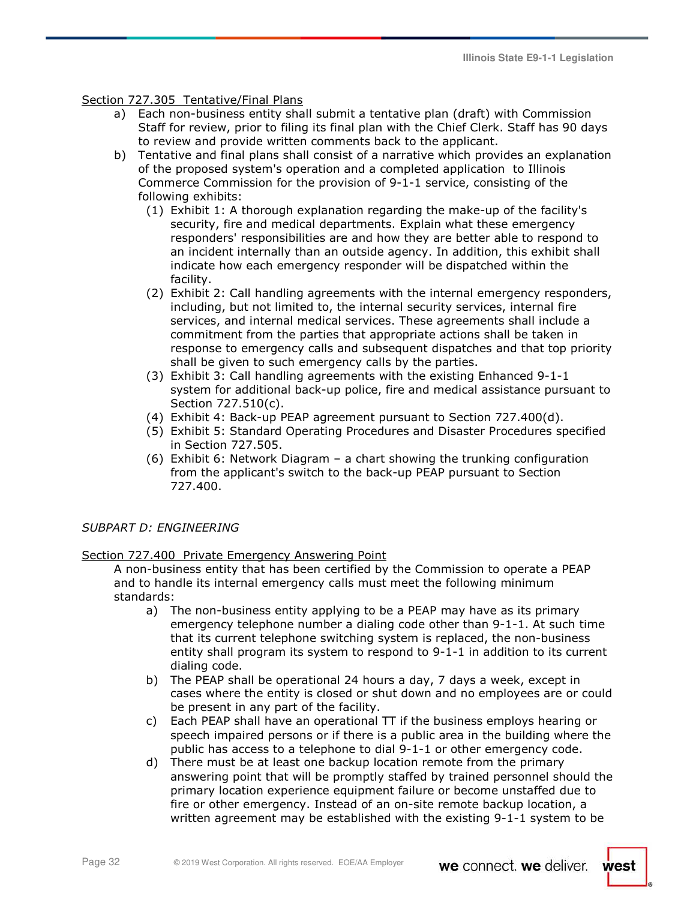## Section 727.305 Tentative/Final Plans

- a) Each non-business entity shall submit a tentative plan (draft) with Commission Staff for review, prior to filing its final plan with the Chief Clerk. Staff has 90 days to review and provide written comments back to the applicant.
- b) Tentative and final plans shall consist of a narrative which provides an explanation of the proposed system's operation and a completed application to Illinois Commerce Commission for the provision of 9-1-1 service, consisting of the following exhibits:
	- (1) Exhibit 1: A thorough explanation regarding the make-up of the facility's security, fire and medical departments. Explain what these emergency responders' responsibilities are and how they are better able to respond to an incident internally than an outside agency. In addition, this exhibit shall indicate how each emergency responder will be dispatched within the facility.
	- (2) Exhibit 2: Call handling agreements with the internal emergency responders, including, but not limited to, the internal security services, internal fire services, and internal medical services. These agreements shall include a commitment from the parties that appropriate actions shall be taken in response to emergency calls and subsequent dispatches and that top priority shall be given to such emergency calls by the parties.
	- (3) Exhibit 3: Call handling agreements with the existing Enhanced 9-1-1 system for additional back-up police, fire and medical assistance pursuant to Section 727.510(c).
	- (4) Exhibit 4: Back-up PEAP agreement pursuant to Section 727.400(d).
	- (5) Exhibit 5: Standard Operating Procedures and Disaster Procedures specified in Section 727.505.
	- (6) Exhibit 6: Network Diagram a chart showing the trunking configuration from the applicant's switch to the back-up PEAP pursuant to Section 727.400.

## *SUBPART D: ENGINEERING*

### Section 727.400 Private Emergency Answering Point

A non-business entity that has been certified by the Commission to operate a PEAP and to handle its internal emergency calls must meet the following minimum standards:

- a) The non-business entity applying to be a PEAP may have as its primary emergency telephone number a dialing code other than 9-1-1. At such time that its current telephone switching system is replaced, the non-business entity shall program its system to respond to 9-1-1 in addition to its current dialing code.
- b) The PEAP shall be operational 24 hours a day, 7 days a week, except in cases where the entity is closed or shut down and no employees are or could be present in any part of the facility.
- c) Each PEAP shall have an operational TT if the business employs hearing or speech impaired persons or if there is a public area in the building where the public has access to a telephone to dial 9-1-1 or other emergency code.
- d) There must be at least one backup location remote from the primary answering point that will be promptly staffed by trained personnel should the primary location experience equipment failure or become unstaffed due to fire or other emergency. Instead of an on-site remote backup location, a written agreement may be established with the existing 9-1-1 system to be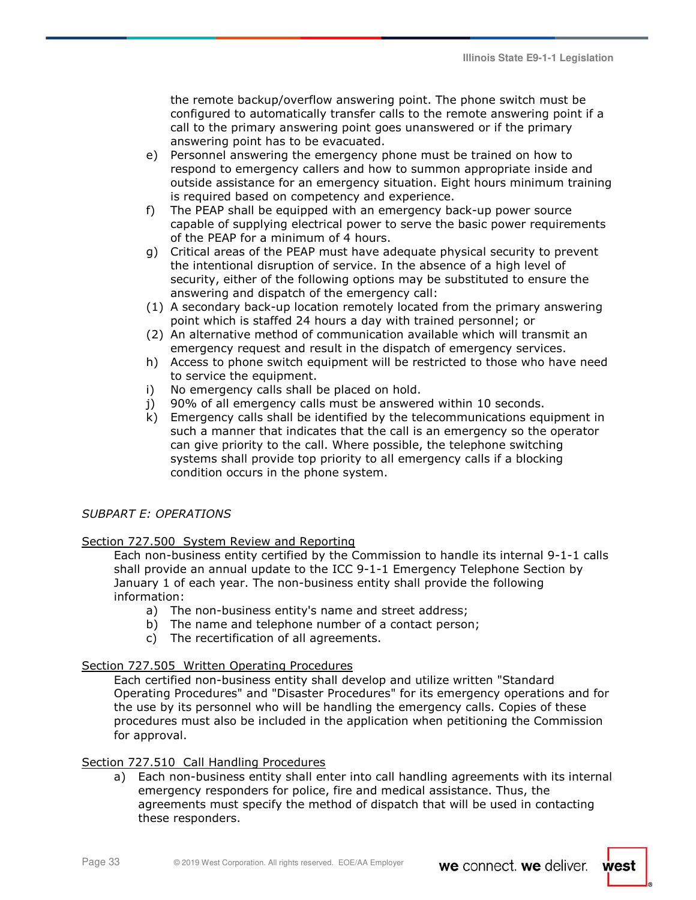the remote backup/overflow answering point. The phone switch must be configured to automatically transfer calls to the remote answering point if a call to the primary answering point goes unanswered or if the primary answering point has to be evacuated.

- e) Personnel answering the emergency phone must be trained on how to respond to emergency callers and how to summon appropriate inside and outside assistance for an emergency situation. Eight hours minimum training is required based on competency and experience.
- f) The PEAP shall be equipped with an emergency back-up power source capable of supplying electrical power to serve the basic power requirements of the PEAP for a minimum of 4 hours.
- g) Critical areas of the PEAP must have adequate physical security to prevent the intentional disruption of service. In the absence of a high level of security, either of the following options may be substituted to ensure the answering and dispatch of the emergency call:
- (1) A secondary back-up location remotely located from the primary answering point which is staffed 24 hours a day with trained personnel; or
- (2) An alternative method of communication available which will transmit an emergency request and result in the dispatch of emergency services.
- h) Access to phone switch equipment will be restricted to those who have need to service the equipment.
- i) No emergency calls shall be placed on hold.
- j) 90% of all emergency calls must be answered within 10 seconds.
- k) Emergency calls shall be identified by the telecommunications equipment in such a manner that indicates that the call is an emergency so the operator can give priority to the call. Where possible, the telephone switching systems shall provide top priority to all emergency calls if a blocking condition occurs in the phone system.

## *SUBPART E: OPERATIONS*

### Section 727.500 System Review and Reporting

Each non-business entity certified by the Commission to handle its internal 9-1-1 calls shall provide an annual update to the ICC 9-1-1 Emergency Telephone Section by January 1 of each year. The non-business entity shall provide the following information:

- a) The non-business entity's name and street address;
- b) The name and telephone number of a contact person;
- c) The recertification of all agreements.

### Section 727.505 Written Operating Procedures

Each certified non-business entity shall develop and utilize written "Standard Operating Procedures" and "Disaster Procedures" for its emergency operations and for the use by its personnel who will be handling the emergency calls. Copies of these procedures must also be included in the application when petitioning the Commission for approval.

### Section 727.510 Call Handling Procedures

a) Each non-business entity shall enter into call handling agreements with its internal emergency responders for police, fire and medical assistance. Thus, the agreements must specify the method of dispatch that will be used in contacting these responders.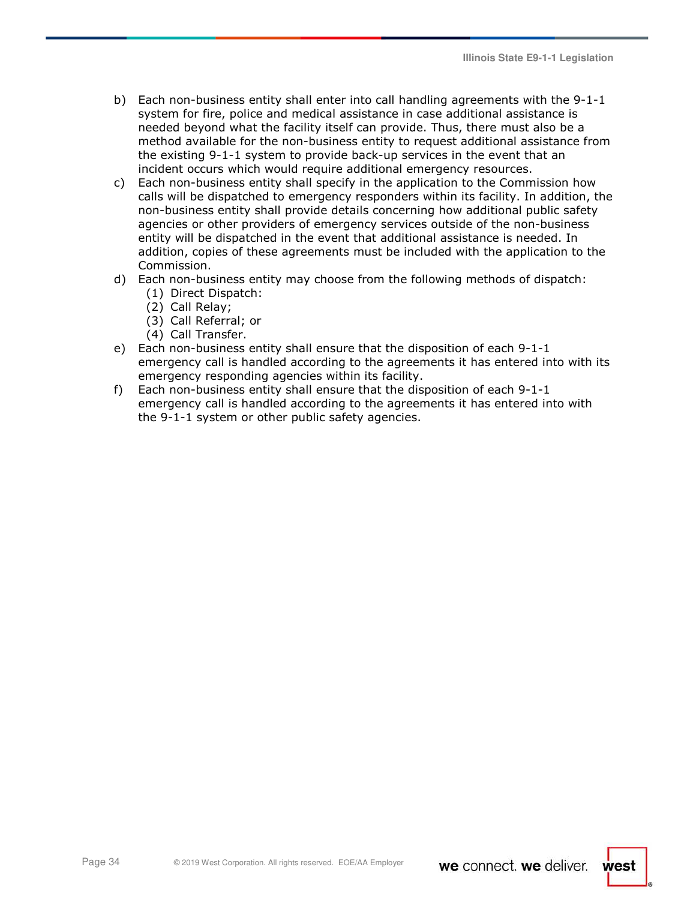- b) Each non-business entity shall enter into call handling agreements with the 9-1-1 system for fire, police and medical assistance in case additional assistance is needed beyond what the facility itself can provide. Thus, there must also be a method available for the non-business entity to request additional assistance from the existing 9-1-1 system to provide back-up services in the event that an incident occurs which would require additional emergency resources.
- c) Each non-business entity shall specify in the application to the Commission how calls will be dispatched to emergency responders within its facility. In addition, the non-business entity shall provide details concerning how additional public safety agencies or other providers of emergency services outside of the non-business entity will be dispatched in the event that additional assistance is needed. In addition, copies of these agreements must be included with the application to the Commission.
- d) Each non-business entity may choose from the following methods of dispatch:
	- (1) Direct Dispatch:
	- (2) Call Relay;
	- (3) Call Referral; or
	- (4) Call Transfer.
- e) Each non-business entity shall ensure that the disposition of each 9-1-1 emergency call is handled according to the agreements it has entered into with its emergency responding agencies within its facility.
- f) Each non-business entity shall ensure that the disposition of each 9-1-1 emergency call is handled according to the agreements it has entered into with the 9-1-1 system or other public safety agencies.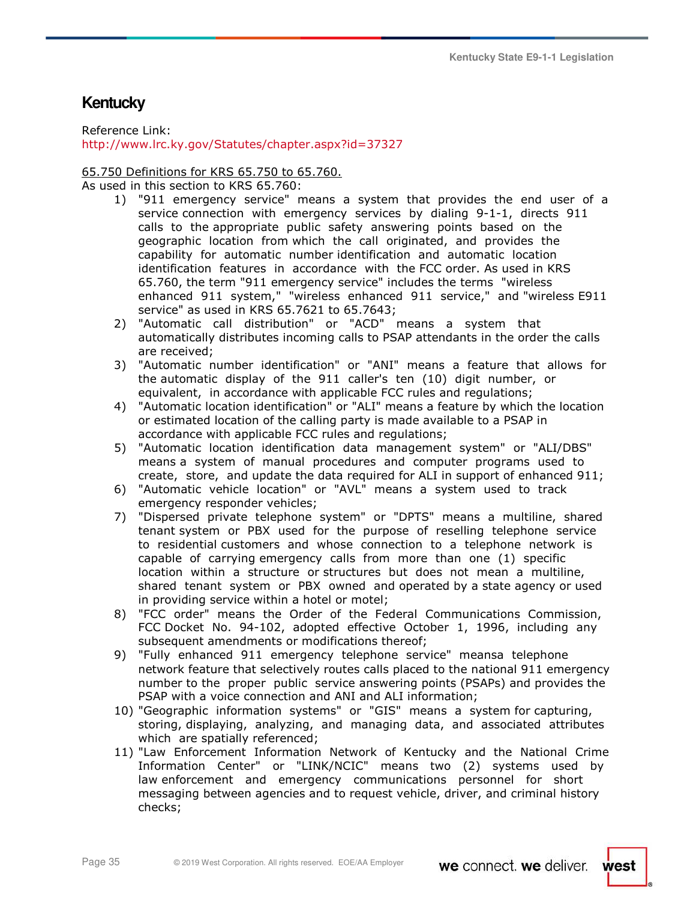# **Kentucky**

Reference Link:

http://www.lrc.ky.gov/Statutes/chapter.aspx?id=37327

## 65.750 Definitions for KRS 65.750 to 65.760.

As used in this section to KRS 65.760:

- 1) "911 emergency service" means a system that provides the end user of a service connection with emergency services by dialing 9-1-1, directs 911 calls to the appropriate public safety answering points based on the geographic location from which the call originated, and provides the capability for automatic number identification and automatic location identification features in accordance with the FCC order. As used in KRS 65.760, the term "911 emergency service" includes the terms "wireless enhanced 911 system," "wireless enhanced 911 service," and "wireless E911 service" as used in KRS 65.7621 to 65.7643;
- 2) "Automatic call distribution" or "ACD" means a system that automatically distributes incoming calls to PSAP attendants in the order the calls are received;
- 3) "Automatic number identification" or "ANI" means a feature that allows for the automatic display of the 911 caller's ten (10) digit number, or equivalent, in accordance with applicable FCC rules and regulations;
- 4) "Automatic location identification" or "ALI" means a feature by which the location or estimated location of the calling party is made available to a PSAP in accordance with applicable FCC rules and regulations;
- 5) "Automatic location identification data management system" or "ALI/DBS" means a system of manual procedures and computer programs used to create, store, and update the data required for ALI in support of enhanced 911;
- 6) "Automatic vehicle location" or "AVL" means a system used to track emergency responder vehicles;
- 7) "Dispersed private telephone system" or "DPTS" means a multiline, shared tenant system or PBX used for the purpose of reselling telephone service to residential customers and whose connection to a telephone network is capable of carrying emergency calls from more than one (1) specific location within a structure or structures but does not mean a multiline, shared tenant system or PBX owned and operated by a state agency or used in providing service within a hotel or motel;
- 8) "FCC order" means the Order of the Federal Communications Commission, FCC Docket No. 94-102, adopted effective October 1, 1996, including any subsequent amendments or modifications thereof;
- 9) "Fully enhanced 911 emergency telephone service" meansa telephone network feature that selectively routes calls placed to the national 911 emergency number to the proper public service answering points (PSAPs) and provides the PSAP with a voice connection and ANI and ALI information;
- 10) "Geographic information systems" or "GIS" means a system for capturing, storing, displaying, analyzing, and managing data, and associated attributes which are spatially referenced;
- 11) "Law Enforcement Information Network of Kentucky and the National Crime Information Center" or "LINK/NCIC" means two (2) systems used by law enforcement and emergency communications personnel for short messaging between agencies and to request vehicle, driver, and criminal history checks;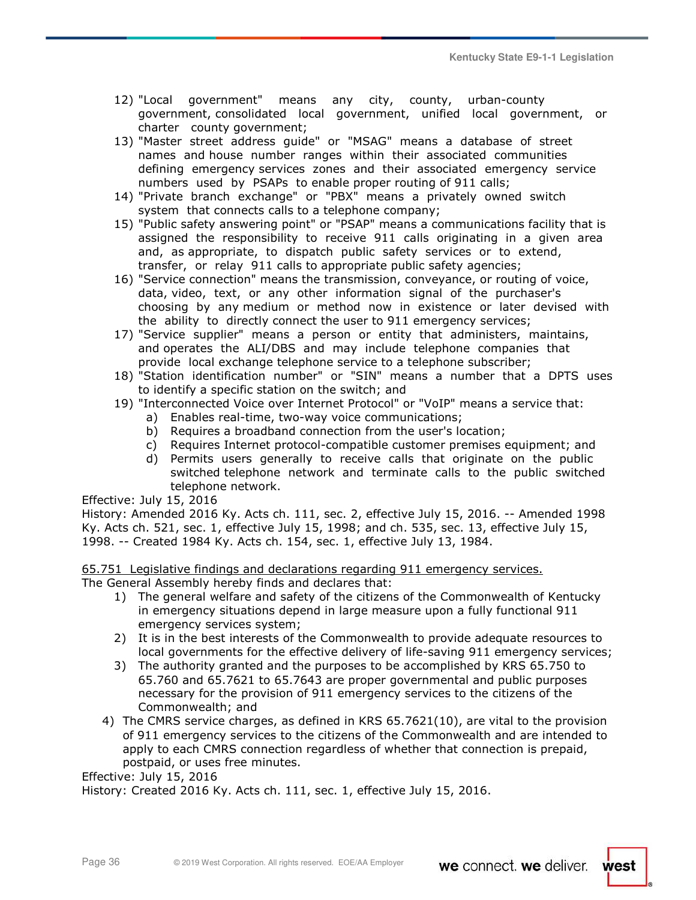- 12) "Local government" means any city, county, urban-county government, consolidated local government, unified local government, or charter county government;
- 13) "Master street address guide" or "MSAG" means a database of street names and house number ranges within their associated communities defining emergency services zones and their associated emergency service numbers used by PSAPs to enable proper routing of 911 calls;
- 14) "Private branch exchange" or "PBX" means a privately owned switch system that connects calls to a telephone company;
- 15) "Public safety answering point" or "PSAP" means a communications facility that is assigned the responsibility to receive 911 calls originating in a given area and, as appropriate, to dispatch public safety services or to extend, transfer, or relay 911 calls to appropriate public safety agencies;
- 16) "Service connection" means the transmission, conveyance, or routing of voice, data, video, text, or any other information signal of the purchaser's choosing by any medium or method now in existence or later devised with the ability to directly connect the user to 911 emergency services;
- 17) "Service supplier" means a person or entity that administers, maintains, and operates the ALI/DBS and may include telephone companies that provide local exchange telephone service to a telephone subscriber;
- 18) "Station identification number" or "SIN" means a number that a DPTS uses to identify a specific station on the switch; and
- 19) "Interconnected Voice over Internet Protocol" or "VoIP" means a service that:
	- a) Enables real-time, two-way voice communications;
	- b) Requires a broadband connection from the user's location;
	- c) Requires Internet protocol-compatible customer premises equipment; and
	- d) Permits users generally to receive calls that originate on the public switched telephone network and terminate calls to the public switched telephone network.

Effective: July 15, 2016

History: Amended 2016 Ky. Acts ch. 111, sec. 2, effective July 15, 2016. -- Amended 1998 Ky. Acts ch. 521, sec. 1, effective July 15, 1998; and ch. 535, sec. 13, effective July 15, 1998. -- Created 1984 Ky. Acts ch. 154, sec. 1, effective July 13, 1984.

65.751 Legislative findings and declarations regarding 911 emergency services. The General Assembly hereby finds and declares that:

- 1) The general welfare and safety of the citizens of the Commonwealth of Kentucky in emergency situations depend in large measure upon a fully functional 911 emergency services system;
- 2) It is in the best interests of the Commonwealth to provide adequate resources to local governments for the effective delivery of life-saving 911 emergency services;
- 3) The authority granted and the purposes to be accomplished by KRS 65.750 to 65.760 and 65.7621 to 65.7643 are proper governmental and public purposes necessary for the provision of 911 emergency services to the citizens of the Commonwealth; and
- 4) The CMRS service charges, as defined in KRS 65.7621(10), are vital to the provision of 911 emergency services to the citizens of the Commonwealth and are intended to apply to each CMRS connection regardless of whether that connection is prepaid, postpaid, or uses free minutes.

Effective: July 15, 2016

History: Created 2016 Ky. Acts ch. 111, sec. 1, effective July 15, 2016.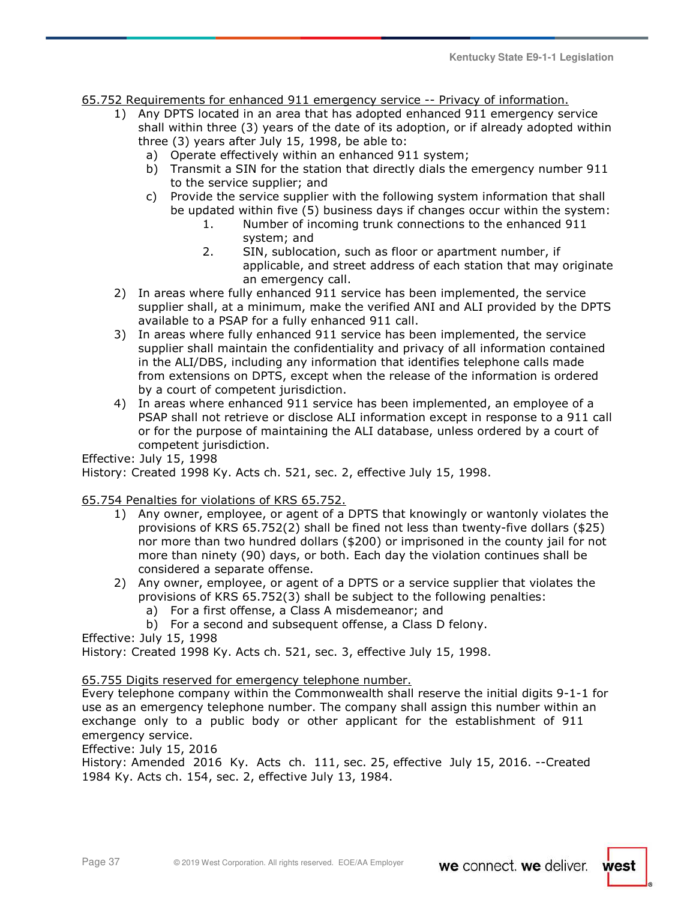65.752 Requirements for enhanced 911 emergency service -- Privacy of information.

- 1) Any DPTS located in an area that has adopted enhanced 911 emergency service shall within three (3) years of the date of its adoption, or if already adopted within three (3) years after July 15, 1998, be able to:
	- a) Operate effectively within an enhanced 911 system;
	- b) Transmit a SIN for the station that directly dials the emergency number 911 to the service supplier; and
	- c) Provide the service supplier with the following system information that shall be updated within five (5) business days if changes occur within the system:
		- 1. Number of incoming trunk connections to the enhanced 911 system; and
		- 2. SIN, sublocation, such as floor or apartment number, if applicable, and street address of each station that may originate an emergency call.
- 2) In areas where fully enhanced 911 service has been implemented, the service supplier shall, at a minimum, make the verified ANI and ALI provided by the DPTS available to a PSAP for a fully enhanced 911 call.
- 3) In areas where fully enhanced 911 service has been implemented, the service supplier shall maintain the confidentiality and privacy of all information contained in the ALI/DBS, including any information that identifies telephone calls made from extensions on DPTS, except when the release of the information is ordered by a court of competent jurisdiction.
- 4) In areas where enhanced 911 service has been implemented, an employee of a PSAP shall not retrieve or disclose ALI information except in response to a 911 call or for the purpose of maintaining the ALI database, unless ordered by a court of competent jurisdiction.

Effective: July 15, 1998

History: Created 1998 Ky. Acts ch. 521, sec. 2, effective July 15, 1998.

65.754 Penalties for violations of KRS 65.752.

- 1) Any owner, employee, or agent of a DPTS that knowingly or wantonly violates the provisions of KRS 65.752(2) shall be fined not less than twenty-five dollars (\$25) nor more than two hundred dollars (\$200) or imprisoned in the county jail for not more than ninety (90) days, or both. Each day the violation continues shall be considered a separate offense.
- 2) Any owner, employee, or agent of a DPTS or a service supplier that violates the provisions of KRS 65.752(3) shall be subject to the following penalties:
	- a) For a first offense, a Class A misdemeanor; and
	- b) For a second and subsequent offense, a Class D felony.

Effective: July 15, 1998

History: Created 1998 Ky. Acts ch. 521, sec. 3, effective July 15, 1998.

65.755 Digits reserved for emergency telephone number.

Every telephone company within the Commonwealth shall reserve the initial digits 9-1-1 for use as an emergency telephone number. The company shall assign this number within an exchange only to a public body or other applicant for the establishment of 911 emergency service.

Effective: July 15, 2016

History: Amended 2016 Ky. Acts ch. 111, sec. 25, effective July 15, 2016. --Created 1984 Ky. Acts ch. 154, sec. 2, effective July 13, 1984.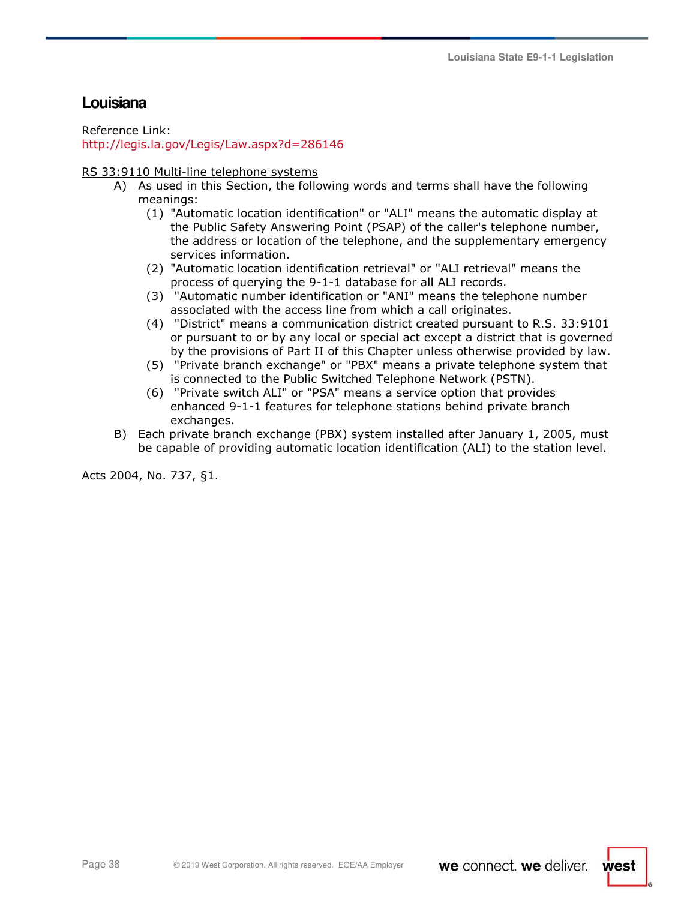# **Louisiana**

Reference Link: http://legis.la.gov/Legis/Law.aspx?d=286146

RS 33:9110 Multi-line telephone systems

- A) As used in this Section, the following words and terms shall have the following meanings:
	- (1) "Automatic location identification" or "ALI" means the automatic display at the Public Safety Answering Point (PSAP) of the caller's telephone number, the address or location of the telephone, and the supplementary emergency services information.
	- (2) "Automatic location identification retrieval" or "ALI retrieval" means the process of querying the 9-1-1 database for all ALI records.
	- (3) "Automatic number identification or "ANI" means the telephone number associated with the access line from which a call originates.
	- (4) "District" means a communication district created pursuant to R.S. 33:9101 or pursuant to or by any local or special act except a district that is governed by the provisions of Part II of this Chapter unless otherwise provided by law.
	- (5) "Private branch exchange" or "PBX" means a private telephone system that is connected to the Public Switched Telephone Network (PSTN).
	- (6) "Private switch ALI" or "PSA" means a service option that provides enhanced 9-1-1 features for telephone stations behind private branch exchanges.
- B) Each private branch exchange (PBX) system installed after January 1, 2005, must be capable of providing automatic location identification (ALI) to the station level.

Acts 2004, No. 737, §1.

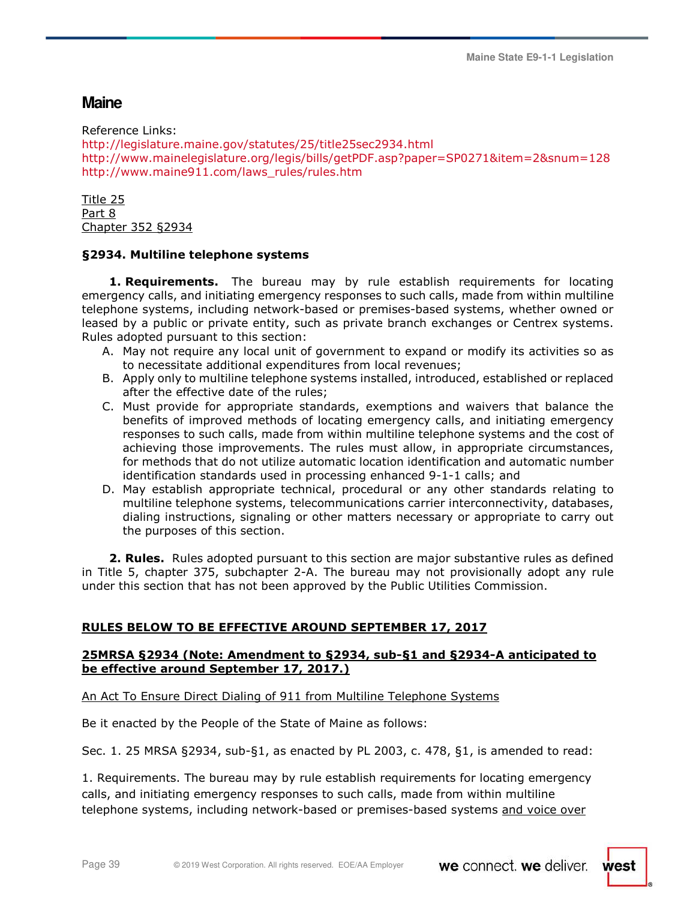# **Maine**

Reference Links: http://legislature.maine.gov/statutes/25/title25sec2934.html http://www.mainelegislature.org/legis/bills/getPDF.asp?paper=SP0271&item=2&snum=128 http://www.maine911.com/laws\_rules/rules.htm

Title 25 Part 8 Chapter 352 §2934

# **§2934. Multiline telephone systems**

**1. Requirements.** The bureau may by rule establish requirements for locating emergency calls, and initiating emergency responses to such calls, made from within multiline telephone systems, including network-based or premises-based systems, whether owned or leased by a public or private entity, such as private branch exchanges or Centrex systems. Rules adopted pursuant to this section:

- A. May not require any local unit of government to expand or modify its activities so as to necessitate additional expenditures from local revenues;
- B. Apply only to multiline telephone systems installed, introduced, established or replaced after the effective date of the rules;
- C. Must provide for appropriate standards, exemptions and waivers that balance the benefits of improved methods of locating emergency calls, and initiating emergency responses to such calls, made from within multiline telephone systems and the cost of achieving those improvements. The rules must allow, in appropriate circumstances, for methods that do not utilize automatic location identification and automatic number identification standards used in processing enhanced 9-1-1 calls; and
- D. May establish appropriate technical, procedural or any other standards relating to multiline telephone systems, telecommunications carrier interconnectivity, databases, dialing instructions, signaling or other matters necessary or appropriate to carry out the purposes of this section.

**2. Rules.** Rules adopted pursuant to this section are major substantive rules as defined in Title 5, chapter 375, subchapter 2-A. The bureau may not provisionally adopt any rule under this section that has not been approved by the Public Utilities Commission.

# **RULES BELOW TO BE EFFECTIVE AROUND SEPTEMBER 17, 2017**

# **25MRSA §2934 (Note: Amendment to §2934, sub-§1 and §2934-A anticipated to be effective around September 17, 2017.)**

An Act To Ensure Direct Dialing of 911 from Multiline Telephone Systems

Be it enacted by the People of the State of Maine as follows:

Sec. 1. 25 MRSA §2934, sub-§1, as enacted by PL 2003, c. 478, §1, is amended to read:

1. Requirements. The bureau may by rule establish requirements for locating emergency calls, and initiating emergency responses to such calls, made from within multiline telephone systems, including network-based or premises-based systems and voice over

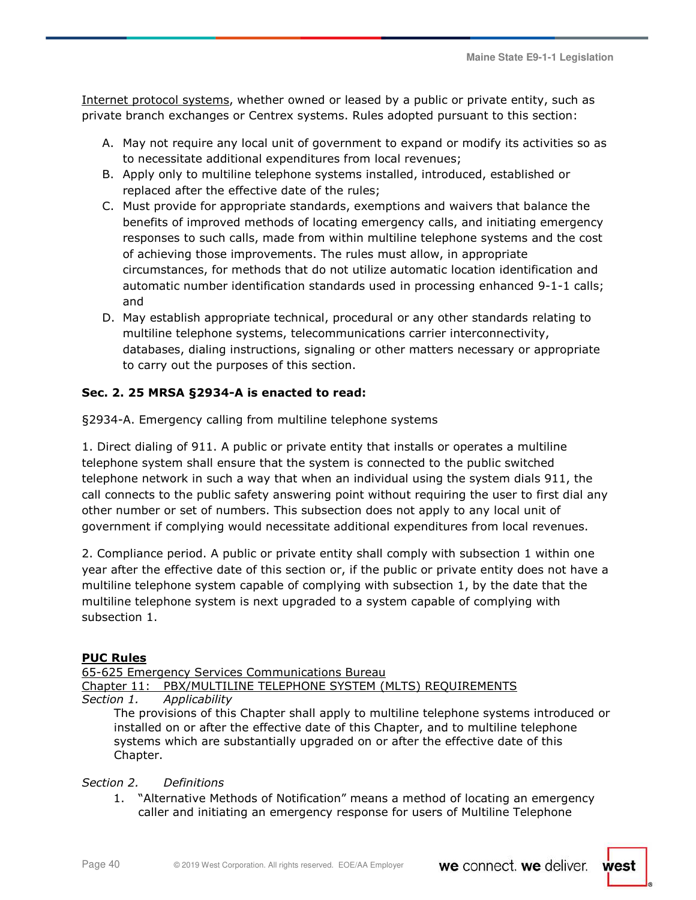Internet protocol systems, whether owned or leased by a public or private entity, such as private branch exchanges or Centrex systems. Rules adopted pursuant to this section:

- A. May not require any local unit of government to expand or modify its activities so as to necessitate additional expenditures from local revenues;
- B. Apply only to multiline telephone systems installed, introduced, established or replaced after the effective date of the rules;
- C. Must provide for appropriate standards, exemptions and waivers that balance the benefits of improved methods of locating emergency calls, and initiating emergency responses to such calls, made from within multiline telephone systems and the cost of achieving those improvements. The rules must allow, in appropriate circumstances, for methods that do not utilize automatic location identification and automatic number identification standards used in processing enhanced 9-1-1 calls; and
- D. May establish appropriate technical, procedural or any other standards relating to multiline telephone systems, telecommunications carrier interconnectivity, databases, dialing instructions, signaling or other matters necessary or appropriate to carry out the purposes of this section.

# **Sec. 2. 25 MRSA §2934-A is enacted to read:**

§2934-A. Emergency calling from multiline telephone systems

1. Direct dialing of 911. A public or private entity that installs or operates a multiline telephone system shall ensure that the system is connected to the public switched telephone network in such a way that when an individual using the system dials 911, the call connects to the public safety answering point without requiring the user to first dial any other number or set of numbers. This subsection does not apply to any local unit of government if complying would necessitate additional expenditures from local revenues.

2. Compliance period. A public or private entity shall comply with subsection 1 within one year after the effective date of this section or, if the public or private entity does not have a multiline telephone system capable of complying with subsection 1, by the date that the multiline telephone system is next upgraded to a system capable of complying with subsection 1.

# **PUC Rules**

| 65-625 Emergency Services Communications Bureau                                                                                                                                                                                                                                |                                                                |  |
|--------------------------------------------------------------------------------------------------------------------------------------------------------------------------------------------------------------------------------------------------------------------------------|----------------------------------------------------------------|--|
|                                                                                                                                                                                                                                                                                | Chapter 11: PBX/MULTILINE TELEPHONE SYSTEM (MLTS) REQUIREMENTS |  |
| Section 1.                                                                                                                                                                                                                                                                     | Applicability                                                  |  |
| The provisions of this Chapter shall apply to multiline telephone systems introduced or<br>installed on or after the effective date of this Chapter, and to multiline telephone<br>systems which are substantially upgraded on or after the effective date of this<br>Chapter. |                                                                |  |
| Section 2. Definitions                                                                                                                                                                                                                                                         |                                                                |  |

1. "Alternative Methods of Notification" means a method of locating an emergency caller and initiating an emergency response for users of Multiline Telephone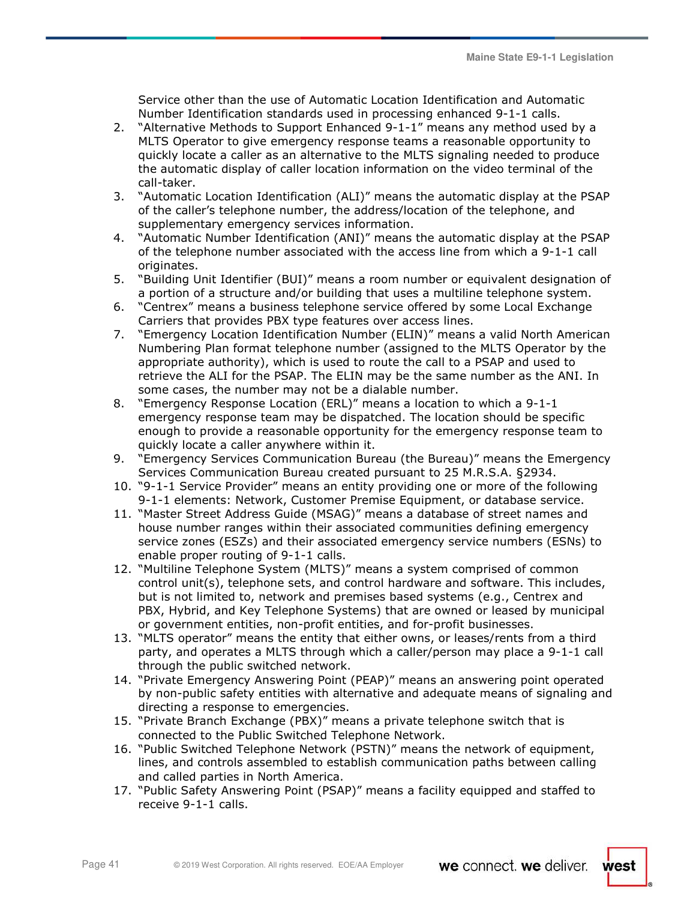Service other than the use of Automatic Location Identification and Automatic Number Identification standards used in processing enhanced 9-1-1 calls.

- 2. "Alternative Methods to Support Enhanced 9-1-1" means any method used by a MLTS Operator to give emergency response teams a reasonable opportunity to quickly locate a caller as an alternative to the MLTS signaling needed to produce the automatic display of caller location information on the video terminal of the call-taker.
- 3. "Automatic Location Identification (ALI)" means the automatic display at the PSAP of the caller's telephone number, the address/location of the telephone, and supplementary emergency services information.
- 4. "Automatic Number Identification (ANI)" means the automatic display at the PSAP of the telephone number associated with the access line from which a 9-1-1 call originates.
- 5. "Building Unit Identifier (BUI)" means a room number or equivalent designation of a portion of a structure and/or building that uses a multiline telephone system.
- 6. "Centrex" means a business telephone service offered by some Local Exchange Carriers that provides PBX type features over access lines.
- 7. "Emergency Location Identification Number (ELIN)" means a valid North American Numbering Plan format telephone number (assigned to the MLTS Operator by the appropriate authority), which is used to route the call to a PSAP and used to retrieve the ALI for the PSAP. The ELIN may be the same number as the ANI. In some cases, the number may not be a dialable number.
- 8. "Emergency Response Location (ERL)" means a location to which a 9-1-1 emergency response team may be dispatched. The location should be specific enough to provide a reasonable opportunity for the emergency response team to quickly locate a caller anywhere within it.
- 9. "Emergency Services Communication Bureau (the Bureau)" means the Emergency Services Communication Bureau created pursuant to 25 M.R.S.A. §2934.
- 10. "9-1-1 Service Provider" means an entity providing one or more of the following 9-1-1 elements: Network, Customer Premise Equipment, or database service.
- 11. "Master Street Address Guide (MSAG)" means a database of street names and house number ranges within their associated communities defining emergency service zones (ESZs) and their associated emergency service numbers (ESNs) to enable proper routing of 9-1-1 calls.
- 12. "Multiline Telephone System (MLTS)" means a system comprised of common control unit(s), telephone sets, and control hardware and software. This includes, but is not limited to, network and premises based systems (e.g., Centrex and PBX, Hybrid, and Key Telephone Systems) that are owned or leased by municipal or government entities, non-profit entities, and for-profit businesses.
- 13. "MLTS operator" means the entity that either owns, or leases/rents from a third party, and operates a MLTS through which a caller/person may place a 9-1-1 call through the public switched network.
- 14. "Private Emergency Answering Point (PEAP)" means an answering point operated by non-public safety entities with alternative and adequate means of signaling and directing a response to emergencies.
- 15. "Private Branch Exchange (PBX)" means a private telephone switch that is connected to the Public Switched Telephone Network.
- 16. "Public Switched Telephone Network (PSTN)" means the network of equipment, lines, and controls assembled to establish communication paths between calling and called parties in North America.
- 17. "Public Safety Answering Point (PSAP)" means a facility equipped and staffed to receive 9-1-1 calls.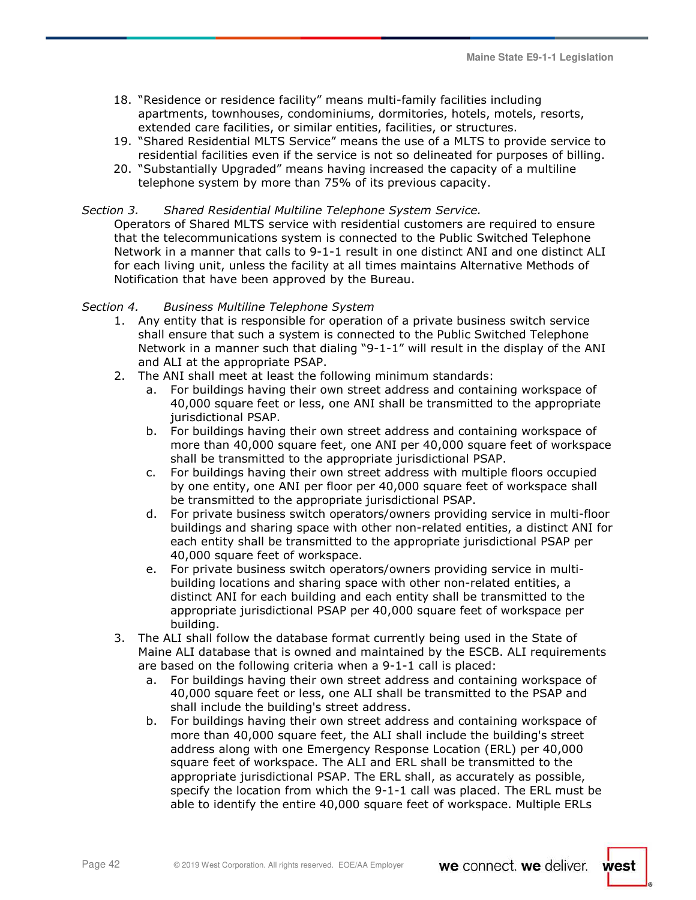- 18. "Residence or residence facility" means multi-family facilities including apartments, townhouses, condominiums, dormitories, hotels, motels, resorts, extended care facilities, or similar entities, facilities, or structures.
- 19. "Shared Residential MLTS Service" means the use of a MLTS to provide service to residential facilities even if the service is not so delineated for purposes of billing.
- 20. "Substantially Upgraded" means having increased the capacity of a multiline telephone system by more than 75% of its previous capacity.

# *Section 3. Shared Residential Multiline Telephone System Service.*

Operators of Shared MLTS service with residential customers are required to ensure that the telecommunications system is connected to the Public Switched Telephone Network in a manner that calls to 9-1-1 result in one distinct ANI and one distinct ALI for each living unit, unless the facility at all times maintains Alternative Methods of Notification that have been approved by the Bureau.

### *Section 4. Business Multiline Telephone System*

- 1. Any entity that is responsible for operation of a private business switch service shall ensure that such a system is connected to the Public Switched Telephone Network in a manner such that dialing "9-1-1" will result in the display of the ANI and ALI at the appropriate PSAP.
- 2. The ANI shall meet at least the following minimum standards:
	- a. For buildings having their own street address and containing workspace of 40,000 square feet or less, one ANI shall be transmitted to the appropriate jurisdictional PSAP.
	- b. For buildings having their own street address and containing workspace of more than 40,000 square feet, one ANI per 40,000 square feet of workspace shall be transmitted to the appropriate jurisdictional PSAP.
	- c. For buildings having their own street address with multiple floors occupied by one entity, one ANI per floor per 40,000 square feet of workspace shall be transmitted to the appropriate jurisdictional PSAP.
	- d. For private business switch operators/owners providing service in multi-floor buildings and sharing space with other non-related entities, a distinct ANI for each entity shall be transmitted to the appropriate jurisdictional PSAP per 40,000 square feet of workspace.
	- e. For private business switch operators/owners providing service in multibuilding locations and sharing space with other non-related entities, a distinct ANI for each building and each entity shall be transmitted to the appropriate jurisdictional PSAP per 40,000 square feet of workspace per building.
- 3. The ALI shall follow the database format currently being used in the State of Maine ALI database that is owned and maintained by the ESCB. ALI requirements are based on the following criteria when a 9-1-1 call is placed:
	- a. For buildings having their own street address and containing workspace of 40,000 square feet or less, one ALI shall be transmitted to the PSAP and shall include the building's street address.
	- b. For buildings having their own street address and containing workspace of more than 40,000 square feet, the ALI shall include the building's street address along with one Emergency Response Location (ERL) per 40,000 square feet of workspace. The ALI and ERL shall be transmitted to the appropriate jurisdictional PSAP. The ERL shall, as accurately as possible, specify the location from which the 9-1-1 call was placed. The ERL must be able to identify the entire 40,000 square feet of workspace. Multiple ERLs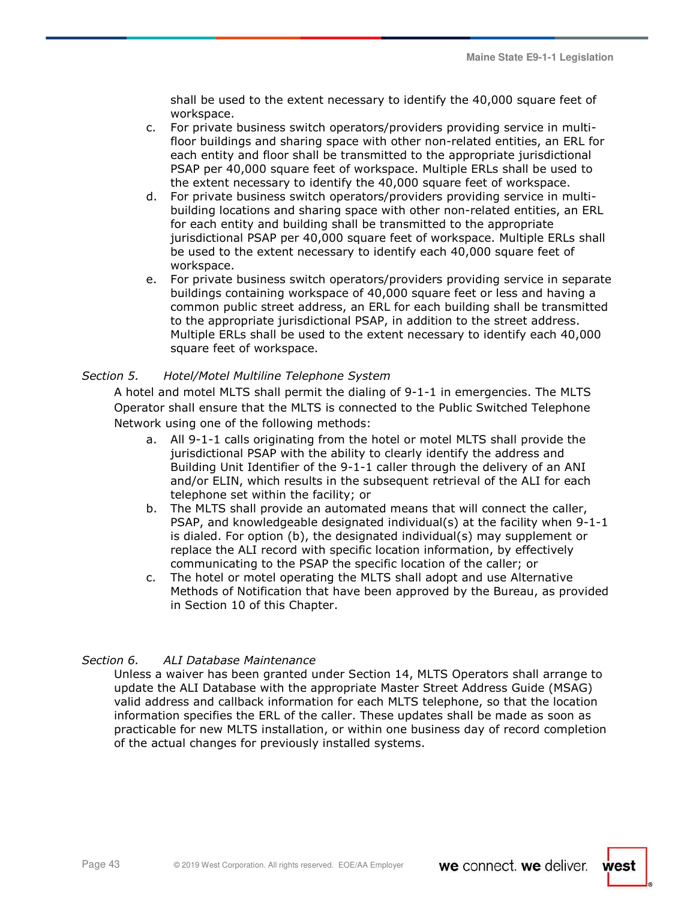shall be used to the extent necessary to identify the 40,000 square feet of workspace.

- c. For private business switch operators/providers providing service in multifloor buildings and sharing space with other non-related entities, an ERL for each entity and floor shall be transmitted to the appropriate jurisdictional PSAP per 40,000 square feet of workspace. Multiple ERLs shall be used to the extent necessary to identify the 40,000 square feet of workspace.
- d. For private business switch operators/providers providing service in multibuilding locations and sharing space with other non-related entities, an ERL for each entity and building shall be transmitted to the appropriate jurisdictional PSAP per 40,000 square feet of workspace. Multiple ERLs shall be used to the extent necessary to identify each 40,000 square feet of workspace.
- e. For private business switch operators/providers providing service in separate buildings containing workspace of 40,000 square feet or less and having a common public street address, an ERL for each building shall be transmitted to the appropriate jurisdictional PSAP, in addition to the street address. Multiple ERLs shall be used to the extent necessary to identify each 40,000 square feet of workspace.

# *Section 5. Hotel/Motel Multiline Telephone System*

A hotel and motel MLTS shall permit the dialing of 9-1-1 in emergencies. The MLTS Operator shall ensure that the MLTS is connected to the Public Switched Telephone Network using one of the following methods:

- a. All 9-1-1 calls originating from the hotel or motel MLTS shall provide the jurisdictional PSAP with the ability to clearly identify the address and Building Unit Identifier of the 9-1-1 caller through the delivery of an ANI and/or ELIN, which results in the subsequent retrieval of the ALI for each telephone set within the facility; or
- b. The MLTS shall provide an automated means that will connect the caller, PSAP, and knowledgeable designated individual(s) at the facility when 9-1-1 is dialed. For option (b), the designated individual(s) may supplement or replace the ALI record with specific location information, by effectively communicating to the PSAP the specific location of the caller; or
- c. The hotel or motel operating the MLTS shall adopt and use Alternative Methods of Notification that have been approved by the Bureau, as provided in Section 10 of this Chapter.

# *Section 6. ALI Database Maintenance*

Unless a waiver has been granted under Section 14, MLTS Operators shall arrange to update the ALI Database with the appropriate Master Street Address Guide (MSAG) valid address and callback information for each MLTS telephone, so that the location information specifies the ERL of the caller. These updates shall be made as soon as practicable for new MLTS installation, or within one business day of record completion of the actual changes for previously installed systems.

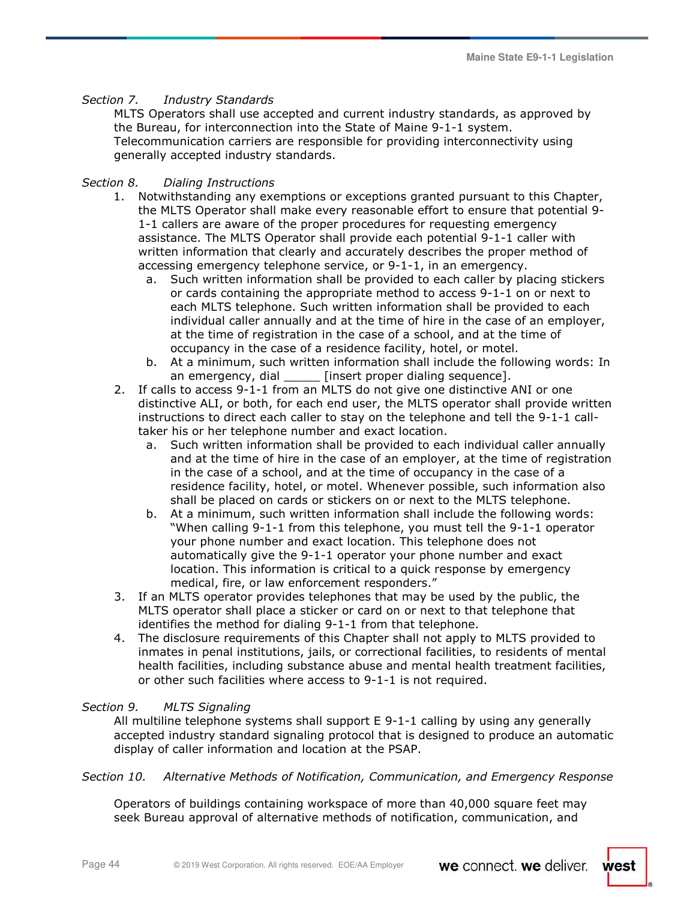# *Section 7. Industry Standards*

MLTS Operators shall use accepted and current industry standards, as approved by the Bureau, for interconnection into the State of Maine 9-1-1 system. Telecommunication carriers are responsible for providing interconnectivity using generally accepted industry standards.

# *Section 8. Dialing Instructions*

- 1. Notwithstanding any exemptions or exceptions granted pursuant to this Chapter, the MLTS Operator shall make every reasonable effort to ensure that potential 9- 1-1 callers are aware of the proper procedures for requesting emergency assistance. The MLTS Operator shall provide each potential 9-1-1 caller with written information that clearly and accurately describes the proper method of accessing emergency telephone service, or 9-1-1, in an emergency.
	- a. Such written information shall be provided to each caller by placing stickers or cards containing the appropriate method to access 9-1-1 on or next to each MLTS telephone. Such written information shall be provided to each individual caller annually and at the time of hire in the case of an employer, at the time of registration in the case of a school, and at the time of occupancy in the case of a residence facility, hotel, or motel.
	- b. At a minimum, such written information shall include the following words: In an emergency, dial [insert proper dialing sequence].
- 2. If calls to access 9-1-1 from an MLTS do not give one distinctive ANI or one distinctive ALI, or both, for each end user, the MLTS operator shall provide written instructions to direct each caller to stay on the telephone and tell the 9-1-1 calltaker his or her telephone number and exact location.
	- a. Such written information shall be provided to each individual caller annually and at the time of hire in the case of an employer, at the time of registration in the case of a school, and at the time of occupancy in the case of a residence facility, hotel, or motel. Whenever possible, such information also shall be placed on cards or stickers on or next to the MLTS telephone.
	- b. At a minimum, such written information shall include the following words: "When calling 9-1-1 from this telephone, you must tell the 9-1-1 operator your phone number and exact location. This telephone does not automatically give the 9-1-1 operator your phone number and exact location. This information is critical to a quick response by emergency medical, fire, or law enforcement responders."
- 3. If an MLTS operator provides telephones that may be used by the public, the MLTS operator shall place a sticker or card on or next to that telephone that identifies the method for dialing 9-1-1 from that telephone.
- 4. The disclosure requirements of this Chapter shall not apply to MLTS provided to inmates in penal institutions, jails, or correctional facilities, to residents of mental health facilities, including substance abuse and mental health treatment facilities, or other such facilities where access to 9-1-1 is not required.

# *Section 9. MLTS Signaling*

All multiline telephone systems shall support E 9-1-1 calling by using any generally accepted industry standard signaling protocol that is designed to produce an automatic display of caller information and location at the PSAP.

# *Section 10. Alternative Methods of Notification, Communication, and Emergency Response*

Operators of buildings containing workspace of more than 40,000 square feet may seek Bureau approval of alternative methods of notification, communication, and

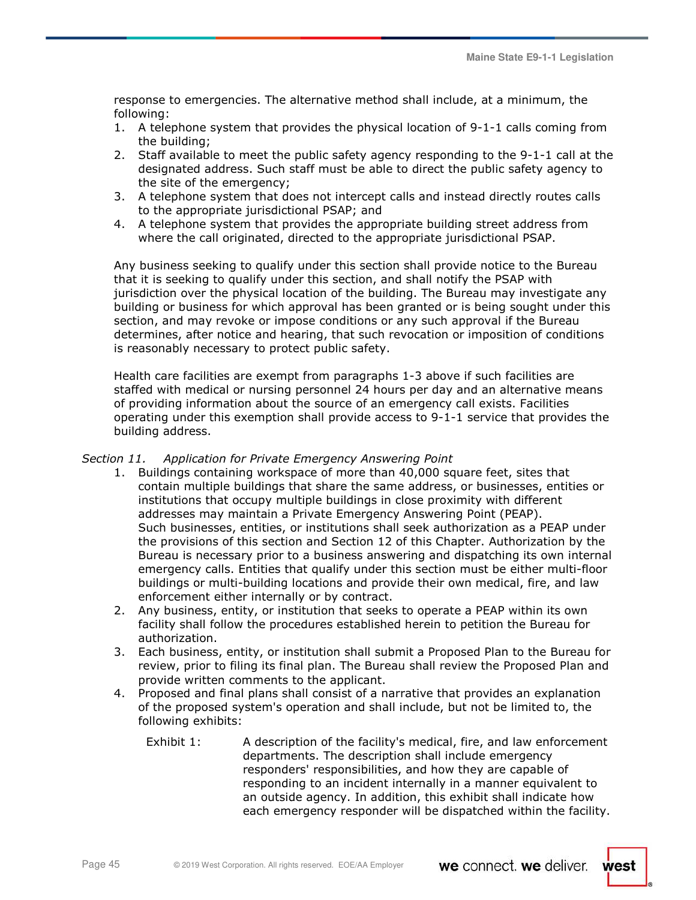response to emergencies. The alternative method shall include, at a minimum, the following:

- 1. A telephone system that provides the physical location of 9-1-1 calls coming from the building;
- 2. Staff available to meet the public safety agency responding to the 9-1-1 call at the designated address. Such staff must be able to direct the public safety agency to the site of the emergency;
- 3. A telephone system that does not intercept calls and instead directly routes calls to the appropriate jurisdictional PSAP; and
- 4. A telephone system that provides the appropriate building street address from where the call originated, directed to the appropriate jurisdictional PSAP.

Any business seeking to qualify under this section shall provide notice to the Bureau that it is seeking to qualify under this section, and shall notify the PSAP with jurisdiction over the physical location of the building. The Bureau may investigate any building or business for which approval has been granted or is being sought under this section, and may revoke or impose conditions or any such approval if the Bureau determines, after notice and hearing, that such revocation or imposition of conditions is reasonably necessary to protect public safety.

Health care facilities are exempt from paragraphs 1-3 above if such facilities are staffed with medical or nursing personnel 24 hours per day and an alternative means of providing information about the source of an emergency call exists. Facilities operating under this exemption shall provide access to 9-1-1 service that provides the building address.

# *Section 11. Application for Private Emergency Answering Point*

- 1. Buildings containing workspace of more than 40,000 square feet, sites that contain multiple buildings that share the same address, or businesses, entities or institutions that occupy multiple buildings in close proximity with different addresses may maintain a Private Emergency Answering Point (PEAP). Such businesses, entities, or institutions shall seek authorization as a PEAP under the provisions of this section and Section 12 of this Chapter. Authorization by the Bureau is necessary prior to a business answering and dispatching its own internal emergency calls. Entities that qualify under this section must be either multi-floor buildings or multi-building locations and provide their own medical, fire, and law enforcement either internally or by contract.
- 2. Any business, entity, or institution that seeks to operate a PEAP within its own facility shall follow the procedures established herein to petition the Bureau for authorization.
- 3. Each business, entity, or institution shall submit a Proposed Plan to the Bureau for review, prior to filing its final plan. The Bureau shall review the Proposed Plan and provide written comments to the applicant.
- 4. Proposed and final plans shall consist of a narrative that provides an explanation of the proposed system's operation and shall include, but not be limited to, the following exhibits:
	- Exhibit 1: A description of the facility's medical, fire, and law enforcement departments. The description shall include emergency responders' responsibilities, and how they are capable of responding to an incident internally in a manner equivalent to an outside agency. In addition, this exhibit shall indicate how each emergency responder will be dispatched within the facility.

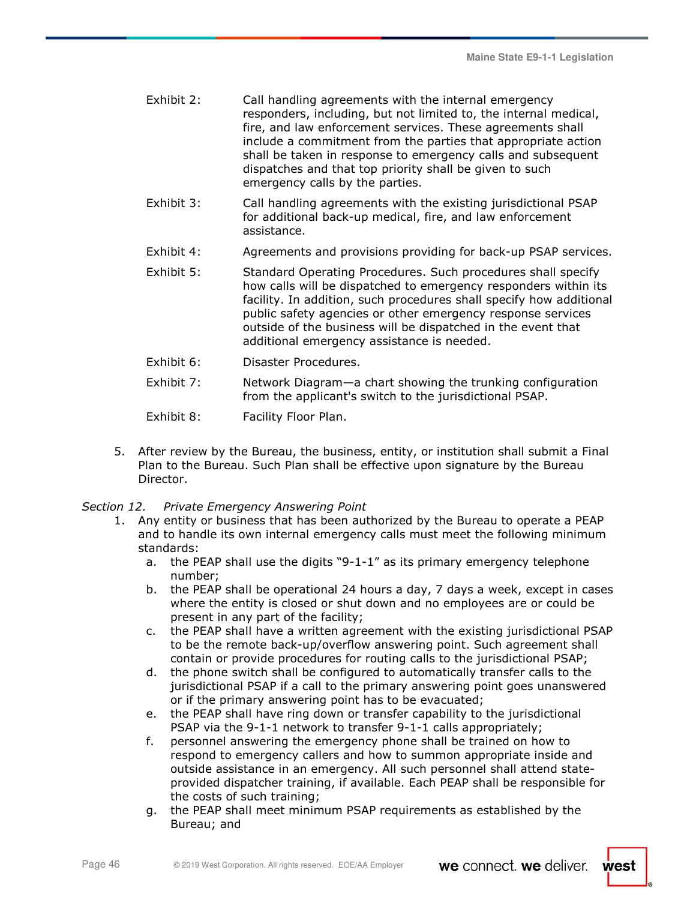| Exhibit 2: | Call handling agreements with the internal emergency             |
|------------|------------------------------------------------------------------|
|            | responders, including, but not limited to, the internal medical, |
|            | fire, and law enforcement services. These agreements shall       |
|            | include a commitment from the parties that appropriate action    |
|            | shall be taken in response to emergency calls and subsequent     |
|            | dispatches and that top priority shall be given to such          |
|            | emergency calls by the parties.                                  |

- Exhibit 3: Call handling agreements with the existing jurisdictional PSAP for additional back-up medical, fire, and law enforcement assistance.
- Exhibit 4: Agreements and provisions providing for back-up PSAP services.
- Exhibit 5: Standard Operating Procedures. Such procedures shall specify how calls will be dispatched to emergency responders within its facility. In addition, such procedures shall specify how additional public safety agencies or other emergency response services outside of the business will be dispatched in the event that additional emergency assistance is needed.
- Exhibit 6: Disaster Procedures.
- Exhibit 7: Network Diagram—a chart showing the trunking configuration from the applicant's switch to the jurisdictional PSAP.
- Exhibit 8: Facility Floor Plan.
- 5. After review by the Bureau, the business, entity, or institution shall submit a Final Plan to the Bureau. Such Plan shall be effective upon signature by the Bureau Director.
- *Section 12. Private Emergency Answering Point* 
	- 1. Any entity or business that has been authorized by the Bureau to operate a PEAP and to handle its own internal emergency calls must meet the following minimum standards:
		- a. the PEAP shall use the digits "9-1-1" as its primary emergency telephone number;
		- b. the PEAP shall be operational 24 hours a day, 7 days a week, except in cases where the entity is closed or shut down and no employees are or could be present in any part of the facility;
		- c. the PEAP shall have a written agreement with the existing jurisdictional PSAP to be the remote back-up/overflow answering point. Such agreement shall contain or provide procedures for routing calls to the jurisdictional PSAP;
		- d. the phone switch shall be configured to automatically transfer calls to the jurisdictional PSAP if a call to the primary answering point goes unanswered or if the primary answering point has to be evacuated;
		- e. the PEAP shall have ring down or transfer capability to the jurisdictional PSAP via the 9-1-1 network to transfer 9-1-1 calls appropriately;
		- f. personnel answering the emergency phone shall be trained on how to respond to emergency callers and how to summon appropriate inside and outside assistance in an emergency. All such personnel shall attend stateprovided dispatcher training, if available. Each PEAP shall be responsible for the costs of such training;
		- g. the PEAP shall meet minimum PSAP requirements as established by the Bureau; and

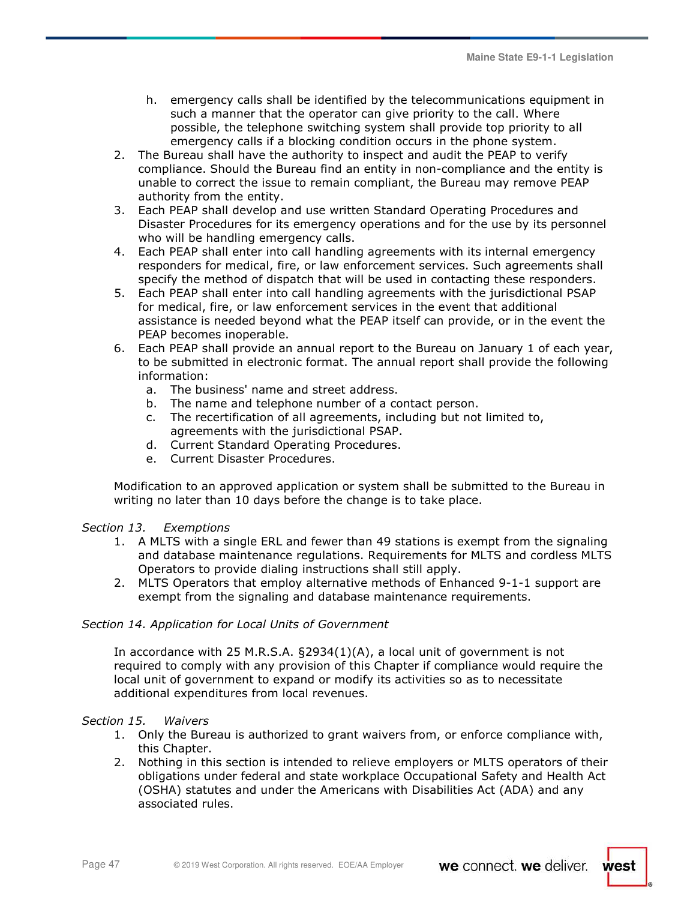- h. emergency calls shall be identified by the telecommunications equipment in such a manner that the operator can give priority to the call. Where possible, the telephone switching system shall provide top priority to all emergency calls if a blocking condition occurs in the phone system.
- 2. The Bureau shall have the authority to inspect and audit the PEAP to verify compliance. Should the Bureau find an entity in non-compliance and the entity is unable to correct the issue to remain compliant, the Bureau may remove PEAP authority from the entity.
- 3. Each PEAP shall develop and use written Standard Operating Procedures and Disaster Procedures for its emergency operations and for the use by its personnel who will be handling emergency calls.
- 4. Each PEAP shall enter into call handling agreements with its internal emergency responders for medical, fire, or law enforcement services. Such agreements shall specify the method of dispatch that will be used in contacting these responders.
- 5. Each PEAP shall enter into call handling agreements with the jurisdictional PSAP for medical, fire, or law enforcement services in the event that additional assistance is needed beyond what the PEAP itself can provide, or in the event the PEAP becomes inoperable.
- 6. Each PEAP shall provide an annual report to the Bureau on January 1 of each year, to be submitted in electronic format. The annual report shall provide the following information:
	- a. The business' name and street address.
	- b. The name and telephone number of a contact person.
	- c. The recertification of all agreements, including but not limited to, agreements with the jurisdictional PSAP.
	- d. Current Standard Operating Procedures.
	- e. Current Disaster Procedures.

Modification to an approved application or system shall be submitted to the Bureau in writing no later than 10 days before the change is to take place.

# *Section 13. Exemptions*

- 1. A MLTS with a single ERL and fewer than 49 stations is exempt from the signaling and database maintenance regulations. Requirements for MLTS and cordless MLTS Operators to provide dialing instructions shall still apply.
- 2. MLTS Operators that employ alternative methods of Enhanced 9-1-1 support are exempt from the signaling and database maintenance requirements.

# *Section 14. Application for Local Units of Government*

In accordance with 25 M.R.S.A. §2934(1)(A), a local unit of government is not required to comply with any provision of this Chapter if compliance would require the local unit of government to expand or modify its activities so as to necessitate additional expenditures from local revenues.

# *Section 15. Waivers*

- 1. Only the Bureau is authorized to grant waivers from, or enforce compliance with, this Chapter.
- 2. Nothing in this section is intended to relieve employers or MLTS operators of their obligations under federal and state workplace Occupational Safety and Health Act (OSHA) statutes and under the Americans with Disabilities Act (ADA) and any associated rules.

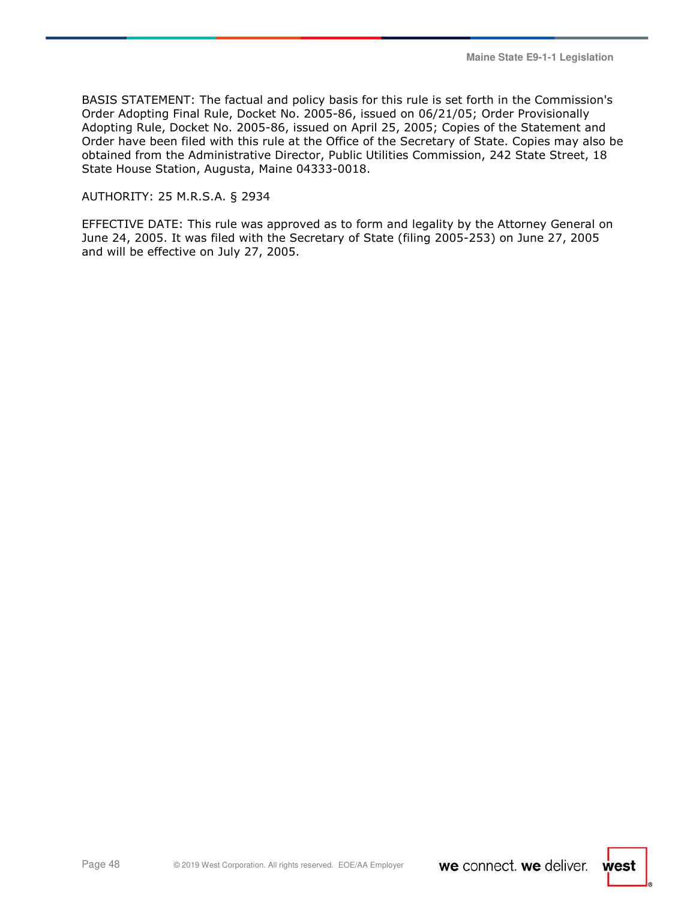BASIS STATEMENT: The factual and policy basis for this rule is set forth in the Commission's Order Adopting Final Rule, Docket No. 2005-86, issued on 06/21/05; Order Provisionally Adopting Rule, Docket No. 2005-86, issued on April 25, 2005; Copies of the Statement and Order have been filed with this rule at the Office of the Secretary of State. Copies may also be obtained from the Administrative Director, Public Utilities Commission, 242 State Street, 18 State House Station, Augusta, Maine 04333-0018.

### AUTHORITY: 25 M.R.S.A. § 2934

EFFECTIVE DATE: This rule was approved as to form and legality by the Attorney General on June 24, 2005. It was filed with the Secretary of State (filing 2005-253) on June 27, 2005 and will be effective on July 27, 2005.

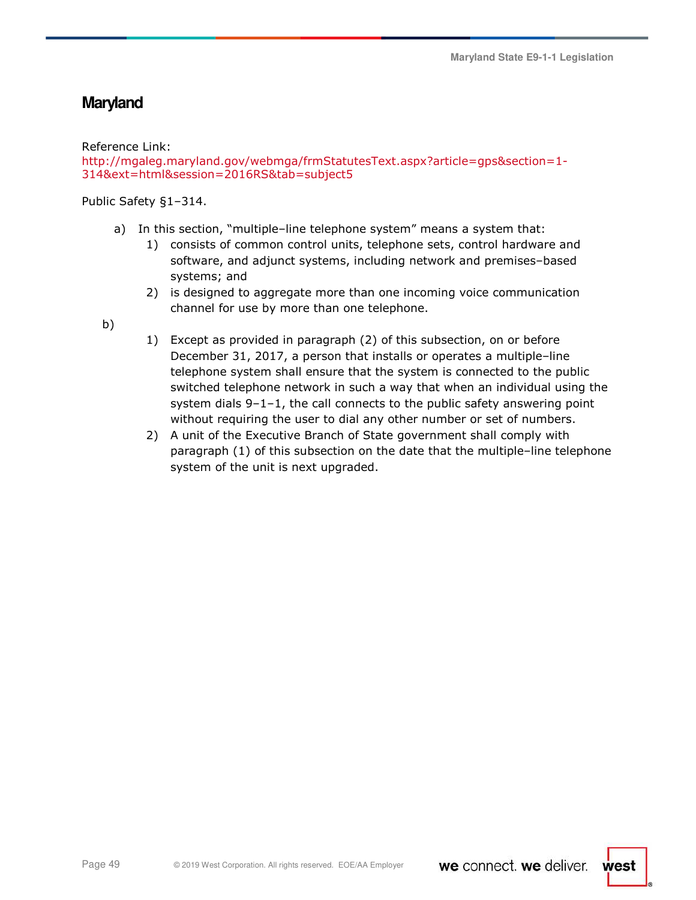# **Maryland**

Reference Link:

```
http://mgaleg.maryland.gov/webmga/frmStatutesText.aspx?article=gps&section=1-
314&ext=html&session=2016RS&tab=subject5
```
Public Safety §1–314.

- a) In this section, "multiple–line telephone system" means a system that:
	- 1) consists of common control units, telephone sets, control hardware and software, and adjunct systems, including network and premises–based systems; and
	- 2) is designed to aggregate more than one incoming voice communication channel for use by more than one telephone.

b)

- 1) Except as provided in paragraph (2) of this subsection, on or before December 31, 2017, a person that installs or operates a multiple–line telephone system shall ensure that the system is connected to the public switched telephone network in such a way that when an individual using the system dials 9–1–1, the call connects to the public safety answering point without requiring the user to dial any other number or set of numbers.
- 2) A unit of the Executive Branch of State government shall comply with paragraph (1) of this subsection on the date that the multiple–line telephone system of the unit is next upgraded.

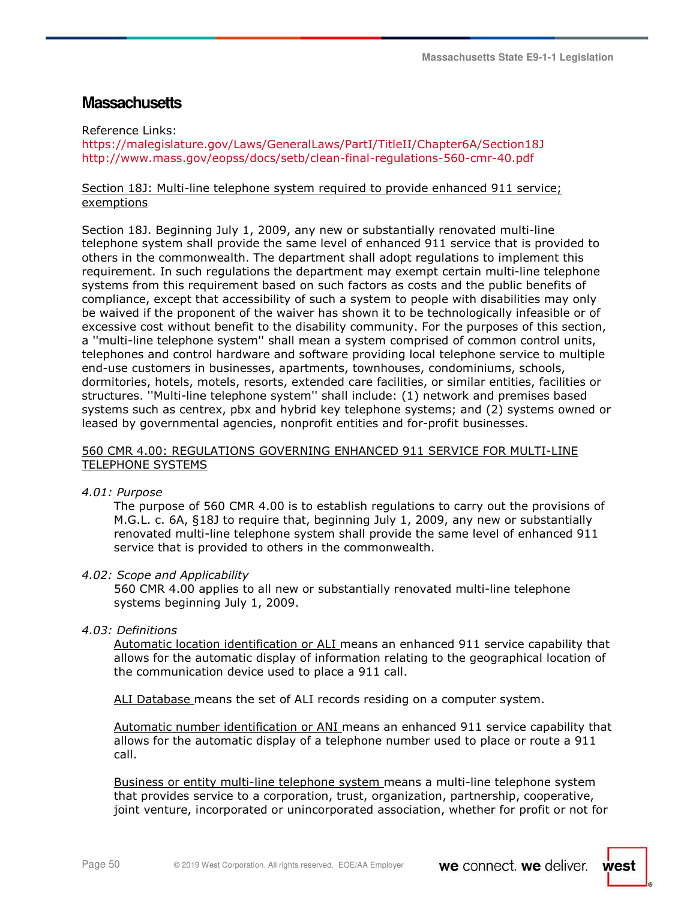# **Massachusetts**

Reference Links:

https://malegislature.gov/Laws/GeneralLaws/PartI/TitleII/Chapter6A/Section18J http://www.mass.gov/eopss/docs/setb/clean-final-regulations-560-cmr-40.pdf

### Section 18J: Multi-line telephone system required to provide enhanced 911 service; exemptions

Section 18J. Beginning July 1, 2009, any new or substantially renovated multi-line telephone system shall provide the same level of enhanced 911 service that is provided to others in the commonwealth. The department shall adopt regulations to implement this requirement. In such regulations the department may exempt certain multi-line telephone systems from this requirement based on such factors as costs and the public benefits of compliance, except that accessibility of such a system to people with disabilities may only be waived if the proponent of the waiver has shown it to be technologically infeasible or of excessive cost without benefit to the disability community. For the purposes of this section, a ''multi-line telephone system'' shall mean a system comprised of common control units, telephones and control hardware and software providing local telephone service to multiple end-use customers in businesses, apartments, townhouses, condominiums, schools, dormitories, hotels, motels, resorts, extended care facilities, or similar entities, facilities or structures. ''Multi-line telephone system'' shall include: (1) network and premises based systems such as centrex, pbx and hybrid key telephone systems; and (2) systems owned or leased by governmental agencies, nonprofit entities and for-profit businesses.

# 560 CMR 4.00: REGULATIONS GOVERNING ENHANCED 911 SERVICE FOR MULTI-LINE TELEPHONE SYSTEMS

*4.01: Purpose* 

The purpose of 560 CMR 4.00 is to establish regulations to carry out the provisions of M.G.L. c. 6A, §18J to require that, beginning July 1, 2009, any new or substantially renovated multi-line telephone system shall provide the same level of enhanced 911 service that is provided to others in the commonwealth.

# *4.02: Scope and Applicability*

560 CMR 4.00 applies to all new or substantially renovated multi-line telephone systems beginning July 1, 2009.

# *4.03: Definitions*

Automatic location identification or ALI means an enhanced 911 service capability that allows for the automatic display of information relating to the geographical location of the communication device used to place a 911 call.

ALI Database means the set of ALI records residing on a computer system.

Automatic number identification or ANI means an enhanced 911 service capability that allows for the automatic display of a telephone number used to place or route a 911 call.

Business or entity multi-line telephone system means a multi-line telephone system that provides service to a corporation, trust, organization, partnership, cooperative, joint venture, incorporated or unincorporated association, whether for profit or not for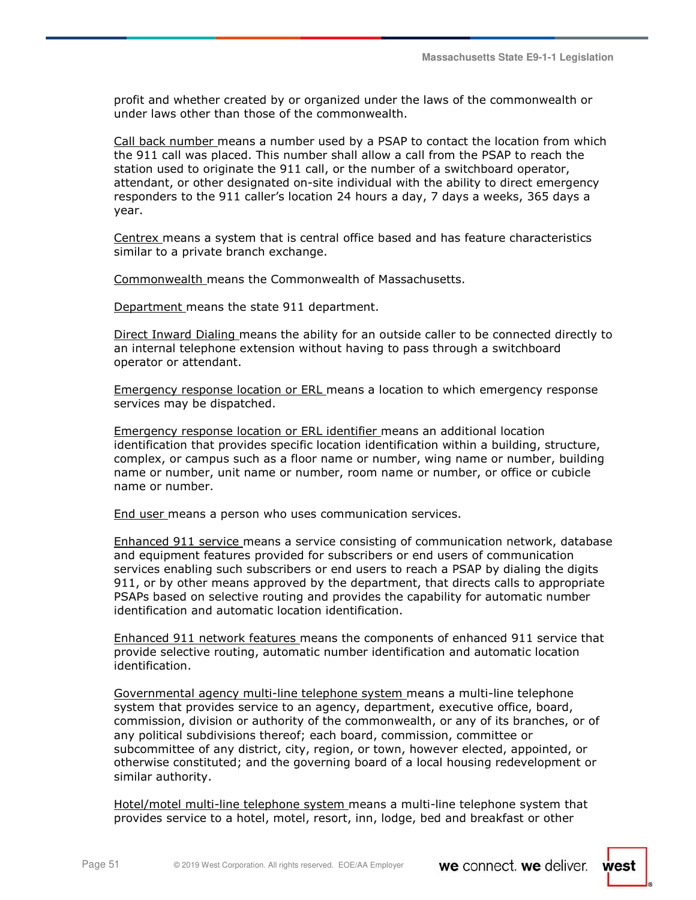profit and whether created by or organized under the laws of the commonwealth or under laws other than those of the commonwealth.

Call back number means a number used by a PSAP to contact the location from which the 911 call was placed. This number shall allow a call from the PSAP to reach the station used to originate the 911 call, or the number of a switchboard operator, attendant, or other designated on-site individual with the ability to direct emergency responders to the 911 caller's location 24 hours a day, 7 days a weeks, 365 days a year.

Centrex means a system that is central office based and has feature characteristics similar to a private branch exchange.

Commonwealth means the Commonwealth of Massachusetts.

Department means the state 911 department.

Direct Inward Dialing means the ability for an outside caller to be connected directly to an internal telephone extension without having to pass through a switchboard operator or attendant.

Emergency response location or ERL means a location to which emergency response services may be dispatched.

Emergency response location or ERL identifier means an additional location identification that provides specific location identification within a building, structure, complex, or campus such as a floor name or number, wing name or number, building name or number, unit name or number, room name or number, or office or cubicle name or number.

End user means a person who uses communication services.

Enhanced 911 service means a service consisting of communication network, database and equipment features provided for subscribers or end users of communication services enabling such subscribers or end users to reach a PSAP by dialing the digits 911, or by other means approved by the department, that directs calls to appropriate PSAPs based on selective routing and provides the capability for automatic number identification and automatic location identification.

Enhanced 911 network features means the components of enhanced 911 service that provide selective routing, automatic number identification and automatic location identification.

Governmental agency multi-line telephone system means a multi-line telephone system that provides service to an agency, department, executive office, board, commission, division or authority of the commonwealth, or any of its branches, or of any political subdivisions thereof; each board, commission, committee or subcommittee of any district, city, region, or town, however elected, appointed, or otherwise constituted; and the governing board of a local housing redevelopment or similar authority.

Hotel/motel multi-line telephone system means a multi-line telephone system that provides service to a hotel, motel, resort, inn, lodge, bed and breakfast or other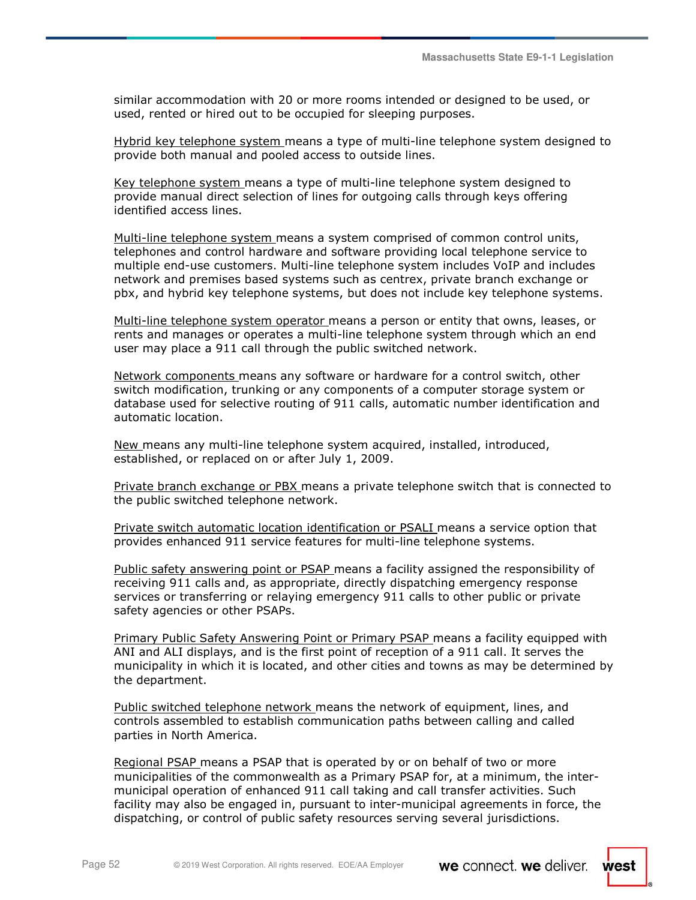west

similar accommodation with 20 or more rooms intended or designed to be used, or used, rented or hired out to be occupied for sleeping purposes.

Hybrid key telephone system means a type of multi-line telephone system designed to provide both manual and pooled access to outside lines.

Key telephone system means a type of multi-line telephone system designed to provide manual direct selection of lines for outgoing calls through keys offering identified access lines.

Multi-line telephone system means a system comprised of common control units, telephones and control hardware and software providing local telephone service to multiple end-use customers. Multi-line telephone system includes VoIP and includes network and premises based systems such as centrex, private branch exchange or pbx, and hybrid key telephone systems, but does not include key telephone systems.

Multi-line telephone system operator means a person or entity that owns, leases, or rents and manages or operates a multi-line telephone system through which an end user may place a 911 call through the public switched network.

Network components means any software or hardware for a control switch, other switch modification, trunking or any components of a computer storage system or database used for selective routing of 911 calls, automatic number identification and automatic location.

New means any multi-line telephone system acquired, installed, introduced, established, or replaced on or after July 1, 2009.

Private branch exchange or PBX means a private telephone switch that is connected to the public switched telephone network.

Private switch automatic location identification or PSALI means a service option that provides enhanced 911 service features for multi-line telephone systems.

Public safety answering point or PSAP means a facility assigned the responsibility of receiving 911 calls and, as appropriate, directly dispatching emergency response services or transferring or relaying emergency 911 calls to other public or private safety agencies or other PSAPs.

Primary Public Safety Answering Point or Primary PSAP means a facility equipped with ANI and ALI displays, and is the first point of reception of a 911 call. It serves the municipality in which it is located, and other cities and towns as may be determined by the department.

Public switched telephone network means the network of equipment, lines, and controls assembled to establish communication paths between calling and called parties in North America.

Regional PSAP means a PSAP that is operated by or on behalf of two or more municipalities of the commonwealth as a Primary PSAP for, at a minimum, the intermunicipal operation of enhanced 911 call taking and call transfer activities. Such facility may also be engaged in, pursuant to inter-municipal agreements in force, the dispatching, or control of public safety resources serving several jurisdictions.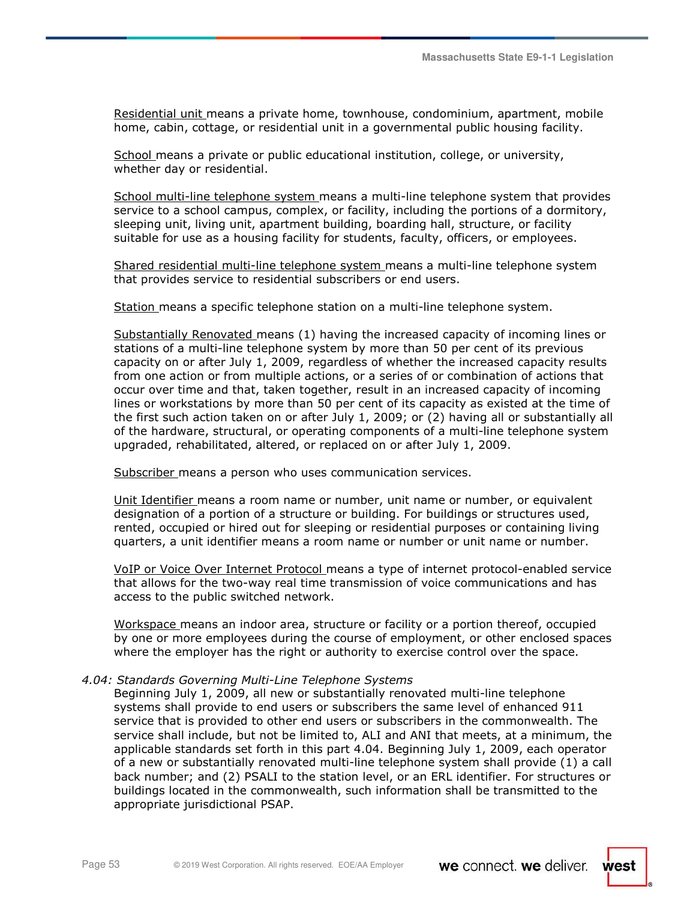Residential unit means a private home, townhouse, condominium, apartment, mobile home, cabin, cottage, or residential unit in a governmental public housing facility.

School means a private or public educational institution, college, or university, whether day or residential.

School multi-line telephone system means a multi-line telephone system that provides service to a school campus, complex, or facility, including the portions of a dormitory, sleeping unit, living unit, apartment building, boarding hall, structure, or facility suitable for use as a housing facility for students, faculty, officers, or employees.

Shared residential multi-line telephone system means a multi-line telephone system that provides service to residential subscribers or end users.

Station means a specific telephone station on a multi-line telephone system.

Substantially Renovated means (1) having the increased capacity of incoming lines or stations of a multi-line telephone system by more than 50 per cent of its previous capacity on or after July 1, 2009, regardless of whether the increased capacity results from one action or from multiple actions, or a series of or combination of actions that occur over time and that, taken together, result in an increased capacity of incoming lines or workstations by more than 50 per cent of its capacity as existed at the time of the first such action taken on or after July 1, 2009; or (2) having all or substantially all of the hardware, structural, or operating components of a multi-line telephone system upgraded, rehabilitated, altered, or replaced on or after July 1, 2009.

Subscriber means a person who uses communication services.

Unit Identifier means a room name or number, unit name or number, or equivalent designation of a portion of a structure or building. For buildings or structures used, rented, occupied or hired out for sleeping or residential purposes or containing living quarters, a unit identifier means a room name or number or unit name or number.

VoIP or Voice Over Internet Protocol means a type of internet protocol-enabled service that allows for the two-way real time transmission of voice communications and has access to the public switched network.

Workspace means an indoor area, structure or facility or a portion thereof, occupied by one or more employees during the course of employment, or other enclosed spaces where the employer has the right or authority to exercise control over the space.

#### *4.04: Standards Governing Multi-Line Telephone Systems*

Beginning July 1, 2009, all new or substantially renovated multi-line telephone systems shall provide to end users or subscribers the same level of enhanced 911 service that is provided to other end users or subscribers in the commonwealth. The service shall include, but not be limited to, ALI and ANI that meets, at a minimum, the applicable standards set forth in this part 4.04. Beginning July 1, 2009, each operator of a new or substantially renovated multi-line telephone system shall provide (1) a call back number; and (2) PSALI to the station level, or an ERL identifier. For structures or buildings located in the commonwealth, such information shall be transmitted to the appropriate jurisdictional PSAP.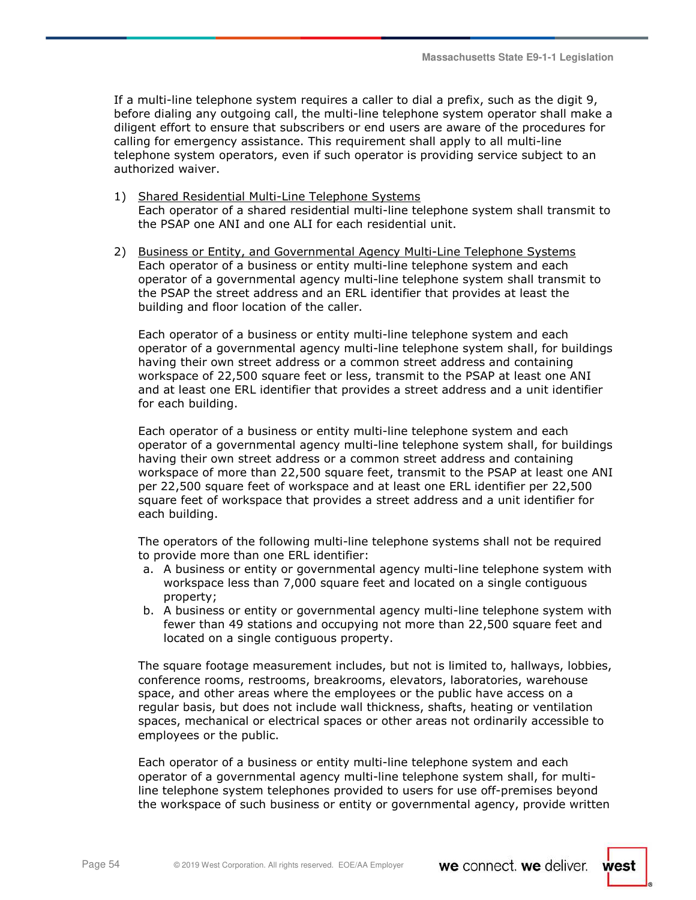If a multi-line telephone system requires a caller to dial a prefix, such as the digit 9, before dialing any outgoing call, the multi-line telephone system operator shall make a diligent effort to ensure that subscribers or end users are aware of the procedures for calling for emergency assistance. This requirement shall apply to all multi-line telephone system operators, even if such operator is providing service subject to an authorized waiver.

- 1) Shared Residential Multi-Line Telephone Systems Each operator of a shared residential multi-line telephone system shall transmit to the PSAP one ANI and one ALI for each residential unit.
- 2) Business or Entity, and Governmental Agency Multi-Line Telephone Systems Each operator of a business or entity multi-line telephone system and each operator of a governmental agency multi-line telephone system shall transmit to the PSAP the street address and an ERL identifier that provides at least the building and floor location of the caller.

Each operator of a business or entity multi-line telephone system and each operator of a governmental agency multi-line telephone system shall, for buildings having their own street address or a common street address and containing workspace of 22,500 square feet or less, transmit to the PSAP at least one ANI and at least one ERL identifier that provides a street address and a unit identifier for each building.

Each operator of a business or entity multi-line telephone system and each operator of a governmental agency multi-line telephone system shall, for buildings having their own street address or a common street address and containing workspace of more than 22,500 square feet, transmit to the PSAP at least one ANI per 22,500 square feet of workspace and at least one ERL identifier per 22,500 square feet of workspace that provides a street address and a unit identifier for each building.

The operators of the following multi-line telephone systems shall not be required to provide more than one ERL identifier:

- a. A business or entity or governmental agency multi-line telephone system with workspace less than 7,000 square feet and located on a single contiguous property;
- b. A business or entity or governmental agency multi-line telephone system with fewer than 49 stations and occupying not more than 22,500 square feet and located on a single contiguous property.

The square footage measurement includes, but not is limited to, hallways, lobbies, conference rooms, restrooms, breakrooms, elevators, laboratories, warehouse space, and other areas where the employees or the public have access on a regular basis, but does not include wall thickness, shafts, heating or ventilation spaces, mechanical or electrical spaces or other areas not ordinarily accessible to employees or the public.

Each operator of a business or entity multi-line telephone system and each operator of a governmental agency multi-line telephone system shall, for multiline telephone system telephones provided to users for use off-premises beyond the workspace of such business or entity or governmental agency, provide written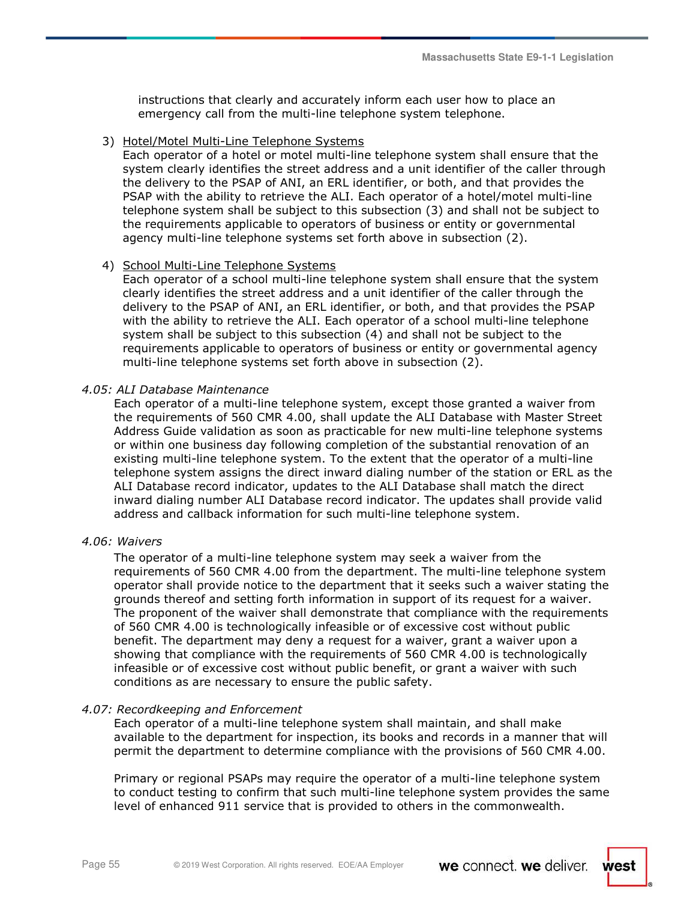instructions that clearly and accurately inform each user how to place an emergency call from the multi-line telephone system telephone.

#### 3) Hotel/Motel Multi-Line Telephone Systems

Each operator of a hotel or motel multi-line telephone system shall ensure that the system clearly identifies the street address and a unit identifier of the caller through the delivery to the PSAP of ANI, an ERL identifier, or both, and that provides the PSAP with the ability to retrieve the ALI. Each operator of a hotel/motel multi-line telephone system shall be subject to this subsection (3) and shall not be subject to the requirements applicable to operators of business or entity or governmental agency multi-line telephone systems set forth above in subsection (2).

#### 4) School Multi-Line Telephone Systems

Each operator of a school multi-line telephone system shall ensure that the system clearly identifies the street address and a unit identifier of the caller through the delivery to the PSAP of ANI, an ERL identifier, or both, and that provides the PSAP with the ability to retrieve the ALI. Each operator of a school multi-line telephone system shall be subject to this subsection (4) and shall not be subject to the requirements applicable to operators of business or entity or governmental agency multi-line telephone systems set forth above in subsection (2).

#### *4.05: ALI Database Maintenance*

Each operator of a multi-line telephone system, except those granted a waiver from the requirements of 560 CMR 4.00, shall update the ALI Database with Master Street Address Guide validation as soon as practicable for new multi-line telephone systems or within one business day following completion of the substantial renovation of an existing multi-line telephone system. To the extent that the operator of a multi-line telephone system assigns the direct inward dialing number of the station or ERL as the ALI Database record indicator, updates to the ALI Database shall match the direct inward dialing number ALI Database record indicator. The updates shall provide valid address and callback information for such multi-line telephone system.

#### *4.06: Waivers*

The operator of a multi-line telephone system may seek a waiver from the requirements of 560 CMR 4.00 from the department. The multi-line telephone system operator shall provide notice to the department that it seeks such a waiver stating the grounds thereof and setting forth information in support of its request for a waiver. The proponent of the waiver shall demonstrate that compliance with the requirements of 560 CMR 4.00 is technologically infeasible or of excessive cost without public benefit. The department may deny a request for a waiver, grant a waiver upon a showing that compliance with the requirements of 560 CMR 4.00 is technologically infeasible or of excessive cost without public benefit, or grant a waiver with such conditions as are necessary to ensure the public safety.

#### *4.07: Recordkeeping and Enforcement*

Each operator of a multi-line telephone system shall maintain, and shall make available to the department for inspection, its books and records in a manner that will permit the department to determine compliance with the provisions of 560 CMR 4.00.

Primary or regional PSAPs may require the operator of a multi-line telephone system to conduct testing to confirm that such multi-line telephone system provides the same level of enhanced 911 service that is provided to others in the commonwealth.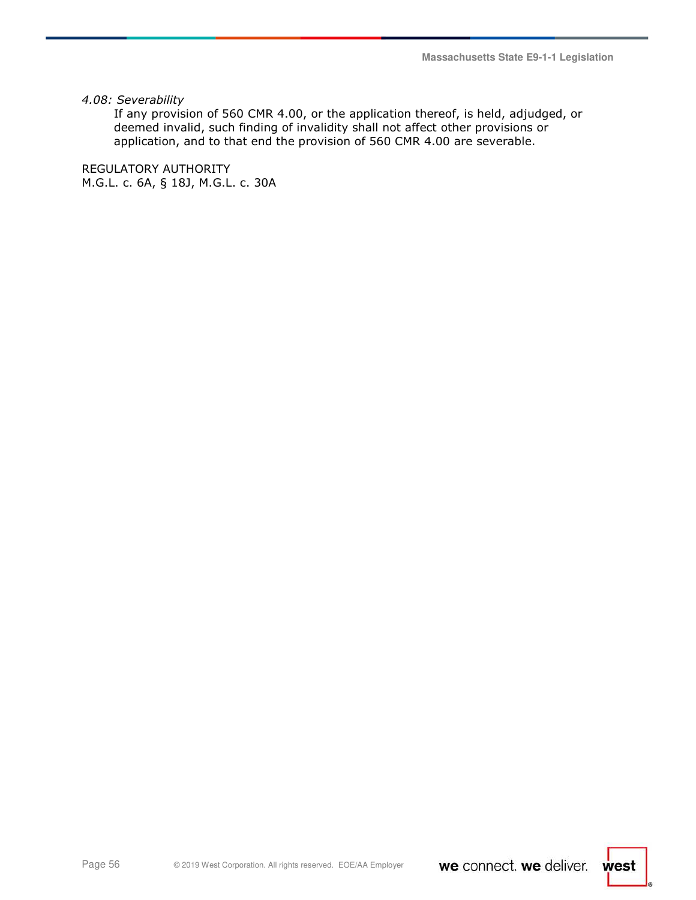**Massachusetts State E9-1-1 Legislation** 

*4.08: Severability* 

If any provision of 560 CMR 4.00, or the application thereof, is held, adjudged, or deemed invalid, such finding of invalidity shall not affect other provisions or application, and to that end the provision of 560 CMR 4.00 are severable.

REGULATORY AUTHORITY M.G.L. c. 6A, § 18J, M.G.L. c. 30A

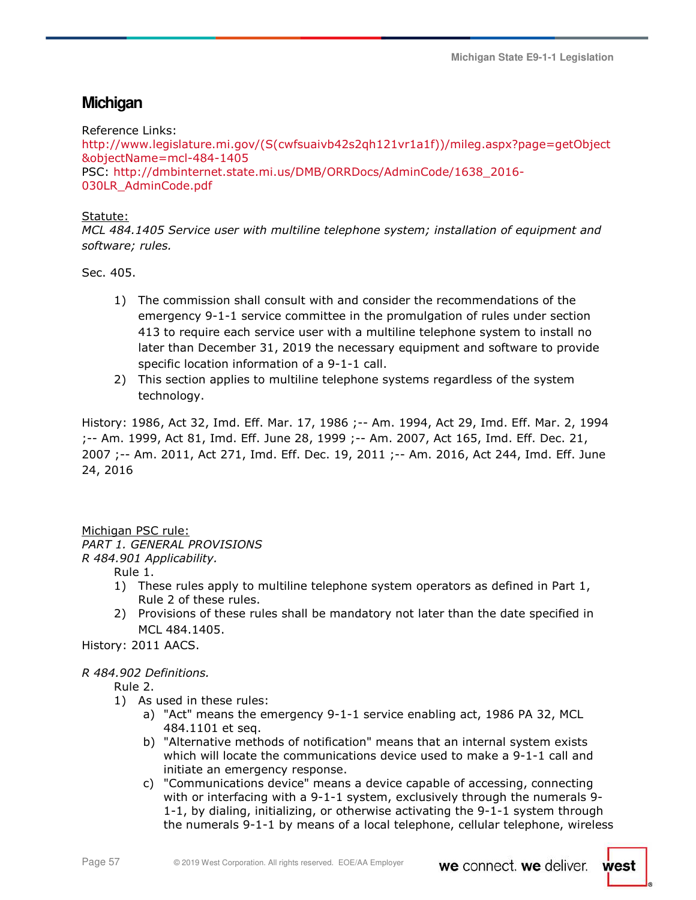# **Michigan**

Reference Links: http://www.legislature.mi.gov/(S(cwfsuaivb42s2qh121vr1a1f))/mileg.aspx?page=getObject &objectName=mcl-484-1405 PSC: http://dmbinternet.state.mi.us/DMB/ORRDocs/AdminCode/1638\_2016- 030LR\_AdminCode.pdf

# Statute:

*MCL 484.1405 Service user with multiline telephone system; installation of equipment and software; rules.* 

Sec. 405.

- 1) The commission shall consult with and consider the recommendations of the emergency 9-1-1 service committee in the promulgation of rules under section 413 to require each service user with a multiline telephone system to install no later than December 31, 2019 the necessary equipment and software to provide specific location information of a 9-1-1 call.
- 2) This section applies to multiline telephone systems regardless of the system technology.

History: 1986, Act 32, Imd. Eff. Mar. 17, 1986 ;-- Am. 1994, Act 29, Imd. Eff. Mar. 2, 1994 ;-- Am. 1999, Act 81, Imd. Eff. June 28, 1999 ;-- Am. 2007, Act 165, Imd. Eff. Dec. 21, 2007 ;-- Am. 2011, Act 271, Imd. Eff. Dec. 19, 2011 ;-- Am. 2016, Act 244, Imd. Eff. June 24, 2016

Michigan PSC rule: *PART 1. GENERAL PROVISIONS R 484.901 Applicability.* 

Rule 1.

- 1) These rules apply to multiline telephone system operators as defined in Part 1, Rule 2 of these rules.
- 2) Provisions of these rules shall be mandatory not later than the date specified in MCL 484.1405.

History: 2011 AACS.

# *R 484.902 Definitions.*

Rule 2.

- 1) As used in these rules:
	- a) "Act" means the emergency 9-1-1 service enabling act, 1986 PA 32, MCL 484.1101 et seq.
	- b) "Alternative methods of notification" means that an internal system exists which will locate the communications device used to make a 9-1-1 call and initiate an emergency response.
	- c) "Communications device" means a device capable of accessing, connecting with or interfacing with a 9-1-1 system, exclusively through the numerals 9- 1-1, by dialing, initializing, or otherwise activating the 9-1-1 system through the numerals 9-1-1 by means of a local telephone, cellular telephone, wireless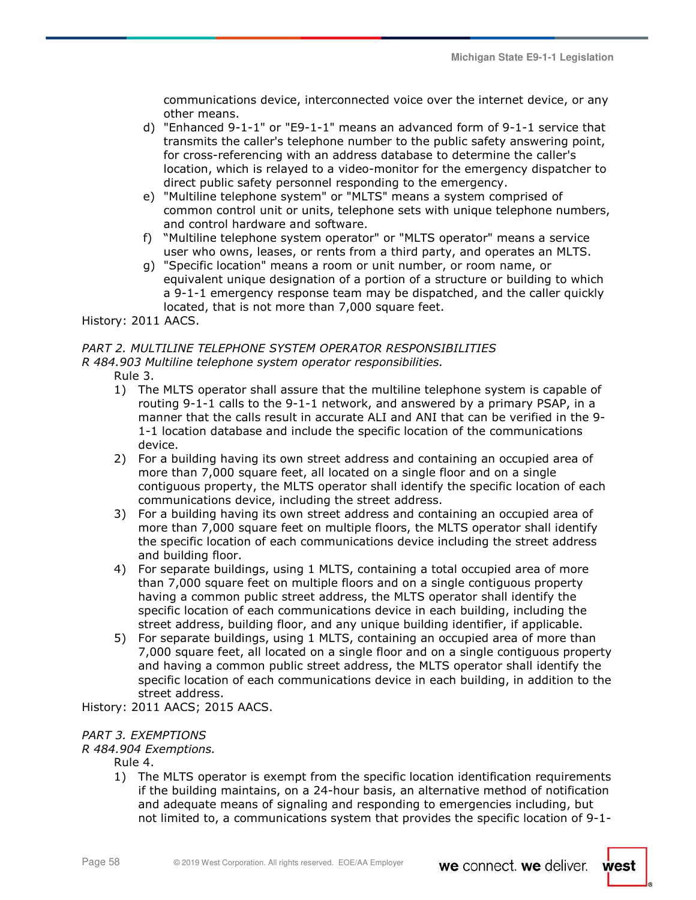communications device, interconnected voice over the internet device, or any other means.

- d) "Enhanced 9-1-1" or "E9-1-1" means an advanced form of 9-1-1 service that transmits the caller's telephone number to the public safety answering point, for cross-referencing with an address database to determine the caller's location, which is relayed to a video-monitor for the emergency dispatcher to direct public safety personnel responding to the emergency.
- e) "Multiline telephone system" or "MLTS" means a system comprised of common control unit or units, telephone sets with unique telephone numbers, and control hardware and software.
- f) "Multiline telephone system operator" or "MLTS operator" means a service user who owns, leases, or rents from a third party, and operates an MLTS.
- g) "Specific location" means a room or unit number, or room name, or equivalent unique designation of a portion of a structure or building to which a 9-1-1 emergency response team may be dispatched, and the caller quickly located, that is not more than 7,000 square feet.

History: 2011 AACS.

### *PART 2. MULTILINE TELEPHONE SYSTEM OPERATOR RESPONSIBILITIES R 484.903 Multiline telephone system operator responsibilities.*

- Rule 3.
- 1) The MLTS operator shall assure that the multiline telephone system is capable of routing 9-1-1 calls to the 9-1-1 network, and answered by a primary PSAP, in a manner that the calls result in accurate ALI and ANI that can be verified in the 9- 1-1 location database and include the specific location of the communications device.
- 2) For a building having its own street address and containing an occupied area of more than 7,000 square feet, all located on a single floor and on a single contiguous property, the MLTS operator shall identify the specific location of each communications device, including the street address.
- 3) For a building having its own street address and containing an occupied area of more than 7,000 square feet on multiple floors, the MLTS operator shall identify the specific location of each communications device including the street address and building floor.
- 4) For separate buildings, using 1 MLTS, containing a total occupied area of more than 7,000 square feet on multiple floors and on a single contiguous property having a common public street address, the MLTS operator shall identify the specific location of each communications device in each building, including the street address, building floor, and any unique building identifier, if applicable.
- 5) For separate buildings, using 1 MLTS, containing an occupied area of more than 7,000 square feet, all located on a single floor and on a single contiguous property and having a common public street address, the MLTS operator shall identify the specific location of each communications device in each building, in addition to the street address.

History: 2011 AACS; 2015 AACS.

# *PART 3. EXEMPTIONS*

# *R 484.904 Exemptions.*

Rule 4.

1) The MLTS operator is exempt from the specific location identification requirements if the building maintains, on a 24-hour basis, an alternative method of notification and adequate means of signaling and responding to emergencies including, but not limited to, a communications system that provides the specific location of 9-1-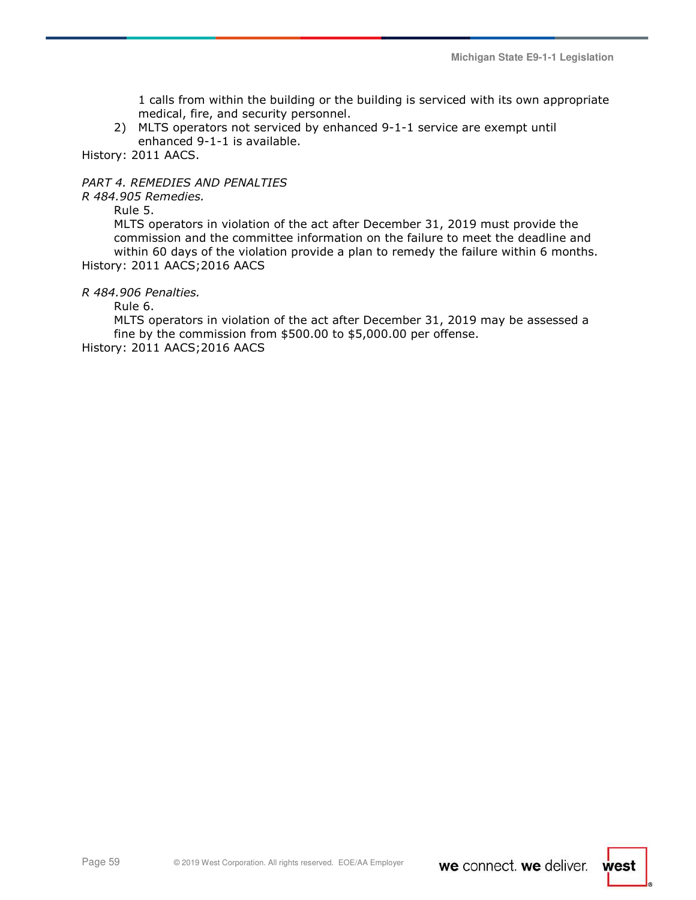1 calls from within the building or the building is serviced with its own appropriate medical, fire, and security personnel.

2) MLTS operators not serviced by enhanced 9-1-1 service are exempt until enhanced 9-1-1 is available.

History: 2011 AACS.

# *PART 4. REMEDIES AND PENALTIES*

*R 484.905 Remedies.* 

Rule 5.

MLTS operators in violation of the act after December 31, 2019 must provide the commission and the committee information on the failure to meet the deadline and within 60 days of the violation provide a plan to remedy the failure within 6 months. History: 2011 AACS;2016 AACS

*R 484.906 Penalties.* 

Rule 6.

MLTS operators in violation of the act after December 31, 2019 may be assessed a fine by the commission from \$500.00 to \$5,000.00 per offense. History: 2011 AACS;2016 AACS

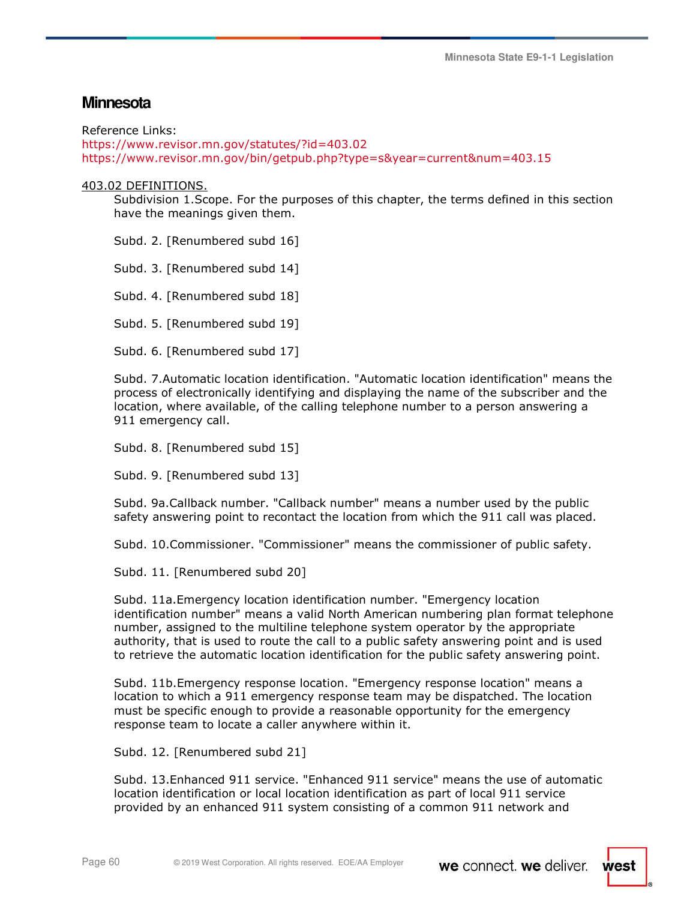# **Minnesota**

Reference Links:

https://www.revisor.mn.gov/statutes/?id=403.02 https://www.revisor.mn.gov/bin/getpub.php?type=s&year=current&num=403.15

### 403.02 DEFINITIONS.

Subdivision 1.Scope. For the purposes of this chapter, the terms defined in this section have the meanings given them.

Subd. 2. [Renumbered subd 16]

Subd. 3. [Renumbered subd 14]

Subd. 4. [Renumbered subd 18]

Subd. 5. [Renumbered subd 19]

Subd. 6. [Renumbered subd 17]

Subd. 7.Automatic location identification. "Automatic location identification" means the process of electronically identifying and displaying the name of the subscriber and the location, where available, of the calling telephone number to a person answering a 911 emergency call.

Subd. 8. [Renumbered subd 15]

Subd. 9. [Renumbered subd 13]

Subd. 9a.Callback number. "Callback number" means a number used by the public safety answering point to recontact the location from which the 911 call was placed.

Subd. 10.Commissioner. "Commissioner" means the commissioner of public safety.

Subd. 11. [Renumbered subd 20]

Subd. 11a.Emergency location identification number. "Emergency location identification number" means a valid North American numbering plan format telephone number, assigned to the multiline telephone system operator by the appropriate authority, that is used to route the call to a public safety answering point and is used to retrieve the automatic location identification for the public safety answering point.

Subd. 11b.Emergency response location. "Emergency response location" means a location to which a 911 emergency response team may be dispatched. The location must be specific enough to provide a reasonable opportunity for the emergency response team to locate a caller anywhere within it.

Subd. 12. [Renumbered subd 21]

Subd. 13.Enhanced 911 service. "Enhanced 911 service" means the use of automatic location identification or local location identification as part of local 911 service provided by an enhanced 911 system consisting of a common 911 network and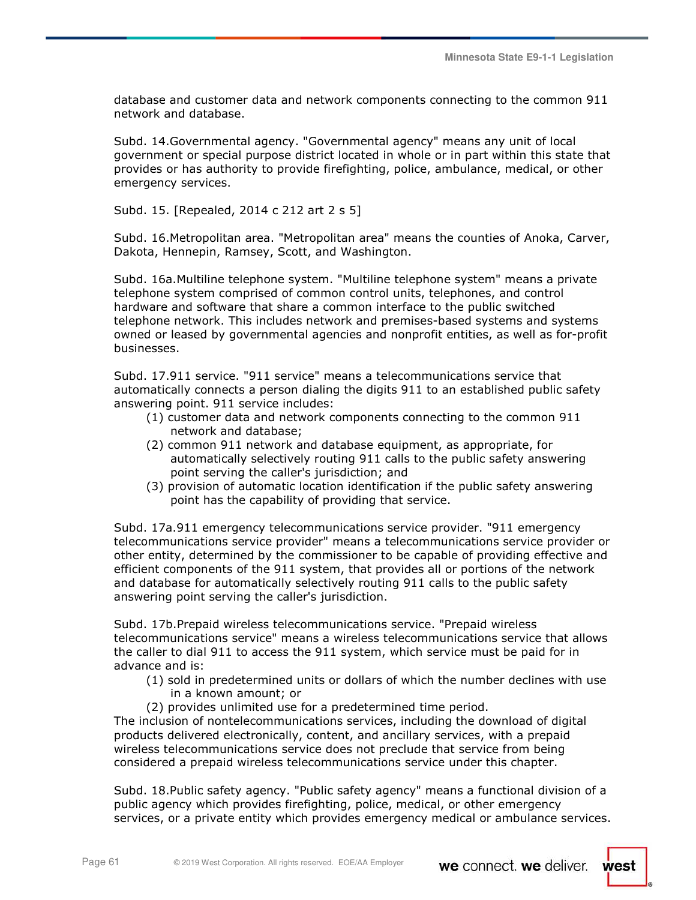database and customer data and network components connecting to the common 911 network and database.

Subd. 14.Governmental agency. "Governmental agency" means any unit of local government or special purpose district located in whole or in part within this state that provides or has authority to provide firefighting, police, ambulance, medical, or other emergency services.

Subd. 15. [Repealed, 2014 c 212 art 2 s 5]

Subd. 16.Metropolitan area. "Metropolitan area" means the counties of Anoka, Carver, Dakota, Hennepin, Ramsey, Scott, and Washington.

Subd. 16a.Multiline telephone system. "Multiline telephone system" means a private telephone system comprised of common control units, telephones, and control hardware and software that share a common interface to the public switched telephone network. This includes network and premises-based systems and systems owned or leased by governmental agencies and nonprofit entities, as well as for-profit businesses.

Subd. 17.911 service. "911 service" means a telecommunications service that automatically connects a person dialing the digits 911 to an established public safety answering point. 911 service includes:

- (1) customer data and network components connecting to the common 911 network and database;
- (2) common 911 network and database equipment, as appropriate, for automatically selectively routing 911 calls to the public safety answering point serving the caller's jurisdiction; and
- (3) provision of automatic location identification if the public safety answering point has the capability of providing that service.

Subd. 17a.911 emergency telecommunications service provider. "911 emergency telecommunications service provider" means a telecommunications service provider or other entity, determined by the commissioner to be capable of providing effective and efficient components of the 911 system, that provides all or portions of the network and database for automatically selectively routing 911 calls to the public safety answering point serving the caller's jurisdiction.

Subd. 17b.Prepaid wireless telecommunications service. "Prepaid wireless telecommunications service" means a wireless telecommunications service that allows the caller to dial 911 to access the 911 system, which service must be paid for in advance and is:

- (1) sold in predetermined units or dollars of which the number declines with use in a known amount; or
- (2) provides unlimited use for a predetermined time period.

The inclusion of nontelecommunications services, including the download of digital products delivered electronically, content, and ancillary services, with a prepaid wireless telecommunications service does not preclude that service from being considered a prepaid wireless telecommunications service under this chapter.

Subd. 18.Public safety agency. "Public safety agency" means a functional division of a public agency which provides firefighting, police, medical, or other emergency services, or a private entity which provides emergency medical or ambulance services.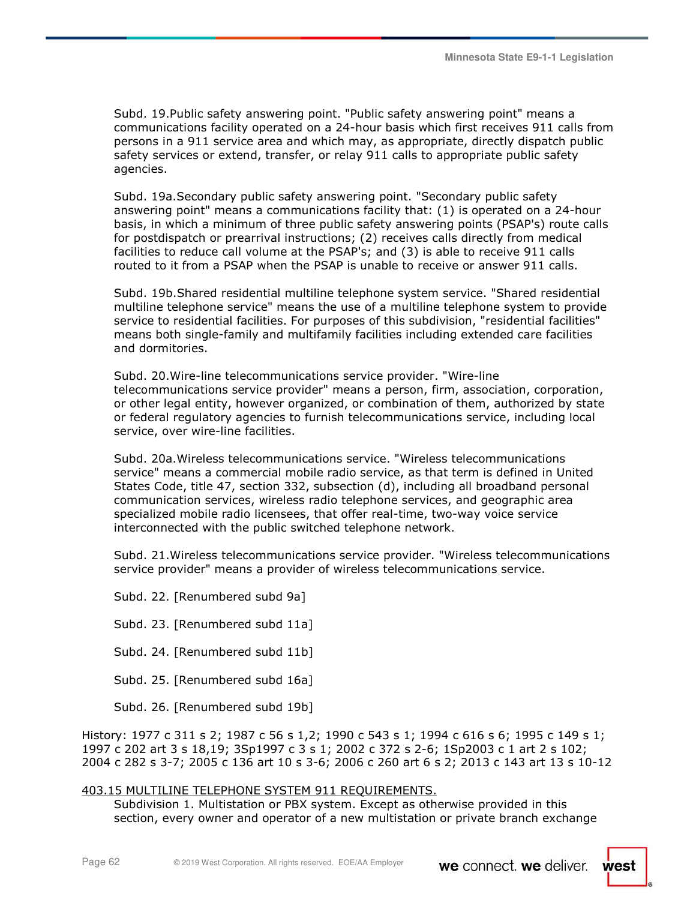Subd. 19.Public safety answering point. "Public safety answering point" means a communications facility operated on a 24-hour basis which first receives 911 calls from persons in a 911 service area and which may, as appropriate, directly dispatch public safety services or extend, transfer, or relay 911 calls to appropriate public safety agencies.

Subd. 19a.Secondary public safety answering point. "Secondary public safety answering point" means a communications facility that: (1) is operated on a 24-hour basis, in which a minimum of three public safety answering points (PSAP's) route calls for postdispatch or prearrival instructions; (2) receives calls directly from medical facilities to reduce call volume at the PSAP's; and (3) is able to receive 911 calls routed to it from a PSAP when the PSAP is unable to receive or answer 911 calls.

Subd. 19b.Shared residential multiline telephone system service. "Shared residential multiline telephone service" means the use of a multiline telephone system to provide service to residential facilities. For purposes of this subdivision, "residential facilities" means both single-family and multifamily facilities including extended care facilities and dormitories.

Subd. 20.Wire-line telecommunications service provider. "Wire-line telecommunications service provider" means a person, firm, association, corporation, or other legal entity, however organized, or combination of them, authorized by state or federal regulatory agencies to furnish telecommunications service, including local service, over wire-line facilities.

Subd. 20a.Wireless telecommunications service. "Wireless telecommunications service" means a commercial mobile radio service, as that term is defined in United States Code, title 47, section 332, subsection (d), including all broadband personal communication services, wireless radio telephone services, and geographic area specialized mobile radio licensees, that offer real-time, two-way voice service interconnected with the public switched telephone network.

Subd. 21.Wireless telecommunications service provider. "Wireless telecommunications service provider" means a provider of wireless telecommunications service.

Subd. 22. [Renumbered subd 9a]

Subd. 23. [Renumbered subd 11a]

Subd. 24. [Renumbered subd 11b]

Subd. 25. [Renumbered subd 16a]

Subd. 26. [Renumbered subd 19b]

History: 1977 c 311 s 2; 1987 c 56 s 1,2; 1990 c 543 s 1; 1994 c 616 s 6; 1995 c 149 s 1; 1997 c 202 art 3 s 18,19; 3Sp1997 c 3 s 1; 2002 c 372 s 2-6; 1Sp2003 c 1 art 2 s 102; 2004 c 282 s 3-7; 2005 c 136 art 10 s 3-6; 2006 c 260 art 6 s 2; 2013 c 143 art 13 s 10-12

# 403.15 MULTILINE TELEPHONE SYSTEM 911 REQUIREMENTS.

Subdivision 1. Multistation or PBX system. Except as otherwise provided in this section, every owner and operator of a new multistation or private branch exchange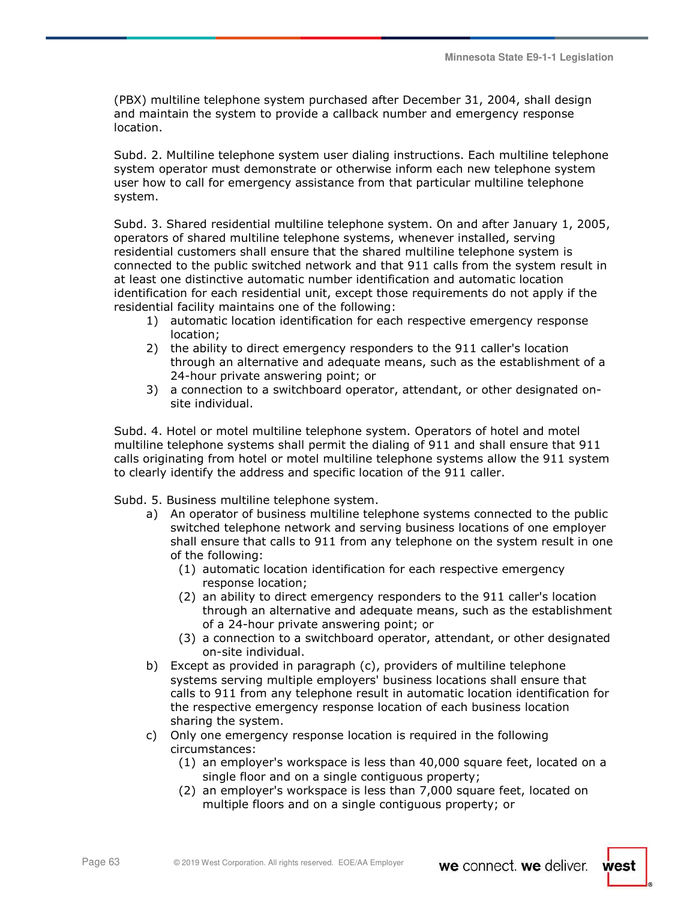(PBX) multiline telephone system purchased after December 31, 2004, shall design and maintain the system to provide a callback number and emergency response location.

Subd. 2. Multiline telephone system user dialing instructions. Each multiline telephone system operator must demonstrate or otherwise inform each new telephone system user how to call for emergency assistance from that particular multiline telephone system.

Subd. 3. Shared residential multiline telephone system. On and after January 1, 2005, operators of shared multiline telephone systems, whenever installed, serving residential customers shall ensure that the shared multiline telephone system is connected to the public switched network and that 911 calls from the system result in at least one distinctive automatic number identification and automatic location identification for each residential unit, except those requirements do not apply if the residential facility maintains one of the following:

- 1) automatic location identification for each respective emergency response location;
- 2) the ability to direct emergency responders to the 911 caller's location through an alternative and adequate means, such as the establishment of a 24-hour private answering point; or
- 3) a connection to a switchboard operator, attendant, or other designated onsite individual.

Subd. 4. Hotel or motel multiline telephone system. Operators of hotel and motel multiline telephone systems shall permit the dialing of 911 and shall ensure that 911 calls originating from hotel or motel multiline telephone systems allow the 911 system to clearly identify the address and specific location of the 911 caller.

Subd. 5. Business multiline telephone system.

- a) An operator of business multiline telephone systems connected to the public switched telephone network and serving business locations of one employer shall ensure that calls to 911 from any telephone on the system result in one of the following:
	- (1) automatic location identification for each respective emergency response location;
	- (2) an ability to direct emergency responders to the 911 caller's location through an alternative and adequate means, such as the establishment of a 24-hour private answering point; or
	- (3) a connection to a switchboard operator, attendant, or other designated on-site individual.
- b) Except as provided in paragraph (c), providers of multiline telephone systems serving multiple employers' business locations shall ensure that calls to 911 from any telephone result in automatic location identification for the respective emergency response location of each business location sharing the system.
- c) Only one emergency response location is required in the following circumstances:
	- (1) an employer's workspace is less than 40,000 square feet, located on a single floor and on a single contiguous property;
	- (2) an employer's workspace is less than 7,000 square feet, located on multiple floors and on a single contiguous property; or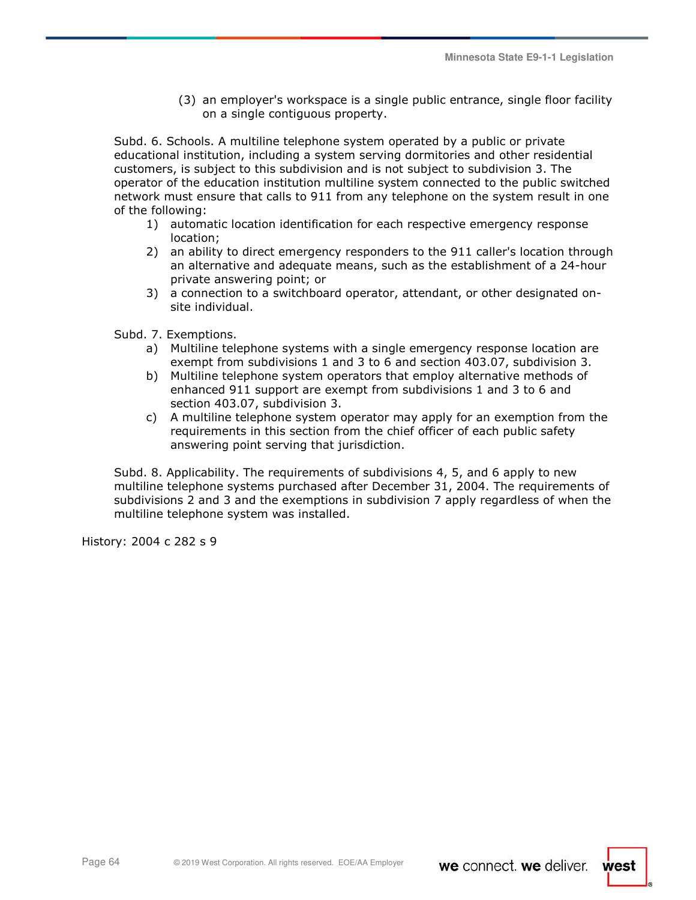(3) an employer's workspace is a single public entrance, single floor facility on a single contiguous property.

Subd. 6. Schools. A multiline telephone system operated by a public or private educational institution, including a system serving dormitories and other residential customers, is subject to this subdivision and is not subject to subdivision 3. The operator of the education institution multiline system connected to the public switched network must ensure that calls to 911 from any telephone on the system result in one of the following:

- 1) automatic location identification for each respective emergency response location;
- 2) an ability to direct emergency responders to the 911 caller's location through an alternative and adequate means, such as the establishment of a 24-hour private answering point; or
- 3) a connection to a switchboard operator, attendant, or other designated onsite individual.
- Subd. 7. Exemptions.
	- a) Multiline telephone systems with a single emergency response location are exempt from subdivisions 1 and 3 to 6 and section 403.07, subdivision 3.
	- b) Multiline telephone system operators that employ alternative methods of enhanced 911 support are exempt from subdivisions 1 and 3 to 6 and section 403.07, subdivision 3.
	- c) A multiline telephone system operator may apply for an exemption from the requirements in this section from the chief officer of each public safety answering point serving that jurisdiction.

Subd. 8. Applicability. The requirements of subdivisions 4, 5, and 6 apply to new multiline telephone systems purchased after December 31, 2004. The requirements of subdivisions 2 and 3 and the exemptions in subdivision 7 apply regardless of when the multiline telephone system was installed.

History: 2004 c 282 s 9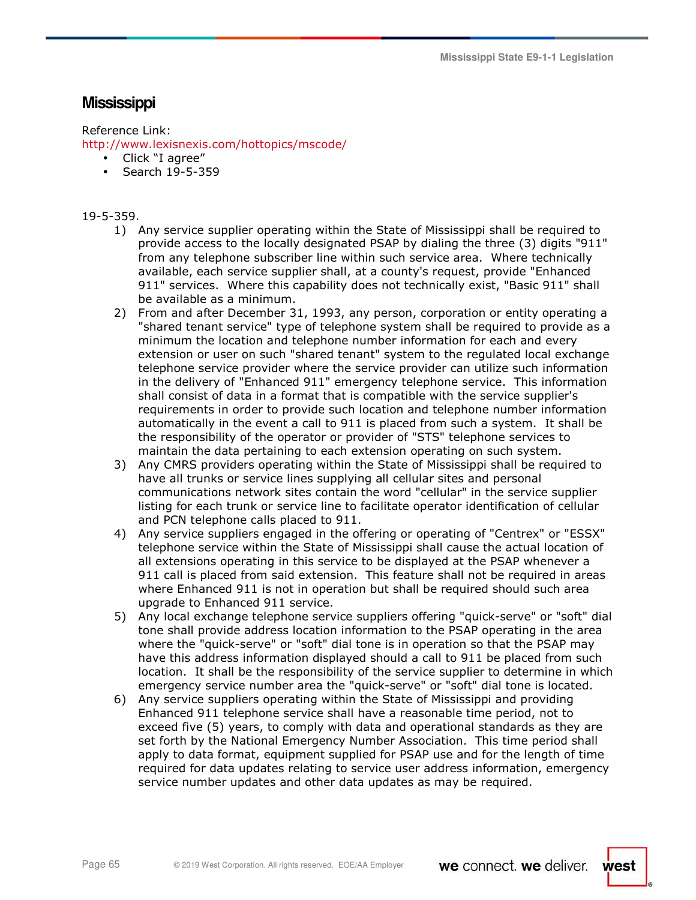**Mississippi State E9-1-1 Legislation** 

# **Mississippi**

# Reference Link:

http://www.lexisnexis.com/hottopics/mscode/

- Click "I agree"
- Search 19-5-359

# 19-5-359.

- 1) Any service supplier operating within the State of Mississippi shall be required to provide access to the locally designated PSAP by dialing the three (3) digits "911" from any telephone subscriber line within such service area. Where technically available, each service supplier shall, at a county's request, provide "Enhanced 911" services. Where this capability does not technically exist, "Basic 911" shall be available as a minimum.
- 2) From and after December 31, 1993, any person, corporation or entity operating a "shared tenant service" type of telephone system shall be required to provide as a minimum the location and telephone number information for each and every extension or user on such "shared tenant" system to the regulated local exchange telephone service provider where the service provider can utilize such information in the delivery of "Enhanced 911" emergency telephone service. This information shall consist of data in a format that is compatible with the service supplier's requirements in order to provide such location and telephone number information automatically in the event a call to 911 is placed from such a system. It shall be the responsibility of the operator or provider of "STS" telephone services to maintain the data pertaining to each extension operating on such system.
- 3) Any CMRS providers operating within the State of Mississippi shall be required to have all trunks or service lines supplying all cellular sites and personal communications network sites contain the word "cellular" in the service supplier listing for each trunk or service line to facilitate operator identification of cellular and PCN telephone calls placed to 911.
- 4) Any service suppliers engaged in the offering or operating of "Centrex" or "ESSX" telephone service within the State of Mississippi shall cause the actual location of all extensions operating in this service to be displayed at the PSAP whenever a 911 call is placed from said extension. This feature shall not be required in areas where Enhanced 911 is not in operation but shall be required should such area upgrade to Enhanced 911 service.
- 5) Any local exchange telephone service suppliers offering "quick-serve" or "soft" dial tone shall provide address location information to the PSAP operating in the area where the "quick-serve" or "soft" dial tone is in operation so that the PSAP may have this address information displayed should a call to 911 be placed from such location. It shall be the responsibility of the service supplier to determine in which emergency service number area the "quick-serve" or "soft" dial tone is located.
- 6) Any service suppliers operating within the State of Mississippi and providing Enhanced 911 telephone service shall have a reasonable time period, not to exceed five (5) years, to comply with data and operational standards as they are set forth by the National Emergency Number Association. This time period shall apply to data format, equipment supplied for PSAP use and for the length of time required for data updates relating to service user address information, emergency service number updates and other data updates as may be required.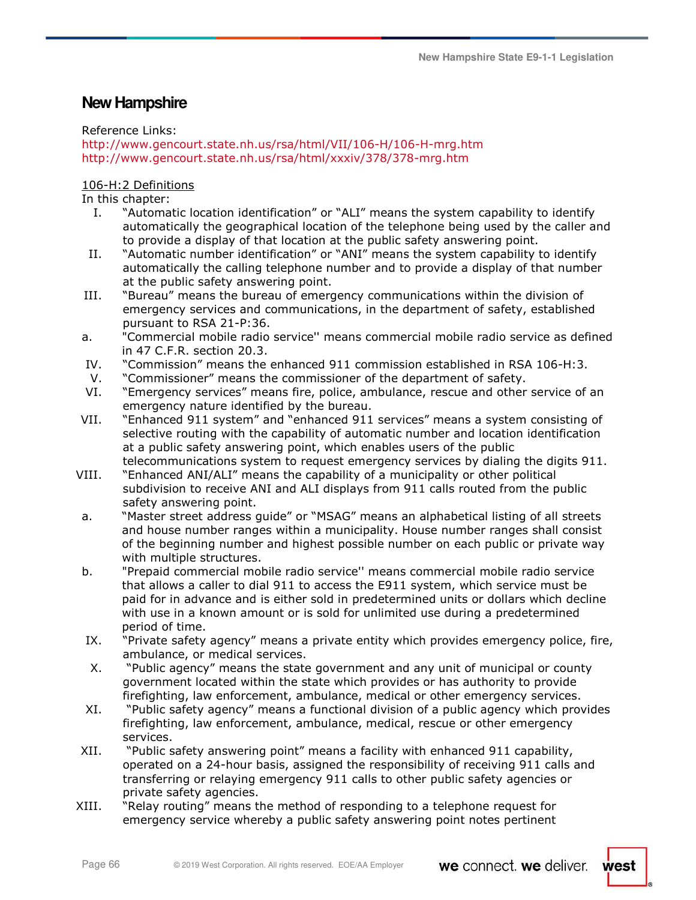# **New Hampshire**

# Reference Links:

http://www.gencourt.state.nh.us/rsa/html/VII/106-H/106-H-mrg.htm http://www.gencourt.state.nh.us/rsa/html/xxxiv/378/378-mrg.htm

# 106-H:2 Definitions

In this chapter:

- I. "Automatic location identification" or "ALI" means the system capability to identify automatically the geographical location of the telephone being used by the caller and to provide a display of that location at the public safety answering point.
- II. "Automatic number identification" or "ANI" means the system capability to identify automatically the calling telephone number and to provide a display of that number at the public safety answering point.
- III. "Bureau" means the bureau of emergency communications within the division of emergency services and communications, in the department of safety, established pursuant to RSA 21-P:36.
- a. "Commercial mobile radio service'' means commercial mobile radio service as defined in 47 C.F.R. section 20.3.
- IV. "Commission" means the enhanced 911 commission established in RSA 106-H:3.
- V. "Commissioner" means the commissioner of the department of safety.
- VI. "Emergency services" means fire, police, ambulance, rescue and other service of an emergency nature identified by the bureau.
- VII. "Enhanced 911 system" and "enhanced 911 services" means a system consisting of selective routing with the capability of automatic number and location identification at a public safety answering point, which enables users of the public telecommunications system to request emergency services by dialing the digits 911.
- VIII. "Enhanced ANI/ALI" means the capability of a municipality or other political subdivision to receive ANI and ALI displays from 911 calls routed from the public safety answering point.
- a. "Master street address guide" or "MSAG" means an alphabetical listing of all streets and house number ranges within a municipality. House number ranges shall consist of the beginning number and highest possible number on each public or private way with multiple structures.
- b. "Prepaid commercial mobile radio service'' means commercial mobile radio service that allows a caller to dial 911 to access the E911 system, which service must be paid for in advance and is either sold in predetermined units or dollars which decline with use in a known amount or is sold for unlimited use during a predetermined period of time.
- IX. "Private safety agency" means a private entity which provides emergency police, fire, ambulance, or medical services.
- X. "Public agency" means the state government and any unit of municipal or county government located within the state which provides or has authority to provide firefighting, law enforcement, ambulance, medical or other emergency services.
- XI. "Public safety agency" means a functional division of a public agency which provides firefighting, law enforcement, ambulance, medical, rescue or other emergency services.
- XII. "Public safety answering point" means a facility with enhanced 911 capability, operated on a 24-hour basis, assigned the responsibility of receiving 911 calls and transferring or relaying emergency 911 calls to other public safety agencies or private safety agencies.
- XIII. "Relay routing" means the method of responding to a telephone request for emergency service whereby a public safety answering point notes pertinent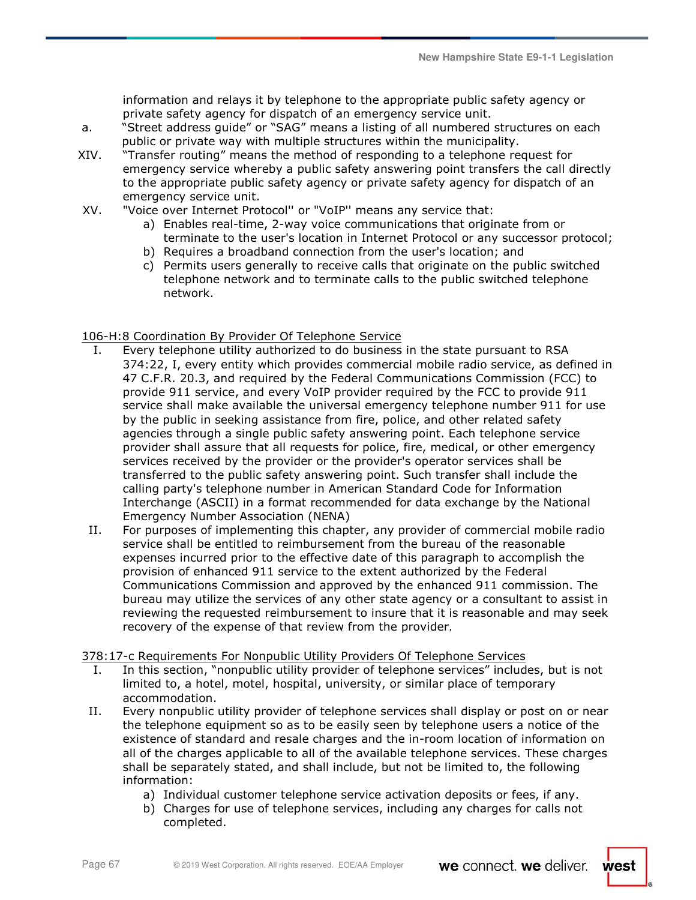information and relays it by telephone to the appropriate public safety agency or private safety agency for dispatch of an emergency service unit.

- a. "Street address guide" or "SAG" means a listing of all numbered structures on each public or private way with multiple structures within the municipality.
- XIV. "Transfer routing" means the method of responding to a telephone request for emergency service whereby a public safety answering point transfers the call directly to the appropriate public safety agency or private safety agency for dispatch of an emergency service unit.
- XV. "Voice over Internet Protocol'' or "VoIP'' means any service that:
	- a) Enables real-time, 2-way voice communications that originate from or terminate to the user's location in Internet Protocol or any successor protocol;
	- b) Requires a broadband connection from the user's location; and
	- c) Permits users generally to receive calls that originate on the public switched telephone network and to terminate calls to the public switched telephone network.

# 106-H:8 Coordination By Provider Of Telephone Service

- I. Every telephone utility authorized to do business in the state pursuant to RSA 374:22, I, every entity which provides commercial mobile radio service, as defined in 47 C.F.R. 20.3, and required by the Federal Communications Commission (FCC) to provide 911 service, and every VoIP provider required by the FCC to provide 911 service shall make available the universal emergency telephone number 911 for use by the public in seeking assistance from fire, police, and other related safety agencies through a single public safety answering point. Each telephone service provider shall assure that all requests for police, fire, medical, or other emergency services received by the provider or the provider's operator services shall be transferred to the public safety answering point. Such transfer shall include the calling party's telephone number in American Standard Code for Information Interchange (ASCII) in a format recommended for data exchange by the National Emergency Number Association (NENA)
- II. For purposes of implementing this chapter, any provider of commercial mobile radio service shall be entitled to reimbursement from the bureau of the reasonable expenses incurred prior to the effective date of this paragraph to accomplish the provision of enhanced 911 service to the extent authorized by the Federal Communications Commission and approved by the enhanced 911 commission. The bureau may utilize the services of any other state agency or a consultant to assist in reviewing the requested reimbursement to insure that it is reasonable and may seek recovery of the expense of that review from the provider.

# 378:17-c Requirements For Nonpublic Utility Providers Of Telephone Services

- I. In this section, "nonpublic utility provider of telephone services" includes, but is not limited to, a hotel, motel, hospital, university, or similar place of temporary accommodation.
- II. Every nonpublic utility provider of telephone services shall display or post on or near the telephone equipment so as to be easily seen by telephone users a notice of the existence of standard and resale charges and the in-room location of information on all of the charges applicable to all of the available telephone services. These charges shall be separately stated, and shall include, but not be limited to, the following information:
	- a) Individual customer telephone service activation deposits or fees, if any.
	- b) Charges for use of telephone services, including any charges for calls not completed.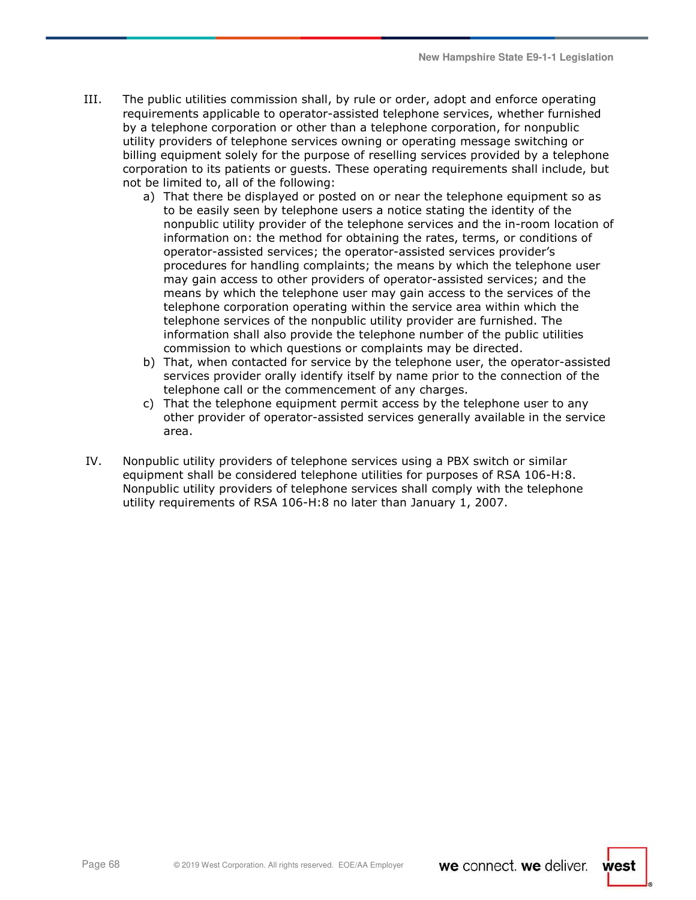- III. The public utilities commission shall, by rule or order, adopt and enforce operating requirements applicable to operator-assisted telephone services, whether furnished by a telephone corporation or other than a telephone corporation, for nonpublic utility providers of telephone services owning or operating message switching or billing equipment solely for the purpose of reselling services provided by a telephone corporation to its patients or guests. These operating requirements shall include, but not be limited to, all of the following:
	- a) That there be displayed or posted on or near the telephone equipment so as to be easily seen by telephone users a notice stating the identity of the nonpublic utility provider of the telephone services and the in-room location of information on: the method for obtaining the rates, terms, or conditions of operator-assisted services; the operator-assisted services provider's procedures for handling complaints; the means by which the telephone user may gain access to other providers of operator-assisted services; and the means by which the telephone user may gain access to the services of the telephone corporation operating within the service area within which the telephone services of the nonpublic utility provider are furnished. The information shall also provide the telephone number of the public utilities commission to which questions or complaints may be directed.
	- b) That, when contacted for service by the telephone user, the operator-assisted services provider orally identify itself by name prior to the connection of the telephone call or the commencement of any charges.
	- c) That the telephone equipment permit access by the telephone user to any other provider of operator-assisted services generally available in the service area.
- IV. Nonpublic utility providers of telephone services using a PBX switch or similar equipment shall be considered telephone utilities for purposes of RSA 106-H:8. Nonpublic utility providers of telephone services shall comply with the telephone utility requirements of RSA 106-H:8 no later than January 1, 2007.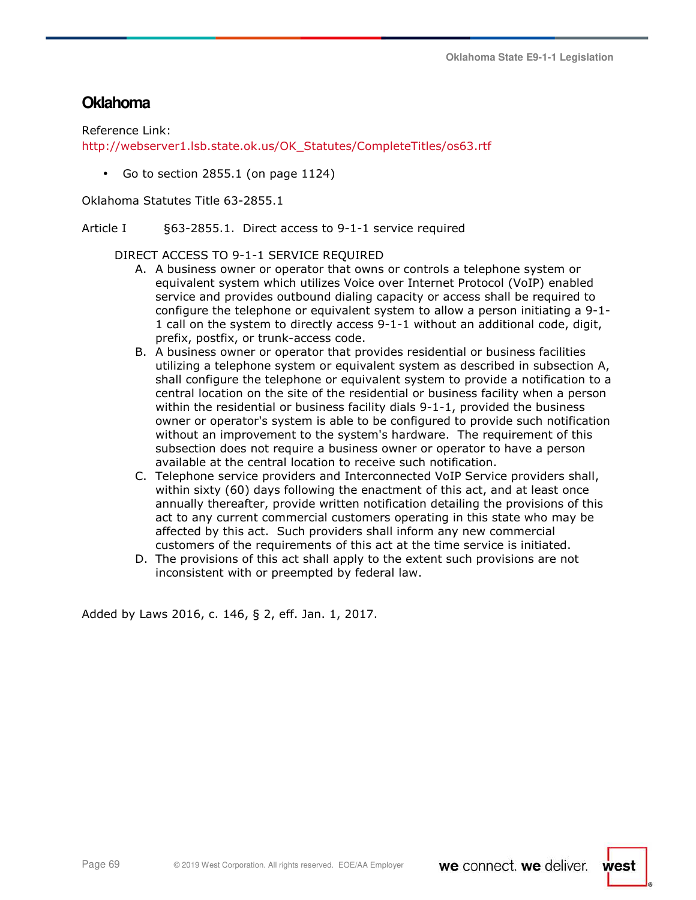# **Oklahoma**

Reference Link:

http://webserver1.lsb.state.ok.us/OK\_Statutes/CompleteTitles/os63.rtf

• Go to section 2855.1 (on page 1124)

Oklahoma Statutes Title 63-2855.1

Article I §63-2855.1. Direct access to 9-1-1 service required

DIRECT ACCESS TO 9-1-1 SERVICE REQUIRED

- A. A business owner or operator that owns or controls a telephone system or equivalent system which utilizes Voice over Internet Protocol (VoIP) enabled service and provides outbound dialing capacity or access shall be required to configure the telephone or equivalent system to allow a person initiating a 9-1- 1 call on the system to directly access 9-1-1 without an additional code, digit, prefix, postfix, or trunk-access code.
- B. A business owner or operator that provides residential or business facilities utilizing a telephone system or equivalent system as described in subsection A, shall configure the telephone or equivalent system to provide a notification to a central location on the site of the residential or business facility when a person within the residential or business facility dials 9-1-1, provided the business owner or operator's system is able to be configured to provide such notification without an improvement to the system's hardware. The requirement of this subsection does not require a business owner or operator to have a person available at the central location to receive such notification.
- C. Telephone service providers and Interconnected VoIP Service providers shall, within sixty (60) days following the enactment of this act, and at least once annually thereafter, provide written notification detailing the provisions of this act to any current commercial customers operating in this state who may be affected by this act. Such providers shall inform any new commercial customers of the requirements of this act at the time service is initiated.
- D. The provisions of this act shall apply to the extent such provisions are not inconsistent with or preempted by federal law.

Added by Laws 2016, c. 146, § 2, eff. Jan. 1, 2017.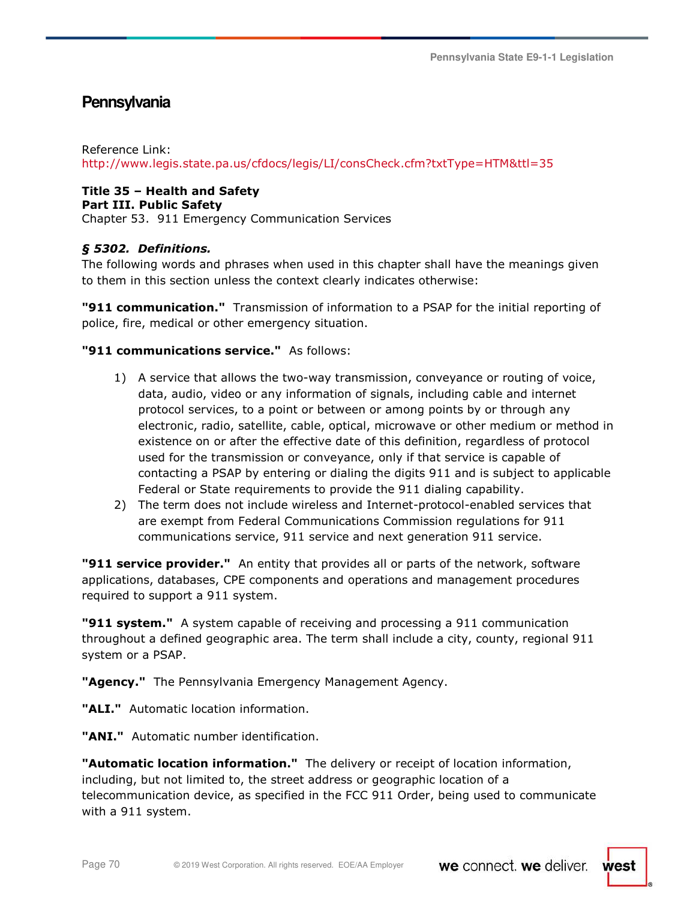# **Pennsylvania**

Reference Link:

http://www.legis.state.pa.us/cfdocs/legis/LI/consCheck.cfm?txtType=HTM&ttl=35

# **Title 35 – Health and Safety**

### **Part III. Public Safety**

Chapter 53. 911 Emergency Communication Services

# *§ 5302. Definitions.*

The following words and phrases when used in this chapter shall have the meanings given to them in this section unless the context clearly indicates otherwise:

**"911 communication."** Transmission of information to a PSAP for the initial reporting of police, fire, medical or other emergency situation.

# **"911 communications service."** As follows:

- 1) A service that allows the two-way transmission, conveyance or routing of voice, data, audio, video or any information of signals, including cable and internet protocol services, to a point or between or among points by or through any electronic, radio, satellite, cable, optical, microwave or other medium or method in existence on or after the effective date of this definition, regardless of protocol used for the transmission or conveyance, only if that service is capable of contacting a PSAP by entering or dialing the digits 911 and is subject to applicable Federal or State requirements to provide the 911 dialing capability.
- 2) The term does not include wireless and Internet-protocol-enabled services that are exempt from Federal Communications Commission regulations for 911 communications service, 911 service and next generation 911 service.

**"911 service provider."** An entity that provides all or parts of the network, software applications, databases, CPE components and operations and management procedures required to support a 911 system.

**"911 system."** A system capable of receiving and processing a 911 communication throughout a defined geographic area. The term shall include a city, county, regional 911 system or a PSAP.

**"Agency."** The Pennsylvania Emergency Management Agency.

**"ALI."** Automatic location information.

**"ANI."** Automatic number identification.

**"Automatic location information."** The delivery or receipt of location information, including, but not limited to, the street address or geographic location of a telecommunication device, as specified in the FCC 911 Order, being used to communicate with a 911 system.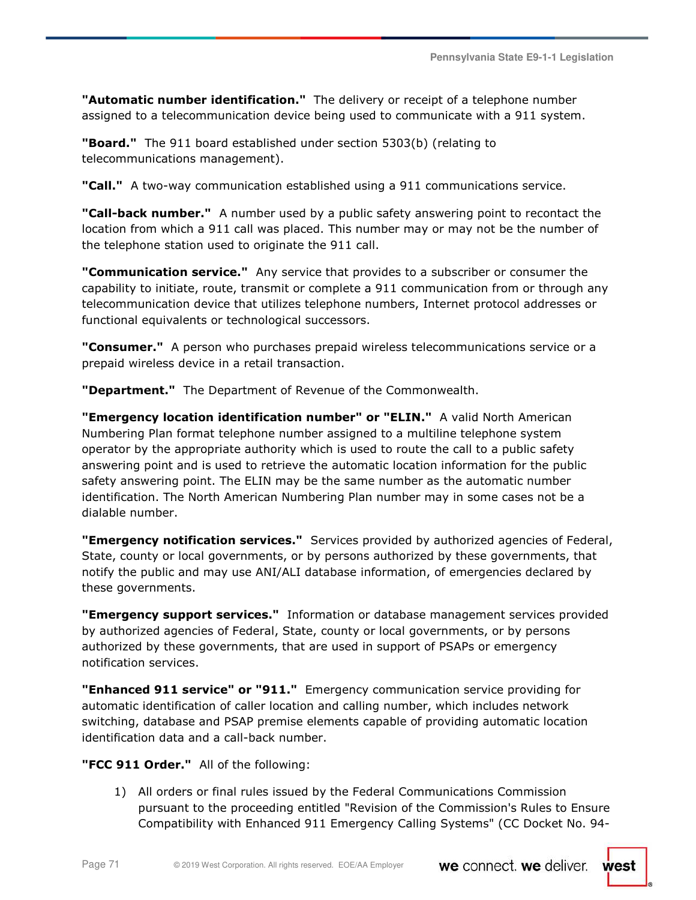**Pennsylvania State E9-1-1 Legislation** 

**"Automatic number identification."** The delivery or receipt of a telephone number assigned to a telecommunication device being used to communicate with a 911 system.

**"Board."** The 911 board established under section 5303(b) (relating to telecommunications management).

**"Call."** A two-way communication established using a 911 communications service.

**"Call-back number."** A number used by a public safety answering point to recontact the location from which a 911 call was placed. This number may or may not be the number of the telephone station used to originate the 911 call.

**"Communication service."** Any service that provides to a subscriber or consumer the capability to initiate, route, transmit or complete a 911 communication from or through any telecommunication device that utilizes telephone numbers, Internet protocol addresses or functional equivalents or technological successors.

**"Consumer."** A person who purchases prepaid wireless telecommunications service or a prepaid wireless device in a retail transaction.

**"Department."** The Department of Revenue of the Commonwealth.

**"Emergency location identification number" or "ELIN."** A valid North American Numbering Plan format telephone number assigned to a multiline telephone system operator by the appropriate authority which is used to route the call to a public safety answering point and is used to retrieve the automatic location information for the public safety answering point. The ELIN may be the same number as the automatic number identification. The North American Numbering Plan number may in some cases not be a dialable number.

**"Emergency notification services."** Services provided by authorized agencies of Federal, State, county or local governments, or by persons authorized by these governments, that notify the public and may use ANI/ALI database information, of emergencies declared by these governments.

**"Emergency support services."** Information or database management services provided by authorized agencies of Federal, State, county or local governments, or by persons authorized by these governments, that are used in support of PSAPs or emergency notification services.

**"Enhanced 911 service" or "911."** Emergency communication service providing for automatic identification of caller location and calling number, which includes network switching, database and PSAP premise elements capable of providing automatic location identification data and a call-back number.

**"FCC 911 Order."** All of the following:

1) All orders or final rules issued by the Federal Communications Commission pursuant to the proceeding entitled "Revision of the Commission's Rules to Ensure Compatibility with Enhanced 911 Emergency Calling Systems" (CC Docket No. 94-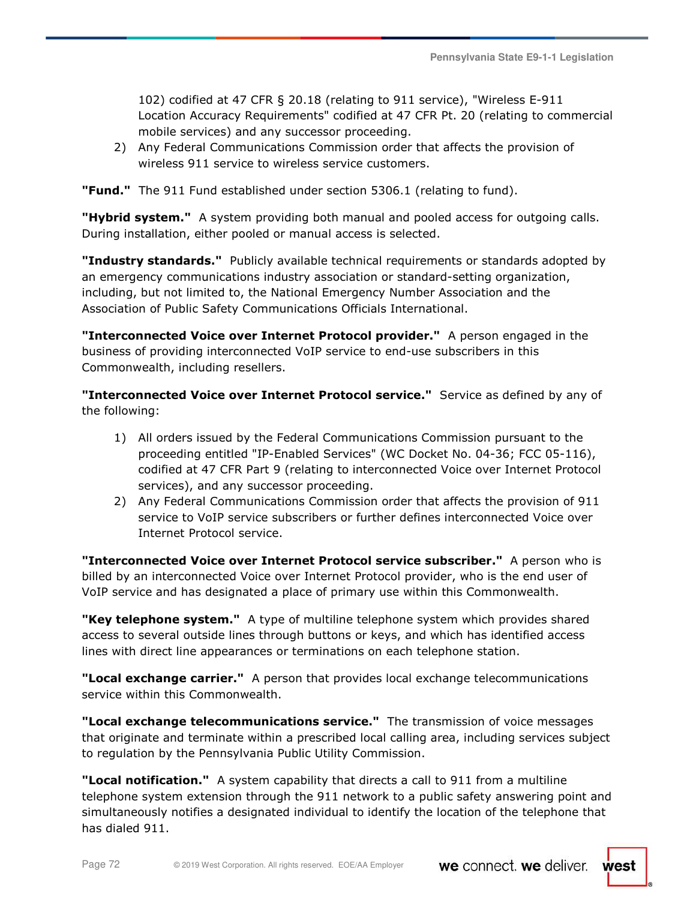102) codified at 47 CFR § 20.18 (relating to 911 service), "Wireless E-911 Location Accuracy Requirements" codified at 47 CFR Pt. 20 (relating to commercial mobile services) and any successor proceeding.

2) Any Federal Communications Commission order that affects the provision of wireless 911 service to wireless service customers.

**"Fund."** The 911 Fund established under section 5306.1 (relating to fund).

"Hybrid system." A system providing both manual and pooled access for outgoing calls. During installation, either pooled or manual access is selected.

**"Industry standards."** Publicly available technical requirements or standards adopted by an emergency communications industry association or standard-setting organization, including, but not limited to, the National Emergency Number Association and the Association of Public Safety Communications Officials International.

**"Interconnected Voice over Internet Protocol provider."** A person engaged in the business of providing interconnected VoIP service to end-use subscribers in this Commonwealth, including resellers.

**"Interconnected Voice over Internet Protocol service."** Service as defined by any of the following:

- 1) All orders issued by the Federal Communications Commission pursuant to the proceeding entitled "IP-Enabled Services" (WC Docket No. 04-36; FCC 05-116), codified at 47 CFR Part 9 (relating to interconnected Voice over Internet Protocol services), and any successor proceeding.
- 2) Any Federal Communications Commission order that affects the provision of 911 service to VoIP service subscribers or further defines interconnected Voice over Internet Protocol service.

**"Interconnected Voice over Internet Protocol service subscriber."** A person who is billed by an interconnected Voice over Internet Protocol provider, who is the end user of VoIP service and has designated a place of primary use within this Commonwealth.

**"Key telephone system."** A type of multiline telephone system which provides shared access to several outside lines through buttons or keys, and which has identified access lines with direct line appearances or terminations on each telephone station.

**"Local exchange carrier."** A person that provides local exchange telecommunications service within this Commonwealth.

**"Local exchange telecommunications service."** The transmission of voice messages that originate and terminate within a prescribed local calling area, including services subject to regulation by the Pennsylvania Public Utility Commission.

**"Local notification."** A system capability that directs a call to 911 from a multiline telephone system extension through the 911 network to a public safety answering point and simultaneously notifies a designated individual to identify the location of the telephone that has dialed 911.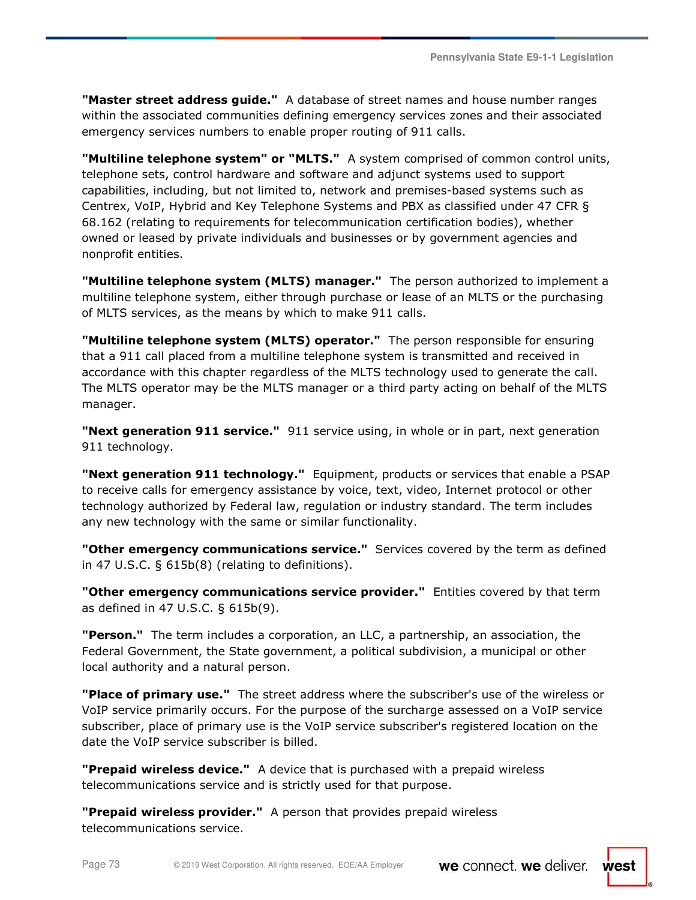**"Master street address guide."** A database of street names and house number ranges within the associated communities defining emergency services zones and their associated emergency services numbers to enable proper routing of 911 calls.

**"Multiline telephone system" or "MLTS."** A system comprised of common control units, telephone sets, control hardware and software and adjunct systems used to support capabilities, including, but not limited to, network and premises-based systems such as Centrex, VoIP, Hybrid and Key Telephone Systems and PBX as classified under 47 CFR § 68.162 (relating to requirements for telecommunication certification bodies), whether owned or leased by private individuals and businesses or by government agencies and nonprofit entities.

**"Multiline telephone system (MLTS) manager."** The person authorized to implement a multiline telephone system, either through purchase or lease of an MLTS or the purchasing of MLTS services, as the means by which to make 911 calls.

**"Multiline telephone system (MLTS) operator."** The person responsible for ensuring that a 911 call placed from a multiline telephone system is transmitted and received in accordance with this chapter regardless of the MLTS technology used to generate the call. The MLTS operator may be the MLTS manager or a third party acting on behalf of the MLTS manager.

**"Next generation 911 service."** 911 service using, in whole or in part, next generation 911 technology.

**"Next generation 911 technology."** Equipment, products or services that enable a PSAP to receive calls for emergency assistance by voice, text, video, Internet protocol or other technology authorized by Federal law, regulation or industry standard. The term includes any new technology with the same or similar functionality.

**"Other emergency communications service."** Services covered by the term as defined in 47 U.S.C. § 615b(8) (relating to definitions).

**"Other emergency communications service provider."** Entities covered by that term as defined in 47 U.S.C. § 615b(9).

**"Person."** The term includes a corporation, an LLC, a partnership, an association, the Federal Government, the State government, a political subdivision, a municipal or other local authority and a natural person.

**"Place of primary use."** The street address where the subscriber's use of the wireless or VoIP service primarily occurs. For the purpose of the surcharge assessed on a VoIP service subscriber, place of primary use is the VoIP service subscriber's registered location on the date the VoIP service subscriber is billed.

**"Prepaid wireless device."** A device that is purchased with a prepaid wireless telecommunications service and is strictly used for that purpose.

**"Prepaid wireless provider."** A person that provides prepaid wireless telecommunications service.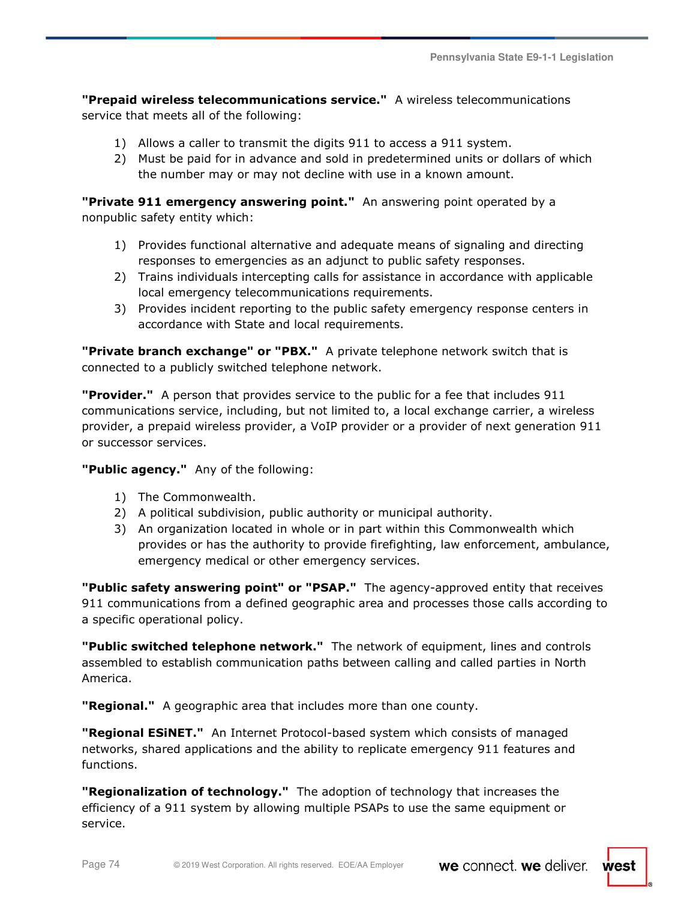**"Prepaid wireless telecommunications service."** A wireless telecommunications service that meets all of the following:

- 1) Allows a caller to transmit the digits 911 to access a 911 system.
- 2) Must be paid for in advance and sold in predetermined units or dollars of which the number may or may not decline with use in a known amount.

**"Private 911 emergency answering point."** An answering point operated by a nonpublic safety entity which:

- 1) Provides functional alternative and adequate means of signaling and directing responses to emergencies as an adjunct to public safety responses.
- 2) Trains individuals intercepting calls for assistance in accordance with applicable local emergency telecommunications requirements.
- 3) Provides incident reporting to the public safety emergency response centers in accordance with State and local requirements.

**"Private branch exchange" or "PBX."** A private telephone network switch that is connected to a publicly switched telephone network.

**"Provider."** A person that provides service to the public for a fee that includes 911 communications service, including, but not limited to, a local exchange carrier, a wireless provider, a prepaid wireless provider, a VoIP provider or a provider of next generation 911 or successor services.

### **"Public agency."** Any of the following:

- 1) The Commonwealth.
- 2) A political subdivision, public authority or municipal authority.
- 3) An organization located in whole or in part within this Commonwealth which provides or has the authority to provide firefighting, law enforcement, ambulance, emergency medical or other emergency services.

**"Public safety answering point" or "PSAP."** The agency-approved entity that receives 911 communications from a defined geographic area and processes those calls according to a specific operational policy.

**"Public switched telephone network."** The network of equipment, lines and controls assembled to establish communication paths between calling and called parties in North America.

**"Regional."** A geographic area that includes more than one county.

**"Regional ESiNET."** An Internet Protocol-based system which consists of managed networks, shared applications and the ability to replicate emergency 911 features and functions.

**"Regionalization of technology."** The adoption of technology that increases the efficiency of a 911 system by allowing multiple PSAPs to use the same equipment or service.

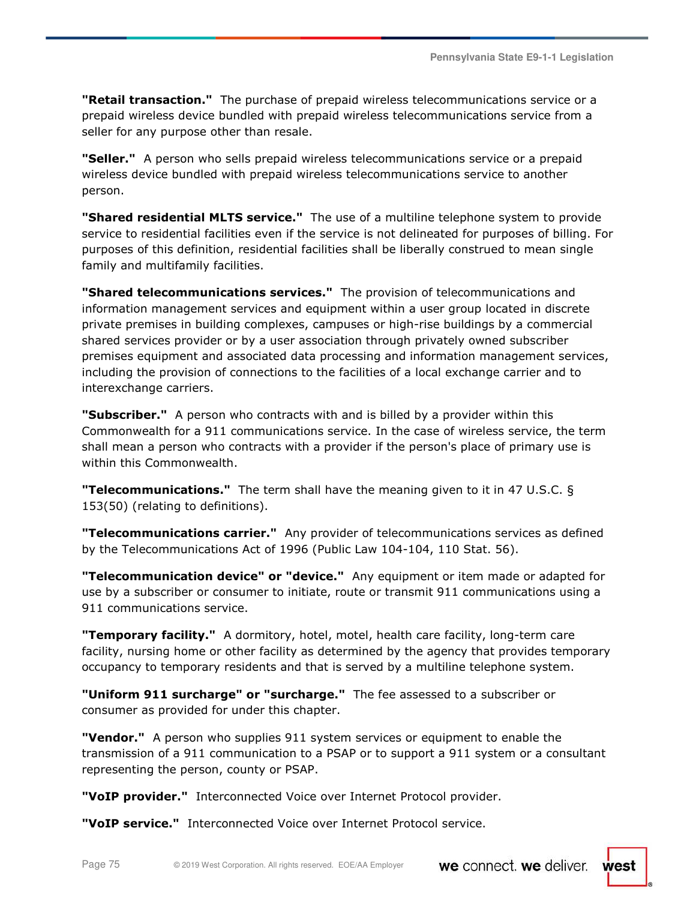**Pennsylvania State E9-1-1 Legislation** 

**"Retail transaction."** The purchase of prepaid wireless telecommunications service or a prepaid wireless device bundled with prepaid wireless telecommunications service from a seller for any purpose other than resale.

**"Seller."** A person who sells prepaid wireless telecommunications service or a prepaid wireless device bundled with prepaid wireless telecommunications service to another person.

**"Shared residential MLTS service."** The use of a multiline telephone system to provide service to residential facilities even if the service is not delineated for purposes of billing. For purposes of this definition, residential facilities shall be liberally construed to mean single family and multifamily facilities.

**"Shared telecommunications services."** The provision of telecommunications and information management services and equipment within a user group located in discrete private premises in building complexes, campuses or high-rise buildings by a commercial shared services provider or by a user association through privately owned subscriber premises equipment and associated data processing and information management services, including the provision of connections to the facilities of a local exchange carrier and to interexchange carriers.

**"Subscriber."** A person who contracts with and is billed by a provider within this Commonwealth for a 911 communications service. In the case of wireless service, the term shall mean a person who contracts with a provider if the person's place of primary use is within this Commonwealth.

**"Telecommunications."** The term shall have the meaning given to it in 47 U.S.C. § 153(50) (relating to definitions).

**"Telecommunications carrier."** Any provider of telecommunications services as defined by the Telecommunications Act of 1996 (Public Law 104-104, 110 Stat. 56).

**"Telecommunication device" or "device."** Any equipment or item made or adapted for use by a subscriber or consumer to initiate, route or transmit 911 communications using a 911 communications service.

**"Temporary facility."** A dormitory, hotel, motel, health care facility, long-term care facility, nursing home or other facility as determined by the agency that provides temporary occupancy to temporary residents and that is served by a multiline telephone system.

**"Uniform 911 surcharge" or "surcharge."** The fee assessed to a subscriber or consumer as provided for under this chapter.

**"Vendor."** A person who supplies 911 system services or equipment to enable the transmission of a 911 communication to a PSAP or to support a 911 system or a consultant representing the person, county or PSAP.

**"VoIP provider."** Interconnected Voice over Internet Protocol provider.

**"VoIP service."** Interconnected Voice over Internet Protocol service.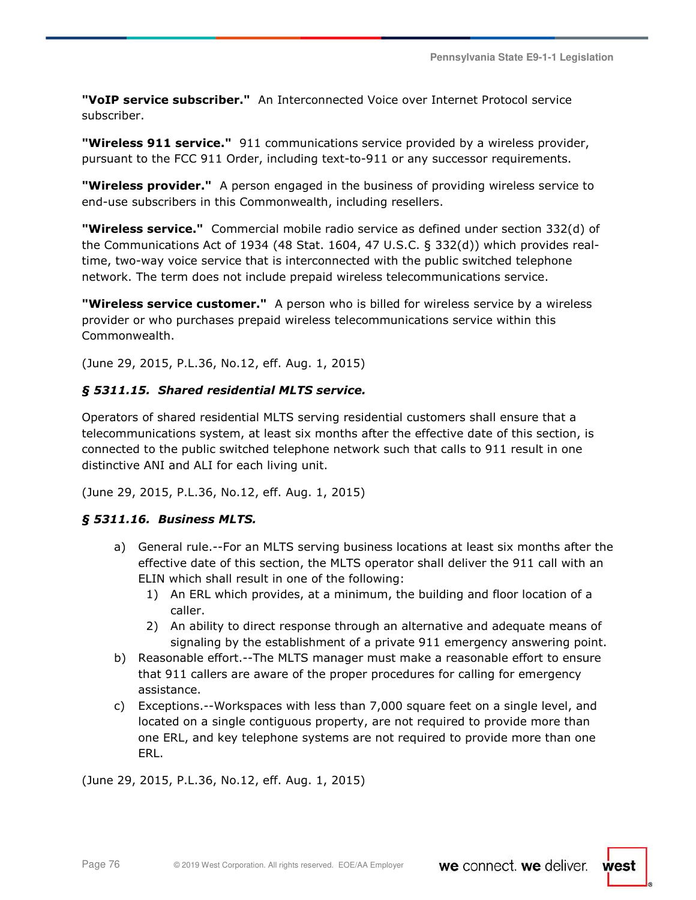**"VoIP service subscriber."** An Interconnected Voice over Internet Protocol service subscriber.

**"Wireless 911 service."** 911 communications service provided by a wireless provider, pursuant to the FCC 911 Order, including text-to-911 or any successor requirements.

**"Wireless provider."** A person engaged in the business of providing wireless service to end-use subscribers in this Commonwealth, including resellers.

**"Wireless service."** Commercial mobile radio service as defined under section 332(d) of the Communications Act of 1934 (48 Stat. 1604, 47 U.S.C. § 332(d)) which provides realtime, two-way voice service that is interconnected with the public switched telephone network. The term does not include prepaid wireless telecommunications service.

**"Wireless service customer."** A person who is billed for wireless service by a wireless provider or who purchases prepaid wireless telecommunications service within this Commonwealth.

(June 29, 2015, P.L.36, No.12, eff. Aug. 1, 2015)

### *§ 5311.15. Shared residential MLTS service.*

Operators of shared residential MLTS serving residential customers shall ensure that a telecommunications system, at least six months after the effective date of this section, is connected to the public switched telephone network such that calls to 911 result in one distinctive ANI and ALI for each living unit.

(June 29, 2015, P.L.36, No.12, eff. Aug. 1, 2015)

### *§ 5311.16. Business MLTS.*

- a) General rule.--For an MLTS serving business locations at least six months after the effective date of this section, the MLTS operator shall deliver the 911 call with an ELIN which shall result in one of the following:
	- 1) An ERL which provides, at a minimum, the building and floor location of a caller.
	- 2) An ability to direct response through an alternative and adequate means of signaling by the establishment of a private 911 emergency answering point.
- b) Reasonable effort.--The MLTS manager must make a reasonable effort to ensure that 911 callers are aware of the proper procedures for calling for emergency assistance.
- c) Exceptions.--Workspaces with less than 7,000 square feet on a single level, and located on a single contiguous property, are not required to provide more than one ERL, and key telephone systems are not required to provide more than one ERL.

(June 29, 2015, P.L.36, No.12, eff. Aug. 1, 2015)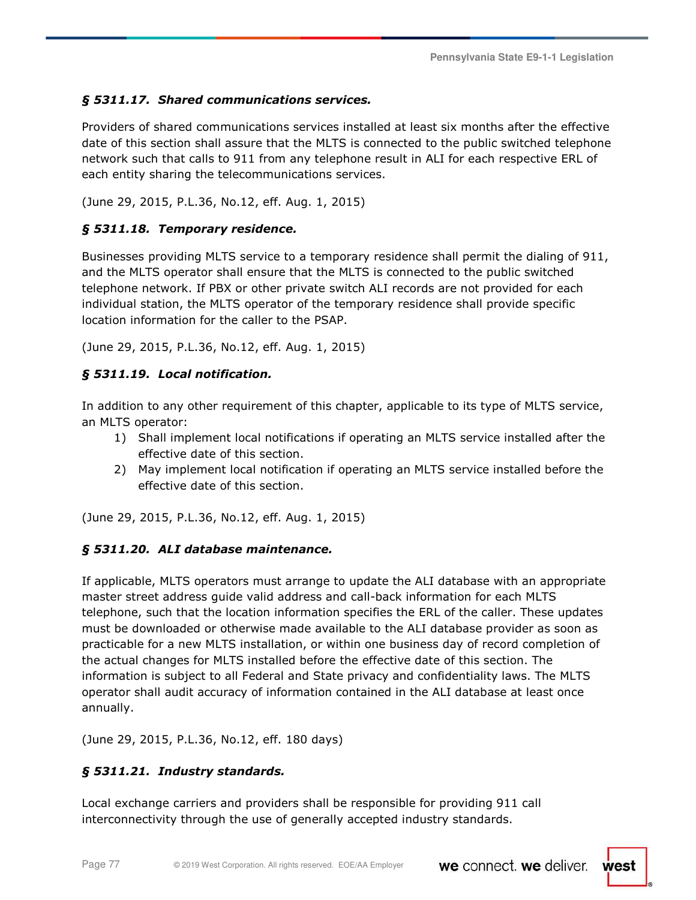# *§ 5311.17. Shared communications services.*

Providers of shared communications services installed at least six months after the effective date of this section shall assure that the MLTS is connected to the public switched telephone network such that calls to 911 from any telephone result in ALI for each respective ERL of each entity sharing the telecommunications services.

(June 29, 2015, P.L.36, No.12, eff. Aug. 1, 2015)

### *§ 5311.18. Temporary residence.*

Businesses providing MLTS service to a temporary residence shall permit the dialing of 911, and the MLTS operator shall ensure that the MLTS is connected to the public switched telephone network. If PBX or other private switch ALI records are not provided for each individual station, the MLTS operator of the temporary residence shall provide specific location information for the caller to the PSAP.

(June 29, 2015, P.L.36, No.12, eff. Aug. 1, 2015)

### *§ 5311.19. Local notification.*

In addition to any other requirement of this chapter, applicable to its type of MLTS service, an MLTS operator:

- 1) Shall implement local notifications if operating an MLTS service installed after the effective date of this section.
- 2) May implement local notification if operating an MLTS service installed before the effective date of this section.

(June 29, 2015, P.L.36, No.12, eff. Aug. 1, 2015)

### *§ 5311.20. ALI database maintenance.*

If applicable, MLTS operators must arrange to update the ALI database with an appropriate master street address guide valid address and call-back information for each MLTS telephone, such that the location information specifies the ERL of the caller. These updates must be downloaded or otherwise made available to the ALI database provider as soon as practicable for a new MLTS installation, or within one business day of record completion of the actual changes for MLTS installed before the effective date of this section. The information is subject to all Federal and State privacy and confidentiality laws. The MLTS operator shall audit accuracy of information contained in the ALI database at least once annually.

(June 29, 2015, P.L.36, No.12, eff. 180 days)

## *§ 5311.21. Industry standards.*

Local exchange carriers and providers shall be responsible for providing 911 call interconnectivity through the use of generally accepted industry standards.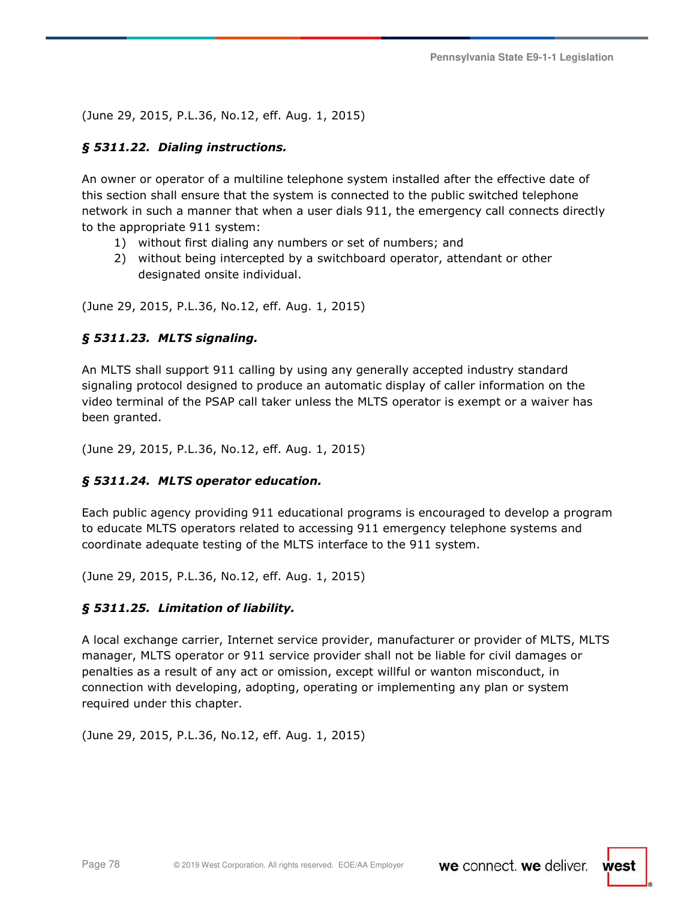(June 29, 2015, P.L.36, No.12, eff. Aug. 1, 2015)

### *§ 5311.22. Dialing instructions.*

An owner or operator of a multiline telephone system installed after the effective date of this section shall ensure that the system is connected to the public switched telephone network in such a manner that when a user dials 911, the emergency call connects directly to the appropriate 911 system:

- 1) without first dialing any numbers or set of numbers; and
- 2) without being intercepted by a switchboard operator, attendant or other designated onsite individual.

(June 29, 2015, P.L.36, No.12, eff. Aug. 1, 2015)

### *§ 5311.23. MLTS signaling.*

An MLTS shall support 911 calling by using any generally accepted industry standard signaling protocol designed to produce an automatic display of caller information on the video terminal of the PSAP call taker unless the MLTS operator is exempt or a waiver has been granted.

(June 29, 2015, P.L.36, No.12, eff. Aug. 1, 2015)

### *§ 5311.24. MLTS operator education.*

Each public agency providing 911 educational programs is encouraged to develop a program to educate MLTS operators related to accessing 911 emergency telephone systems and coordinate adequate testing of the MLTS interface to the 911 system.

(June 29, 2015, P.L.36, No.12, eff. Aug. 1, 2015)

### *§ 5311.25. Limitation of liability.*

A local exchange carrier, Internet service provider, manufacturer or provider of MLTS, MLTS manager, MLTS operator or 911 service provider shall not be liable for civil damages or penalties as a result of any act or omission, except willful or wanton misconduct, in connection with developing, adopting, operating or implementing any plan or system required under this chapter.

(June 29, 2015, P.L.36, No.12, eff. Aug. 1, 2015)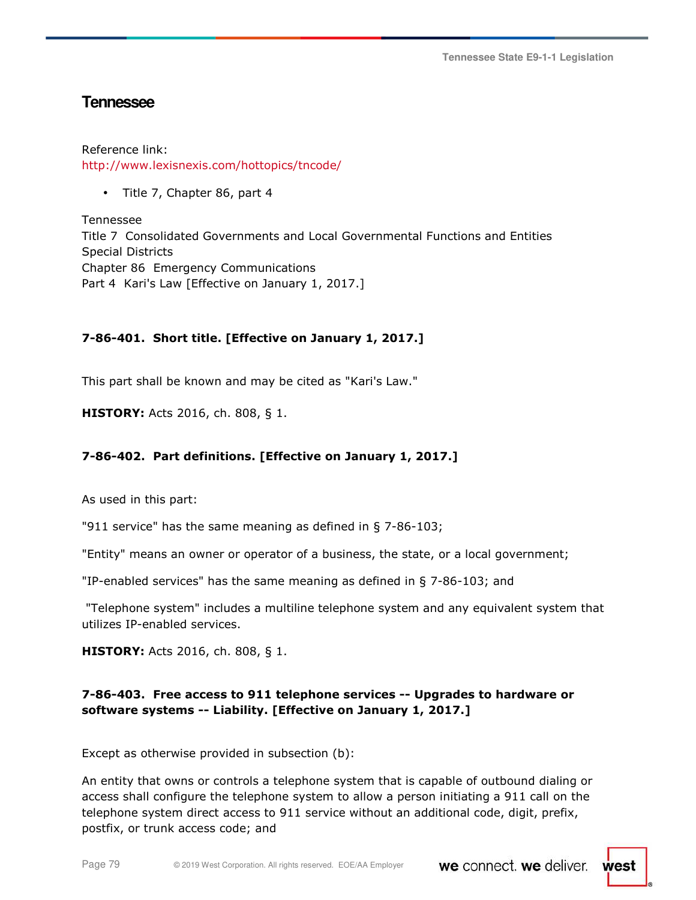**Tennessee State E9-1-1 Legislation** 

# **Tennessee**

Reference link: http://www.lexisnexis.com/hottopics/tncode/

• Title 7, Chapter 86, part 4

Tennessee Title 7 Consolidated Governments and Local Governmental Functions and Entities Special Districts Chapter 86 Emergency Communications Part 4 Kari's Law [Effective on January 1, 2017.]

### **7-86-401. Short title. [Effective on January 1, 2017.]**

This part shall be known and may be cited as "Kari's Law."

**HISTORY:** Acts 2016, ch. 808, § 1.

### **7-86-402. Part definitions. [Effective on January 1, 2017.]**

As used in this part:

"911 service" has the same meaning as defined in § 7-86-103;

"Entity" means an owner or operator of a business, the state, or a local government;

"IP-enabled services" has the same meaning as defined in § 7-86-103; and

 "Telephone system" includes a multiline telephone system and any equivalent system that utilizes IP-enabled services.

**HISTORY:** Acts 2016, ch. 808, § 1.

### **7-86-403. Free access to 911 telephone services -- Upgrades to hardware or software systems -- Liability. [Effective on January 1, 2017.]**

Except as otherwise provided in subsection (b):

An entity that owns or controls a telephone system that is capable of outbound dialing or access shall configure the telephone system to allow a person initiating a 911 call on the telephone system direct access to 911 service without an additional code, digit, prefix, postfix, or trunk access code; and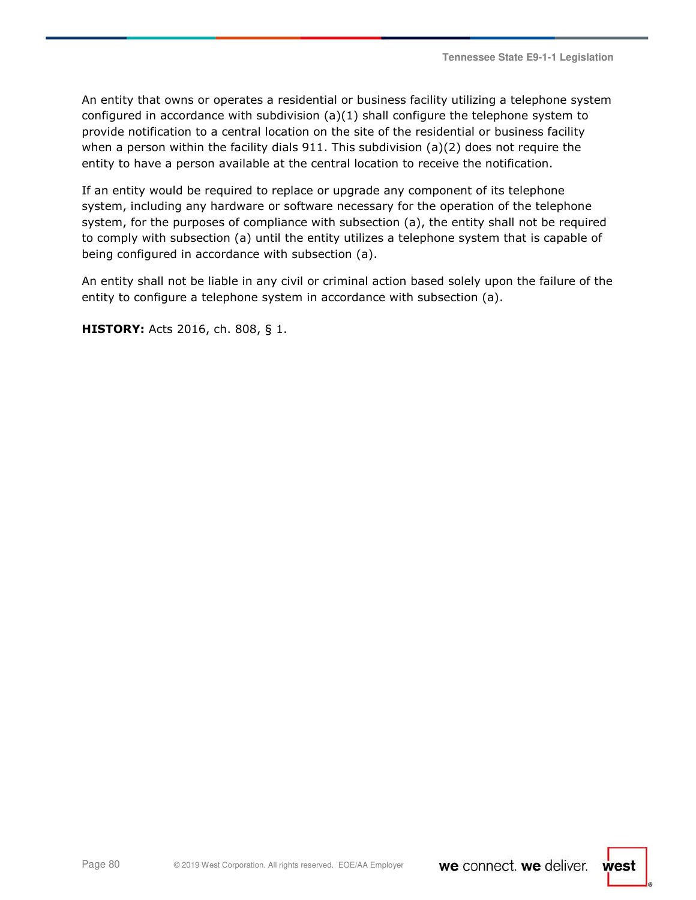An entity that owns or operates a residential or business facility utilizing a telephone system configured in accordance with subdivision  $(a)(1)$  shall configure the telephone system to provide notification to a central location on the site of the residential or business facility when a person within the facility dials  $911$ . This subdivision (a)(2) does not require the entity to have a person available at the central location to receive the notification.

If an entity would be required to replace or upgrade any component of its telephone system, including any hardware or software necessary for the operation of the telephone system, for the purposes of compliance with subsection (a), the entity shall not be required to comply with subsection (a) until the entity utilizes a telephone system that is capable of being configured in accordance with subsection (a).

An entity shall not be liable in any civil or criminal action based solely upon the failure of the entity to configure a telephone system in accordance with subsection (a).

**HISTORY:** Acts 2016, ch. 808, § 1.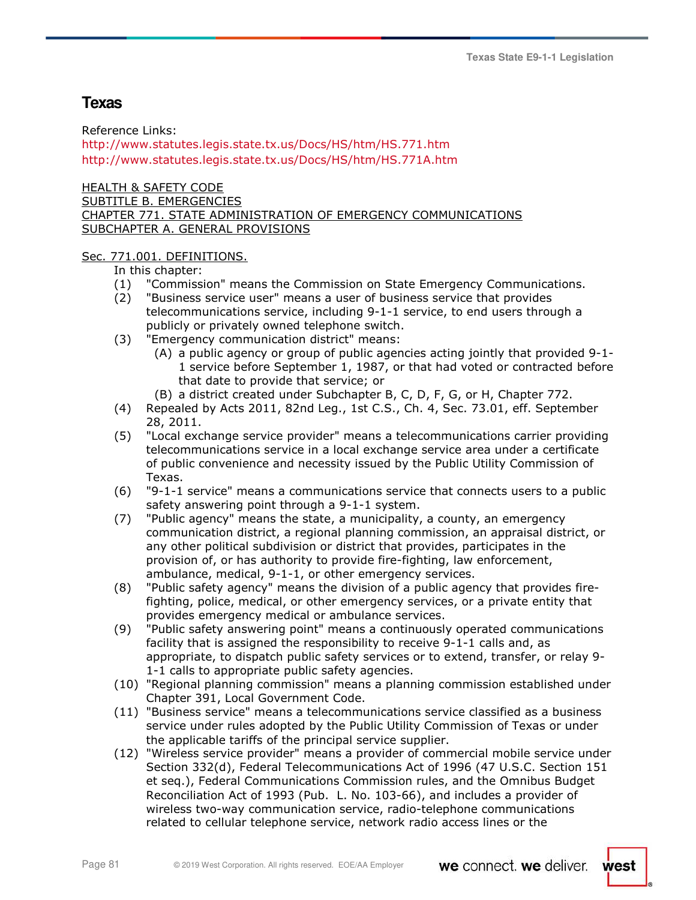# **Texas**

Reference Links: http://www.statutes.legis.state.tx.us/Docs/HS/htm/HS.771.htm http://www.statutes.legis.state.tx.us/Docs/HS/htm/HS.771A.htm

HEALTH & SAFETY CODE SUBTITLE B. EMERGENCIES CHAPTER 771. STATE ADMINISTRATION OF EMERGENCY COMMUNICATIONS SUBCHAPTER A. GENERAL PROVISIONS

### Sec. 771.001. DEFINITIONS.

In this chapter:

- (1) "Commission" means the Commission on State Emergency Communications.
- (2) "Business service user" means a user of business service that provides telecommunications service, including 9-1-1 service, to end users through a publicly or privately owned telephone switch.
- (3) "Emergency communication district" means:
	- (A) a public agency or group of public agencies acting jointly that provided 9-1- 1 service before September 1, 1987, or that had voted or contracted before that date to provide that service; or
	- (B) a district created under Subchapter B, C, D, F, G, or H, Chapter 772.
- (4) Repealed by Acts 2011, 82nd Leg., 1st C.S., Ch. 4, Sec. 73.01, eff. September 28, 2011.
- (5) "Local exchange service provider" means a telecommunications carrier providing telecommunications service in a local exchange service area under a certificate of public convenience and necessity issued by the Public Utility Commission of Texas.
- (6) "9-1-1 service" means a communications service that connects users to a public safety answering point through a 9-1-1 system.
- (7) "Public agency" means the state, a municipality, a county, an emergency communication district, a regional planning commission, an appraisal district, or any other political subdivision or district that provides, participates in the provision of, or has authority to provide fire-fighting, law enforcement, ambulance, medical, 9-1-1, or other emergency services.
- (8) "Public safety agency" means the division of a public agency that provides firefighting, police, medical, or other emergency services, or a private entity that provides emergency medical or ambulance services.
- (9) "Public safety answering point" means a continuously operated communications facility that is assigned the responsibility to receive 9-1-1 calls and, as appropriate, to dispatch public safety services or to extend, transfer, or relay 9- 1-1 calls to appropriate public safety agencies.
- (10) "Regional planning commission" means a planning commission established under Chapter 391, Local Government Code.
- (11) "Business service" means a telecommunications service classified as a business service under rules adopted by the Public Utility Commission of Texas or under the applicable tariffs of the principal service supplier.
- (12) "Wireless service provider" means a provider of commercial mobile service under Section 332(d), Federal Telecommunications Act of 1996 (47 U.S.C. Section 151 et seq.), Federal Communications Commission rules, and the Omnibus Budget Reconciliation Act of 1993 (Pub. L. No. 103-66), and includes a provider of wireless two-way communication service, radio-telephone communications related to cellular telephone service, network radio access lines or the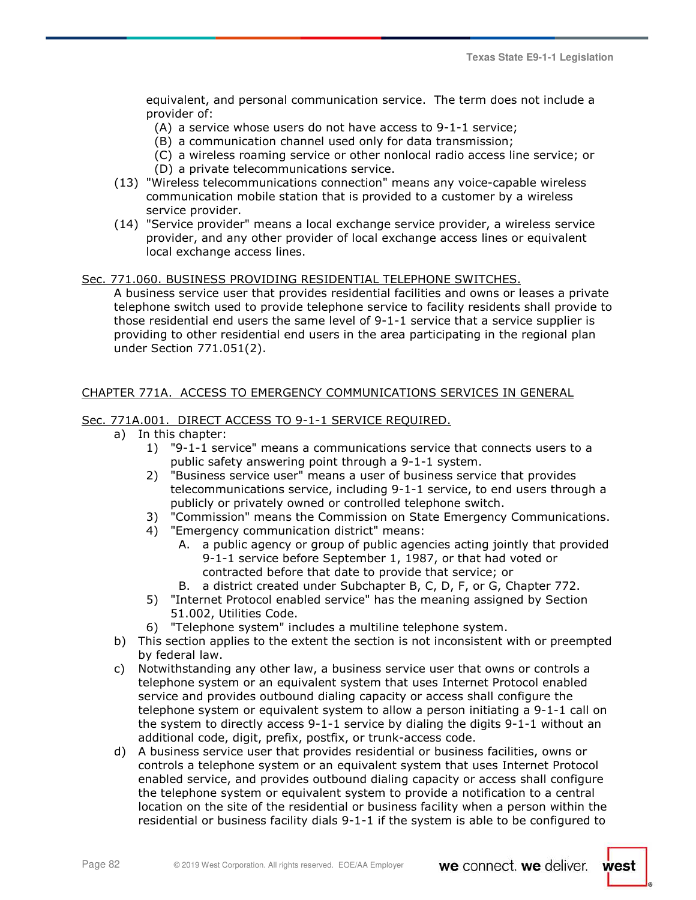equivalent, and personal communication service. The term does not include a provider of:

- (A) a service whose users do not have access to 9-1-1 service;
- (B) a communication channel used only for data transmission;
- (C) a wireless roaming service or other nonlocal radio access line service; or
- (D) a private telecommunications service.
- (13) "Wireless telecommunications connection" means any voice-capable wireless communication mobile station that is provided to a customer by a wireless service provider.
- (14) "Service provider" means a local exchange service provider, a wireless service provider, and any other provider of local exchange access lines or equivalent local exchange access lines.

### Sec. 771.060. BUSINESS PROVIDING RESIDENTIAL TELEPHONE SWITCHES.

A business service user that provides residential facilities and owns or leases a private telephone switch used to provide telephone service to facility residents shall provide to those residential end users the same level of 9-1-1 service that a service supplier is providing to other residential end users in the area participating in the regional plan under Section 771.051(2).

### CHAPTER 771A. ACCESS TO EMERGENCY COMMUNICATIONS SERVICES IN GENERAL

### Sec. 771A.001. DIRECT ACCESS TO 9-1-1 SERVICE REQUIRED.

- a) In this chapter:
	- 1) "9-1-1 service" means a communications service that connects users to a public safety answering point through a 9-1-1 system.
	- 2) "Business service user" means a user of business service that provides telecommunications service, including 9-1-1 service, to end users through a publicly or privately owned or controlled telephone switch.
	- 3) "Commission" means the Commission on State Emergency Communications.
	- 4) "Emergency communication district" means:
		- A. a public agency or group of public agencies acting jointly that provided 9-1-1 service before September 1, 1987, or that had voted or contracted before that date to provide that service; or
		- B. a district created under Subchapter B, C, D, F, or G, Chapter 772.
	- 5) "Internet Protocol enabled service" has the meaning assigned by Section 51.002, Utilities Code.
	- 6) "Telephone system" includes a multiline telephone system.
- b) This section applies to the extent the section is not inconsistent with or preempted by federal law.
- c) Notwithstanding any other law, a business service user that owns or controls a telephone system or an equivalent system that uses Internet Protocol enabled service and provides outbound dialing capacity or access shall configure the telephone system or equivalent system to allow a person initiating a 9-1-1 call on the system to directly access 9-1-1 service by dialing the digits 9-1-1 without an additional code, digit, prefix, postfix, or trunk-access code.
- d) A business service user that provides residential or business facilities, owns or controls a telephone system or an equivalent system that uses Internet Protocol enabled service, and provides outbound dialing capacity or access shall configure the telephone system or equivalent system to provide a notification to a central location on the site of the residential or business facility when a person within the residential or business facility dials 9-1-1 if the system is able to be configured to

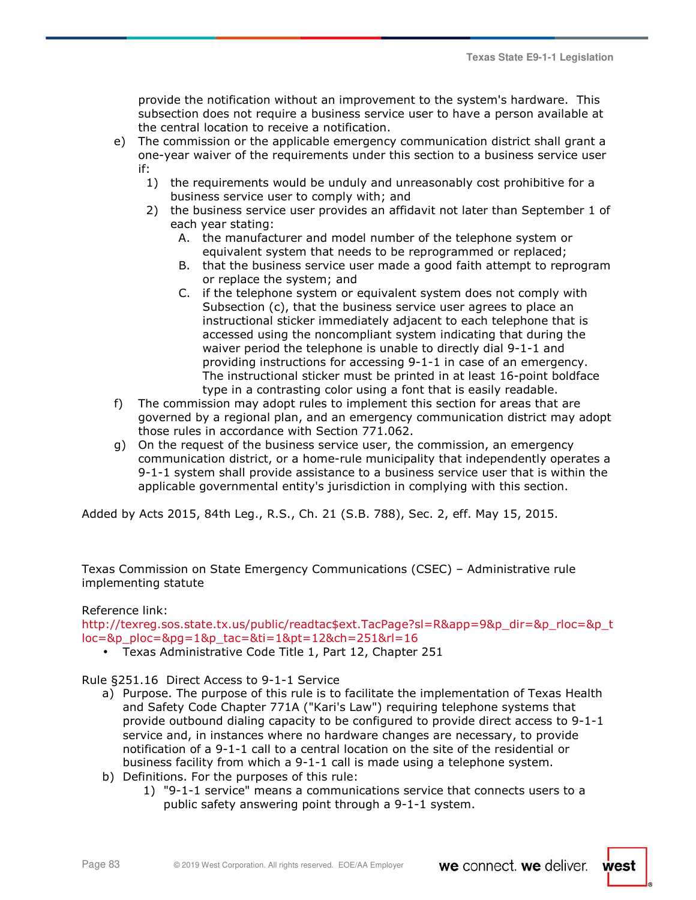provide the notification without an improvement to the system's hardware. This subsection does not require a business service user to have a person available at the central location to receive a notification.

- e) The commission or the applicable emergency communication district shall grant a one-year waiver of the requirements under this section to a business service user if:
	- 1) the requirements would be unduly and unreasonably cost prohibitive for a business service user to comply with; and
	- 2) the business service user provides an affidavit not later than September 1 of each year stating:
		- A. the manufacturer and model number of the telephone system or equivalent system that needs to be reprogrammed or replaced;
		- B. that the business service user made a good faith attempt to reprogram or replace the system; and
		- C. if the telephone system or equivalent system does not comply with Subsection (c), that the business service user agrees to place an instructional sticker immediately adjacent to each telephone that is accessed using the noncompliant system indicating that during the waiver period the telephone is unable to directly dial 9-1-1 and providing instructions for accessing 9-1-1 in case of an emergency. The instructional sticker must be printed in at least 16-point boldface type in a contrasting color using a font that is easily readable.
- f) The commission may adopt rules to implement this section for areas that are governed by a regional plan, and an emergency communication district may adopt those rules in accordance with Section 771.062.
- g) On the request of the business service user, the commission, an emergency communication district, or a home-rule municipality that independently operates a 9-1-1 system shall provide assistance to a business service user that is within the applicable governmental entity's jurisdiction in complying with this section.

Added by Acts 2015, 84th Leg., R.S., Ch. 21 (S.B. 788), Sec. 2, eff. May 15, 2015.

Texas Commission on State Emergency Communications (CSEC) – Administrative rule implementing statute

### Reference link:

http://texreg.sos.state.tx.us/public/readtac\$ext.TacPage?sl=R&app=9&p\_dir=&p\_rloc=&p\_t  $loc=8p$  ploc= $8pq=18p$  tac= $8ti=18pt=128ch=251&rl=16$ 

• Texas Administrative Code Title 1, Part 12, Chapter 251

### Rule §251.16 Direct Access to 9-1-1 Service

- a) Purpose. The purpose of this rule is to facilitate the implementation of Texas Health and Safety Code Chapter 771A ("Kari's Law") requiring telephone systems that provide outbound dialing capacity to be configured to provide direct access to 9-1-1 service and, in instances where no hardware changes are necessary, to provide notification of a 9-1-1 call to a central location on the site of the residential or business facility from which a 9-1-1 call is made using a telephone system.
- b) Definitions. For the purposes of this rule:
	- 1) "9-1-1 service" means a communications service that connects users to a public safety answering point through a 9-1-1 system.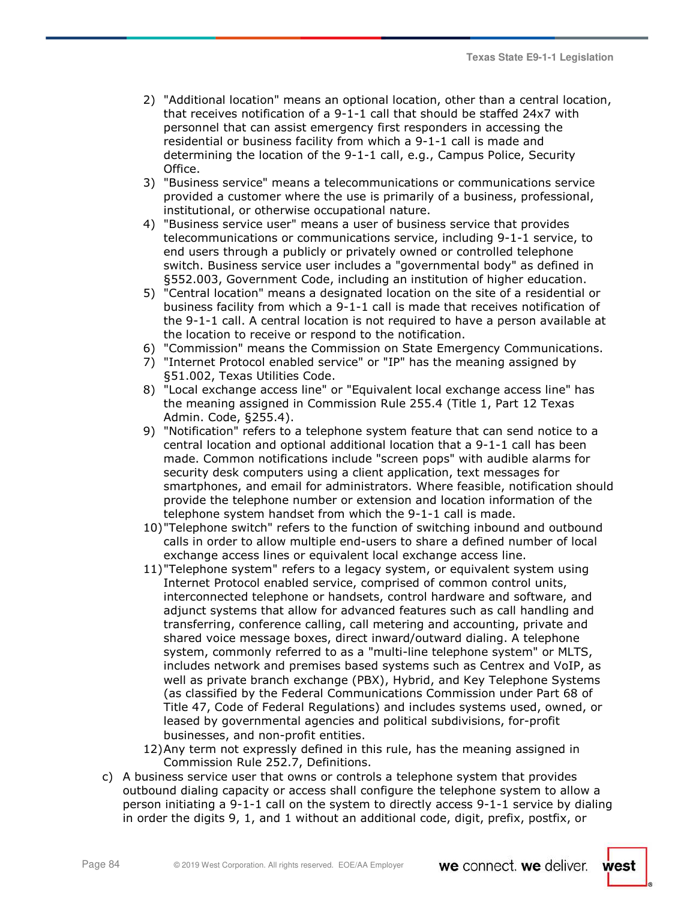- 2) "Additional location" means an optional location, other than a central location, that receives notification of a 9-1-1 call that should be staffed 24x7 with personnel that can assist emergency first responders in accessing the residential or business facility from which a 9-1-1 call is made and determining the location of the 9-1-1 call, e.g., Campus Police, Security Office.
- 3) "Business service" means a telecommunications or communications service provided a customer where the use is primarily of a business, professional, institutional, or otherwise occupational nature.
- 4) "Business service user" means a user of business service that provides telecommunications or communications service, including 9-1-1 service, to end users through a publicly or privately owned or controlled telephone switch. Business service user includes a "governmental body" as defined in §552.003, Government Code, including an institution of higher education.
- 5) "Central location" means a designated location on the site of a residential or business facility from which a 9-1-1 call is made that receives notification of the 9-1-1 call. A central location is not required to have a person available at the location to receive or respond to the notification.
- 6) "Commission" means the Commission on State Emergency Communications.
- 7) "Internet Protocol enabled service" or "IP" has the meaning assigned by §51.002, Texas Utilities Code.
- 8) "Local exchange access line" or "Equivalent local exchange access line" has the meaning assigned in Commission Rule 255.4 (Title 1, Part 12 Texas Admin. Code, §255.4).
- 9) "Notification" refers to a telephone system feature that can send notice to a central location and optional additional location that a 9-1-1 call has been made. Common notifications include "screen pops" with audible alarms for security desk computers using a client application, text messages for smartphones, and email for administrators. Where feasible, notification should provide the telephone number or extension and location information of the telephone system handset from which the 9-1-1 call is made.
- 10)"Telephone switch" refers to the function of switching inbound and outbound calls in order to allow multiple end-users to share a defined number of local exchange access lines or equivalent local exchange access line.
- 11)"Telephone system" refers to a legacy system, or equivalent system using Internet Protocol enabled service, comprised of common control units, interconnected telephone or handsets, control hardware and software, and adjunct systems that allow for advanced features such as call handling and transferring, conference calling, call metering and accounting, private and shared voice message boxes, direct inward/outward dialing. A telephone system, commonly referred to as a "multi-line telephone system" or MLTS, includes network and premises based systems such as Centrex and VoIP, as well as private branch exchange (PBX), Hybrid, and Key Telephone Systems (as classified by the Federal Communications Commission under Part 68 of Title 47, Code of Federal Regulations) and includes systems used, owned, or leased by governmental agencies and political subdivisions, for-profit businesses, and non-profit entities.
- 12)Any term not expressly defined in this rule, has the meaning assigned in Commission Rule 252.7, Definitions.
- c) A business service user that owns or controls a telephone system that provides outbound dialing capacity or access shall configure the telephone system to allow a person initiating a 9-1-1 call on the system to directly access 9-1-1 service by dialing in order the digits 9, 1, and 1 without an additional code, digit, prefix, postfix, or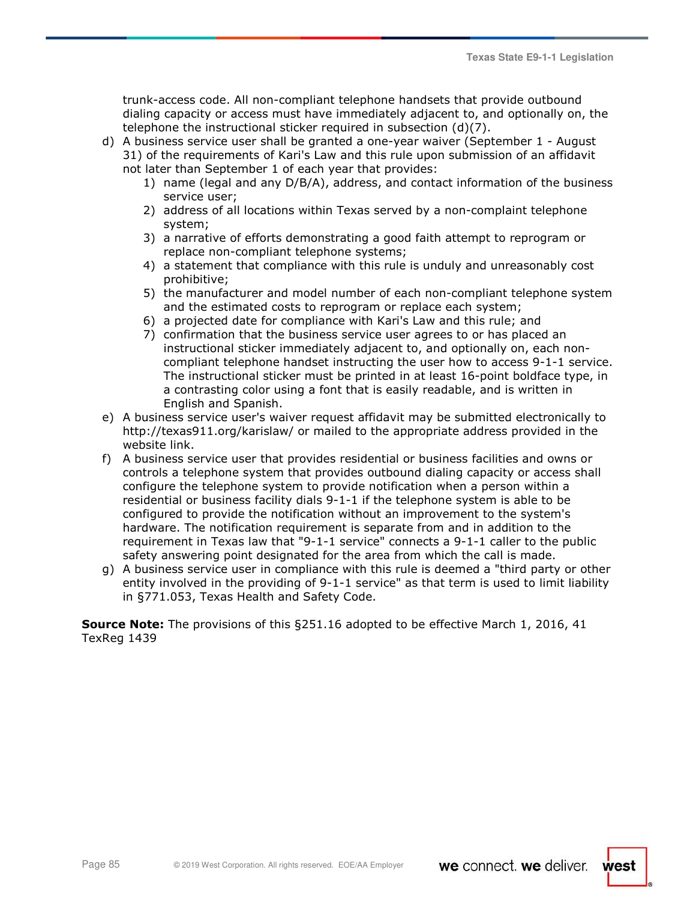west

trunk-access code. All non-compliant telephone handsets that provide outbound dialing capacity or access must have immediately adjacent to, and optionally on, the telephone the instructional sticker required in subsection (d)(7).

- d) A business service user shall be granted a one-year waiver (September 1 August 31) of the requirements of Kari's Law and this rule upon submission of an affidavit
	- not later than September 1 of each year that provides:
		- 1) name (legal and any D/B/A), address, and contact information of the business service user;
		- 2) address of all locations within Texas served by a non-complaint telephone system;
		- 3) a narrative of efforts demonstrating a good faith attempt to reprogram or replace non-compliant telephone systems;
		- 4) a statement that compliance with this rule is unduly and unreasonably cost prohibitive;
		- 5) the manufacturer and model number of each non-compliant telephone system and the estimated costs to reprogram or replace each system;
		- 6) a projected date for compliance with Kari's Law and this rule; and
		- 7) confirmation that the business service user agrees to or has placed an instructional sticker immediately adjacent to, and optionally on, each noncompliant telephone handset instructing the user how to access 9-1-1 service. The instructional sticker must be printed in at least 16-point boldface type, in a contrasting color using a font that is easily readable, and is written in English and Spanish.
- e) A business service user's waiver request affidavit may be submitted electronically to http://texas911.org/karislaw/ or mailed to the appropriate address provided in the website link.
- f) A business service user that provides residential or business facilities and owns or controls a telephone system that provides outbound dialing capacity or access shall configure the telephone system to provide notification when a person within a residential or business facility dials 9-1-1 if the telephone system is able to be configured to provide the notification without an improvement to the system's hardware. The notification requirement is separate from and in addition to the requirement in Texas law that "9-1-1 service" connects a 9-1-1 caller to the public safety answering point designated for the area from which the call is made.
- g) A business service user in compliance with this rule is deemed a "third party or other entity involved in the providing of 9-1-1 service" as that term is used to limit liability in §771.053, Texas Health and Safety Code.

**Source Note:** The provisions of this §251.16 adopted to be effective March 1, 2016, 41 TexReg 1439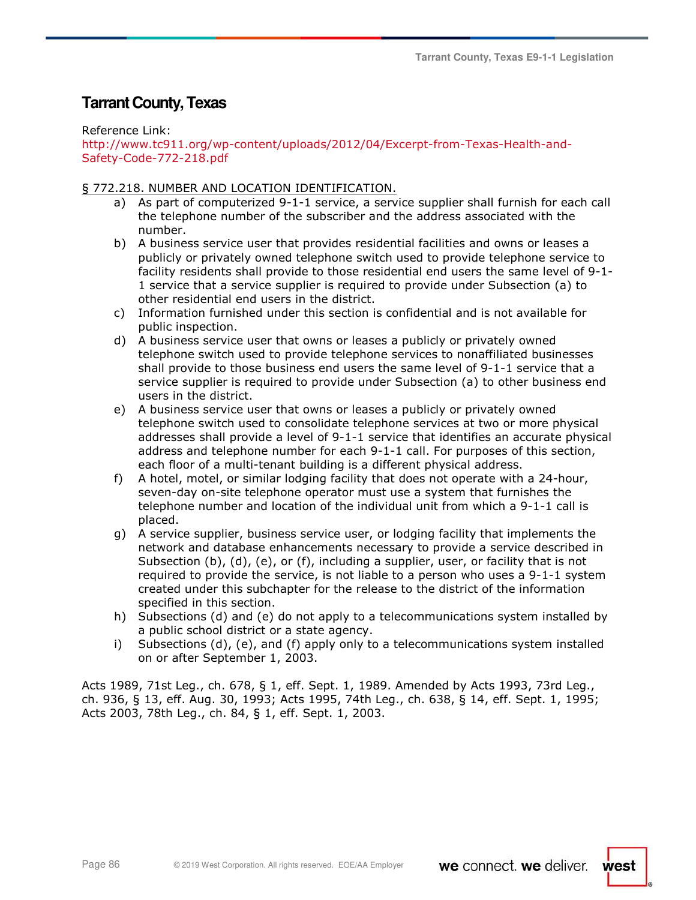# **Tarrant County, Texas**

Reference Link:

http://www.tc911.org/wp-content/uploads/2012/04/Excerpt-from-Texas-Health-and-Safety-Code-772-218.pdf

### § 772.218. NUMBER AND LOCATION IDENTIFICATION.

- a) As part of computerized 9-1-1 service, a service supplier shall furnish for each call the telephone number of the subscriber and the address associated with the number.
- b) A business service user that provides residential facilities and owns or leases a publicly or privately owned telephone switch used to provide telephone service to facility residents shall provide to those residential end users the same level of 9-1- 1 service that a service supplier is required to provide under Subsection (a) to other residential end users in the district.
- c) Information furnished under this section is confidential and is not available for public inspection.
- d) A business service user that owns or leases a publicly or privately owned telephone switch used to provide telephone services to nonaffiliated businesses shall provide to those business end users the same level of 9-1-1 service that a service supplier is required to provide under Subsection (a) to other business end users in the district.
- e) A business service user that owns or leases a publicly or privately owned telephone switch used to consolidate telephone services at two or more physical addresses shall provide a level of 9-1-1 service that identifies an accurate physical address and telephone number for each 9-1-1 call. For purposes of this section, each floor of a multi-tenant building is a different physical address.
- f) A hotel, motel, or similar lodging facility that does not operate with a 24-hour, seven-day on-site telephone operator must use a system that furnishes the telephone number and location of the individual unit from which a 9-1-1 call is placed.
- g) A service supplier, business service user, or lodging facility that implements the network and database enhancements necessary to provide a service described in Subsection (b), (d), (e), or (f), including a supplier, user, or facility that is not required to provide the service, is not liable to a person who uses a 9-1-1 system created under this subchapter for the release to the district of the information specified in this section.
- h) Subsections (d) and (e) do not apply to a telecommunications system installed by a public school district or a state agency.
- i) Subsections (d), (e), and (f) apply only to a telecommunications system installed on or after September 1, 2003.

Acts 1989, 71st Leg., ch. 678, § 1, eff. Sept. 1, 1989. Amended by Acts 1993, 73rd Leg., ch. 936, § 13, eff. Aug. 30, 1993; Acts 1995, 74th Leg., ch. 638, § 14, eff. Sept. 1, 1995; Acts 2003, 78th Leg., ch. 84, § 1, eff. Sept. 1, 2003.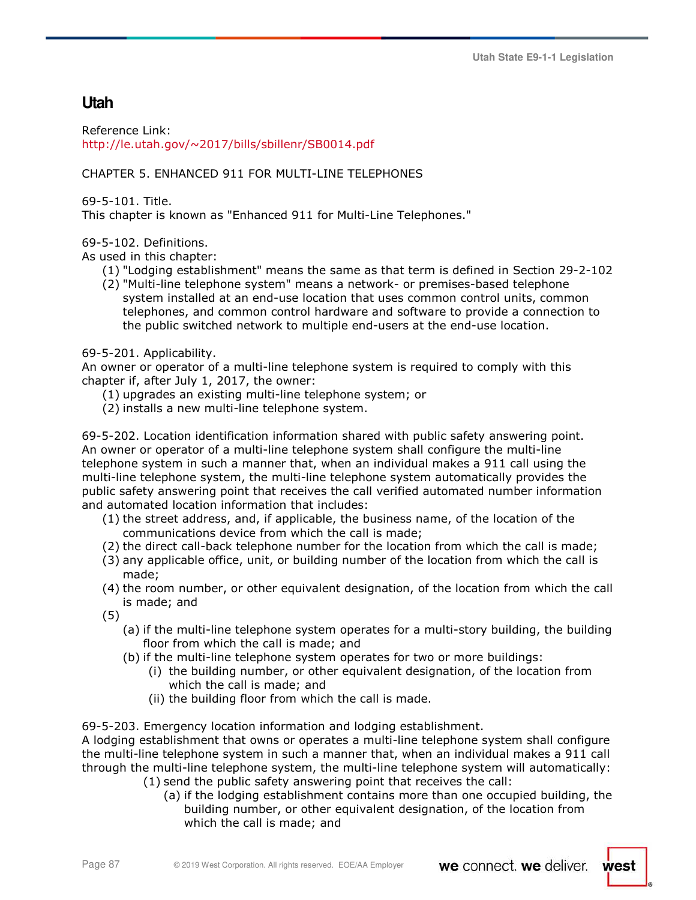# **Utah**

Reference Link: http://le.utah.gov/~2017/bills/sbillenr/SB0014.pdf

### CHAPTER 5. ENHANCED 911 FOR MULTI-LINE TELEPHONES

69-5-101. Title.

This chapter is known as "Enhanced 911 for Multi-Line Telephones."

### 69-5-102. Definitions.

As used in this chapter:

- (1) "Lodging establishment" means the same as that term is defined in Section 29-2-102
- (2) "Multi-line telephone system" means a network- or premises-based telephone system installed at an end-use location that uses common control units, common telephones, and common control hardware and software to provide a connection to the public switched network to multiple end-users at the end-use location.

69-5-201. Applicability.

An owner or operator of a multi-line telephone system is required to comply with this chapter if, after July 1, 2017, the owner:

- (1) upgrades an existing multi-line telephone system; or
- (2) installs a new multi-line telephone system.

69-5-202. Location identification information shared with public safety answering point. An owner or operator of a multi-line telephone system shall configure the multi-line telephone system in such a manner that, when an individual makes a 911 call using the multi-line telephone system, the multi-line telephone system automatically provides the public safety answering point that receives the call verified automated number information and automated location information that includes:

- (1) the street address, and, if applicable, the business name, of the location of the communications device from which the call is made;
- (2) the direct call-back telephone number for the location from which the call is made;
- (3) any applicable office, unit, or building number of the location from which the call is made;
- (4) the room number, or other equivalent designation, of the location from which the call is made; and
- (5)
	- (a) if the multi-line telephone system operates for a multi-story building, the building floor from which the call is made; and
	- (b) if the multi-line telephone system operates for two or more buildings:
		- (i) the building number, or other equivalent designation, of the location from which the call is made; and
		- (ii) the building floor from which the call is made.

69-5-203. Emergency location information and lodging establishment.

A lodging establishment that owns or operates a multi-line telephone system shall configure the multi-line telephone system in such a manner that, when an individual makes a 911 call through the multi-line telephone system, the multi-line telephone system will automatically:

- (1) send the public safety answering point that receives the call:
	- (a) if the lodging establishment contains more than one occupied building, the building number, or other equivalent designation, of the location from which the call is made; and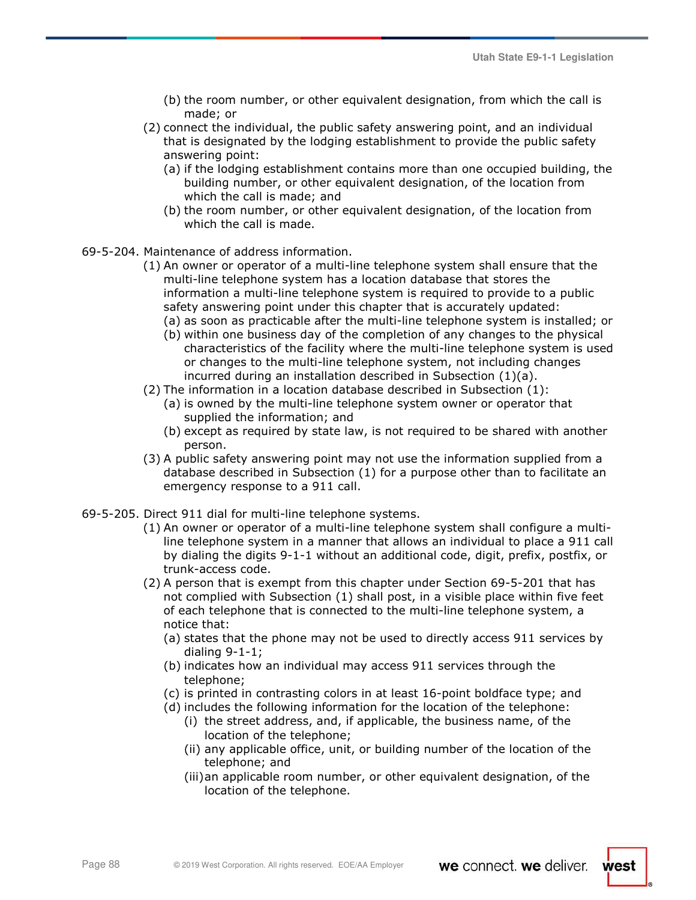- (b) the room number, or other equivalent designation, from which the call is made; or
- (2) connect the individual, the public safety answering point, and an individual that is designated by the lodging establishment to provide the public safety answering point:
	- (a) if the lodging establishment contains more than one occupied building, the building number, or other equivalent designation, of the location from which the call is made; and
	- (b) the room number, or other equivalent designation, of the location from which the call is made.
- 69-5-204. Maintenance of address information.
	- (1) An owner or operator of a multi-line telephone system shall ensure that the multi-line telephone system has a location database that stores the information a multi-line telephone system is required to provide to a public safety answering point under this chapter that is accurately updated:
		- (a) as soon as practicable after the multi-line telephone system is installed; or
		- (b) within one business day of the completion of any changes to the physical characteristics of the facility where the multi-line telephone system is used or changes to the multi-line telephone system, not including changes incurred during an installation described in Subsection (1)(a).
	- (2) The information in a location database described in Subsection (1):
		- (a) is owned by the multi-line telephone system owner or operator that supplied the information; and
		- (b) except as required by state law, is not required to be shared with another person.
	- (3) A public safety answering point may not use the information supplied from a database described in Subsection (1) for a purpose other than to facilitate an emergency response to a 911 call.
- 69-5-205. Direct 911 dial for multi-line telephone systems.
	- (1) An owner or operator of a multi-line telephone system shall configure a multiline telephone system in a manner that allows an individual to place a 911 call by dialing the digits 9-1-1 without an additional code, digit, prefix, postfix, or trunk-access code.
	- (2) A person that is exempt from this chapter under Section 69-5-201 that has not complied with Subsection (1) shall post, in a visible place within five feet of each telephone that is connected to the multi-line telephone system, a notice that:
		- (a) states that the phone may not be used to directly access 911 services by dialing 9-1-1;
		- (b) indicates how an individual may access 911 services through the telephone;
		- (c) is printed in contrasting colors in at least 16-point boldface type; and
		- (d) includes the following information for the location of the telephone: (i) the street address, and, if applicable, the business name, of the
			- location of the telephone; (ii) any applicable office, unit, or building number of the location of the
			- telephone; and (iii)an applicable room number, or other equivalent designation, of the location of the telephone.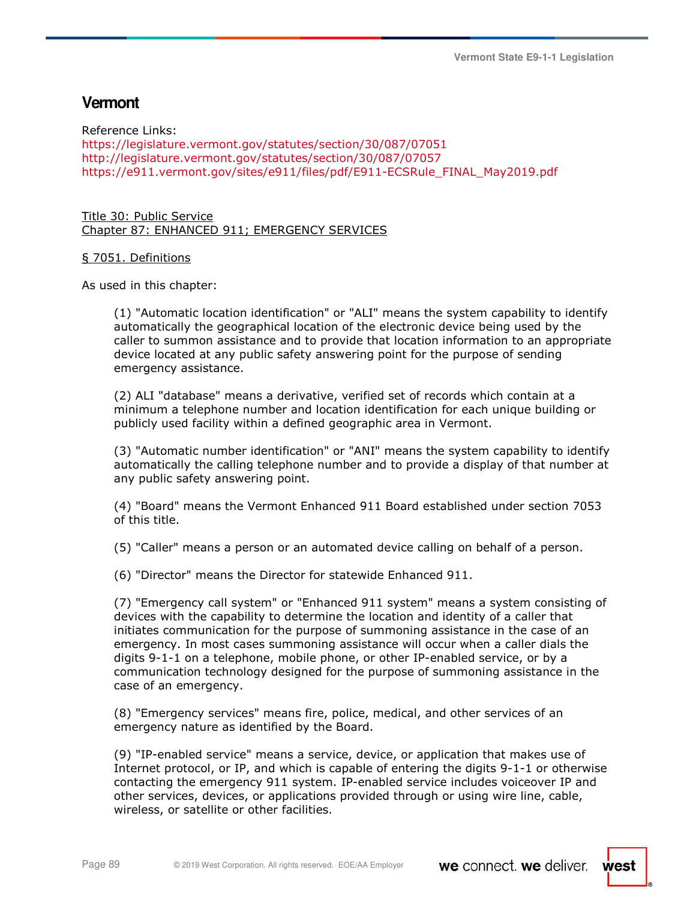# **Vermont**

Reference Links: https://legislature.vermont.gov/statutes/section/30/087/07051 http://legislature.vermont.gov/statutes/section/30/087/07057 https://e911.vermont.gov/sites/e911/files/pdf/E911-ECSRule\_FINAL\_May2019.pdf

Title 30: Public Service Chapter 87: ENHANCED 911; EMERGENCY SERVICES

### § 7051. Definitions

As used in this chapter:

(1) "Automatic location identification" or "ALI" means the system capability to identify automatically the geographical location of the electronic device being used by the caller to summon assistance and to provide that location information to an appropriate device located at any public safety answering point for the purpose of sending emergency assistance.

(2) ALI "database" means a derivative, verified set of records which contain at a minimum a telephone number and location identification for each unique building or publicly used facility within a defined geographic area in Vermont.

(3) "Automatic number identification" or "ANI" means the system capability to identify automatically the calling telephone number and to provide a display of that number at any public safety answering point.

(4) "Board" means the Vermont Enhanced 911 Board established under section 7053 of this title.

(5) "Caller" means a person or an automated device calling on behalf of a person.

(6) "Director" means the Director for statewide Enhanced 911.

(7) "Emergency call system" or "Enhanced 911 system" means a system consisting of devices with the capability to determine the location and identity of a caller that initiates communication for the purpose of summoning assistance in the case of an emergency. In most cases summoning assistance will occur when a caller dials the digits 9-1-1 on a telephone, mobile phone, or other IP-enabled service, or by a communication technology designed for the purpose of summoning assistance in the case of an emergency.

(8) "Emergency services" means fire, police, medical, and other services of an emergency nature as identified by the Board.

(9) "IP-enabled service" means a service, device, or application that makes use of Internet protocol, or IP, and which is capable of entering the digits 9-1-1 or otherwise contacting the emergency 911 system. IP-enabled service includes voiceover IP and other services, devices, or applications provided through or using wire line, cable, wireless, or satellite or other facilities.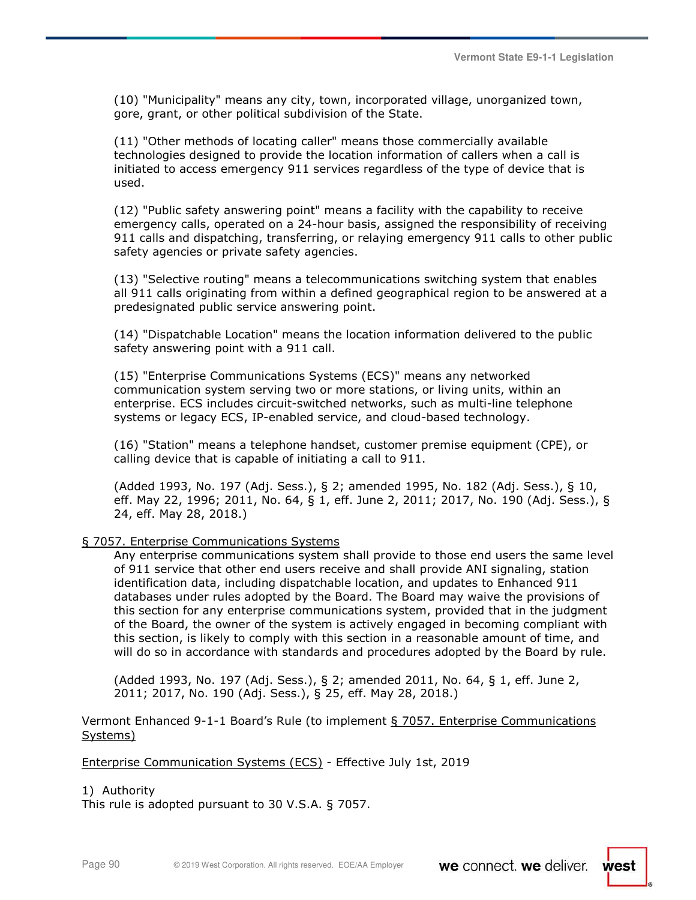(10) "Municipality" means any city, town, incorporated village, unorganized town, gore, grant, or other political subdivision of the State.

(11) "Other methods of locating caller" means those commercially available technologies designed to provide the location information of callers when a call is initiated to access emergency 911 services regardless of the type of device that is used.

(12) "Public safety answering point" means a facility with the capability to receive emergency calls, operated on a 24-hour basis, assigned the responsibility of receiving 911 calls and dispatching, transferring, or relaying emergency 911 calls to other public safety agencies or private safety agencies.

(13) "Selective routing" means a telecommunications switching system that enables all 911 calls originating from within a defined geographical region to be answered at a predesignated public service answering point.

(14) "Dispatchable Location" means the location information delivered to the public safety answering point with a 911 call.

(15) "Enterprise Communications Systems (ECS)" means any networked communication system serving two or more stations, or living units, within an enterprise. ECS includes circuit-switched networks, such as multi-line telephone systems or legacy ECS, IP-enabled service, and cloud-based technology.

(16) "Station" means a telephone handset, customer premise equipment (CPE), or calling device that is capable of initiating a call to 911.

(Added 1993, No. 197 (Adj. Sess.), § 2; amended 1995, No. 182 (Adj. Sess.), § 10, eff. May 22, 1996; 2011, No. 64, § 1, eff. June 2, 2011; 2017, No. 190 (Adj. Sess.), § 24, eff. May 28, 2018.)

### § 7057. Enterprise Communications Systems

Any enterprise communications system shall provide to those end users the same level of 911 service that other end users receive and shall provide ANI signaling, station identification data, including dispatchable location, and updates to Enhanced 911 databases under rules adopted by the Board. The Board may waive the provisions of this section for any enterprise communications system, provided that in the judgment of the Board, the owner of the system is actively engaged in becoming compliant with this section, is likely to comply with this section in a reasonable amount of time, and will do so in accordance with standards and procedures adopted by the Board by rule.

(Added 1993, No. 197 (Adj. Sess.), § 2; amended 2011, No. 64, § 1, eff. June 2, 2011; 2017, No. 190 (Adj. Sess.), § 25, eff. May 28, 2018.)

Vermont Enhanced 9-1-1 Board's Rule (to implement § 7057. Enterprise Communications Systems)

Enterprise Communication Systems (ECS) - Effective July 1st, 2019

1) Authority

This rule is adopted pursuant to 30 V.S.A. § 7057.

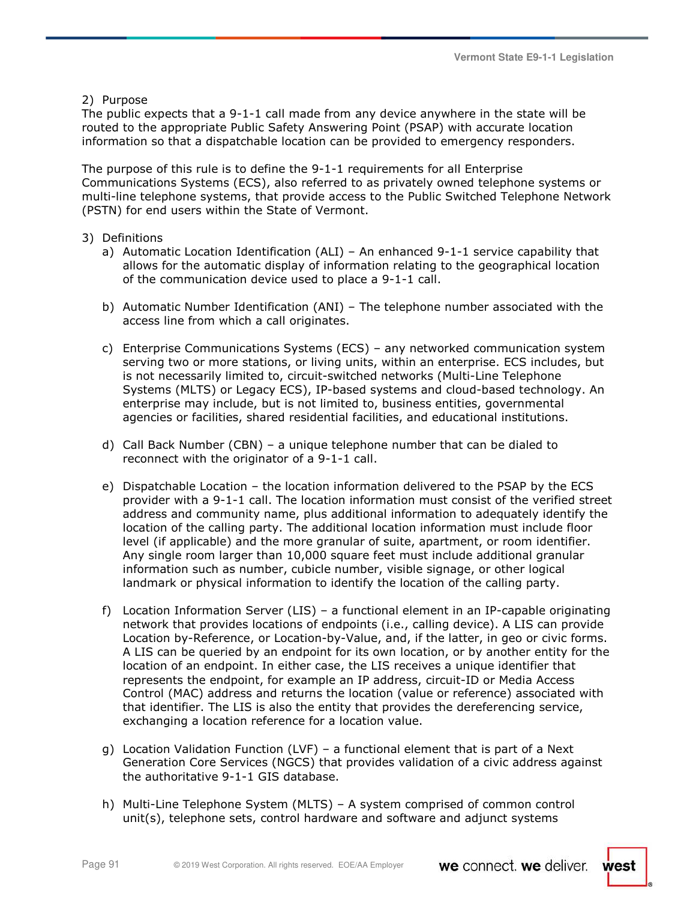2) Purpose

The public expects that a 9-1-1 call made from any device anywhere in the state will be routed to the appropriate Public Safety Answering Point (PSAP) with accurate location information so that a dispatchable location can be provided to emergency responders.

The purpose of this rule is to define the 9-1-1 requirements for all Enterprise Communications Systems (ECS), also referred to as privately owned telephone systems or multi-line telephone systems, that provide access to the Public Switched Telephone Network (PSTN) for end users within the State of Vermont.

- 3) Definitions
	- a) Automatic Location Identification (ALI) An enhanced 9-1-1 service capability that allows for the automatic display of information relating to the geographical location of the communication device used to place a 9-1-1 call.
	- b) Automatic Number Identification (ANI) The telephone number associated with the access line from which a call originates.
	- c) Enterprise Communications Systems (ECS) any networked communication system serving two or more stations, or living units, within an enterprise. ECS includes, but is not necessarily limited to, circuit-switched networks (Multi-Line Telephone Systems (MLTS) or Legacy ECS), IP-based systems and cloud-based technology. An enterprise may include, but is not limited to, business entities, governmental agencies or facilities, shared residential facilities, and educational institutions.
	- d) Call Back Number (CBN) a unique telephone number that can be dialed to reconnect with the originator of a 9-1-1 call.
	- e) Dispatchable Location the location information delivered to the PSAP by the ECS provider with a 9-1-1 call. The location information must consist of the verified street address and community name, plus additional information to adequately identify the location of the calling party. The additional location information must include floor level (if applicable) and the more granular of suite, apartment, or room identifier. Any single room larger than 10,000 square feet must include additional granular information such as number, cubicle number, visible signage, or other logical landmark or physical information to identify the location of the calling party.
	- f) Location Information Server (LIS) a functional element in an IP-capable originating network that provides locations of endpoints (i.e., calling device). A LIS can provide Location by-Reference, or Location-by-Value, and, if the latter, in geo or civic forms. A LIS can be queried by an endpoint for its own location, or by another entity for the location of an endpoint. In either case, the LIS receives a unique identifier that represents the endpoint, for example an IP address, circuit-ID or Media Access Control (MAC) address and returns the location (value or reference) associated with that identifier. The LIS is also the entity that provides the dereferencing service, exchanging a location reference for a location value.
	- g) Location Validation Function (LVF) a functional element that is part of a Next Generation Core Services (NGCS) that provides validation of a civic address against the authoritative 9-1-1 GIS database.
	- h) Multi-Line Telephone System (MLTS) A system comprised of common control unit(s), telephone sets, control hardware and software and adjunct systems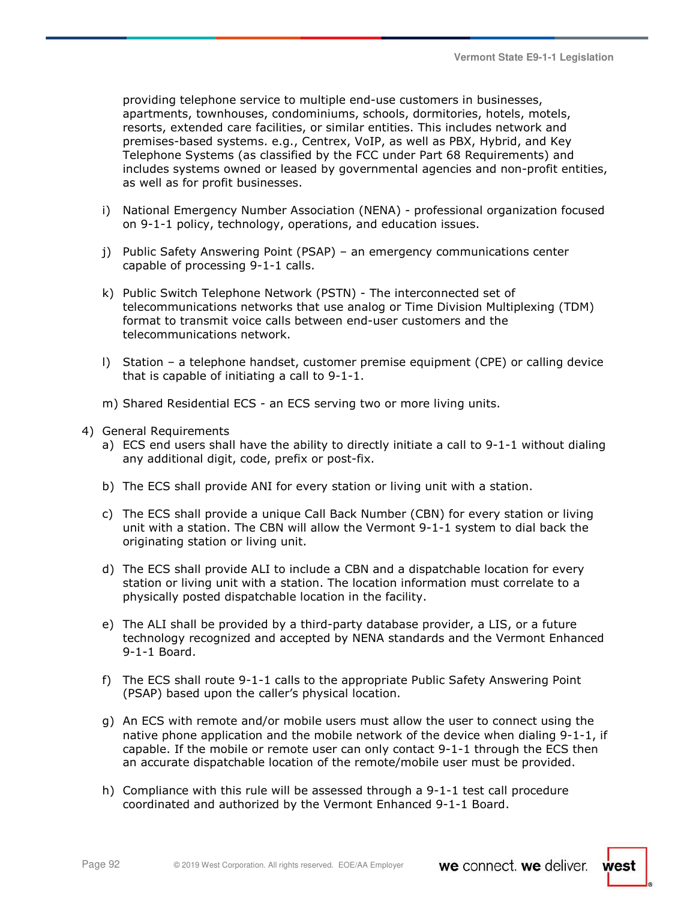providing telephone service to multiple end-use customers in businesses, apartments, townhouses, condominiums, schools, dormitories, hotels, motels, resorts, extended care facilities, or similar entities. This includes network and premises-based systems. e.g., Centrex, VoIP, as well as PBX, Hybrid, and Key Telephone Systems (as classified by the FCC under Part 68 Requirements) and includes systems owned or leased by governmental agencies and non-profit entities, as well as for profit businesses.

- i) National Emergency Number Association (NENA) professional organization focused on 9-1-1 policy, technology, operations, and education issues.
- j) Public Safety Answering Point (PSAP) an emergency communications center capable of processing 9-1-1 calls.
- k) Public Switch Telephone Network (PSTN) The interconnected set of telecommunications networks that use analog or Time Division Multiplexing (TDM) format to transmit voice calls between end-user customers and the telecommunications network.
- l) Station a telephone handset, customer premise equipment (CPE) or calling device that is capable of initiating a call to 9-1-1.
- m) Shared Residential ECS an ECS serving two or more living units.
- 4) General Requirements
	- a) ECS end users shall have the ability to directly initiate a call to 9-1-1 without dialing any additional digit, code, prefix or post-fix.
	- b) The ECS shall provide ANI for every station or living unit with a station.
	- c) The ECS shall provide a unique Call Back Number (CBN) for every station or living unit with a station. The CBN will allow the Vermont 9-1-1 system to dial back the originating station or living unit.
	- d) The ECS shall provide ALI to include a CBN and a dispatchable location for every station or living unit with a station. The location information must correlate to a physically posted dispatchable location in the facility.
	- e) The ALI shall be provided by a third-party database provider, a LIS, or a future technology recognized and accepted by NENA standards and the Vermont Enhanced 9-1-1 Board.
	- f) The ECS shall route 9-1-1 calls to the appropriate Public Safety Answering Point (PSAP) based upon the caller's physical location.
	- g) An ECS with remote and/or mobile users must allow the user to connect using the native phone application and the mobile network of the device when dialing 9-1-1, if capable. If the mobile or remote user can only contact 9-1-1 through the ECS then an accurate dispatchable location of the remote/mobile user must be provided.
	- h) Compliance with this rule will be assessed through a 9-1-1 test call procedure coordinated and authorized by the Vermont Enhanced 9-1-1 Board.

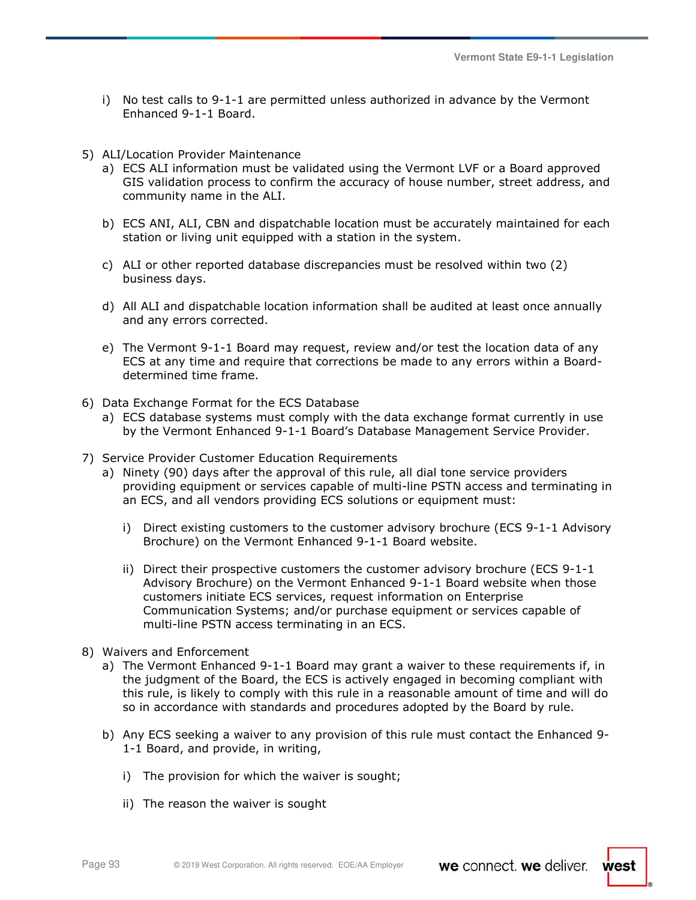- i) No test calls to 9-1-1 are permitted unless authorized in advance by the Vermont Enhanced 9-1-1 Board.
- 5) ALI/Location Provider Maintenance
	- a) ECS ALI information must be validated using the Vermont LVF or a Board approved GIS validation process to confirm the accuracy of house number, street address, and community name in the ALI.
	- b) ECS ANI, ALI, CBN and dispatchable location must be accurately maintained for each station or living unit equipped with a station in the system.
	- c) ALI or other reported database discrepancies must be resolved within two (2) business days.
	- d) All ALI and dispatchable location information shall be audited at least once annually and any errors corrected.
	- e) The Vermont 9-1-1 Board may request, review and/or test the location data of any ECS at any time and require that corrections be made to any errors within a Boarddetermined time frame.
- 6) Data Exchange Format for the ECS Database
	- a) ECS database systems must comply with the data exchange format currently in use by the Vermont Enhanced 9-1-1 Board's Database Management Service Provider.
- 7) Service Provider Customer Education Requirements
	- a) Ninety (90) days after the approval of this rule, all dial tone service providers providing equipment or services capable of multi-line PSTN access and terminating in an ECS, and all vendors providing ECS solutions or equipment must:
		- i) Direct existing customers to the customer advisory brochure (ECS 9-1-1 Advisory Brochure) on the Vermont Enhanced 9-1-1 Board website.
		- ii) Direct their prospective customers the customer advisory brochure (ECS 9-1-1 Advisory Brochure) on the Vermont Enhanced 9-1-1 Board website when those customers initiate ECS services, request information on Enterprise Communication Systems; and/or purchase equipment or services capable of multi-line PSTN access terminating in an ECS.
- 8) Waivers and Enforcement
	- a) The Vermont Enhanced 9-1-1 Board may grant a waiver to these requirements if, in the judgment of the Board, the ECS is actively engaged in becoming compliant with this rule, is likely to comply with this rule in a reasonable amount of time and will do so in accordance with standards and procedures adopted by the Board by rule.
	- b) Any ECS seeking a waiver to any provision of this rule must contact the Enhanced 9- 1-1 Board, and provide, in writing,
		- i) The provision for which the waiver is sought;
		- ii) The reason the waiver is sought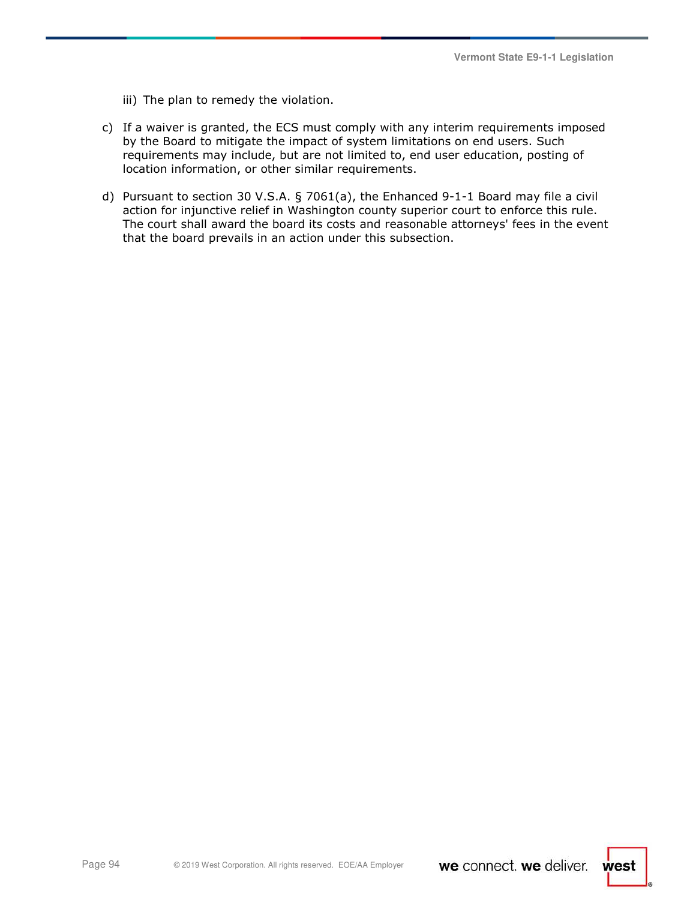- iii) The plan to remedy the violation.
- c) If a waiver is granted, the ECS must comply with any interim requirements imposed by the Board to mitigate the impact of system limitations on end users. Such requirements may include, but are not limited to, end user education, posting of location information, or other similar requirements.
- d) Pursuant to section 30 V.S.A. § 7061(a), the Enhanced 9-1-1 Board may file a civil action for injunctive relief in Washington county superior court to enforce this rule. The court shall award the board its costs and reasonable attorneys' fees in the event that the board prevails in an action under this subsection.

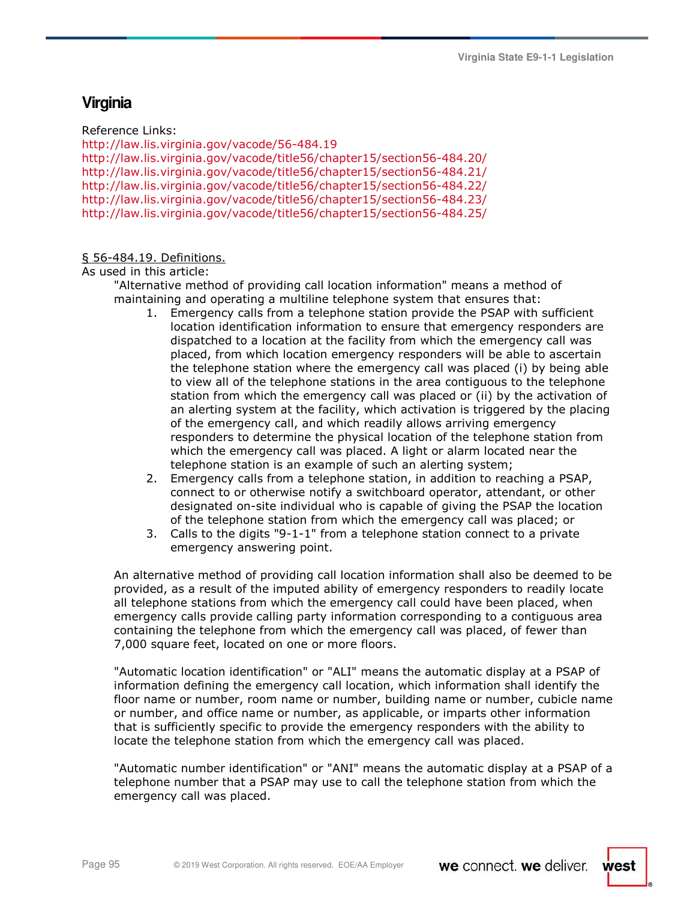# **Virginia**

Reference Links:

http://law.lis.virginia.gov/vacode/56-484.19 http://law.lis.virginia.gov/vacode/title56/chapter15/section56-484.20/ http://law.lis.virginia.gov/vacode/title56/chapter15/section56-484.21/ http://law.lis.virginia.gov/vacode/title56/chapter15/section56-484.22/ http://law.lis.virginia.gov/vacode/title56/chapter15/section56-484.23/ http://law.lis.virginia.gov/vacode/title56/chapter15/section56-484.25/

### § 56-484.19. Definitions.

As used in this article:

"Alternative method of providing call location information" means a method of maintaining and operating a multiline telephone system that ensures that:

- 1. Emergency calls from a telephone station provide the PSAP with sufficient location identification information to ensure that emergency responders are dispatched to a location at the facility from which the emergency call was placed, from which location emergency responders will be able to ascertain the telephone station where the emergency call was placed (i) by being able to view all of the telephone stations in the area contiguous to the telephone station from which the emergency call was placed or (ii) by the activation of an alerting system at the facility, which activation is triggered by the placing of the emergency call, and which readily allows arriving emergency responders to determine the physical location of the telephone station from which the emergency call was placed. A light or alarm located near the telephone station is an example of such an alerting system;
- 2. Emergency calls from a telephone station, in addition to reaching a PSAP, connect to or otherwise notify a switchboard operator, attendant, or other designated on-site individual who is capable of giving the PSAP the location of the telephone station from which the emergency call was placed; or
- 3. Calls to the digits "9-1-1" from a telephone station connect to a private emergency answering point.

An alternative method of providing call location information shall also be deemed to be provided, as a result of the imputed ability of emergency responders to readily locate all telephone stations from which the emergency call could have been placed, when emergency calls provide calling party information corresponding to a contiguous area containing the telephone from which the emergency call was placed, of fewer than 7,000 square feet, located on one or more floors.

"Automatic location identification" or "ALI" means the automatic display at a PSAP of information defining the emergency call location, which information shall identify the floor name or number, room name or number, building name or number, cubicle name or number, and office name or number, as applicable, or imparts other information that is sufficiently specific to provide the emergency responders with the ability to locate the telephone station from which the emergency call was placed.

"Automatic number identification" or "ANI" means the automatic display at a PSAP of a telephone number that a PSAP may use to call the telephone station from which the emergency call was placed.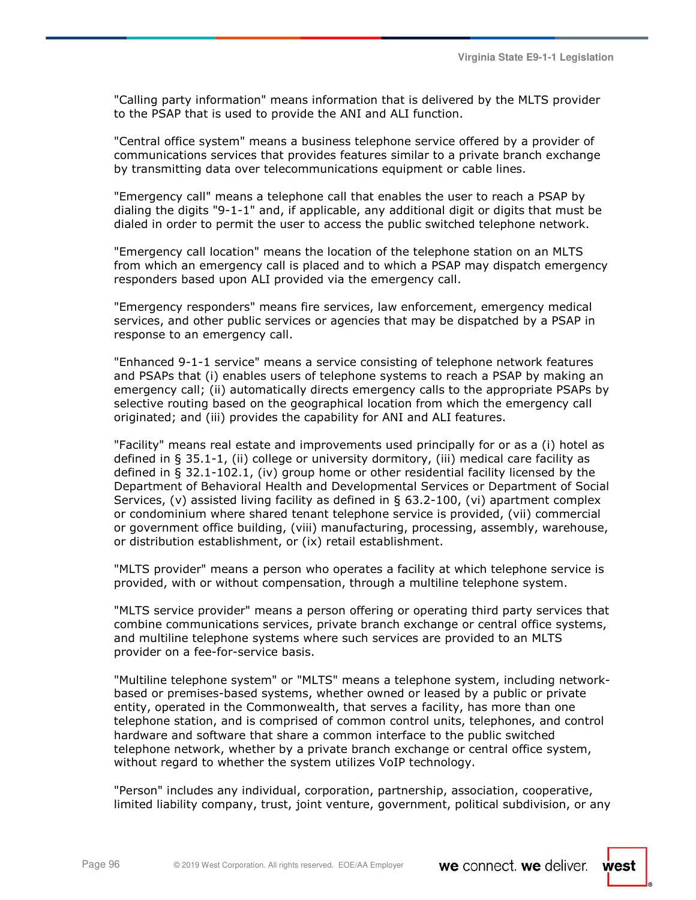"Calling party information" means information that is delivered by the MLTS provider to the PSAP that is used to provide the ANI and ALI function.

"Central office system" means a business telephone service offered by a provider of communications services that provides features similar to a private branch exchange by transmitting data over telecommunications equipment or cable lines.

"Emergency call" means a telephone call that enables the user to reach a PSAP by dialing the digits "9-1-1" and, if applicable, any additional digit or digits that must be dialed in order to permit the user to access the public switched telephone network.

"Emergency call location" means the location of the telephone station on an MLTS from which an emergency call is placed and to which a PSAP may dispatch emergency responders based upon ALI provided via the emergency call.

"Emergency responders" means fire services, law enforcement, emergency medical services, and other public services or agencies that may be dispatched by a PSAP in response to an emergency call.

"Enhanced 9-1-1 service" means a service consisting of telephone network features and PSAPs that (i) enables users of telephone systems to reach a PSAP by making an emergency call; (ii) automatically directs emergency calls to the appropriate PSAPs by selective routing based on the geographical location from which the emergency call originated; and (iii) provides the capability for ANI and ALI features.

"Facility" means real estate and improvements used principally for or as a (i) hotel as defined in § 35.1-1, (ii) college or university dormitory, (iii) medical care facility as defined in § 32.1-102.1, (iv) group home or other residential facility licensed by the Department of Behavioral Health and Developmental Services or Department of Social Services, (v) assisted living facility as defined in § 63.2-100, (vi) apartment complex or condominium where shared tenant telephone service is provided, (vii) commercial or government office building, (viii) manufacturing, processing, assembly, warehouse, or distribution establishment, or (ix) retail establishment.

"MLTS provider" means a person who operates a facility at which telephone service is provided, with or without compensation, through a multiline telephone system.

"MLTS service provider" means a person offering or operating third party services that combine communications services, private branch exchange or central office systems, and multiline telephone systems where such services are provided to an MLTS provider on a fee-for-service basis.

"Multiline telephone system" or "MLTS" means a telephone system, including networkbased or premises-based systems, whether owned or leased by a public or private entity, operated in the Commonwealth, that serves a facility, has more than one telephone station, and is comprised of common control units, telephones, and control hardware and software that share a common interface to the public switched telephone network, whether by a private branch exchange or central office system, without regard to whether the system utilizes VoIP technology.

"Person" includes any individual, corporation, partnership, association, cooperative, limited liability company, trust, joint venture, government, political subdivision, or any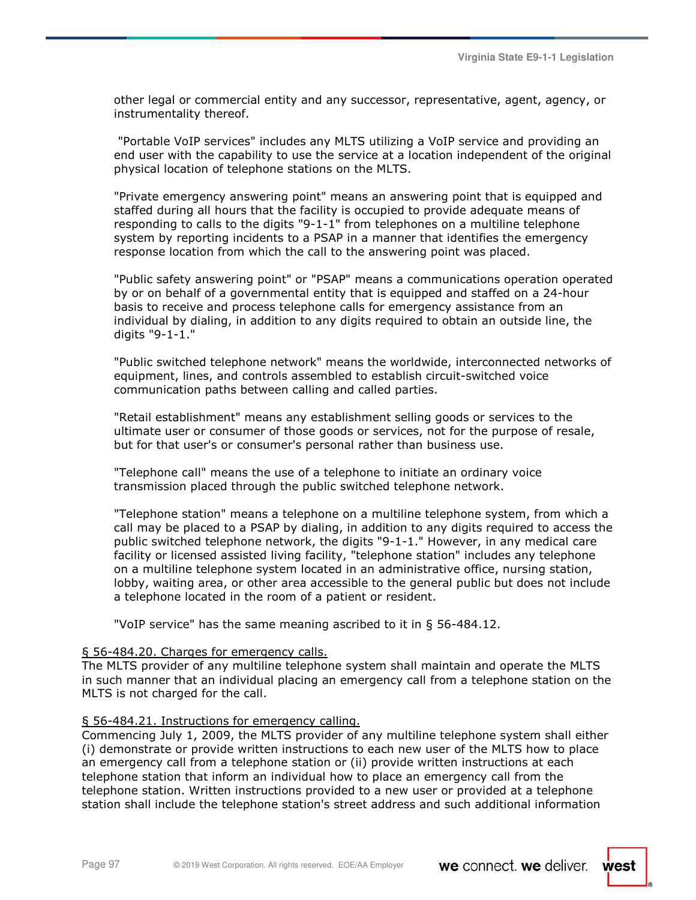other legal or commercial entity and any successor, representative, agent, agency, or instrumentality thereof.

 "Portable VoIP services" includes any MLTS utilizing a VoIP service and providing an end user with the capability to use the service at a location independent of the original physical location of telephone stations on the MLTS.

"Private emergency answering point" means an answering point that is equipped and staffed during all hours that the facility is occupied to provide adequate means of responding to calls to the digits "9-1-1" from telephones on a multiline telephone system by reporting incidents to a PSAP in a manner that identifies the emergency response location from which the call to the answering point was placed.

"Public safety answering point" or "PSAP" means a communications operation operated by or on behalf of a governmental entity that is equipped and staffed on a 24-hour basis to receive and process telephone calls for emergency assistance from an individual by dialing, in addition to any digits required to obtain an outside line, the digits "9-1-1."

"Public switched telephone network" means the worldwide, interconnected networks of equipment, lines, and controls assembled to establish circuit-switched voice communication paths between calling and called parties.

"Retail establishment" means any establishment selling goods or services to the ultimate user or consumer of those goods or services, not for the purpose of resale, but for that user's or consumer's personal rather than business use.

"Telephone call" means the use of a telephone to initiate an ordinary voice transmission placed through the public switched telephone network.

"Telephone station" means a telephone on a multiline telephone system, from which a call may be placed to a PSAP by dialing, in addition to any digits required to access the public switched telephone network, the digits "9-1-1." However, in any medical care facility or licensed assisted living facility, "telephone station" includes any telephone on a multiline telephone system located in an administrative office, nursing station, lobby, waiting area, or other area accessible to the general public but does not include a telephone located in the room of a patient or resident.

"VoIP service" has the same meaning ascribed to it in § 56-484.12.

### § 56-484.20. Charges for emergency calls.

The MLTS provider of any multiline telephone system shall maintain and operate the MLTS in such manner that an individual placing an emergency call from a telephone station on the MLTS is not charged for the call.

### § 56-484.21. Instructions for emergency calling.

Commencing July 1, 2009, the MLTS provider of any multiline telephone system shall either (i) demonstrate or provide written instructions to each new user of the MLTS how to place an emergency call from a telephone station or (ii) provide written instructions at each telephone station that inform an individual how to place an emergency call from the telephone station. Written instructions provided to a new user or provided at a telephone station shall include the telephone station's street address and such additional information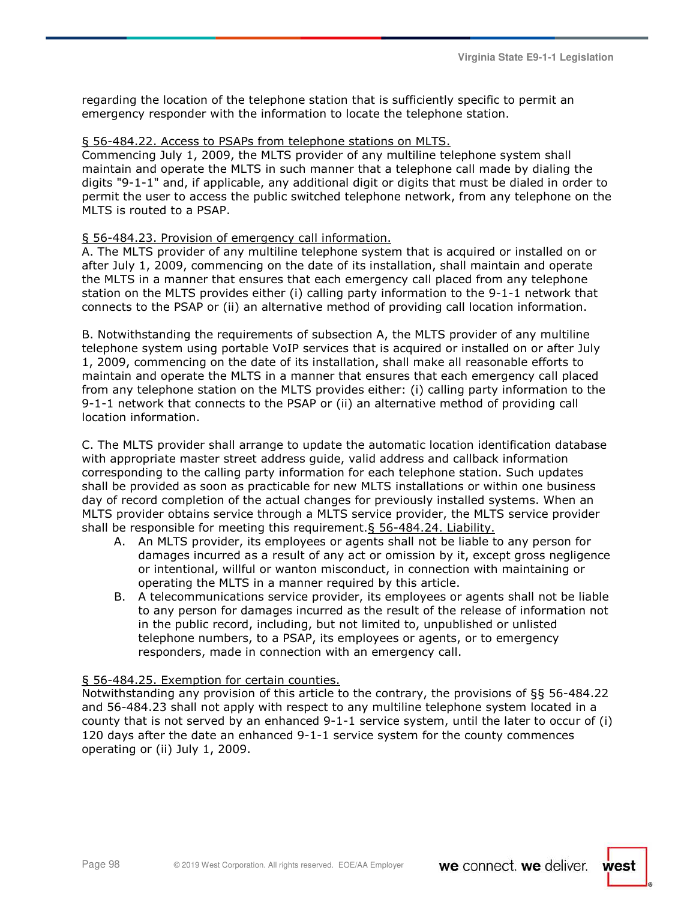regarding the location of the telephone station that is sufficiently specific to permit an emergency responder with the information to locate the telephone station.

#### § 56-484.22. Access to PSAPs from telephone stations on MLTS.

Commencing July 1, 2009, the MLTS provider of any multiline telephone system shall maintain and operate the MLTS in such manner that a telephone call made by dialing the digits "9-1-1" and, if applicable, any additional digit or digits that must be dialed in order to permit the user to access the public switched telephone network, from any telephone on the MLTS is routed to a PSAP.

#### § 56-484.23. Provision of emergency call information.

A. The MLTS provider of any multiline telephone system that is acquired or installed on or after July 1, 2009, commencing on the date of its installation, shall maintain and operate the MLTS in a manner that ensures that each emergency call placed from any telephone station on the MLTS provides either (i) calling party information to the 9-1-1 network that connects to the PSAP or (ii) an alternative method of providing call location information.

B. Notwithstanding the requirements of subsection A, the MLTS provider of any multiline telephone system using portable VoIP services that is acquired or installed on or after July 1, 2009, commencing on the date of its installation, shall make all reasonable efforts to maintain and operate the MLTS in a manner that ensures that each emergency call placed from any telephone station on the MLTS provides either: (i) calling party information to the 9-1-1 network that connects to the PSAP or (ii) an alternative method of providing call location information.

C. The MLTS provider shall arrange to update the automatic location identification database with appropriate master street address guide, valid address and callback information corresponding to the calling party information for each telephone station. Such updates shall be provided as soon as practicable for new MLTS installations or within one business day of record completion of the actual changes for previously installed systems. When an MLTS provider obtains service through a MLTS service provider, the MLTS service provider shall be responsible for meeting this requirement.§ 56-484.24. Liability.

- A. An MLTS provider, its employees or agents shall not be liable to any person for damages incurred as a result of any act or omission by it, except gross negligence or intentional, willful or wanton misconduct, in connection with maintaining or operating the MLTS in a manner required by this article.
- B. A telecommunications service provider, its employees or agents shall not be liable to any person for damages incurred as the result of the release of information not in the public record, including, but not limited to, unpublished or unlisted telephone numbers, to a PSAP, its employees or agents, or to emergency responders, made in connection with an emergency call.

#### § 56-484.25. Exemption for certain counties.

Notwithstanding any provision of this article to the contrary, the provisions of §§ 56-484.22 and 56-484.23 shall not apply with respect to any multiline telephone system located in a county that is not served by an enhanced 9-1-1 service system, until the later to occur of (i) 120 days after the date an enhanced 9-1-1 service system for the county commences operating or (ii) July 1, 2009.

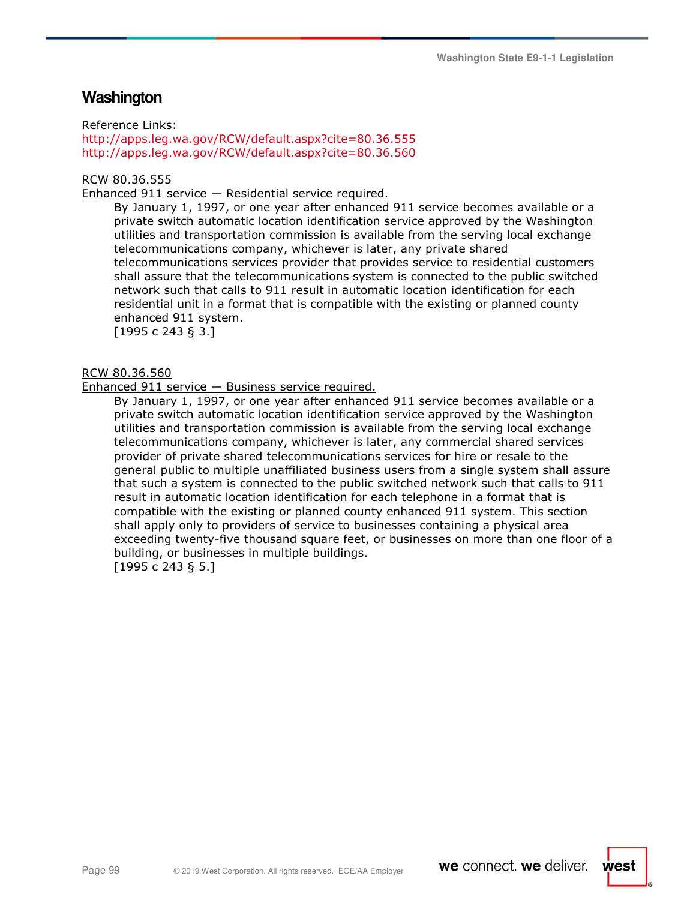## **Washington**

Reference Links:

http://apps.leg.wa.gov/RCW/default.aspx?cite=80.36.555 http://apps.leg.wa.gov/RCW/default.aspx?cite=80.36.560

#### RCW 80.36.555

Enhanced 911 service — Residential service required.

By January 1, 1997, or one year after enhanced 911 service becomes available or a private switch automatic location identification service approved by the Washington utilities and transportation commission is available from the serving local exchange telecommunications company, whichever is later, any private shared telecommunications services provider that provides service to residential customers shall assure that the telecommunications system is connected to the public switched network such that calls to 911 result in automatic location identification for each residential unit in a format that is compatible with the existing or planned county enhanced 911 system.

[1995 c 243 § 3.]

#### RCW 80.36.560

Enhanced 911 service — Business service required.

By January 1, 1997, or one year after enhanced 911 service becomes available or a private switch automatic location identification service approved by the Washington utilities and transportation commission is available from the serving local exchange telecommunications company, whichever is later, any commercial shared services provider of private shared telecommunications services for hire or resale to the general public to multiple unaffiliated business users from a single system shall assure that such a system is connected to the public switched network such that calls to 911 result in automatic location identification for each telephone in a format that is compatible with the existing or planned county enhanced 911 system. This section shall apply only to providers of service to businesses containing a physical area exceeding twenty-five thousand square feet, or businesses on more than one floor of a building, or businesses in multiple buildings.

[1995 c 243 § 5.]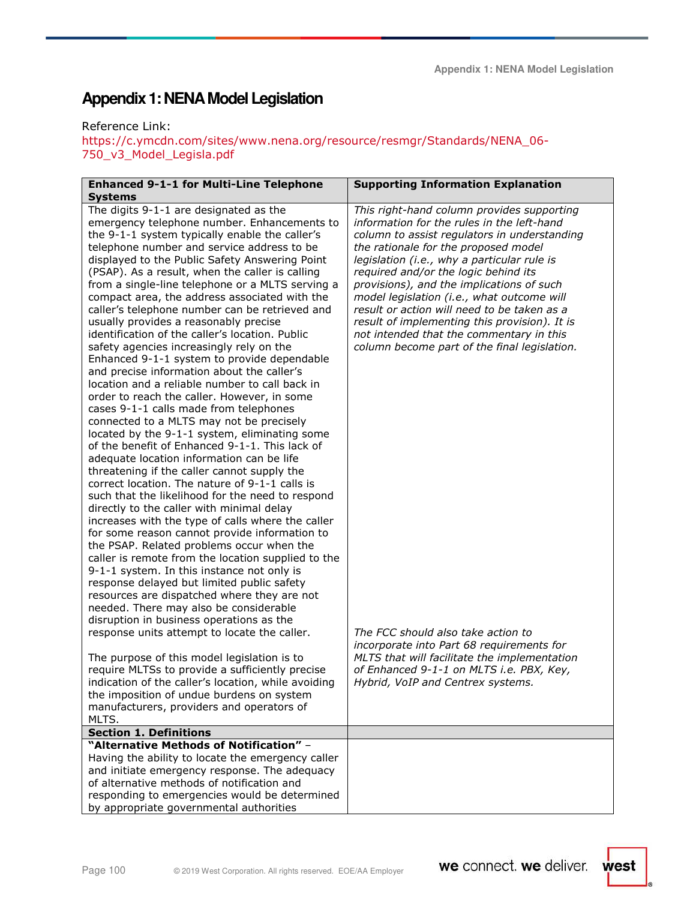Reference Link:

https://c.ymcdn.com/sites/www.nena.org/resource/resmgr/Standards/NENA\_06- 750\_v3\_Model\_Legisla.pdf

| <b>Enhanced 9-1-1 for Multi-Line Telephone</b>      | <b>Supporting Information Explanation</b>     |
|-----------------------------------------------------|-----------------------------------------------|
|                                                     |                                               |
| <b>Systems</b>                                      |                                               |
| The digits 9-1-1 are designated as the              | This right-hand column provides supporting    |
| emergency telephone number. Enhancements to         | information for the rules in the left-hand    |
| the 9-1-1 system typically enable the caller's      | column to assist regulators in understanding  |
| telephone number and service address to be          | the rationale for the proposed model          |
| displayed to the Public Safety Answering Point      | legislation (i.e., why a particular rule is   |
| (PSAP). As a result, when the caller is calling     | required and/or the logic behind its          |
| from a single-line telephone or a MLTS serving a    | provisions), and the implications of such     |
| compact area, the address associated with the       | model legislation (i.e., what outcome will    |
| caller's telephone number can be retrieved and      | result or action will need to be taken as a   |
| usually provides a reasonably precise               | result of implementing this provision). It is |
| identification of the caller's location. Public     | not intended that the commentary in this      |
| safety agencies increasingly rely on the            | column become part of the final legislation.  |
| Enhanced 9-1-1 system to provide dependable         |                                               |
| and precise information about the caller's          |                                               |
| location and a reliable number to call back in      |                                               |
| order to reach the caller. However, in some         |                                               |
| cases 9-1-1 calls made from telephones              |                                               |
| connected to a MLTS may not be precisely            |                                               |
| located by the 9-1-1 system, eliminating some       |                                               |
| of the benefit of Enhanced 9-1-1. This lack of      |                                               |
| adequate location information can be life           |                                               |
| threatening if the caller cannot supply the         |                                               |
| correct location. The nature of 9-1-1 calls is      |                                               |
| such that the likelihood for the need to respond    |                                               |
| directly to the caller with minimal delay           |                                               |
| increases with the type of calls where the caller   |                                               |
| for some reason cannot provide information to       |                                               |
| the PSAP. Related problems occur when the           |                                               |
| caller is remote from the location supplied to the  |                                               |
| 9-1-1 system. In this instance not only is          |                                               |
| response delayed but limited public safety          |                                               |
| resources are dispatched where they are not         |                                               |
| needed. There may also be considerable              |                                               |
| disruption in business operations as the            |                                               |
| response units attempt to locate the caller.        | The FCC should also take action to            |
|                                                     | incorporate into Part 68 requirements for     |
| The purpose of this model legislation is to         | MLTS that will facilitate the implementation  |
| require MLTSs to provide a sufficiently precise     | of Enhanced 9-1-1 on MLTS i.e. PBX, Key,      |
| indication of the caller's location, while avoiding | Hybrid, VoIP and Centrex systems.             |
| the imposition of undue burdens on system           |                                               |
| manufacturers, providers and operators of           |                                               |
| MLTS.                                               |                                               |
| <b>Section 1. Definitions</b>                       |                                               |
| "Alternative Methods of Notification" -             |                                               |
| Having the ability to locate the emergency caller   |                                               |
| and initiate emergency response. The adequacy       |                                               |
| of alternative methods of notification and          |                                               |
| responding to emergencies would be determined       |                                               |
| by appropriate governmental authorities             |                                               |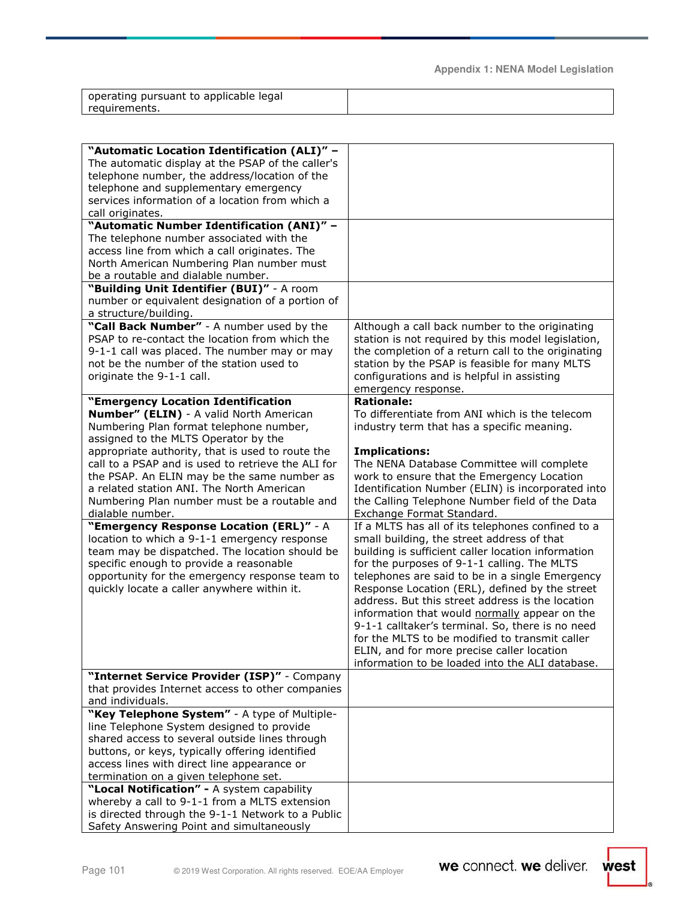| operating pursuant to applicable legal |  |
|----------------------------------------|--|
| requirements.                          |  |
|                                        |  |

| "Automatic Location Identification (ALI)" -        |                                                    |
|----------------------------------------------------|----------------------------------------------------|
| The automatic display at the PSAP of the caller's  |                                                    |
| telephone number, the address/location of the      |                                                    |
| telephone and supplementary emergency              |                                                    |
| services information of a location from which a    |                                                    |
| call originates.                                   |                                                    |
| "Automatic Number Identification (ANI)" -          |                                                    |
| The telephone number associated with the           |                                                    |
| access line from which a call originates. The      |                                                    |
| North American Numbering Plan number must          |                                                    |
| be a routable and dialable number.                 |                                                    |
| "Building Unit Identifier (BUI)" - A room          |                                                    |
| number or equivalent designation of a portion of   |                                                    |
| a structure/building.                              |                                                    |
| "Call Back Number" - A number used by the          | Although a call back number to the originating     |
| PSAP to re-contact the location from which the     | station is not required by this model legislation, |
| 9-1-1 call was placed. The number may or may       | the completion of a return call to the originating |
| not be the number of the station used to           | station by the PSAP is feasible for many MLTS      |
| originate the 9-1-1 call.                          | configurations and is helpful in assisting         |
|                                                    | emergency response.                                |
| "Emergency Location Identification                 | <b>Rationale:</b>                                  |
| Number" (ELIN) - A valid North American            | To differentiate from ANI which is the telecom     |
| Numbering Plan format telephone number,            | industry term that has a specific meaning.         |
| assigned to the MLTS Operator by the               |                                                    |
| appropriate authority, that is used to route the   | <b>Implications:</b>                               |
| call to a PSAP and is used to retrieve the ALI for | The NENA Database Committee will complete          |
| the PSAP. An ELIN may be the same number as        | work to ensure that the Emergency Location         |
| a related station ANI. The North American          | Identification Number (ELIN) is incorporated into  |
| Numbering Plan number must be a routable and       | the Calling Telephone Number field of the Data     |
| dialable number.                                   | Exchange Format Standard.                          |
| "Emergency Response Location (ERL)" - A            | If a MLTS has all of its telephones confined to a  |
| location to which a 9-1-1 emergency response       | small building, the street address of that         |
| team may be dispatched. The location should be     | building is sufficient caller location information |
| specific enough to provide a reasonable            | for the purposes of 9-1-1 calling. The MLTS        |
| opportunity for the emergency response team to     | telephones are said to be in a single Emergency    |
| quickly locate a caller anywhere within it.        | Response Location (ERL), defined by the street     |
|                                                    | address. But this street address is the location   |
|                                                    | information that would normally appear on the      |
|                                                    | 9-1-1 calltaker's terminal. So, there is no need   |
|                                                    | for the MLTS to be modified to transmit caller     |
|                                                    | ELIN, and for more precise caller location         |
|                                                    | information to be loaded into the ALI database.    |
| "Internet Service Provider (ISP)" - Company        |                                                    |
| that provides Internet access to other companies   |                                                    |
| and individuals.                                   |                                                    |
| "Key Telephone System" - A type of Multiple-       |                                                    |
| line Telephone System designed to provide          |                                                    |
| shared access to several outside lines through     |                                                    |
| buttons, or keys, typically offering identified    |                                                    |
| access lines with direct line appearance or        |                                                    |
| termination on a given telephone set.              |                                                    |
| "Local Notification" - A system capability         |                                                    |
| whereby a call to 9-1-1 from a MLTS extension      |                                                    |
| is directed through the 9-1-1 Network to a Public  |                                                    |
|                                                    |                                                    |
| Safety Answering Point and simultaneously          |                                                    |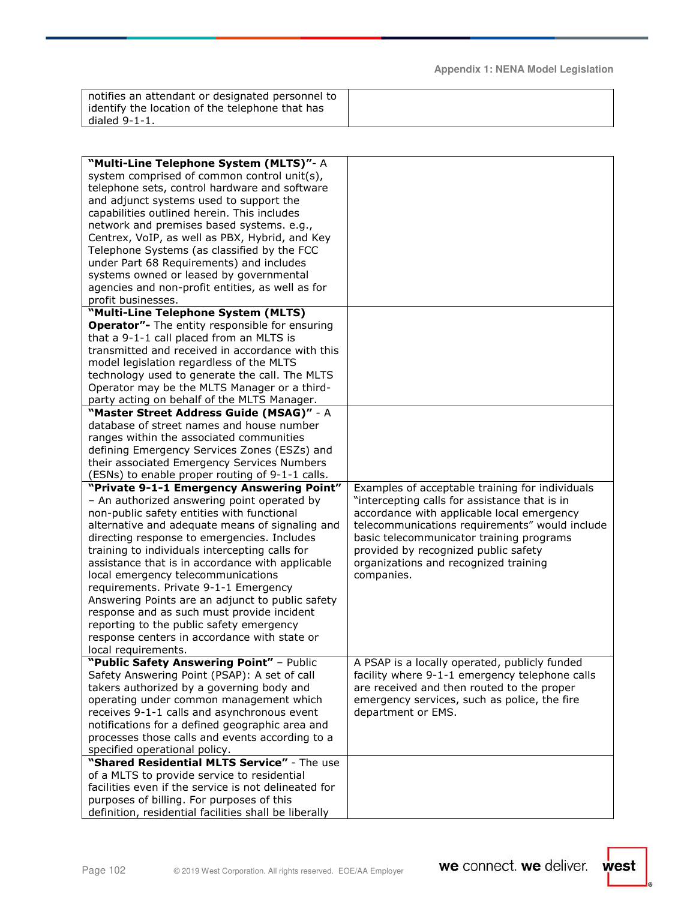| notifies an attendant or designated personnel to |  |
|--------------------------------------------------|--|
| identify the location of the telephone that has  |  |
| dialed $9-1-1$ .                                 |  |

| "Multi-Line Telephone System (MLTS)"- A<br>system comprised of common control unit(s),             |                                                 |
|----------------------------------------------------------------------------------------------------|-------------------------------------------------|
| telephone sets, control hardware and software                                                      |                                                 |
| and adjunct systems used to support the                                                            |                                                 |
| capabilities outlined herein. This includes                                                        |                                                 |
|                                                                                                    |                                                 |
| network and premises based systems. e.g.,                                                          |                                                 |
| Centrex, VoIP, as well as PBX, Hybrid, and Key                                                     |                                                 |
| Telephone Systems (as classified by the FCC                                                        |                                                 |
| under Part 68 Requirements) and includes                                                           |                                                 |
| systems owned or leased by governmental                                                            |                                                 |
| agencies and non-profit entities, as well as for                                                   |                                                 |
| profit businesses.                                                                                 |                                                 |
| "Multi-Line Telephone System (MLTS)                                                                |                                                 |
| <b>Operator"-</b> The entity responsible for ensuring                                              |                                                 |
| that a 9-1-1 call placed from an MLTS is                                                           |                                                 |
| transmitted and received in accordance with this                                                   |                                                 |
| model legislation regardless of the MLTS                                                           |                                                 |
| technology used to generate the call. The MLTS                                                     |                                                 |
| Operator may be the MLTS Manager or a third-                                                       |                                                 |
| party acting on behalf of the MLTS Manager.                                                        |                                                 |
| "Master Street Address Guide (MSAG)" - A                                                           |                                                 |
| database of street names and house number                                                          |                                                 |
| ranges within the associated communities                                                           |                                                 |
| defining Emergency Services Zones (ESZs) and                                                       |                                                 |
| their associated Emergency Services Numbers                                                        |                                                 |
| (ESNs) to enable proper routing of 9-1-1 calls.                                                    |                                                 |
|                                                                                                    |                                                 |
| "Private 9-1-1 Emergency Answering Point"                                                          | Examples of acceptable training for individuals |
| - An authorized answering point operated by                                                        | "intercepting calls for assistance that is in   |
| non-public safety entities with functional                                                         | accordance with applicable local emergency      |
| alternative and adequate means of signaling and                                                    | telecommunications requirements" would include  |
| directing response to emergencies. Includes                                                        | basic telecommunicator training programs        |
| training to individuals intercepting calls for                                                     | provided by recognized public safety            |
| assistance that is in accordance with applicable                                                   | organizations and recognized training           |
| local emergency telecommunications                                                                 | companies.                                      |
| requirements. Private 9-1-1 Emergency                                                              |                                                 |
| Answering Points are an adjunct to public safety                                                   |                                                 |
| response and as such must provide incident                                                         |                                                 |
| reporting to the public safety emergency                                                           |                                                 |
| response centers in accordance with state or                                                       |                                                 |
| local requirements.                                                                                |                                                 |
| "Public Safety Answering Point" - Public                                                           | A PSAP is a locally operated, publicly funded   |
| Safety Answering Point (PSAP): A set of call                                                       | facility where 9-1-1 emergency telephone calls  |
| takers authorized by a governing body and                                                          | are received and then routed to the proper      |
| operating under common management which                                                            | emergency services, such as police, the fire    |
| receives 9-1-1 calls and asynchronous event                                                        | department or EMS.                              |
| notifications for a defined geographic area and                                                    |                                                 |
| processes those calls and events according to a                                                    |                                                 |
| specified operational policy.                                                                      |                                                 |
| "Shared Residential MLTS Service" - The use                                                        |                                                 |
| of a MLTS to provide service to residential                                                        |                                                 |
| facilities even if the service is not delineated for                                               |                                                 |
| purposes of billing. For purposes of this<br>definition, residential facilities shall be liberally |                                                 |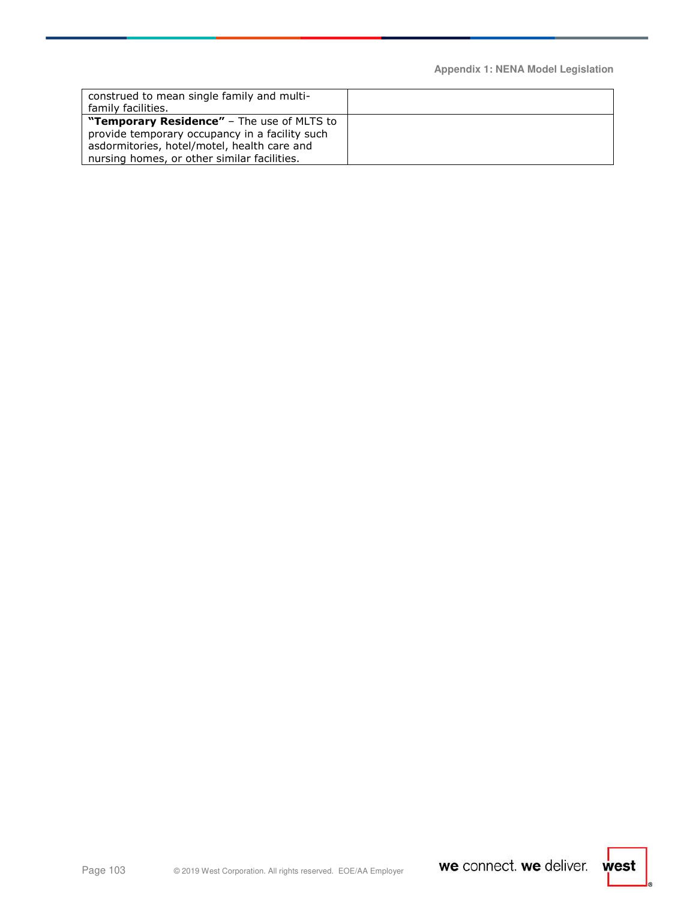| construed to mean single family and multi-<br>family facilities. |  |
|------------------------------------------------------------------|--|
| "Temporary Residence" - The use of MLTS to                       |  |
| provide temporary occupancy in a facility such                   |  |
| asdormitories, hotel/motel, health care and                      |  |
| nursing homes, or other similar facilities.                      |  |

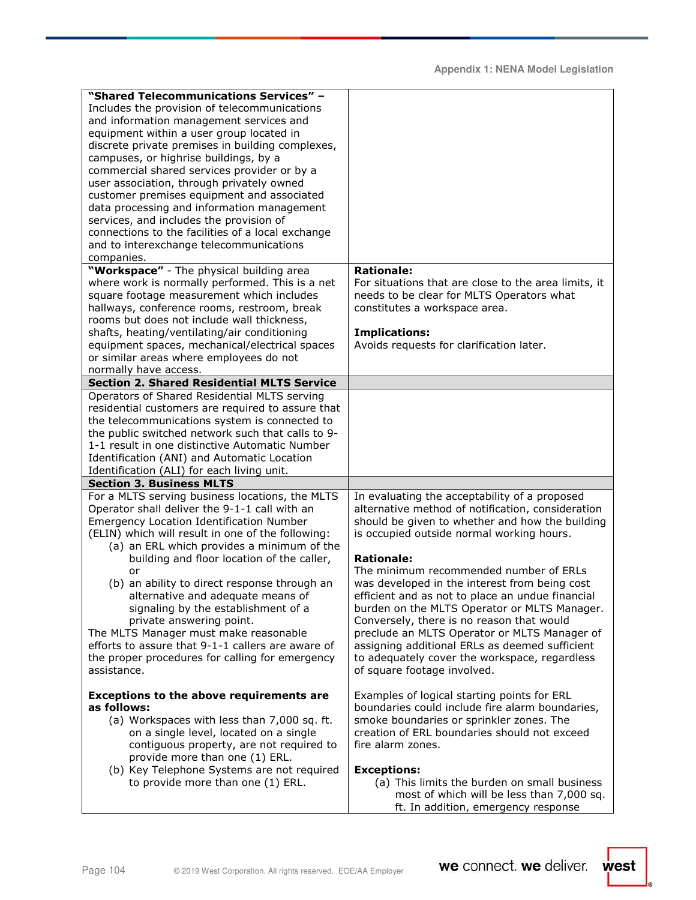| "Shared Telecommunications Services" -<br>Includes the provision of telecommunications<br>and information management services and<br>equipment within a user group located in<br>discrete private premises in building complexes,<br>campuses, or highrise buildings, by a<br>commercial shared services provider or by a<br>user association, through privately owned<br>customer premises equipment and associated<br>data processing and information management<br>services, and includes the provision of<br>connections to the facilities of a local exchange<br>and to interexchange telecommunications<br>companies.<br>"Workspace" - The physical building area | <b>Rationale:</b>                                                                                                                                                                                                                                                                                                                                                                                                                                                                                                                                                                                                                                     |
|-------------------------------------------------------------------------------------------------------------------------------------------------------------------------------------------------------------------------------------------------------------------------------------------------------------------------------------------------------------------------------------------------------------------------------------------------------------------------------------------------------------------------------------------------------------------------------------------------------------------------------------------------------------------------|-------------------------------------------------------------------------------------------------------------------------------------------------------------------------------------------------------------------------------------------------------------------------------------------------------------------------------------------------------------------------------------------------------------------------------------------------------------------------------------------------------------------------------------------------------------------------------------------------------------------------------------------------------|
| where work is normally performed. This is a net<br>square footage measurement which includes<br>hallways, conference rooms, restroom, break<br>rooms but does not include wall thickness,<br>shafts, heating/ventilating/air conditioning<br>equipment spaces, mechanical/electrical spaces<br>or similar areas where employees do not<br>normally have access.                                                                                                                                                                                                                                                                                                         | For situations that are close to the area limits, it<br>needs to be clear for MLTS Operators what<br>constitutes a workspace area.<br><b>Implications:</b><br>Avoids requests for clarification later.                                                                                                                                                                                                                                                                                                                                                                                                                                                |
| <b>Section 2. Shared Residential MLTS Service</b>                                                                                                                                                                                                                                                                                                                                                                                                                                                                                                                                                                                                                       |                                                                                                                                                                                                                                                                                                                                                                                                                                                                                                                                                                                                                                                       |
| Operators of Shared Residential MLTS serving<br>residential customers are required to assure that<br>the telecommunications system is connected to<br>the public switched network such that calls to 9-<br>1-1 result in one distinctive Automatic Number<br>Identification (ANI) and Automatic Location<br>Identification (ALI) for each living unit.                                                                                                                                                                                                                                                                                                                  |                                                                                                                                                                                                                                                                                                                                                                                                                                                                                                                                                                                                                                                       |
| <b>Section 3. Business MLTS</b>                                                                                                                                                                                                                                                                                                                                                                                                                                                                                                                                                                                                                                         |                                                                                                                                                                                                                                                                                                                                                                                                                                                                                                                                                                                                                                                       |
| For a MLTS serving business locations, the MLTS<br>Operator shall deliver the 9-1-1 call with an<br><b>Emergency Location Identification Number</b><br>(ELIN) which will result in one of the following:<br>(a) an ERL which provides a minimum of the<br>building and floor location of the caller,<br>or<br>(b) an ability to direct response through an<br>alternative and adequate means of<br>signaling by the establishment of a<br>private answering point.<br>The MLTS Manager must make reasonable<br>efforts to assure that 9-1-1 callers are aware of<br>the proper procedures for calling for emergency<br>assistance.                                      | In evaluating the acceptability of a proposed<br>alternative method of notification, consideration<br>should be given to whether and how the building<br>is occupied outside normal working hours.<br><b>Rationale:</b><br>The minimum recommended number of ERLs<br>was developed in the interest from being cost<br>efficient and as not to place an undue financial<br>burden on the MLTS Operator or MLTS Manager.<br>Conversely, there is no reason that would<br>preclude an MLTS Operator or MLTS Manager of<br>assigning additional ERLs as deemed sufficient<br>to adequately cover the workspace, regardless<br>of square footage involved. |
| <b>Exceptions to the above requirements are</b><br>as follows:<br>(a) Workspaces with less than 7,000 sq. ft.<br>on a single level, located on a single<br>contiguous property, are not required to<br>provide more than one (1) ERL.<br>(b) Key Telephone Systems are not required<br>to provide more than one (1) ERL.                                                                                                                                                                                                                                                                                                                                                | Examples of logical starting points for ERL<br>boundaries could include fire alarm boundaries,<br>smoke boundaries or sprinkler zones. The<br>creation of ERL boundaries should not exceed<br>fire alarm zones.<br><b>Exceptions:</b><br>(a) This limits the burden on small business<br>most of which will be less than 7,000 sq.<br>ft. In addition, emergency response                                                                                                                                                                                                                                                                             |

 $\frac{1}{2}$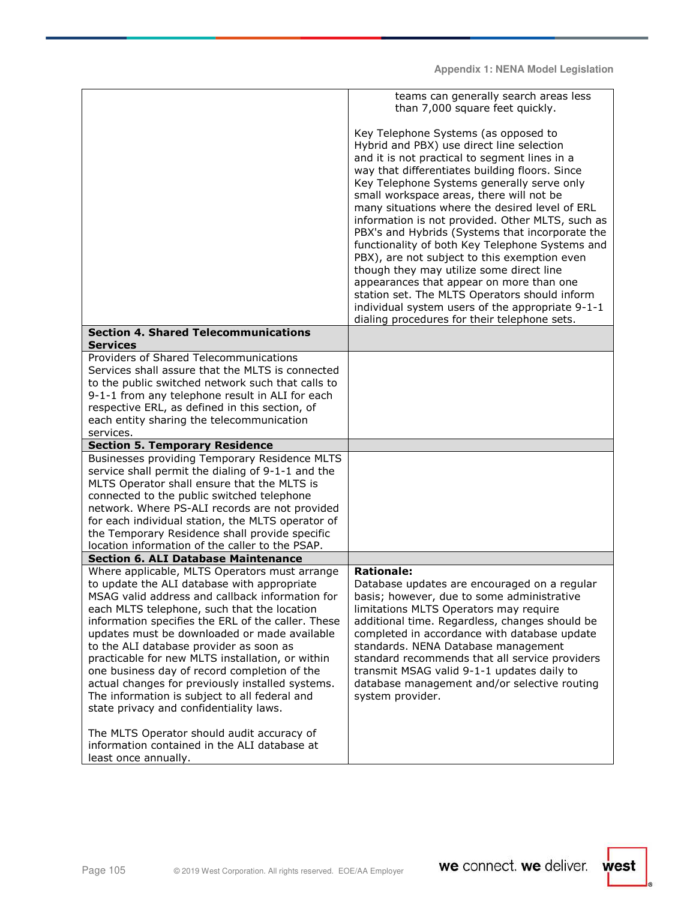|                                                                                                                                                                                                                                                                                                                                                                                                                                                                                                                                                                                                     | teams can generally search areas less<br>than 7,000 square feet quickly.                                                                                                                                                                                                                                                                                                                                                                                                                                                                                                                                                                                                                                                                                                                |
|-----------------------------------------------------------------------------------------------------------------------------------------------------------------------------------------------------------------------------------------------------------------------------------------------------------------------------------------------------------------------------------------------------------------------------------------------------------------------------------------------------------------------------------------------------------------------------------------------------|-----------------------------------------------------------------------------------------------------------------------------------------------------------------------------------------------------------------------------------------------------------------------------------------------------------------------------------------------------------------------------------------------------------------------------------------------------------------------------------------------------------------------------------------------------------------------------------------------------------------------------------------------------------------------------------------------------------------------------------------------------------------------------------------|
|                                                                                                                                                                                                                                                                                                                                                                                                                                                                                                                                                                                                     | Key Telephone Systems (as opposed to<br>Hybrid and PBX) use direct line selection<br>and it is not practical to segment lines in a<br>way that differentiates building floors. Since<br>Key Telephone Systems generally serve only<br>small workspace areas, there will not be<br>many situations where the desired level of ERL<br>information is not provided. Other MLTS, such as<br>PBX's and Hybrids (Systems that incorporate the<br>functionality of both Key Telephone Systems and<br>PBX), are not subject to this exemption even<br>though they may utilize some direct line<br>appearances that appear on more than one<br>station set. The MLTS Operators should inform<br>individual system users of the appropriate 9-1-1<br>dialing procedures for their telephone sets. |
| <b>Section 4. Shared Telecommunications</b><br><b>Services</b>                                                                                                                                                                                                                                                                                                                                                                                                                                                                                                                                      |                                                                                                                                                                                                                                                                                                                                                                                                                                                                                                                                                                                                                                                                                                                                                                                         |
| Providers of Shared Telecommunications<br>Services shall assure that the MLTS is connected<br>to the public switched network such that calls to<br>9-1-1 from any telephone result in ALI for each<br>respective ERL, as defined in this section, of<br>each entity sharing the telecommunication<br>services.                                                                                                                                                                                                                                                                                      |                                                                                                                                                                                                                                                                                                                                                                                                                                                                                                                                                                                                                                                                                                                                                                                         |
| <b>Section 5. Temporary Residence</b>                                                                                                                                                                                                                                                                                                                                                                                                                                                                                                                                                               |                                                                                                                                                                                                                                                                                                                                                                                                                                                                                                                                                                                                                                                                                                                                                                                         |
| Businesses providing Temporary Residence MLTS<br>service shall permit the dialing of 9-1-1 and the<br>MLTS Operator shall ensure that the MLTS is<br>connected to the public switched telephone<br>network. Where PS-ALI records are not provided<br>for each individual station, the MLTS operator of<br>the Temporary Residence shall provide specific<br>location information of the caller to the PSAP.                                                                                                                                                                                         |                                                                                                                                                                                                                                                                                                                                                                                                                                                                                                                                                                                                                                                                                                                                                                                         |
| <b>Section 6. ALI Database Maintenance</b>                                                                                                                                                                                                                                                                                                                                                                                                                                                                                                                                                          |                                                                                                                                                                                                                                                                                                                                                                                                                                                                                                                                                                                                                                                                                                                                                                                         |
| Where applicable, MLTS Operators must arrange<br>to update the ALI database with appropriate<br>MSAG valid address and callback information for<br>each MLTS telephone, such that the location<br>information specifies the ERL of the caller. These<br>updates must be downloaded or made available<br>to the ALI database provider as soon as<br>practicable for new MLTS installation, or within<br>one business day of record completion of the<br>actual changes for previously installed systems.<br>The information is subject to all federal and<br>state privacy and confidentiality laws. | <b>Rationale:</b><br>Database updates are encouraged on a regular<br>basis; however, due to some administrative<br>limitations MLTS Operators may require<br>additional time. Regardless, changes should be<br>completed in accordance with database update<br>standards. NENA Database management<br>standard recommends that all service providers<br>transmit MSAG valid 9-1-1 updates daily to<br>database management and/or selective routing<br>system provider.                                                                                                                                                                                                                                                                                                                  |
| The MLTS Operator should audit accuracy of<br>information contained in the ALI database at<br>least once annually.                                                                                                                                                                                                                                                                                                                                                                                                                                                                                  |                                                                                                                                                                                                                                                                                                                                                                                                                                                                                                                                                                                                                                                                                                                                                                                         |

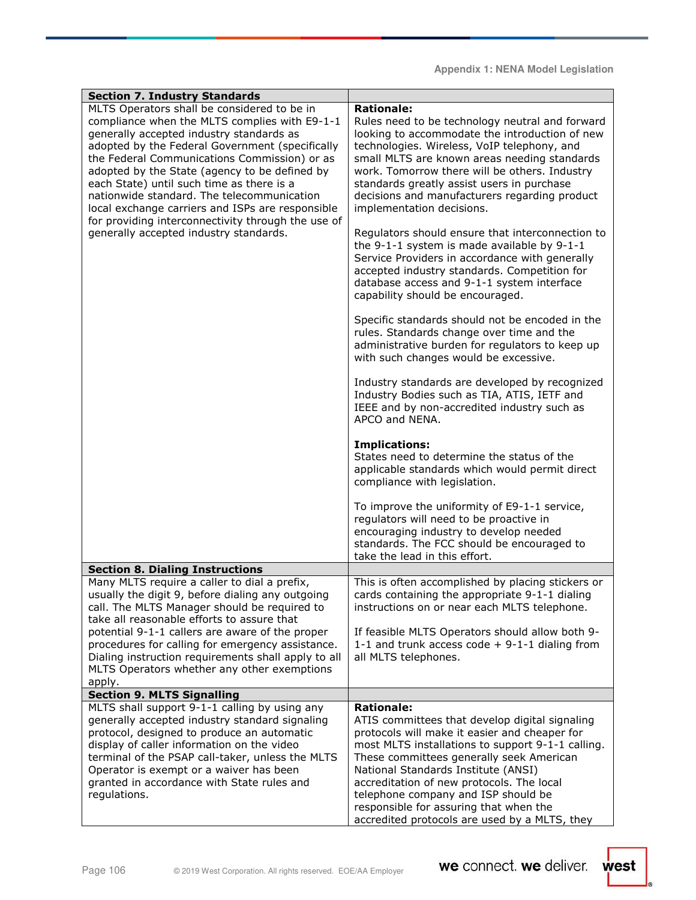| <b>Section 7. Industry Standards</b>                                                               |                                                                                                    |
|----------------------------------------------------------------------------------------------------|----------------------------------------------------------------------------------------------------|
| MLTS Operators shall be considered to be in                                                        | <b>Rationale:</b>                                                                                  |
| compliance when the MLTS complies with E9-1-1                                                      | Rules need to be technology neutral and forward                                                    |
| generally accepted industry standards as                                                           | looking to accommodate the introduction of new                                                     |
| adopted by the Federal Government (specifically                                                    | technologies. Wireless, VoIP telephony, and                                                        |
| the Federal Communications Commission) or as                                                       | small MLTS are known areas needing standards                                                       |
| adopted by the State (agency to be defined by                                                      | work. Tomorrow there will be others. Industry                                                      |
| each State) until such time as there is a<br>nationwide standard. The telecommunication            | standards greatly assist users in purchase<br>decisions and manufacturers regarding product        |
| local exchange carriers and ISPs are responsible                                                   | implementation decisions.                                                                          |
| for providing interconnectivity through the use of                                                 |                                                                                                    |
| generally accepted industry standards.                                                             | Regulators should ensure that interconnection to                                                   |
|                                                                                                    | the 9-1-1 system is made available by 9-1-1                                                        |
|                                                                                                    | Service Providers in accordance with generally<br>accepted industry standards. Competition for     |
|                                                                                                    | database access and 9-1-1 system interface                                                         |
|                                                                                                    | capability should be encouraged.                                                                   |
|                                                                                                    |                                                                                                    |
|                                                                                                    | Specific standards should not be encoded in the                                                    |
|                                                                                                    | rules. Standards change over time and the                                                          |
|                                                                                                    | administrative burden for regulators to keep up<br>with such changes would be excessive.           |
|                                                                                                    |                                                                                                    |
|                                                                                                    | Industry standards are developed by recognized                                                     |
|                                                                                                    | Industry Bodies such as TIA, ATIS, IETF and                                                        |
|                                                                                                    | IEEE and by non-accredited industry such as                                                        |
|                                                                                                    | APCO and NENA.                                                                                     |
|                                                                                                    | <b>Implications:</b>                                                                               |
|                                                                                                    | States need to determine the status of the                                                         |
|                                                                                                    | applicable standards which would permit direct                                                     |
|                                                                                                    | compliance with legislation.                                                                       |
|                                                                                                    | To improve the uniformity of E9-1-1 service,                                                       |
|                                                                                                    | regulators will need to be proactive in                                                            |
|                                                                                                    | encouraging industry to develop needed                                                             |
|                                                                                                    | standards. The FCC should be encouraged to                                                         |
|                                                                                                    | take the lead in this effort.                                                                      |
| <b>Section 8. Dialing Instructions</b><br>Many MLTS require a caller to dial a prefix,             | This is often accomplished by placing stickers or                                                  |
| usually the digit 9, before dialing any outgoing                                                   | cards containing the appropriate 9-1-1 dialing                                                     |
| call. The MLTS Manager should be required to                                                       | instructions on or near each MLTS telephone.                                                       |
| take all reasonable efforts to assure that                                                         |                                                                                                    |
| potential 9-1-1 callers are aware of the proper                                                    | If feasible MLTS Operators should allow both 9-                                                    |
| procedures for calling for emergency assistance.                                                   | 1-1 and trunk access code + 9-1-1 dialing from<br>all MLTS telephones.                             |
| Dialing instruction requirements shall apply to all<br>MLTS Operators whether any other exemptions |                                                                                                    |
| apply.                                                                                             |                                                                                                    |
| <b>Section 9. MLTS Signalling</b>                                                                  |                                                                                                    |
| MLTS shall support 9-1-1 calling by using any                                                      | <b>Rationale:</b>                                                                                  |
| generally accepted industry standard signaling                                                     | ATIS committees that develop digital signaling                                                     |
| protocol, designed to produce an automatic<br>display of caller information on the video           | protocols will make it easier and cheaper for<br>most MLTS installations to support 9-1-1 calling. |
| terminal of the PSAP call-taker, unless the MLTS                                                   | These committees generally seek American                                                           |
| Operator is exempt or a waiver has been                                                            | National Standards Institute (ANSI)                                                                |
| granted in accordance with State rules and                                                         | accreditation of new protocols. The local                                                          |
| regulations.                                                                                       | telephone company and ISP should be                                                                |
|                                                                                                    | responsible for assuring that when the<br>accredited protocols are used by a MLTS, they            |

 $\frac{1}{2}$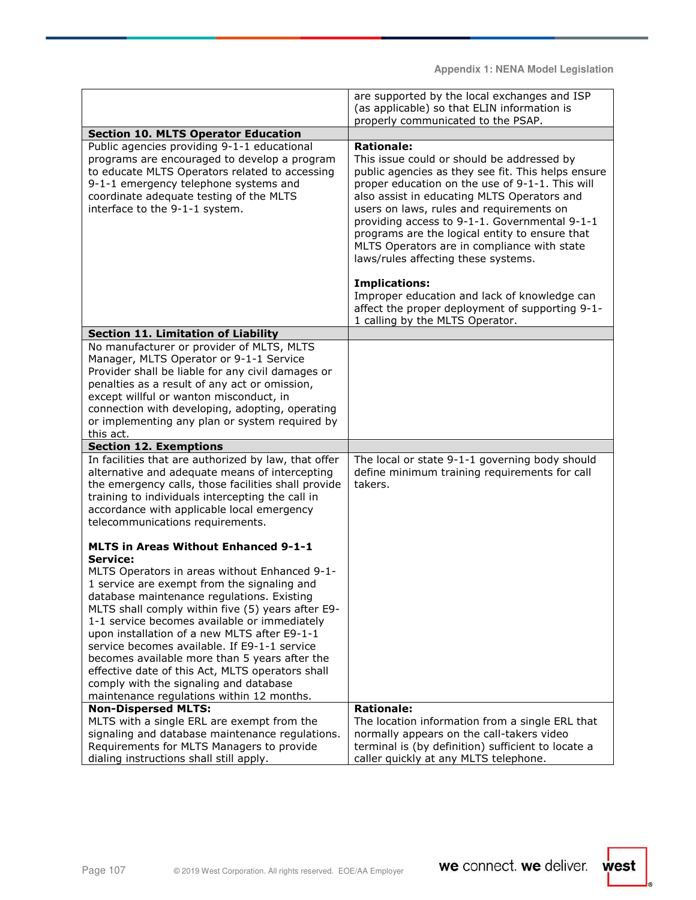|                                                                                      | are supported by the local exchanges and ISP                                                |
|--------------------------------------------------------------------------------------|---------------------------------------------------------------------------------------------|
|                                                                                      | (as applicable) so that ELIN information is                                                 |
|                                                                                      | properly communicated to the PSAP.                                                          |
| <b>Section 10. MLTS Operator Education</b>                                           |                                                                                             |
| Public agencies providing 9-1-1 educational                                          | <b>Rationale:</b>                                                                           |
| programs are encouraged to develop a program                                         | This issue could or should be addressed by                                                  |
| to educate MLTS Operators related to accessing                                       | public agencies as they see fit. This helps ensure                                          |
| 9-1-1 emergency telephone systems and                                                | proper education on the use of 9-1-1. This will                                             |
| coordinate adequate testing of the MLTS                                              | also assist in educating MLTS Operators and                                                 |
| interface to the 9-1-1 system.                                                       | users on laws, rules and requirements on                                                    |
|                                                                                      | providing access to 9-1-1. Governmental 9-1-1                                               |
|                                                                                      | programs are the logical entity to ensure that                                              |
|                                                                                      | MLTS Operators are in compliance with state                                                 |
|                                                                                      | laws/rules affecting these systems.                                                         |
|                                                                                      |                                                                                             |
|                                                                                      |                                                                                             |
|                                                                                      | <b>Implications:</b>                                                                        |
|                                                                                      | Improper education and lack of knowledge can                                                |
|                                                                                      | affect the proper deployment of supporting 9-1-                                             |
|                                                                                      | 1 calling by the MLTS Operator.                                                             |
| <b>Section 11. Limitation of Liability</b>                                           |                                                                                             |
| No manufacturer or provider of MLTS, MLTS                                            |                                                                                             |
| Manager, MLTS Operator or 9-1-1 Service                                              |                                                                                             |
| Provider shall be liable for any civil damages or                                    |                                                                                             |
| penalties as a result of any act or omission,                                        |                                                                                             |
| except willful or wanton misconduct, in                                              |                                                                                             |
| connection with developing, adopting, operating                                      |                                                                                             |
| or implementing any plan or system required by                                       |                                                                                             |
| this act.                                                                            |                                                                                             |
|                                                                                      |                                                                                             |
| <b>Section 12. Exemptions</b>                                                        |                                                                                             |
| In facilities that are authorized by law, that offer                                 | The local or state 9-1-1 governing body should                                              |
| alternative and adequate means of intercepting                                       |                                                                                             |
|                                                                                      | define minimum training requirements for call<br>takers.                                    |
| the emergency calls, those facilities shall provide                                  |                                                                                             |
| training to individuals intercepting the call in                                     |                                                                                             |
| accordance with applicable local emergency                                           |                                                                                             |
| telecommunications requirements.                                                     |                                                                                             |
|                                                                                      |                                                                                             |
| <b>MLTS in Areas Without Enhanced 9-1-1</b>                                          |                                                                                             |
| Service:                                                                             |                                                                                             |
| MLTS Operators in areas without Enhanced 9-1-                                        |                                                                                             |
| 1 service are exempt from the signaling and                                          |                                                                                             |
| database maintenance regulations. Existing                                           |                                                                                             |
| MLTS shall comply within five (5) years after E9-                                    |                                                                                             |
| 1-1 service becomes available or immediately                                         |                                                                                             |
| upon installation of a new MLTS after E9-1-1                                         |                                                                                             |
| service becomes available. If E9-1-1 service                                         |                                                                                             |
| becomes available more than 5 years after the                                        |                                                                                             |
| effective date of this Act, MLTS operators shall                                     |                                                                                             |
| comply with the signaling and database                                               |                                                                                             |
| maintenance regulations within 12 months.                                            |                                                                                             |
| <b>Non-Dispersed MLTS:</b>                                                           | <b>Rationale:</b>                                                                           |
| MLTS with a single ERL are exempt from the                                           | The location information from a single ERL that                                             |
| signaling and database maintenance regulations.                                      | normally appears on the call-takers video                                                   |
| Requirements for MLTS Managers to provide<br>dialing instructions shall still apply. | terminal is (by definition) sufficient to locate a<br>caller quickly at any MLTS telephone. |

Ī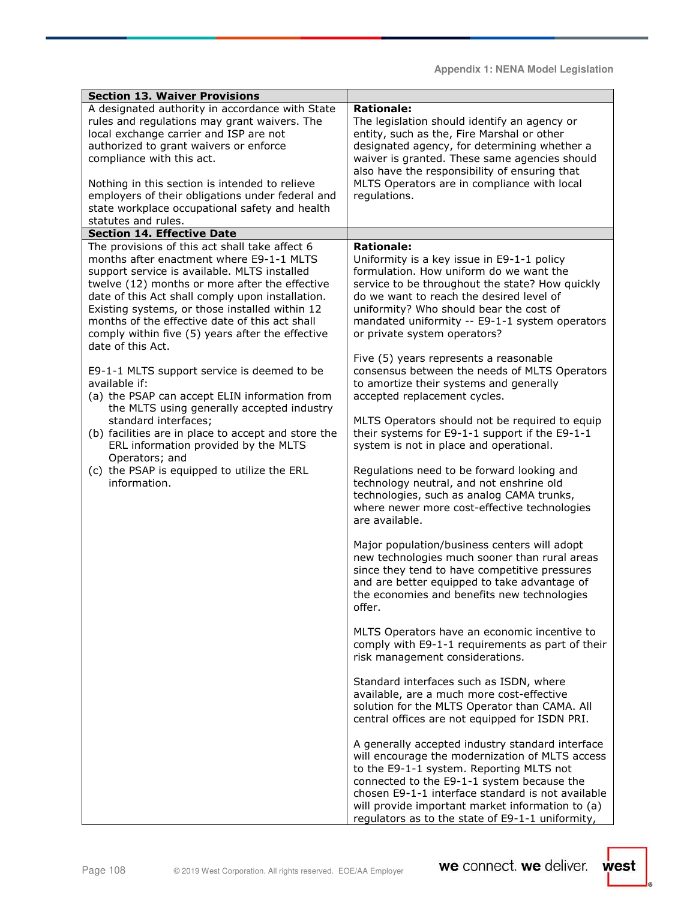| <b>Section 13. Waiver Provisions</b>                                                                                                                                                                                                                                                                                                                                                                     |                                                                                                                                                                                                                                                                                                                                                            |
|----------------------------------------------------------------------------------------------------------------------------------------------------------------------------------------------------------------------------------------------------------------------------------------------------------------------------------------------------------------------------------------------------------|------------------------------------------------------------------------------------------------------------------------------------------------------------------------------------------------------------------------------------------------------------------------------------------------------------------------------------------------------------|
| A designated authority in accordance with State<br>rules and regulations may grant waivers. The<br>local exchange carrier and ISP are not<br>authorized to grant waivers or enforce<br>compliance with this act.<br>Nothing in this section is intended to relieve<br>employers of their obligations under federal and<br>state workplace occupational safety and health<br>statutes and rules.          | <b>Rationale:</b><br>The legislation should identify an agency or<br>entity, such as the, Fire Marshal or other<br>designated agency, for determining whether a<br>waiver is granted. These same agencies should<br>also have the responsibility of ensuring that<br>MLTS Operators are in compliance with local<br>regulations.                           |
| <b>Section 14. Effective Date</b>                                                                                                                                                                                                                                                                                                                                                                        |                                                                                                                                                                                                                                                                                                                                                            |
| The provisions of this act shall take affect 6<br>months after enactment where E9-1-1 MLTS<br>support service is available. MLTS installed<br>twelve (12) months or more after the effective<br>date of this Act shall comply upon installation.<br>Existing systems, or those installed within 12<br>months of the effective date of this act shall<br>comply within five (5) years after the effective | <b>Rationale:</b><br>Uniformity is a key issue in E9-1-1 policy<br>formulation. How uniform do we want the<br>service to be throughout the state? How quickly<br>do we want to reach the desired level of<br>uniformity? Who should bear the cost of<br>mandated uniformity -- E9-1-1 system operators<br>or private system operators?                     |
| date of this Act.<br>E9-1-1 MLTS support service is deemed to be<br>available if:<br>(a) the PSAP can accept ELIN information from<br>the MLTS using generally accepted industry<br>standard interfaces;<br>(b) facilities are in place to accept and store the<br>ERL information provided by the MLTS                                                                                                  | Five (5) years represents a reasonable<br>consensus between the needs of MLTS Operators<br>to amortize their systems and generally<br>accepted replacement cycles.                                                                                                                                                                                         |
|                                                                                                                                                                                                                                                                                                                                                                                                          | MLTS Operators should not be required to equip<br>their systems for E9-1-1 support if the E9-1-1<br>system is not in place and operational.                                                                                                                                                                                                                |
| Operators; and<br>(c) the PSAP is equipped to utilize the ERL<br>information.                                                                                                                                                                                                                                                                                                                            | Regulations need to be forward looking and<br>technology neutral, and not enshrine old<br>technologies, such as analog CAMA trunks,<br>where newer more cost-effective technologies<br>are available.                                                                                                                                                      |
|                                                                                                                                                                                                                                                                                                                                                                                                          | Major population/business centers will adopt<br>new technologies much sooner than rural areas<br>since they tend to have competitive pressures<br>and are better equipped to take advantage of<br>the economies and benefits new technologies<br>offer.                                                                                                    |
|                                                                                                                                                                                                                                                                                                                                                                                                          | MLTS Operators have an economic incentive to<br>comply with E9-1-1 requirements as part of their<br>risk management considerations.                                                                                                                                                                                                                        |
|                                                                                                                                                                                                                                                                                                                                                                                                          | Standard interfaces such as ISDN, where<br>available, are a much more cost-effective<br>solution for the MLTS Operator than CAMA. All<br>central offices are not equipped for ISDN PRI.                                                                                                                                                                    |
|                                                                                                                                                                                                                                                                                                                                                                                                          | A generally accepted industry standard interface<br>will encourage the modernization of MLTS access<br>to the E9-1-1 system. Reporting MLTS not<br>connected to the E9-1-1 system because the<br>chosen E9-1-1 interface standard is not available<br>will provide important market information to (a)<br>regulators as to the state of E9-1-1 uniformity, |

 $\frac{1}{2}$